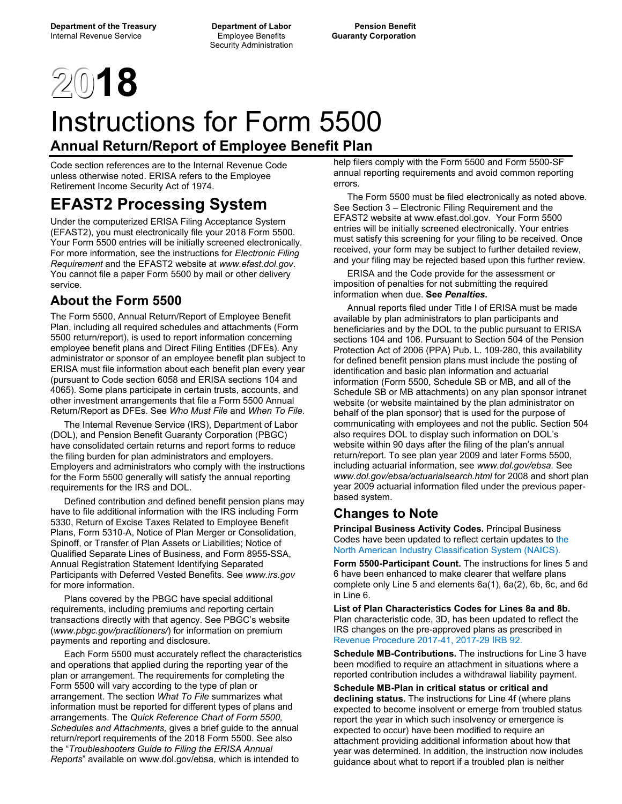Security Administration

# **2018**

# Instructions for Form 5500 **Annual Return/Report of Employee Benefit Plan**

Code section references are to the Internal Revenue Code unless otherwise noted. ERISA refers to the Employee Retirement Income Security Act of 1974.

# **EFAST2 Processing System**

Under the computerized ERISA Filing Acceptance System (EFAST2), you must electronically file your 2018 Form 5500. Your Form 5500 entries will be initially screened electronically. For more information, see the instructions for *Electronic Filing Requirement* and the EFAST2 website at *www.efast.dol.gov*. You cannot file a paper Form 5500 by mail or other delivery service.

# **About the Form 5500**

The Form 5500, Annual Return/Report of Employee Benefit Plan, including all required schedules and attachments (Form 5500 return/report), is used to report information concerning employee benefit plans and Direct Filing Entities (DFEs). Any administrator or sponsor of an employee benefit plan subject to ERISA must file information about each benefit plan every year (pursuant to Code section 6058 and ERISA sections 104 and 4065). Some plans participate in certain trusts, accounts, and other investment arrangements that file a Form 5500 Annual Return/Report as DFEs. See *Who Must File* and *When To File*.

 The Internal Revenue Service (IRS), Department of Labor (DOL), and Pension Benefit Guaranty Corporation (PBGC) have consolidated certain returns and report forms to reduce the filing burden for plan administrators and employers. Employers and administrators who comply with the instructions for the Form 5500 generally will satisfy the annual reporting requirements for the IRS and DOL.

 Defined contribution and defined benefit pension plans may have to file additional information with the IRS including Form 5330, Return of Excise Taxes Related to Employee Benefit Plans, Form 5310-A, Notice of Plan Merger or Consolidation, Spinoff, or Transfer of Plan Assets or Liabilities; Notice of Qualified Separate Lines of Business, and Form 8955-SSA, Annual Registration Statement Identifying Separated Participants with Deferred Vested Benefits. See *www.irs.gov* for more information.

 Plans covered by the PBGC have special additional requirements, including premiums and reporting certain transactions directly with that agency. See PBGC's website (*www.pbgc.gov/practitioners/*) for information on premium payments and reporting and disclosure.

 Each Form 5500 must accurately reflect the characteristics and operations that applied during the reporting year of the plan or arrangement. The requirements for completing the Form 5500 will vary according to the type of plan or arrangement. The section *What To File* summarizes what information must be reported for different types of plans and arrangements. The *Quick Reference Chart of Form 5500, Schedules and Attachments,* gives a brief guide to the annual return/report requirements of the 2018 Form 5500. See also the "*Troubleshooters Guide to Filing the ERISA Annual Reports*" available on www.dol.gov/ebsa, which is intended to

help filers comply with the Form 5500 and Form 5500-SF annual reporting requirements and avoid common reporting errors.

 The Form 5500 must be filed electronically as noted above. See Section 3 – Electronic Filing Requirement and the EFAST2 website at www.efast.dol.gov. Your Form 5500 entries will be initially screened electronically. Your entries must satisfy this screening for your filing to be received. Once received, your form may be subject to further detailed review, and your filing may be rejected based upon this further review.

 ERISA and the Code provide for the assessment or imposition of penalties for not submitting the required information when due. **See** *Penalties***.**

 Annual reports filed under Title I of ERISA must be made available by plan administrators to plan participants and beneficiaries and by the DOL to the public pursuant to ERISA sections 104 and 106. Pursuant to Section 504 of the Pension Protection Act of 2006 (PPA) Pub. L. 109-280, this availability for defined benefit pension plans must include the posting of identification and basic plan information and actuarial information (Form 5500, Schedule SB or MB, and all of the Schedule SB or MB attachments) on any plan sponsor intranet website (or website maintained by the plan administrator on behalf of the plan sponsor) that is used for the purpose of communicating with employees and not the public. Section 504 also requires DOL to display such information on DOL's website within 90 days after the filing of the plan's annual return/report. To see plan year 2009 and later Forms 5500, including actuarial information, see *www.dol.gov/ebsa.* See *www.dol.gov/ebsa/actuarialsearch.html* for 2008 and short plan year 2009 actuarial information filed under the previous paperbased system.

# **Changes to Note**

**Principal Business Activity Codes.** Principal Business Codes have been updated to reflect certain updates to the North American Industry Classification System (NAICS).

**Form 5500-Participant Count.** The instructions for lines 5 and 6 have been enhanced to make clearer that welfare plans complete only Line 5 and elements 6a(1), 6a(2), 6b, 6c, and 6d in Line 6.

**List of Plan Characteristics Codes for Lines 8a and 8b.** Plan characteristic code, 3D, has been updated to reflect the IRS changes on the pre-approved plans as prescribed in Revenue Procedure 2017-41, 2017-29 IRB 92.

**Schedule MB-Contributions.** The instructions for Line 3 have been modified to require an attachment in situations where a reported contribution includes a withdrawal liability payment.

**Schedule MB-Plan in critical status or critical and declining status.** The instructions for Line 4f (where plans expected to become insolvent or emerge from troubled status report the year in which such insolvency or emergence is expected to occur) have been modified to require an attachment providing additional information about how that year was determined. In addition, the instruction now includes guidance about what to report if a troubled plan is neither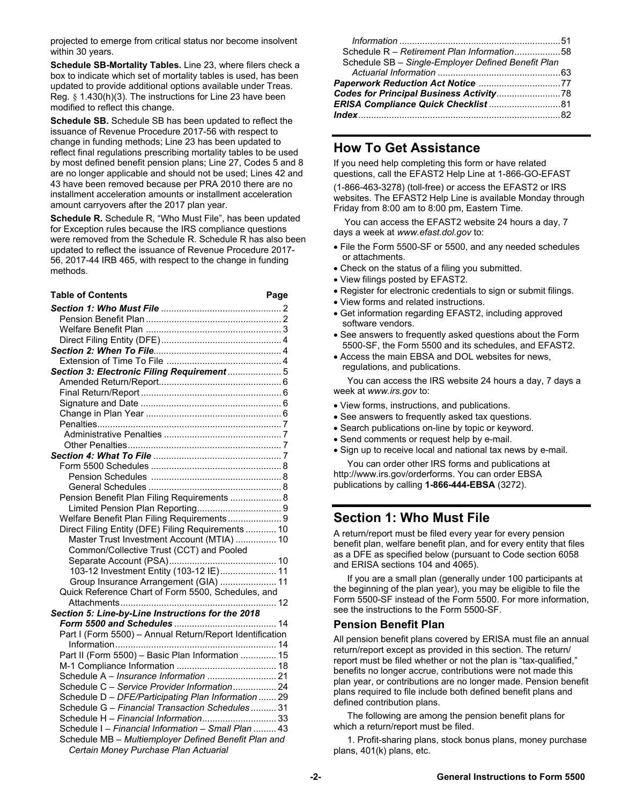projected to emerge from critical status nor become insolvent within 30 years.

**Schedule SB-Mortality Tables.** Line 23, where filers check a box to indicate which set of mortality tables is used, has been updated to provide additional options available under Treas. Reg. § 1.430(h)(3). The instructions for Line 23 have been modified to reflect this change.

**Schedule SB.** Schedule SB has been updated to reflect the issuance of Revenue Procedure 2017-56 with respect to change in funding methods; Line 23 has been updated to reflect final regulations prescribing mortality tables to be used by most defined benefit pension plans; Line 27, Codes 5 and 8 are no longer applicable and should not be used; Lines 42 and 43 have been removed because per PRA 2010 there are no installment acceleration amounts or installment acceleration amount carryovers after the 2017 plan year.

**Schedule R.** Schedule R, "Who Must File", has been updated for Exception rules because the IRS compliance questions were removed from the Schedule R. Schedule R has also been updated to reflect the issuance of Revenue Procedure 2017- 56, 2017-44 IRB 465, with respect to the change in funding methods.

#### Table of Contents **Page**

| Schedule R - Retirement Plan Information58         |  |
|----------------------------------------------------|--|
| Schedule SB - Single-Employer Defined Benefit Plan |  |
|                                                    |  |
|                                                    |  |
|                                                    |  |
| ERISA Compliance Quick Checklist  81               |  |
|                                                    |  |

### **How To Get Assistance**

If you need help completing this form or have related questions, call the EFAST2 Help Line at 1-866-GO-EFAST (1-866-463-3278) (toll-free) or access the EFAST2 or IRS websites. The EFAST2 Help Line is available Monday through Friday from 8:00 am to 8:00 pm, Eastern Time.

You can access the EFAST2 website 24 hours a day, 7 days a week at *www.efast.dol.gov* to:

- File the Form 5500-SF or 5500, and any needed schedules or attachments.
- Check on the status of a filing you submitted.
- View filings posted by EFAST2.
- Register for electronic credentials to sign or submit filings.
- View forms and related instructions.
- Get information regarding EFAST2, including approved software vendors.
- See answers to frequently asked questions about the Form 5500-SF, the Form 5500 and its schedules, and EFAST2.
- Access the main EBSA and DOL websites for news, regulations, and publications.

 You can access the IRS website 24 hours a day, 7 days a week at *www.irs.gov* to:

- View forms, instructions, and publications.
- See answers to frequently asked tax questions.
- Search publications on-line by topic or keyword.
- Send comments or request help by e-mail.
- Sign up to receive local and national tax news by e-mail. You can order other IRS forms and publications at

http://www.irs.gov/orderforms. You can order EBSA publications by calling **1-866-444-EBSA** (3272).

# **Section 1: Who Must File**

A return/report must be filed every year for every pension benefit plan, welfare benefit plan, and for every entity that files as a DFE as specified below (pursuant to Code section 6058 and ERISA sections 104 and 4065).

 If you are a small plan (generally under 100 participants at the beginning of the plan year), you may be eligible to file the Form 5500-SF instead of the Form 5500. For more information, see the instructions to the Form 5500-SF.

#### **Pension Benefit Plan**

All pension benefit plans covered by ERISA must file an annual return/report except as provided in this section. The return/ report must be filed whether or not the plan is "tax-qualified," benefits no longer accrue, contributions were not made this plan year, or contributions are no longer made. Pension benefit plans required to file include both defined benefit plans and defined contribution plans.

 The following are among the pension benefit plans for which a return/report must be filed.

 1. Profit-sharing plans, stock bonus plans, money purchase plans, 401(k) plans, etc.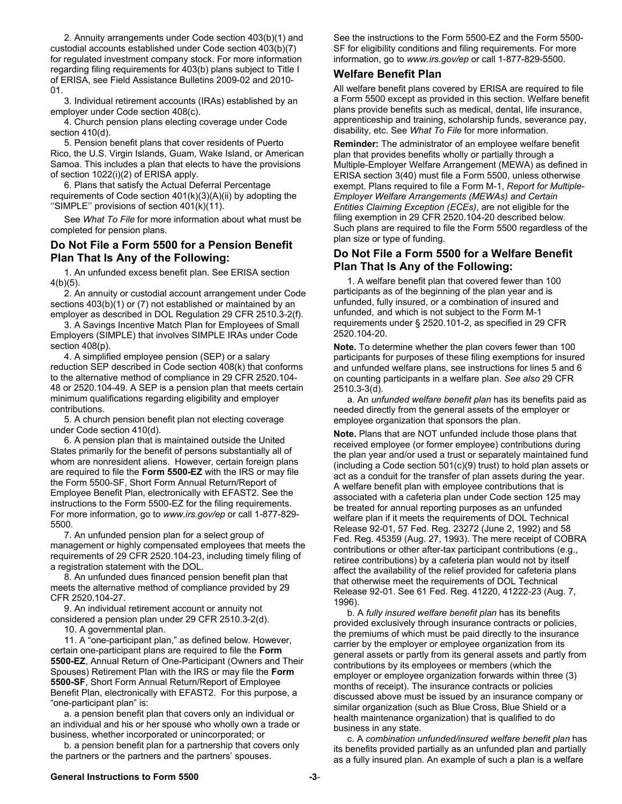2. Annuity arrangements under Code section 403(b)(1) and custodial accounts established under Code section 403(b)(7) for regulated investment company stock. For more information regarding filing requirements for 403(b) plans subject to Title I of ERISA, see Field Assistance Bulletins 2009-02 and 2010- 01.

 3. Individual retirement accounts (IRAs) established by an employer under Code section 408(c).

 4. Church pension plans electing coverage under Code section 410(d).

 5. Pension benefit plans that cover residents of Puerto Rico, the U.S. Virgin Islands, Guam, Wake Island, or American Samoa. This includes a plan that elects to have the provisions of section 1022(i)(2) of ERISA apply.

 6. Plans that satisfy the Actual Deferral Percentage requirements of Code section  $401(k)(3)(A)(ii)$  by adopting the ''SIMPLE'' provisions of section 401(k)(11).

 See *What To File* for more information about what must be completed for pension plans.

#### **Do Not File a Form 5500 for a Pension Benefit Plan That Is Any of the Following:**

 1. An unfunded excess benefit plan. See ERISA section 4(b)(5).

 2. An annuity or custodial account arrangement under Code sections 403(b)(1) or (7) not established or maintained by an employer as described in DOL Regulation 29 CFR 2510.3-2(f).

 3. A Savings Incentive Match Plan for Employees of Small Employers (SIMPLE) that involves SIMPLE IRAs under Code section 408(p).

 4. A simplified employee pension (SEP) or a salary reduction SEP described in Code section 408(k) that conforms to the alternative method of compliance in 29 CFR 2520.104- 48 or 2520.104-49. A SEP is a pension plan that meets certain minimum qualifications regarding eligibility and employer contributions.

 5. A church pension benefit plan not electing coverage under Code section 410(d).

 6. A pension plan that is maintained outside the United States primarily for the benefit of persons substantially all of whom are nonresident aliens. However, certain foreign plans are required to file the **Form 5500-EZ** with the IRS or may file the Form 5500-SF, Short Form Annual Return/Report of Employee Benefit Plan, electronically with EFAST2. See the instructions to the Form 5500-EZ for the filing requirements. For more information, go to *www.irs.gov/ep* or call 1-877-829- 5500*.*

 7. An unfunded pension plan for a select group of management or highly compensated employees that meets the requirements of 29 CFR 2520.104-23, including timely filing of a registration statement with the DOL.

 8. An unfunded dues financed pension benefit plan that meets the alternative method of compliance provided by 29 CFR 2520.104-27.

 9. An individual retirement account or annuity not considered a pension plan under 29 CFR 2510.3-2(d).

10. A governmental plan.

 11. A "one-participant plan," as defined below. However, certain one-participant plans are required to file the **Form 5500-EZ**, Annual Return of One-Participant (Owners and Their Spouses) Retirement Plan with the IRS or may file the **Form 5500-SF**, Short Form Annual Return/Report of Employee Benefit Plan, electronically with EFAST2. For this purpose, a "one-participant plan" is:

 a. a pension benefit plan that covers only an individual or an individual and his or her spouse who wholly own a trade or business, whether incorporated or unincorporated; or

 b. a pension benefit plan for a partnership that covers only the partners or the partners and the partners' spouses.

See the instructions to the Form 5500-EZ and the Form 5500- SF for eligibility conditions and filing requirements. For more information, go to *www.irs.gov/ep* or call 1-877-829-5500.

#### **Welfare Benefit Plan**

All welfare benefit plans covered by ERISA are required to file a Form 5500 except as provided in this section. Welfare benefit plans provide benefits such as medical, dental, life insurance, apprenticeship and training, scholarship funds, severance pay, disability, etc. See *What To File* for more information.

**Reminder:** The administrator of an employee welfare benefit plan that provides benefits wholly or partially through a Multiple-Employer Welfare Arrangement (MEWA) as defined in ERISA section 3(40) must file a Form 5500, unless otherwise exempt. Plans required to file a Form M-1, *Report for Multiple-Employer Welfare Arrangements (MEWAs) and Certain Entities Claiming Exception (ECEs)*, are not eligible for the filing exemption in 29 CFR 2520.104-20 described below. Such plans are required to file the Form 5500 regardless of the plan size or type of funding.

#### **Do Not File a Form 5500 for a Welfare Benefit Plan That Is Any of the Following:**

 1. A welfare benefit plan that covered fewer than 100 participants as of the beginning of the plan year and is unfunded, fully insured, or a combination of insured and unfunded, and which is not subject to the Form M-1 requirements under § 2520.101-2, as specified in 29 CFR 2520.104-20.

**Note.** To determine whether the plan covers fewer than 100 participants for purposes of these filing exemptions for insured and unfunded welfare plans, see instructions for lines 5 and 6 on counting participants in a welfare plan. *See also* 29 CFR 2510.3-3(d).

 a. An *unfunded welfare benefit plan* has its benefits paid as needed directly from the general assets of the employer or employee organization that sponsors the plan.

**Note.** Plans that are NOT unfunded include those plans that received employee (or former employee) contributions during the plan year and/or used a trust or separately maintained fund (including a Code section 501(c)(9) trust) to hold plan assets or act as a conduit for the transfer of plan assets during the year. A welfare benefit plan with employee contributions that is associated with a cafeteria plan under Code section 125 may be treated for annual reporting purposes as an unfunded welfare plan if it meets the requirements of DOL Technical Release 92-01, 57 Fed. Reg. 23272 (June 2, 1992) and 58 Fed. Reg. 45359 (Aug. 27, 1993). The mere receipt of COBRA contributions or other after-tax participant contributions (e.g., retiree contributions) by a cafeteria plan would not by itself affect the availability of the relief provided for cafeteria plans that otherwise meet the requirements of DOL Technical Release 92-01. See 61 Fed. Reg. 41220, 41222-23 (Aug. 7, 1996).

 b. A *fully insured welfare benefit plan* has its benefits provided exclusively through insurance contracts or policies, the premiums of which must be paid directly to the insurance carrier by the employer or employee organization from its general assets or partly from its general assets and partly from contributions by its employees or members (which the employer or employee organization forwards within three (3) months of receipt). The insurance contracts or policies discussed above must be issued by an insurance company or similar organization (such as Blue Cross, Blue Shield or a health maintenance organization) that is qualified to do business in any state.

 c. A *combination unfunded/insured welfare benefit plan* has its benefits provided partially as an unfunded plan and partially as a fully insured plan. An example of such a plan is a welfare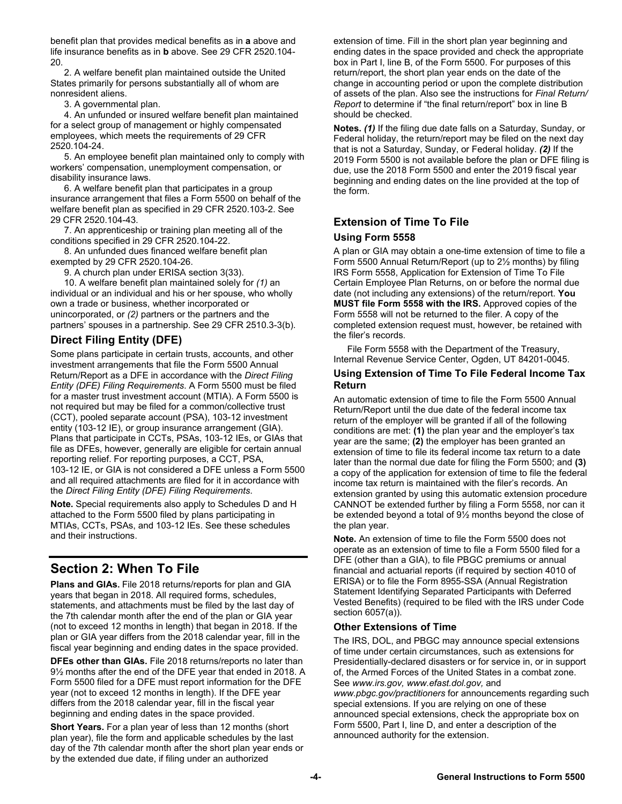benefit plan that provides medical benefits as in **a** above and life insurance benefits as in **b** above. See 29 CFR 2520.104- 20.

 2. A welfare benefit plan maintained outside the United States primarily for persons substantially all of whom are nonresident aliens.

3. A governmental plan.

 4. An unfunded or insured welfare benefit plan maintained for a select group of management or highly compensated employees, which meets the requirements of 29 CFR 2520.104-24.

 5. An employee benefit plan maintained only to comply with workers' compensation, unemployment compensation, or disability insurance laws.

 6. A welfare benefit plan that participates in a group insurance arrangement that files a Form 5500 on behalf of the welfare benefit plan as specified in 29 CFR 2520.103-2. See 29 CFR 2520.104-43.

 7. An apprenticeship or training plan meeting all of the conditions specified in 29 CFR 2520.104-22.

 8. An unfunded dues financed welfare benefit plan exempted by 29 CFR 2520.104-26.

9. A church plan under ERISA section 3(33).

 10. A welfare benefit plan maintained solely for *(1)* an individual or an individual and his or her spouse, who wholly own a trade or business, whether incorporated or unincorporated, or *(2)* partners or the partners and the partners' spouses in a partnership. See 29 CFR 2510.3-3(b).

# **Direct Filing Entity (DFE)**

Some plans participate in certain trusts, accounts, and other investment arrangements that file the Form 5500 Annual Return/Report as a DFE in accordance with the *Direct Filing Entity (DFE) Filing Requirements*. A Form 5500 must be filed for a master trust investment account (MTIA). A Form 5500 is not required but may be filed for a common/collective trust (CCT), pooled separate account (PSA), 103-12 investment entity (103-12 IE), or group insurance arrangement (GIA). Plans that participate in CCTs, PSAs, 103-12 IEs, or GIAs that file as DFEs, however, generally are eligible for certain annual reporting relief. For reporting purposes, a CCT, PSA, 103-12 IE, or GIA is not considered a DFE unless a Form 5500 and all required attachments are filed for it in accordance with the *Direct Filing Entity (DFE) Filing Requirements*.

**Note.** Special requirements also apply to Schedules D and H attached to the Form 5500 filed by plans participating in MTIAs, CCTs, PSAs, and 103-12 IEs. See these schedules and their instructions.

# **Section 2: When To File**

**Plans and GIAs.** File 2018 returns/reports for plan and GIA years that began in 2018. All required forms, schedules, statements, and attachments must be filed by the last day of the 7th calendar month after the end of the plan or GIA year (not to exceed 12 months in length) that began in 2018. If the plan or GIA year differs from the 2018 calendar year, fill in the fiscal year beginning and ending dates in the space provided.

**DFEs other than GIAs.** File 2018 returns/reports no later than 9½ months after the end of the DFE year that ended in 2018. A Form 5500 filed for a DFE must report information for the DFE year (not to exceed 12 months in length). If the DFE year differs from the 2018 calendar year, fill in the fiscal year beginning and ending dates in the space provided.

**Short Years.** For a plan year of less than 12 months (short plan year), file the form and applicable schedules by the last day of the 7th calendar month after the short plan year ends or by the extended due date, if filing under an authorized

extension of time. Fill in the short plan year beginning and ending dates in the space provided and check the appropriate box in Part I, line B, of the Form 5500. For purposes of this return/report, the short plan year ends on the date of the change in accounting period or upon the complete distribution of assets of the plan. Also see the instructions for *Final Return/ Report* to determine if "the final return/report" box in line B should be checked.

**Notes.** *(1)* If the filing due date falls on a Saturday, Sunday, or Federal holiday, the return/report may be filed on the next day that is not a Saturday, Sunday, or Federal holiday. *(2)* If the 2019 Form 5500 is not available before the plan or DFE filing is due, use the 2018 Form 5500 and enter the 2019 fiscal year beginning and ending dates on the line provided at the top of the form.

### **Extension of Time To File Using Form 5558**

A plan or GIA may obtain a one-time extension of time to file a Form 5500 Annual Return/Report (up to 2½ months) by filing IRS Form 5558, Application for Extension of Time To File Certain Employee Plan Returns, on or before the normal due date (not including any extensions) of the return/report. **You MUST file Form 5558 with the IRS.** Approved copies of the Form 5558 will not be returned to the filer. A copy of the completed extension request must, however, be retained with the filer's records.

 File Form 5558 with the Department of the Treasury, Internal Revenue Service Center, Ogden, UT 84201-0045.

#### **Using Extension of Time To File Federal Income Tax Return**

An automatic extension of time to file the Form 5500 Annual Return/Report until the due date of the federal income tax return of the employer will be granted if all of the following conditions are met: **(1)** the plan year and the employer's tax year are the same; **(2)** the employer has been granted an extension of time to file its federal income tax return to a date later than the normal due date for filing the Form 5500; and **(3)** a copy of the application for extension of time to file the federal income tax return is maintained with the filer's records. An extension granted by using this automatic extension procedure CANNOT be extended further by filing a Form 5558, nor can it be extended beyond a total of 9½ months beyond the close of the plan year.

**Note.** An extension of time to file the Form 5500 does not operate as an extension of time to file a Form 5500 filed for a DFE (other than a GIA), to file PBGC premiums or annual financial and actuarial reports (if required by section 4010 of ERISA) or to file the Form 8955-SSA (Annual Registration Statement Identifying Separated Participants with Deferred Vested Benefits) (required to be filed with the IRS under Code section 6057(a)).

#### **Other Extensions of Time**

The IRS, DOL, and PBGC may announce special extensions of time under certain circumstances, such as extensions for Presidentially-declared disasters or for service in, or in support of, the Armed Forces of the United States in a combat zone. See *www.irs.gov, www.efast.dol.gov,* and *www.pbgc.gov/practitioners* for announcements regarding such special extensions. If you are relying on one of these announced special extensions, check the appropriate box on Form 5500, Part I, line D, and enter a description of the announced authority for the extension.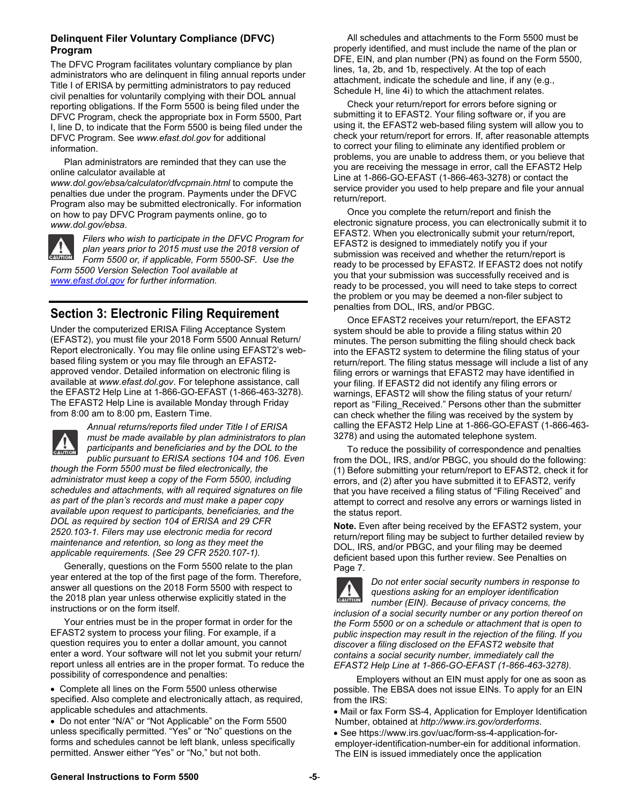#### **Delinquent Filer Voluntary Compliance (DFVC) Program**

The DFVC Program facilitates voluntary compliance by plan administrators who are delinquent in filing annual reports under Title I of ERISA by permitting administrators to pay reduced civil penalties for voluntarily complying with their DOL annual reporting obligations. If the Form 5500 is being filed under the DFVC Program, check the appropriate box in Form 5500, Part I, line D, to indicate that the Form 5500 is being filed under the DFVC Program. See *www.efast.dol.gov* for additional information.

 Plan administrators are reminded that they can use the online calculator available at

*www.dol.gov/ebsa/calculator/dfvcpmain.html* to compute the penalties due under the program. Payments under the DFVC Program also may be submitted electronically. For information on how to pay DFVC Program payments online, go to *www.dol.gov/ebsa*.



*Filers who wish to participate in the DFVC Program for plan years prior to 2015 must use the 2018 version of Form 5500 or, if applicable, Form 5500-SF. Use the Form 5500 Version Selection Tool available at www.efast.dol.gov for further information.* 

# **Section 3: Electronic Filing Requirement**

Under the computerized ERISA Filing Acceptance System (EFAST2), you must file your 2018 Form 5500 Annual Return/ Report electronically. You may file online using EFAST2's webbased filing system or you may file through an EFAST2 approved vendor. Detailed information on electronic filing is available at *www.efast.dol.gov*. For telephone assistance, call the EFAST2 Help Line at 1-866-GO-EFAST (1-866-463-3278). The EFAST2 Help Line is available Monday through Friday from 8:00 am to 8:00 pm, Eastern Time.



*Annual returns/reports filed under Title I of ERISA must be made available by plan administrators to plan participants and beneficiaries and by the DOL to the public pursuant to ERISA sections 104 and 106. Even* 

*though the Form 5500 must be filed electronically, the administrator must keep a copy of the Form 5500, including schedules and attachments, with all required signatures on file as part of the plan's records and must make a paper copy available upon request to participants, beneficiaries, and the DOL as required by section 104 of ERISA and 29 CFR 2520.103-1. Filers may use electronic media for record maintenance and retention, so long as they meet the applicable requirements. (See 29 CFR 2520.107-1).*

 Generally, questions on the Form 5500 relate to the plan year entered at the top of the first page of the form. Therefore, answer all questions on the 2018 Form 5500 with respect to the 2018 plan year unless otherwise explicitly stated in the instructions or on the form itself.

 Your entries must be in the proper format in order for the EFAST2 system to process your filing. For example, if a question requires you to enter a dollar amount, you cannot enter a word. Your software will not let you submit your return/ report unless all entries are in the proper format. To reduce the possibility of correspondence and penalties:

 Complete all lines on the Form 5500 unless otherwise specified. Also complete and electronically attach, as required, applicable schedules and attachments.

 Do not enter "N/A" or "Not Applicable" on the Form 5500 unless specifically permitted. "Yes" or "No" questions on the forms and schedules cannot be left blank, unless specifically permitted. Answer either "Yes" or "No," but not both.

 All schedules and attachments to the Form 5500 must be properly identified, and must include the name of the plan or DFE, EIN, and plan number (PN) as found on the Form 5500, lines, 1a, 2b, and 1b, respectively. At the top of each attachment, indicate the schedule and line, if any (e.g., Schedule H, line 4i) to which the attachment relates.

 Check your return/report for errors before signing or submitting it to EFAST2. Your filing software or, if you are using it, the EFAST2 web-based filing system will allow you to check your return/report for errors. If, after reasonable attempts to correct your filing to eliminate any identified problem or problems, you are unable to address them, or you believe that you are receiving the message in error, call the EFAST2 Help Line at 1-866-GO-EFAST (1-866-463-3278) or contact the service provider you used to help prepare and file your annual return/report.

 Once you complete the return/report and finish the electronic signature process, you can electronically submit it to EFAST2. When you electronically submit your return/report, EFAST2 is designed to immediately notify you if your submission was received and whether the return/report is ready to be processed by EFAST2. If EFAST2 does not notify you that your submission was successfully received and is ready to be processed, you will need to take steps to correct the problem or you may be deemed a non-filer subject to penalties from DOL, IRS, and/or PBGC.

 Once EFAST2 receives your return/report, the EFAST2 system should be able to provide a filing status within 20 minutes. The person submitting the filing should check back into the EFAST2 system to determine the filing status of your return/report. The filing status message will include a list of any filing errors or warnings that EFAST2 may have identified in your filing. If EFAST2 did not identify any filing errors or warnings, EFAST2 will show the filing status of your return/ report as "Filing\_Received." Persons other than the submitter can check whether the filing was received by the system by calling the EFAST2 Help Line at 1-866-GO-EFAST (1-866-463- 3278) and using the automated telephone system.

 To reduce the possibility of correspondence and penalties from the DOL, IRS, and/or PBGC, you should do the following: (1) Before submitting your return/report to EFAST2, check it for errors, and (2) after you have submitted it to EFAST2, verify that you have received a filing status of "Filing Received" and attempt to correct and resolve any errors or warnings listed in the status report.

**Note.** Even after being received by the EFAST2 system, your return/report filing may be subject to further detailed review by DOL, IRS, and/or PBGC, and your filing may be deemed deficient based upon this further review. See Penalties on Page 7.



*Do not enter social security numbers in response to questions asking for an employer identification* 

*number (EIN). Because of privacy concerns, the inclusion of a social security number or any portion thereof on the Form 5500 or on a schedule or attachment that is open to public inspection may result in the rejection of the filing. If you discover a filing disclosed on the EFAST2 website that contains a social security number, immediately call the EFAST2 Help Line at 1-866-GO-EFAST (1-866-463-3278).*

 Employers without an EIN must apply for one as soon as possible. The EBSA does not issue EINs. To apply for an EIN from the IRS:

 Mail or fax Form SS-4, Application for Employer Identification Number, obtained at *http://www.irs.gov/orderforms*.

 See https://www.irs.gov/uac/form-ss-4-application-foremployer-identification-number-ein for additional information. The EIN is issued immediately once the application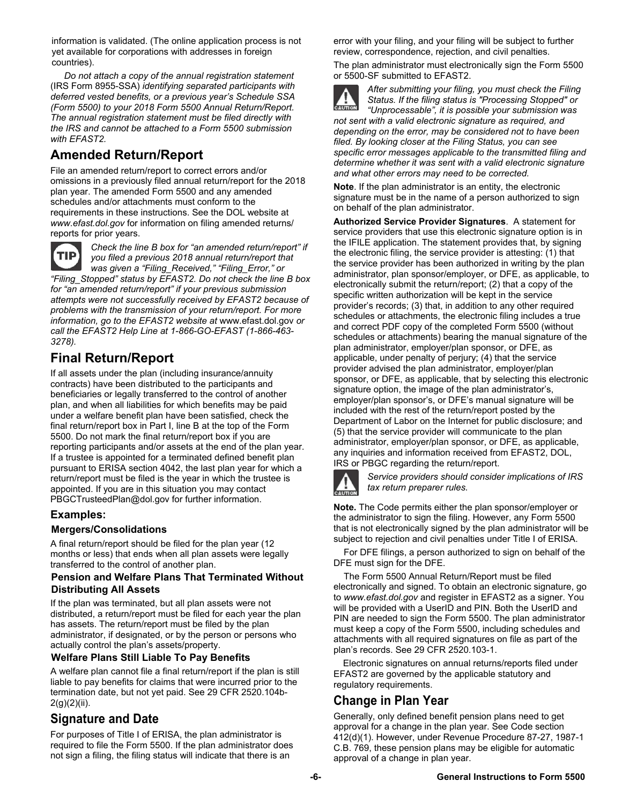information is validated. (The online application process is not yet available for corporations with addresses in foreign countries).

 *Do not attach a copy of the annual registration statement* (IRS Form 8955-SSA) *identifying separated participants with deferred vested benefits, or a previous year's Schedule SSA (Form 5500) to your 2018 Form 5500 Annual Return/Report. The annual registration statement must be filed directly with the IRS and cannot be attached to a Form 5500 submission with EFAST2.*

# **Amended Return/Report**

File an amended return/report to correct errors and/or omissions in a previously filed annual return/report for the 2018 plan year. The amended Form 5500 and any amended schedules and/or attachments must conform to the requirements in these instructions. See the DOL website at *www.efast.dol.gov* for information on filing amended returns/ reports for prior years.



*Check the line B box for "an amended return/report" if you filed a previous 2018 annual return/report that was given a "Filing\_Received," "Filing\_Error," or* 

*"Filing\_Stopped" status by EFAST2. Do not check the line B box for "an amended return/report" if your previous submission attempts were not successfully received by EFAST2 because of problems with the transmission of your return/report. For more information, go to the EFAST2 website at* www.efast.dol.gov *or call the EFAST2 Help Line at 1-866-GO-EFAST (1-866-463- 3278).* 

# **Final Return/Report**

If all assets under the plan (including insurance/annuity contracts) have been distributed to the participants and beneficiaries or legally transferred to the control of another plan, and when all liabilities for which benefits may be paid under a welfare benefit plan have been satisfied, check the final return/report box in Part I, line B at the top of the Form 5500. Do not mark the final return/report box if you are reporting participants and/or assets at the end of the plan year. If a trustee is appointed for a terminated defined benefit plan pursuant to ERISA section 4042, the last plan year for which a return/report must be filed is the year in which the trustee is appointed. If you are in this situation you may contact PBGCTrusteedPlan@dol.gov for further information.

#### **Examples:**

#### **Mergers/Consolidations**

A final return/report should be filed for the plan year (12 months or less) that ends when all plan assets were legally transferred to the control of another plan.

#### **Pension and Welfare Plans That Terminated Without Distributing All Assets**

If the plan was terminated, but all plan assets were not distributed, a return/report must be filed for each year the plan has assets. The return/report must be filed by the plan administrator, if designated, or by the person or persons who actually control the plan's assets/property.

#### **Welfare Plans Still Liable To Pay Benefits**

A welfare plan cannot file a final return/report if the plan is still liable to pay benefits for claims that were incurred prior to the termination date, but not yet paid. See 29 CFR 2520.104b- $2(g)(2)(ii)$ .

# **Signature and Date**

For purposes of Title I of ERISA, the plan administrator is required to file the Form 5500. If the plan administrator does not sign a filing, the filing status will indicate that there is an

error with your filing, and your filing will be subject to further review, correspondence, rejection, and civil penalties.

The plan administrator must electronically sign the Form 5500 or 5500-SF submitted to EFAST2.



*After submitting your filing, you must check the Filing Status. If the filing status is "Processing Stopped" or "Unprocessable", it is possible your submission was* 

*not sent with a valid electronic signature as required, and depending on the error, may be considered not to have been filed. By looking closer at the Filing Status, you can see specific error messages applicable to the transmitted filing and determine whether it was sent with a valid electronic signature and what other errors may need to be corrected.* 

**Note**. If the plan administrator is an entity, the electronic signature must be in the name of a person authorized to sign on behalf of the plan administrator.

**Authorized Service Provider Signatures**. A statement for service providers that use this electronic signature option is in the IFILE application. The statement provides that, by signing the electronic filing, the service provider is attesting: (1) that the service provider has been authorized in writing by the plan administrator, plan sponsor/employer, or DFE, as applicable, to electronically submit the return/report; (2) that a copy of the specific written authorization will be kept in the service provider's records; (3) that, in addition to any other required schedules or attachments, the electronic filing includes a true and correct PDF copy of the completed Form 5500 (without schedules or attachments) bearing the manual signature of the plan administrator, employer/plan sponsor, or DFE, as applicable, under penalty of perjury; (4) that the service provider advised the plan administrator, employer/plan sponsor, or DFE, as applicable, that by selecting this electronic signature option, the image of the plan administrator's, employer/plan sponsor's, or DFE's manual signature will be included with the rest of the return/report posted by the Department of Labor on the Internet for public disclosure; and (5) that the service provider will communicate to the plan administrator, employer/plan sponsor, or DFE, as applicable, any inquiries and information received from EFAST2, DOL, IRS or PBGC regarding the return/report.



*Service providers should consider implications of IRS tax return preparer rules.* 

**Note.** The Code permits either the plan sponsor/employer or the administrator to sign the filing. However, any Form 5500 that is not electronically signed by the plan administrator will be subject to rejection and civil penalties under Title I of ERISA.

 For DFE filings, a person authorized to sign on behalf of the DFE must sign for the DFE.

 The Form 5500 Annual Return/Report must be filed electronically and signed. To obtain an electronic signature, go to *www.efast.dol.gov* and register in EFAST2 as a signer. You will be provided with a UserID and PIN. Both the UserID and PIN are needed to sign the Form 5500. The plan administrator must keep a copy of the Form 5500, including schedules and attachments with all required signatures on file as part of the plan's records. See 29 CFR 2520.103-1.

Electronic signatures on annual returns/reports filed under EFAST2 are governed by the applicable statutory and regulatory requirements.

# **Change in Plan Year**

Generally, only defined benefit pension plans need to get approval for a change in the plan year. See Code section 412(d)(1). However, under Revenue Procedure 87-27, 1987-1 C.B. 769, these pension plans may be eligible for automatic approval of a change in plan year.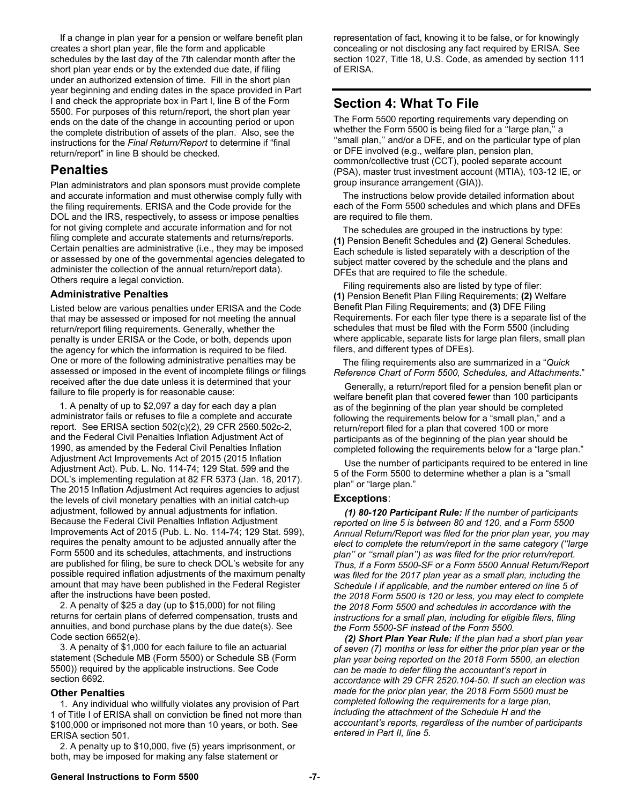If a change in plan year for a pension or welfare benefit plan creates a short plan year, file the form and applicable schedules by the last day of the 7th calendar month after the short plan year ends or by the extended due date, if filing under an authorized extension of time. Fill in the short plan year beginning and ending dates in the space provided in Part I and check the appropriate box in Part I, line B of the Form 5500. For purposes of this return/report, the short plan year ends on the date of the change in accounting period or upon the complete distribution of assets of the plan. Also, see the instructions for the *Final Return/Report* to determine if "final return/report" in line B should be checked.

### **Penalties**

Plan administrators and plan sponsors must provide complete and accurate information and must otherwise comply fully with the filing requirements. ERISA and the Code provide for the DOL and the IRS, respectively, to assess or impose penalties for not giving complete and accurate information and for not filing complete and accurate statements and returns/reports. Certain penalties are administrative (i.e., they may be imposed or assessed by one of the governmental agencies delegated to administer the collection of the annual return/report data). Others require a legal conviction.

#### **Administrative Penalties**

Listed below are various penalties under ERISA and the Code that may be assessed or imposed for not meeting the annual return/report filing requirements. Generally, whether the penalty is under ERISA or the Code, or both, depends upon the agency for which the information is required to be filed. One or more of the following administrative penalties may be assessed or imposed in the event of incomplete filings or filings received after the due date unless it is determined that your failure to file properly is for reasonable cause:

1. A penalty of up to \$2,097 a day for each day a plan administrator fails or refuses to file a complete and accurate report. See ERISA section 502(c)(2), 29 CFR 2560.502c-2, and the Federal Civil Penalties Inflation Adjustment Act of 1990, as amended by the Federal Civil Penalties Inflation Adjustment Act Improvements Act of 2015 (2015 Inflation Adjustment Act). Pub. L. No. 114-74; 129 Stat. 599 and the DOL's implementing regulation at 82 FR 5373 (Jan. 18, 2017). The 2015 Inflation Adjustment Act requires agencies to adjust the levels of civil monetary penalties with an initial catch-up adjustment, followed by annual adjustments for inflation. Because the Federal Civil Penalties Inflation Adjustment Improvements Act of 2015 (Pub. L. No. 114-74; 129 Stat. 599), requires the penalty amount to be adjusted annually after the Form 5500 and its schedules, attachments, and instructions are published for filing, be sure to check DOL's website for any possible required inflation adjustments of the maximum penalty amount that may have been published in the Federal Register after the instructions have been posted.

2. A penalty of \$25 a day (up to \$15,000) for not filing returns for certain plans of deferred compensation, trusts and annuities, and bond purchase plans by the due date(s). See Code section 6652(e).

3. A penalty of \$1,000 for each failure to file an actuarial statement (Schedule MB (Form 5500) or Schedule SB (Form 5500)) required by the applicable instructions. See Code section 6692.

#### **Other Penalties**

1. Any individual who willfully violates any provision of Part 1 of Title I of ERISA shall on conviction be fined not more than \$100,000 or imprisoned not more than 10 years, or both. See ERISA section 501.

2. A penalty up to \$10,000, five (5) years imprisonment, or both, may be imposed for making any false statement or

representation of fact, knowing it to be false, or for knowingly concealing or not disclosing any fact required by ERISA. See section 1027, Title 18, U.S. Code, as amended by section 111 of ERISA.

# **Section 4: What To File**

The Form 5500 reporting requirements vary depending on whether the Form 5500 is being filed for a ''large plan,'' a ''small plan,'' and/or a DFE, and on the particular type of plan or DFE involved (e.g., welfare plan, pension plan, common/collective trust (CCT), pooled separate account (PSA), master trust investment account (MTIA), 103-12 IE, or group insurance arrangement (GIA)).

The instructions below provide detailed information about each of the Form 5500 schedules and which plans and DFEs are required to file them.

The schedules are grouped in the instructions by type: **(1)** Pension Benefit Schedules and **(2)** General Schedules. Each schedule is listed separately with a description of the subject matter covered by the schedule and the plans and DFEs that are required to file the schedule.

Filing requirements also are listed by type of filer: **(1)** Pension Benefit Plan Filing Requirements; **(2)** Welfare Benefit Plan Filing Requirements; and **(3)** DFE Filing Requirements. For each filer type there is a separate list of the schedules that must be filed with the Form 5500 (including where applicable, separate lists for large plan filers, small plan filers, and different types of DFEs).

The filing requirements also are summarized in a "*Quick Reference Chart of Form 5500, Schedules, and Attachments*."

Generally, a return/report filed for a pension benefit plan or welfare benefit plan that covered fewer than 100 participants as of the beginning of the plan year should be completed following the requirements below for a "small plan," and a return/report filed for a plan that covered 100 or more participants as of the beginning of the plan year should be completed following the requirements below for a "large plan."

Use the number of participants required to be entered in line 5 of the Form 5500 to determine whether a plan is a "small plan" or "large plan."

#### **Exceptions**:

*(1) 80-120 Participant Rule: If the number of participants reported on line 5 is between 80 and 120, and a Form 5500 Annual Return/Report was filed for the prior plan year, you may elect to complete the return/report in the same category (''large plan'' or ''small plan'') as was filed for the prior return/report. Thus, if a Form 5500-SF or a Form 5500 Annual Return/Report was filed for the 2017 plan year as a small plan, including the Schedule I if applicable, and the number entered on line 5 of the 2018 Form 5500 is 120 or less, you may elect to complete the 2018 Form 5500 and schedules in accordance with the instructions for a small plan, including for eligible filers, filing the Form 5500-SF instead of the Form 5500.* 

*(2) Short Plan Year Rule: If the plan had a short plan year of seven (7) months or less for either the prior plan year or the plan year being reported on the 2018 Form 5500, an election can be made to defer filing the accountant's report in accordance with 29 CFR 2520.104-50. If such an election was made for the prior plan year, the 2018 Form 5500 must be completed following the requirements for a large plan, including the attachment of the Schedule H and the accountant's reports, regardless of the number of participants entered in Part II, line 5*.

#### **General Instructions to Form 5500 -7**-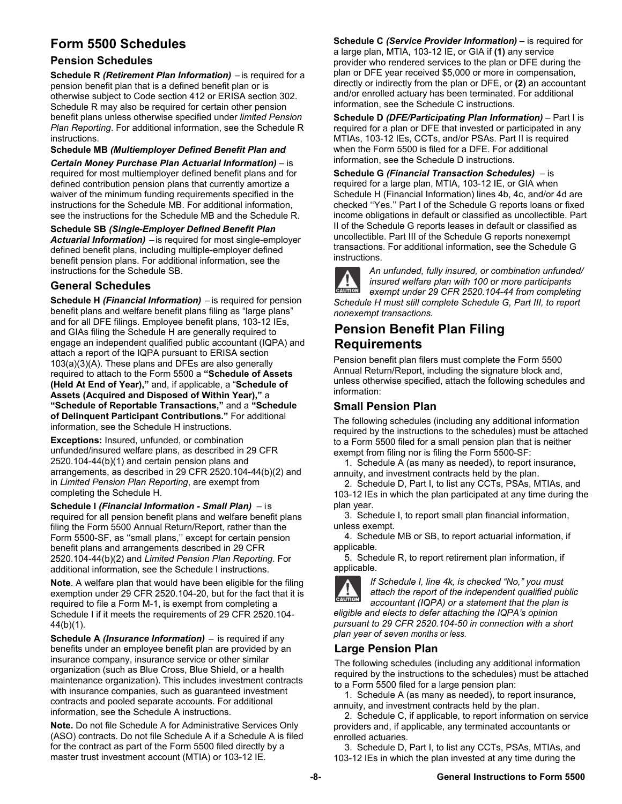# **Form 5500 Schedules**

### **Pension Schedules**

**Schedule R** *(Retirement Plan Information)* – is required for a pension benefit plan that is a defined benefit plan or is otherwise subject to Code section 412 or ERISA section 302. Schedule R may also be required for certain other pension benefit plans unless otherwise specified under *limited Pension Plan Reporting*. For additional information, see the Schedule R instructions.

**Schedule MB** *(Multiemployer Defined Benefit Plan and*

*Certain Money Purchase Plan Actuarial Information)* – is required for most multiemployer defined benefit plans and for defined contribution pension plans that currently amortize a waiver of the minimum funding requirements specified in the instructions for the Schedule MB. For additional information, see the instructions for the Schedule MB and the Schedule R.

**Schedule SB** *(Single-Employer Defined Benefit Plan Actuarial Information)* – is required for most single-employer defined benefit plans, including multiple-employer defined benefit pension plans. For additional information, see the instructions for the Schedule SB.

### **General Schedules**

**Schedule H** *(Financial Information)* – is required for pension benefit plans and welfare benefit plans filing as "large plans" and for all DFE filings. Employee benefit plans, 103-12 IEs, and GIAs filing the Schedule H are generally required to engage an independent qualified public accountant (IQPA) and attach a report of the IQPA pursuant to ERISA section 103(a)(3)(A). These plans and DFEs are also generally required to attach to the Form 5500 a **"Schedule of Assets (Held At End of Year),"** and, if applicable, a "**Schedule of Assets (Acquired and Disposed of Within Year),"** a **"Schedule of Reportable Transactions,"** and a **"Schedule of Delinquent Participant Contributions."** For additional information, see the Schedule H instructions.

**Exceptions:** Insured, unfunded, or combination unfunded/insured welfare plans, as described in 29 CFR 2520.104-44(b)(1) and certain pension plans and arrangements, as described in 29 CFR 2520.104-44(b)(2) and in *Limited Pension Plan Reporting*, are exempt from completing the Schedule H.

**Schedule I** *(Financial Information - Small Plan)* – is required for all pension benefit plans and welfare benefit plans filing the Form 5500 Annual Return/Report, rather than the Form 5500-SF, as ''small plans,'' except for certain pension benefit plans and arrangements described in 29 CFR 2520.104-44(b)(2) and *Limited Pension Plan Reporting*. For additional information, see the Schedule I instructions.

**Note**. A welfare plan that would have been eligible for the filing exemption under 29 CFR 2520.104-20, but for the fact that it is required to file a Form M-1, is exempt from completing a Schedule I if it meets the requirements of 29 CFR 2520.104- 44(b)(1).

**Schedule A** *(Insurance Information)* – is required if any benefits under an employee benefit plan are provided by an insurance company, insurance service or other similar organization (such as Blue Cross, Blue Shield, or a health maintenance organization). This includes investment contracts with insurance companies, such as guaranteed investment contracts and pooled separate accounts. For additional information, see the Schedule A instructions.

**Note.** Do not file Schedule A for Administrative Services Only (ASO) contracts. Do not file Schedule A if a Schedule A is filed for the contract as part of the Form 5500 filed directly by a master trust investment account (MTIA) or 103-12 IE.

**Schedule C** *(Service Provider Information)* – is required for a large plan, MTIA, 103-12 IE, or GIA if **(1)** any service provider who rendered services to the plan or DFE during the plan or DFE year received \$5,000 or more in compensation, directly or indirectly from the plan or DFE, or **(2)** an accountant and/or enrolled actuary has been terminated. For additional information, see the Schedule C instructions.

**Schedule D** *(DFE/Participating Plan Information)* – Part I is required for a plan or DFE that invested or participated in any MTIAs, 103-12 IEs, CCTs, and/or PSAs. Part II is required when the Form 5500 is filed for a DFE. For additional information, see the Schedule D instructions.

**Schedule G** *(Financial Transaction Schedules)* – is required for a large plan, MTIA, 103-12 IE, or GIA when Schedule H (Financial Information) lines 4b, 4c, and/or 4d are checked ''Yes.'' Part I of the Schedule G reports loans or fixed income obligations in default or classified as uncollectible. Part II of the Schedule G reports leases in default or classified as uncollectible. Part III of the Schedule G reports nonexempt transactions. For additional information, see the Schedule G instructions.



*An unfunded, fully insured, or combination unfunded/ insured welfare plan with 100 or more participants exempt under 29 CFR 2520.104-44 from completing Schedule H must still complete Schedule G, Part III, to report* 

*nonexempt transactions.*  **Pension Benefit Plan Filing** 

# **Requirements**

Pension benefit plan filers must complete the Form 5500 Annual Return/Report, including the signature block and, unless otherwise specified, attach the following schedules and information:

# **Small Pension Plan**

The following schedules (including any additional information required by the instructions to the schedules) must be attached to a Form 5500 filed for a small pension plan that is neither exempt from filing nor is filing the Form 5500-SF:

1. Schedule A (as many as needed), to report insurance, annuity, and investment contracts held by the plan.

2. Schedule D, Part I, to list any CCTs, PSAs, MTIAs, and 103-12 IEs in which the plan participated at any time during the plan year.

3. Schedule I, to report small plan financial information, unless exempt.

4. Schedule MB or SB, to report actuarial information, if applicable.

5. Schedule R, to report retirement plan information, if applicable.



*If Schedule I, line 4k, is checked "No," you must attach the report of the independent qualified public accountant (IQPA) or a statement that the plan is* 

*eligible and elects to defer attaching the IQPA's opinion pursuant to 29 CFR 2520.104-50 in connection with a short plan year of seven months or less.*

#### **Large Pension Plan**

The following schedules (including any additional information required by the instructions to the schedules) must be attached to a Form 5500 filed for a large pension plan:

1. Schedule A (as many as needed), to report insurance, annuity, and investment contracts held by the plan.

2. Schedule C, if applicable, to report information on service providers and, if applicable, any terminated accountants or enrolled actuaries.

3. Schedule D, Part I, to list any CCTs, PSAs, MTIAs, and 103-12 IEs in which the plan invested at any time during the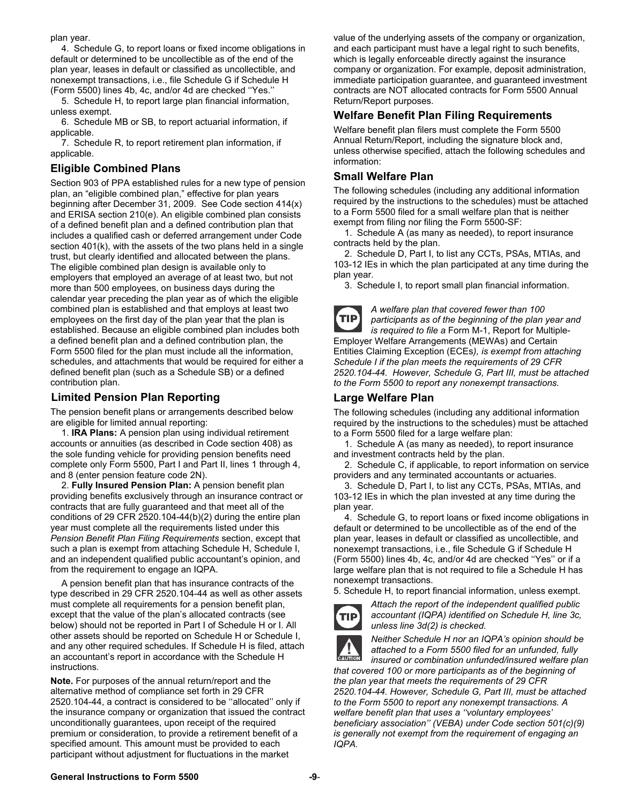plan year.

4. Schedule G, to report loans or fixed income obligations in default or determined to be uncollectible as of the end of the plan year, leases in default or classified as uncollectible, and nonexempt transactions, i.e., file Schedule G if Schedule H (Form 5500) lines 4b, 4c, and/or 4d are checked ''Yes.''

5. Schedule H, to report large plan financial information, unless exempt.

6. Schedule MB or SB, to report actuarial information, if applicable.

7. Schedule R, to report retirement plan information, if applicable.

#### **Eligible Combined Plans**

Section 903 of PPA established rules for a new type of pension plan, an "eligible combined plan," effective for plan years beginning after December 31, 2009. See Code section 414(x) and ERISA section 210(e). An eligible combined plan consists of a defined benefit plan and a defined contribution plan that includes a qualified cash or deferred arrangement under Code section 401(k), with the assets of the two plans held in a single trust, but clearly identified and allocated between the plans. The eligible combined plan design is available only to employers that employed an average of at least two, but not more than 500 employees, on business days during the calendar year preceding the plan year as of which the eligible combined plan is established and that employs at least two employees on the first day of the plan year that the plan is established. Because an eligible combined plan includes both a defined benefit plan and a defined contribution plan, the Form 5500 filed for the plan must include all the information, schedules, and attachments that would be required for either a defined benefit plan (such as a Schedule SB) or a defined contribution plan.

#### **Limited Pension Plan Reporting**

The pension benefit plans or arrangements described below are eligible for limited annual reporting:

1. **IRA Plans:** A pension plan using individual retirement accounts or annuities (as described in Code section 408) as the sole funding vehicle for providing pension benefits need complete only Form 5500, Part I and Part II, lines 1 through 4, and 8 (enter pension feature code 2N).

2. **Fully Insured Pension Plan:** A pension benefit plan providing benefits exclusively through an insurance contract or contracts that are fully guaranteed and that meet all of the conditions of 29 CFR 2520.104-44(b)(2) during the entire plan year must complete all the requirements listed under this *Pension Benefit Plan Filing Requirements* section, except that such a plan is exempt from attaching Schedule H, Schedule I, and an independent qualified public accountant's opinion, and from the requirement to engage an IQPA.

A pension benefit plan that has insurance contracts of the type described in 29 CFR 2520.104-44 as well as other assets must complete all requirements for a pension benefit plan, except that the value of the plan's allocated contracts (see below) should not be reported in Part I of Schedule H or I. All other assets should be reported on Schedule H or Schedule I, and any other required schedules. If Schedule H is filed, attach an accountant's report in accordance with the Schedule H instructions.

**Note.** For purposes of the annual return/report and the alternative method of compliance set forth in 29 CFR 2520.104-44, a contract is considered to be ''allocated'' only if the insurance company or organization that issued the contract unconditionally guarantees, upon receipt of the required premium or consideration, to provide a retirement benefit of a specified amount. This amount must be provided to each participant without adjustment for fluctuations in the market

value of the underlying assets of the company or organization, and each participant must have a legal right to such benefits, which is legally enforceable directly against the insurance company or organization. For example, deposit administration, immediate participation guarantee, and guaranteed investment contracts are NOT allocated contracts for Form 5500 Annual Return/Report purposes.

#### **Welfare Benefit Plan Filing Requirements**

Welfare benefit plan filers must complete the Form 5500 Annual Return/Report, including the signature block and, unless otherwise specified, attach the following schedules and information:

#### **Small Welfare Plan**

The following schedules (including any additional information required by the instructions to the schedules) must be attached to a Form 5500 filed for a small welfare plan that is neither exempt from filing nor filing the Form 5500-SF:

1. Schedule A (as many as needed), to report insurance contracts held by the plan.

2. Schedule D, Part I, to list any CCTs, PSAs, MTIAs, and 103-12 IEs in which the plan participated at any time during the plan year.

3. Schedule I, to report small plan financial information.



*A welfare plan that covered fewer than 100 participants as of the beginning of the plan year and is required to file a* Form M-1, Report for Multiple-Employer Welfare Arrangements (MEWAs) and Certain

Entities Claiming Exception (ECEs*), is exempt from attaching Schedule I if the plan meets the requirements of 29 CFR 2520.104-44. However, Schedule G, Part III, must be attached to the Form 5500 to report any nonexempt transactions.* 

#### **Large Welfare Plan**

The following schedules (including any additional information required by the instructions to the schedules) must be attached to a Form 5500 filed for a large welfare plan:

1. Schedule A (as many as needed), to report insurance and investment contracts held by the plan.

2. Schedule C, if applicable, to report information on service providers and any terminated accountants or actuaries.

3. Schedule D, Part I, to list any CCTs, PSAs, MTIAs, and 103-12 IEs in which the plan invested at any time during the plan year.

4. Schedule G, to report loans or fixed income obligations in default or determined to be uncollectible as of the end of the plan year, leases in default or classified as uncollectible, and nonexempt transactions, i.e., file Schedule G if Schedule H (Form 5500) lines 4b, 4c, and/or 4d are checked ''Yes'' or if a large welfare plan that is not required to file a Schedule H has nonexempt transactions.

5. Schedule H, to report financial information, unless exempt.



*Attach the report of the independent qualified public accountant (IQPA) identified on Schedule H, line 3c, unless line 3d(2) is checked.* 



*Neither Schedule H nor an IQPA's opinion should be attached to a Form 5500 filed for an unfunded, fully* 

*insured or combination unfunded/insured welfare plan that covered 100 or more participants as of the beginning of the plan year that meets the requirements of 29 CFR 2520.104-44. However, Schedule G, Part III, must be attached to the Form 5500 to report any nonexempt transactions. A welfare benefit plan that uses a ''voluntary employees' beneficiary association'' (VEBA) under Code section 501(c)(9) is generally not exempt from the requirement of engaging an IQPA.*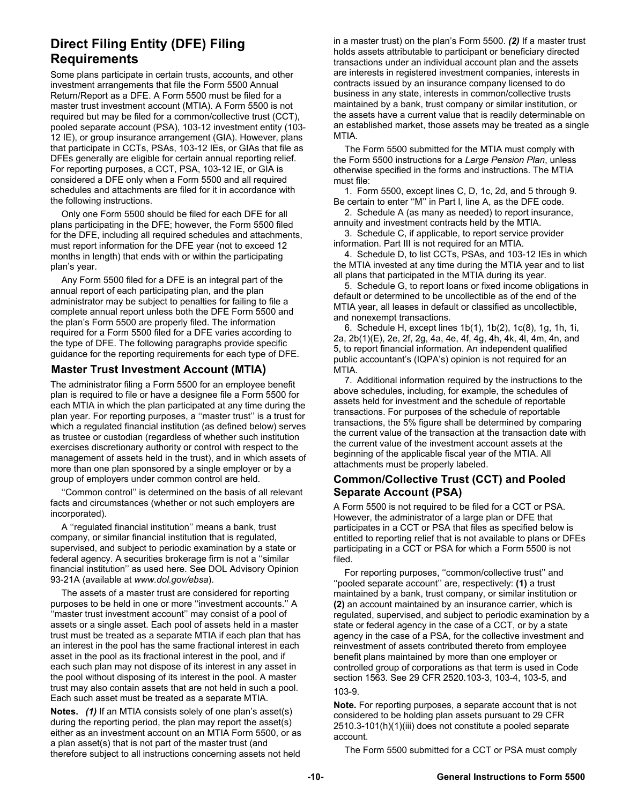# **Direct Filing Entity (DFE) Filing Requirements**

Some plans participate in certain trusts, accounts, and other investment arrangements that file the Form 5500 Annual Return/Report as a DFE. A Form 5500 must be filed for a master trust investment account (MTIA). A Form 5500 is not required but may be filed for a common/collective trust (CCT), pooled separate account (PSA), 103-12 investment entity (103- 12 IE), or group insurance arrangement (GIA). However, plans that participate in CCTs, PSAs, 103-12 IEs, or GIAs that file as DFEs generally are eligible for certain annual reporting relief. For reporting purposes, a CCT, PSA, 103-12 IE, or GIA is considered a DFE only when a Form 5500 and all required schedules and attachments are filed for it in accordance with the following instructions.

Only one Form 5500 should be filed for each DFE for all plans participating in the DFE; however, the Form 5500 filed for the DFE, including all required schedules and attachments, must report information for the DFE year (not to exceed 12 months in length) that ends with or within the participating plan's year.

Any Form 5500 filed for a DFE is an integral part of the annual report of each participating plan, and the plan administrator may be subject to penalties for failing to file a complete annual report unless both the DFE Form 5500 and the plan's Form 5500 are properly filed. The information required for a Form 5500 filed for a DFE varies according to the type of DFE. The following paragraphs provide specific guidance for the reporting requirements for each type of DFE.

#### **Master Trust Investment Account (MTIA)**

The administrator filing a Form 5500 for an employee benefit plan is required to file or have a designee file a Form 5500 for each MTIA in which the plan participated at any time during the plan year. For reporting purposes, a ''master trust'' is a trust for which a regulated financial institution (as defined below) serves as trustee or custodian (regardless of whether such institution exercises discretionary authority or control with respect to the management of assets held in the trust), and in which assets of more than one plan sponsored by a single employer or by a group of employers under common control are held.

''Common control'' is determined on the basis of all relevant facts and circumstances (whether or not such employers are incorporated).

A ''regulated financial institution'' means a bank, trust company, or similar financial institution that is regulated, supervised, and subject to periodic examination by a state or federal agency. A securities brokerage firm is not a ''similar financial institution'' as used here. See DOL Advisory Opinion 93-21A (available at *www.dol.gov/ebsa*).

The assets of a master trust are considered for reporting purposes to be held in one or more ''investment accounts.'' A ''master trust investment account'' may consist of a pool of assets or a single asset. Each pool of assets held in a master trust must be treated as a separate MTIA if each plan that has an interest in the pool has the same fractional interest in each asset in the pool as its fractional interest in the pool, and if each such plan may not dispose of its interest in any asset in the pool without disposing of its interest in the pool. A master trust may also contain assets that are not held in such a pool. Each such asset must be treated as a separate MTIA.

**Notes.** *(1)* If an MTIA consists solely of one plan's asset(s) during the reporting period, the plan may report the asset(s) either as an investment account on an MTIA Form 5500, or as a plan asset(s) that is not part of the master trust (and therefore subject to all instructions concerning assets not held

in a master trust) on the plan's Form 5500. *(2)* If a master trust holds assets attributable to participant or beneficiary directed transactions under an individual account plan and the assets are interests in registered investment companies, interests in contracts issued by an insurance company licensed to do business in any state, interests in common/collective trusts maintained by a bank, trust company or similar institution, or the assets have a current value that is readily determinable on an established market, those assets may be treated as a single MTIA.

The Form 5500 submitted for the MTIA must comply with the Form 5500 instructions for a *Large Pension Plan*, unless otherwise specified in the forms and instructions. The MTIA must file:

1. Form 5500, except lines C, D, 1c, 2d, and 5 through 9. Be certain to enter ''M'' in Part I, line A, as the DFE code.

2. Schedule A (as many as needed) to report insurance, annuity and investment contracts held by the MTIA.

3. Schedule C, if applicable, to report service provider information. Part III is not required for an MTIA.

4. Schedule D, to list CCTs, PSAs, and 103-12 IEs in which the MTIA invested at any time during the MTIA year and to list all plans that participated in the MTIA during its year.

5. Schedule G, to report loans or fixed income obligations in default or determined to be uncollectible as of the end of the MTIA year, all leases in default or classified as uncollectible, and nonexempt transactions.

6. Schedule H, except lines 1b(1), 1b(2), 1c(8), 1g, 1h, 1i, 2a, 2b(1)(E), 2e, 2f, 2g, 4a, 4e, 4f, 4g, 4h, 4k, 4l, 4m, 4n, and 5, to report financial information. An independent qualified public accountant's (IQPA's) opinion is not required for an MTIA.

7. Additional information required by the instructions to the above schedules, including, for example, the schedules of assets held for investment and the schedule of reportable transactions. For purposes of the schedule of reportable transactions, the 5% figure shall be determined by comparing the current value of the transaction at the transaction date with the current value of the investment account assets at the beginning of the applicable fiscal year of the MTIA. All attachments must be properly labeled.

#### **Common/Collective Trust (CCT) and Pooled Separate Account (PSA)**

A Form 5500 is not required to be filed for a CCT or PSA. However, the administrator of a large plan or DFE that participates in a CCT or PSA that files as specified below is entitled to reporting relief that is not available to plans or DFEs participating in a CCT or PSA for which a Form 5500 is not filed.

For reporting purposes, ''common/collective trust'' and ''pooled separate account'' are, respectively: **(1)** a trust maintained by a bank, trust company, or similar institution or **(2)** an account maintained by an insurance carrier, which is regulated, supervised, and subject to periodic examination by a state or federal agency in the case of a CCT, or by a state agency in the case of a PSA, for the collective investment and reinvestment of assets contributed thereto from employee benefit plans maintained by more than one employer or controlled group of corporations as that term is used in Code section 1563. See 29 CFR 2520.103-3, 103-4, 103-5, and 103-9.

**Note.** For reporting purposes, a separate account that is not considered to be holding plan assets pursuant to 29 CFR 2510.3-101(h)(1)(iii) does not constitute a pooled separate account.

The Form 5500 submitted for a CCT or PSA must comply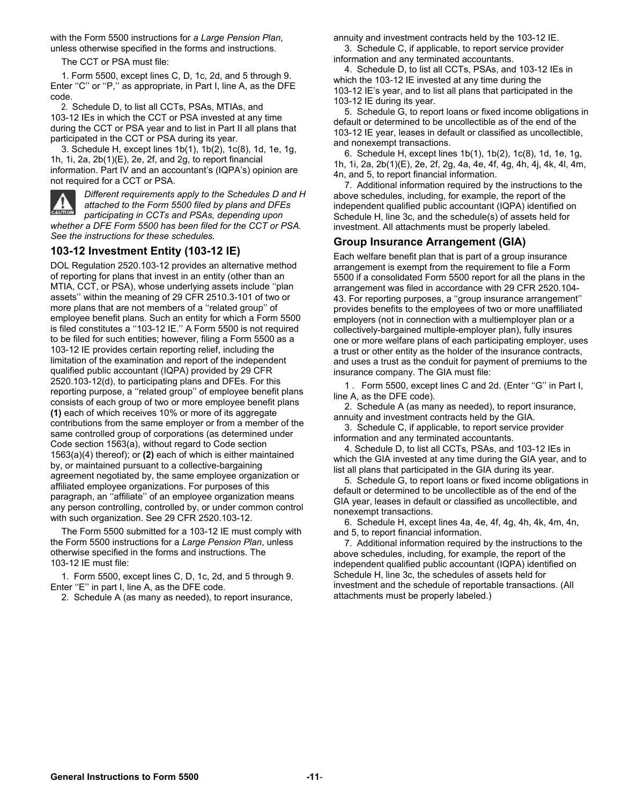with the Form 5500 instructions for *a Large Pension Plan*, unless otherwise specified in the forms and instructions.

The CCT or PSA must file:

1. Form 5500, except lines C, D, 1c, 2d, and 5 through 9. Enter "C" or "P," as appropriate, in Part I, line A, as the DFE code.

2. Schedule D, to list all CCTs, PSAs, MTIAs, and 103-12 IEs in which the CCT or PSA invested at any time during the CCT or PSA year and to list in Part II all plans that participated in the CCT or PSA during its year.

3. Schedule H, except lines 1b(1), 1b(2), 1c(8), 1d, 1e, 1g, 1h, 1i, 2a, 2b(1)(E), 2e, 2f, and 2g, to report financial information. Part IV and an accountant's (IQPA's) opinion are not required for a CCT or PSA.



*Different requirements apply to the Schedules D and H attached to the Form 5500 filed by plans and DFEs participating in CCTs and PSAs, depending upon whether a DFE Form 5500 has been filed for the CCT or PSA.* 

#### *See the instructions for these schedules.* **103-12 Investment Entity (103-12 IE)**

DOL Regulation 2520.103-12 provides an alternative method of reporting for plans that invest in an entity (other than an MTIA, CCT, or PSA), whose underlying assets include ''plan assets'' within the meaning of 29 CFR 2510.3-101 of two or more plans that are not members of a ''related group'' of employee benefit plans. Such an entity for which a Form 5500 is filed constitutes a ''103-12 IE.'' A Form 5500 is not required to be filed for such entities; however, filing a Form 5500 as a 103-12 IE provides certain reporting relief, including the limitation of the examination and report of the independent qualified public accountant (IQPA) provided by 29 CFR 2520.103-12(d), to participating plans and DFEs. For this reporting purpose, a ''related group'' of employee benefit plans consists of each group of two or more employee benefit plans **(1)** each of which receives 10% or more of its aggregate contributions from the same employer or from a member of the same controlled group of corporations (as determined under Code section 1563(a), without regard to Code section 1563(a)(4) thereof); or **(2)** each of which is either maintained by, or maintained pursuant to a collective-bargaining agreement negotiated by, the same employee organization or affiliated employee organizations. For purposes of this paragraph, an ''affiliate'' of an employee organization means any person controlling, controlled by, or under common control with such organization. See 29 CFR 2520.103-12.

The Form 5500 submitted for a 103-12 IE must comply with the Form 5500 instructions for a *Large Pension Plan*, unless otherwise specified in the forms and instructions. The 103-12 IE must file:

1. Form 5500, except lines C, D, 1c, 2d, and 5 through 9. Enter "E" in part I, line A, as the DFE code.

2. Schedule A (as many as needed), to report insurance,

annuity and investment contracts held by the 103-12 IE.

3. Schedule C, if applicable, to report service provider information and any terminated accountants.

4. Schedule D, to list all CCTs, PSAs, and 103-12 IEs in which the 103-12 IE invested at any time during the 103-12 IE's year, and to list all plans that participated in the 103-12 IE during its year.

5. Schedule G, to report loans or fixed income obligations in default or determined to be uncollectible as of the end of the 103-12 IE year, leases in default or classified as uncollectible, and nonexempt transactions.

6. Schedule H, except lines 1b(1), 1b(2), 1c(8), 1d, 1e, 1g, 1h, 1i, 2a, 2b(1)(E), 2e, 2f, 2g, 4a, 4e, 4f, 4g, 4h, 4j, 4k, 4l, 4m, 4n, and 5, to report financial information.

7. Additional information required by the instructions to the above schedules, including, for example, the report of the independent qualified public accountant (IQPA) identified on Schedule H, line 3c, and the schedule(s) of assets held for investment. All attachments must be properly labeled.

#### **Group Insurance Arrangement (GIA)**

Each welfare benefit plan that is part of a group insurance arrangement is exempt from the requirement to file a Form 5500 if a consolidated Form 5500 report for all the plans in the arrangement was filed in accordance with 29 CFR 2520.104- 43. For reporting purposes, a ''group insurance arrangement'' provides benefits to the employees of two or more unaffiliated employers (not in connection with a multiemployer plan or a collectively-bargained multiple-employer plan), fully insures one or more welfare plans of each participating employer, uses a trust or other entity as the holder of the insurance contracts, and uses a trust as the conduit for payment of premiums to the insurance company. The GIA must file:

1 . Form 5500, except lines C and 2d. (Enter ''G'' in Part I, line A, as the DFE code).

2. Schedule A (as many as needed), to report insurance, annuity and investment contracts held by the GIA.

3. Schedule C, if applicable, to report service provider information and any terminated accountants.

4. Schedule D, to list all CCTs, PSAs, and 103-12 IEs in which the GIA invested at any time during the GIA year, and to list all plans that participated in the GIA during its year.

5. Schedule G, to report loans or fixed income obligations in default or determined to be uncollectible as of the end of the GIA year, leases in default or classified as uncollectible, and nonexempt transactions.

6. Schedule H, except lines 4a, 4e, 4f, 4g, 4h, 4k, 4m, 4n, and 5, to report financial information.

7. Additional information required by the instructions to the above schedules, including, for example, the report of the independent qualified public accountant (IQPA) identified on Schedule H, line 3c, the schedules of assets held for investment and the schedule of reportable transactions. (All attachments must be properly labeled.)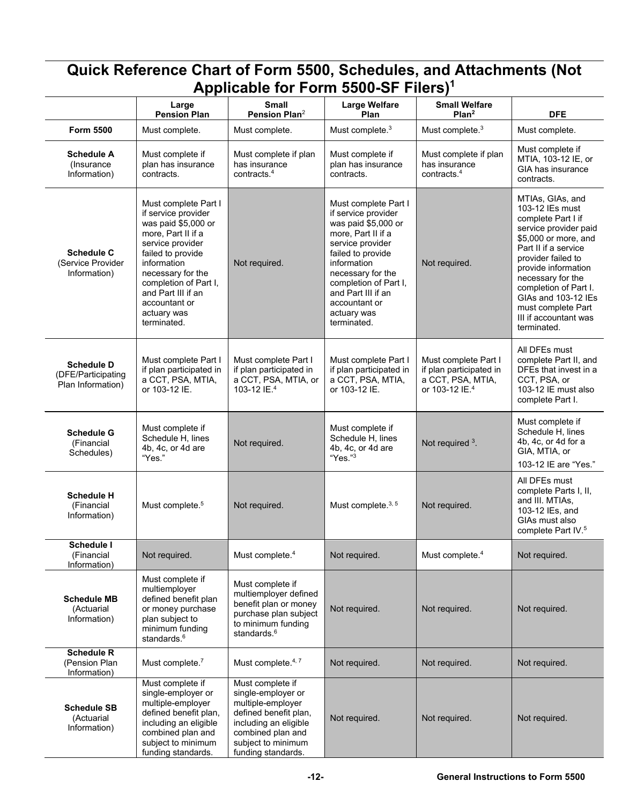| Applicable for Form 5500-SF Filers) <sup>1</sup>             |                                                                                                                                                                                                                                                                     |                                                                                                                                                                                |                                                                                                                                                                                                                                                                     |                                                                                                    |                                                                                                                                                                                                                                                                                                                    |
|--------------------------------------------------------------|---------------------------------------------------------------------------------------------------------------------------------------------------------------------------------------------------------------------------------------------------------------------|--------------------------------------------------------------------------------------------------------------------------------------------------------------------------------|---------------------------------------------------------------------------------------------------------------------------------------------------------------------------------------------------------------------------------------------------------------------|----------------------------------------------------------------------------------------------------|--------------------------------------------------------------------------------------------------------------------------------------------------------------------------------------------------------------------------------------------------------------------------------------------------------------------|
|                                                              | Large<br><b>Pension Plan</b>                                                                                                                                                                                                                                        | <b>Small</b><br>Pension Plan <sup>2</sup>                                                                                                                                      | <b>Large Welfare</b><br>Plan                                                                                                                                                                                                                                        | <b>Small Welfare</b><br>Plan <sup>2</sup>                                                          | <b>DFE</b>                                                                                                                                                                                                                                                                                                         |
| <b>Form 5500</b>                                             | Must complete.                                                                                                                                                                                                                                                      | Must complete.                                                                                                                                                                 | Must complete. <sup>3</sup>                                                                                                                                                                                                                                         | Must complete. <sup>3</sup>                                                                        | Must complete.                                                                                                                                                                                                                                                                                                     |
| <b>Schedule A</b><br>(Insurance<br>Information)              | Must complete if<br>plan has insurance<br>contracts.                                                                                                                                                                                                                | Must complete if plan<br>has insurance<br>contracts. $4$                                                                                                                       | Must complete if<br>plan has insurance<br>contracts.                                                                                                                                                                                                                | Must complete if plan<br>has insurance<br>contracts. <sup>4</sup>                                  | Must complete if<br>MTIA, 103-12 IE, or<br>GIA has insurance<br>contracts.                                                                                                                                                                                                                                         |
| <b>Schedule C</b><br>(Service Provider<br>Information)       | Must complete Part I<br>if service provider<br>was paid \$5,000 or<br>more, Part II if a<br>service provider<br>failed to provide<br>information<br>necessary for the<br>completion of Part I,<br>and Part III if an<br>accountant or<br>actuary was<br>terminated. | Not required.                                                                                                                                                                  | Must complete Part I<br>if service provider<br>was paid \$5,000 or<br>more, Part II if a<br>service provider<br>failed to provide<br>information<br>necessary for the<br>completion of Part I,<br>and Part III if an<br>accountant or<br>actuary was<br>terminated. | Not required.                                                                                      | MTIAs, GIAs, and<br>103-12 IEs must<br>complete Part I if<br>service provider paid<br>\$5,000 or more, and<br>Part II if a service<br>provider failed to<br>provide information<br>necessary for the<br>completion of Part I.<br>GIAs and 103-12 IEs<br>must complete Part<br>III if accountant was<br>terminated. |
| <b>Schedule D</b><br>(DFE/Participating<br>Plan Information) | Must complete Part I<br>if plan participated in<br>a CCT, PSA, MTIA,<br>or 103-12 IE.                                                                                                                                                                               | Must complete Part I<br>if plan participated in<br>a CCT, PSA, MTIA, or<br>103-12 IE. <sup>4</sup>                                                                             | Must complete Part I<br>if plan participated in<br>a CCT, PSA, MTIA,<br>or 103-12 IE.                                                                                                                                                                               | Must complete Part I<br>if plan participated in<br>a CCT, PSA, MTIA,<br>or 103-12 IE. <sup>4</sup> | All DFEs must<br>complete Part II, and<br>DFEs that invest in a<br>CCT, PSA, or<br>103-12 IE must also<br>complete Part I.                                                                                                                                                                                         |
| <b>Schedule G</b><br>(Financial<br>Schedules)                | Must complete if<br>Schedule H, lines<br>4b, 4c, or 4d are<br>"Yes."                                                                                                                                                                                                | Not required.                                                                                                                                                                  | Must complete if<br>Schedule H, lines<br>4b, 4c, or 4d are<br>"Yes."3                                                                                                                                                                                               | Not required 3.                                                                                    | Must complete if<br>Schedule H, lines<br>4b, 4c, or 4d for a<br>GIA, MTIA, or<br>103-12 IE are "Yes."                                                                                                                                                                                                              |
| <b>Schedule H</b><br>(Financial<br>Information)              | Must complete. <sup>5</sup>                                                                                                                                                                                                                                         | Not required.                                                                                                                                                                  | Must complete. <sup>3, 5</sup>                                                                                                                                                                                                                                      | Not required.                                                                                      | All DFEs must<br>complete Parts I, II,<br>and III. MTIAs,<br>103-12 IEs, and<br>GIAs must also<br>complete Part IV. <sup>5</sup>                                                                                                                                                                                   |
| Schedule I<br>(Financial<br>Information)                     | Not required.                                                                                                                                                                                                                                                       | Must complete. <sup>4</sup>                                                                                                                                                    | Not required.                                                                                                                                                                                                                                                       | Must complete. <sup>4</sup>                                                                        | Not required.                                                                                                                                                                                                                                                                                                      |
| <b>Schedule MB</b><br>(Actuarial<br>Information)             | Must complete if<br>multiemployer<br>defined benefit plan<br>or money purchase<br>plan subject to<br>minimum funding<br>standards. <sup>6</sup>                                                                                                                     | Must complete if<br>multiemployer defined<br>benefit plan or money<br>purchase plan subject<br>to minimum funding<br>standards. <sup>6</sup>                                   | Not required.                                                                                                                                                                                                                                                       | Not required.                                                                                      | Not required.                                                                                                                                                                                                                                                                                                      |
| <b>Schedule R</b><br>(Pension Plan<br>Information)           | Must complete. <sup>7</sup>                                                                                                                                                                                                                                         | Must complete. <sup>4,7</sup>                                                                                                                                                  | Not required.                                                                                                                                                                                                                                                       | Not required.                                                                                      | Not required.                                                                                                                                                                                                                                                                                                      |
| <b>Schedule SB</b><br>(Actuarial<br>Information)             | Must complete if<br>single-employer or<br>multiple-employer<br>defined benefit plan,<br>including an eligible<br>combined plan and<br>subject to minimum<br>funding standards.                                                                                      | Must complete if<br>single-employer or<br>multiple-employer<br>defined benefit plan,<br>including an eligible<br>combined plan and<br>subject to minimum<br>funding standards. | Not required.                                                                                                                                                                                                                                                       | Not required.                                                                                      | Not required.                                                                                                                                                                                                                                                                                                      |

# **Quick Reference Chart of Form 5500, Schedules, and Attachments (Not**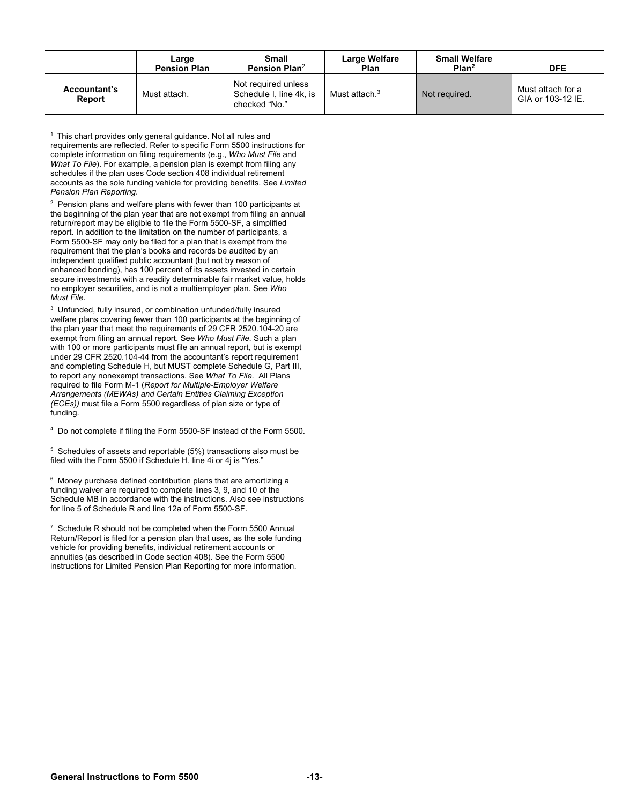|                               | Large<br><b>Pension Plan</b> | <b>Small</b><br>Pension Plan <sup>2</sup>                       | Large Welfare<br><b>Plan</b> | <b>Small Welfare</b><br>Plan <sup>2</sup> | <b>DFE</b>                             |
|-------------------------------|------------------------------|-----------------------------------------------------------------|------------------------------|-------------------------------------------|----------------------------------------|
| <b>Accountant's</b><br>Report | Must attach.                 | Not required unless<br>Schedule I, line 4k, is<br>checked "No." | Must attach. <sup>3</sup>    | Not required.                             | Must attach for a<br>GIA or 103-12 IE. |

 $1$  This chart provides only general guidance. Not all rules and requirements are reflected. Refer to specific Form 5500 instructions for complete information on filing requirements (e.g., *Who Must File* and *What To File*). For example, a pension plan is exempt from filing any schedules if the plan uses Code section 408 individual retirement accounts as the sole funding vehicle for providing benefits. See *Limited Pension Plan Reporting*.

 $2$  Pension plans and welfare plans with fewer than 100 participants at the beginning of the plan year that are not exempt from filing an annual return/report may be eligible to file the Form 5500-SF, a simplified report. In addition to the limitation on the number of participants, a Form 5500-SF may only be filed for a plan that is exempt from the requirement that the plan's books and records be audited by an independent qualified public accountant (but not by reason of enhanced bonding), has 100 percent of its assets invested in certain secure investments with a readily determinable fair market value, holds no employer securities, and is not a multiemployer plan. See *Who Must File*.

<sup>3</sup> Unfunded, fully insured, or combination unfunded/fully insured welfare plans covering fewer than 100 participants at the beginning of the plan year that meet the requirements of 29 CFR 2520.104-20 are exempt from filing an annual report. See *Who Must File*. Such a plan with 100 or more participants must file an annual report, but is exempt under 29 CFR 2520.104-44 from the accountant's report requirement and completing Schedule H, but MUST complete Schedule G, Part III, to report any nonexempt transactions. See *What To File*. All Plans required to file Form M-1 (*Report for Multiple-Employer Welfare Arrangements (MEWAs) and Certain Entities Claiming Exception (ECEs))* must file a Form 5500 regardless of plan size or type of funding.

<sup>4</sup> Do not complete if filing the Form 5500-SF instead of the Form 5500.

<sup>5</sup> Schedules of assets and reportable (5%) transactions also must be filed with the Form 5500 if Schedule H, line 4i or 4j is "Yes."

6 Money purchase defined contribution plans that are amortizing a funding waiver are required to complete lines 3, 9, and 10 of the Schedule MB in accordance with the instructions. Also see instructions for line 5 of Schedule R and line 12a of Form 5500-SF.

 $7$  Schedule R should not be completed when the Form 5500 Annual Return/Report is filed for a pension plan that uses, as the sole funding vehicle for providing benefits, individual retirement accounts or annuities (as described in Code section 408). See the Form 5500 instructions for Limited Pension Plan Reporting for more information.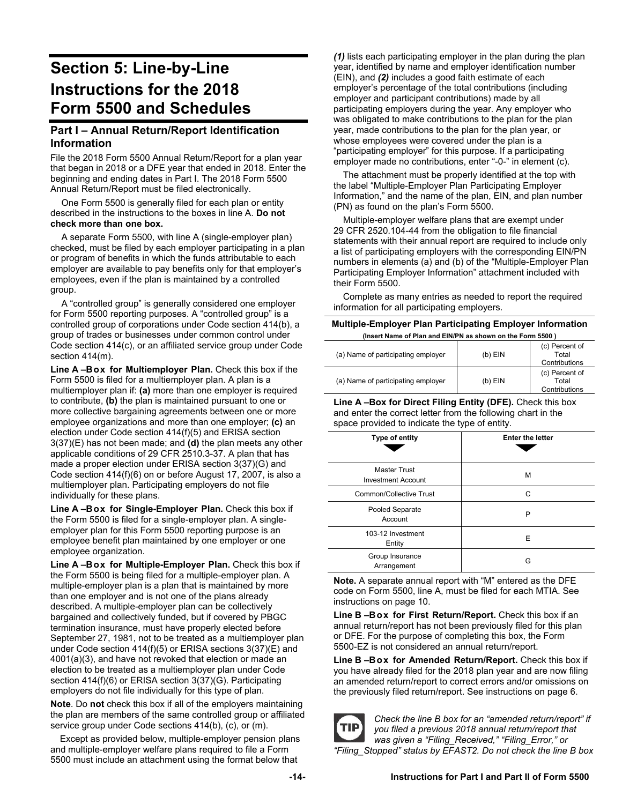# **Section 5: Line-by-Line Instructions for the 2018 Form 5500 and Schedules**

#### **Part I – Annual Return/Report Identification Information**

File the 2018 Form 5500 Annual Return/Report for a plan year that began in 2018 or a DFE year that ended in 2018. Enter the beginning and ending dates in Part I. The 2018 Form 5500 Annual Return/Report must be filed electronically.

One Form 5500 is generally filed for each plan or entity described in the instructions to the boxes in line A. **Do not check more than one box.** 

A separate Form 5500, with line A (single-employer plan) checked, must be filed by each employer participating in a plan or program of benefits in which the funds attributable to each employer are available to pay benefits only for that employer's employees, even if the plan is maintained by a controlled group.

A "controlled group" is generally considered one employer for Form 5500 reporting purposes. A "controlled group" is a controlled group of corporations under Code section 414(b), a group of trades or businesses under common control under Code section 414(c), or an affiliated service group under Code section 414(m).

Line A-Box for Multiemployer Plan. Check this box if the Form 5500 is filed for a multiemployer plan. A plan is a multiemployer plan if: **(a)** more than one employer is required to contribute, **(b)** the plan is maintained pursuant to one or more collective bargaining agreements between one or more employee organizations and more than one employer; **(c)** an election under Code section 414(f)(5) and ERISA section 3(37)(E) has not been made; and **(d)** the plan meets any other applicable conditions of 29 CFR 2510.3-37. A plan that has made a proper election under ERISA section 3(37)(G) and Code section 414(f)(6) on or before August 17, 2007, is also a multiemployer plan. Participating employers do not file individually for these plans.

Line A-Box for Single-Employer Plan. Check this box if the Form 5500 is filed for a single-employer plan. A singleemployer plan for this Form 5500 reporting purpose is an employee benefit plan maintained by one employer or one employee organization.

Line A-Box for Multiple-Employer Plan. Check this box if the Form 5500 is being filed for a multiple-employer plan. A multiple-employer plan is a plan that is maintained by more than one employer and is not one of the plans already described. A multiple-employer plan can be collectively bargained and collectively funded, but if covered by PBGC termination insurance, must have properly elected before September 27, 1981, not to be treated as a multiemployer plan under Code section 414(f)(5) or ERISA sections 3(37)(E) and 4001(a)(3), and have not revoked that election or made an election to be treated as a multiemployer plan under Code section 414(f)(6) or ERISA section 3(37)(G). Participating employers do not file individually for this type of plan.

**Note**. Do **not** check this box if all of the employers maintaining the plan are members of the same controlled group or affiliated service group under Code sections 414(b), (c), or (m).

Except as provided below, multiple-employer pension plans and multiple-employer welfare plans required to file a Form 5500 must include an attachment using the format below that

*(1)* lists each participating employer in the plan during the plan year, identified by name and employer identification number (EIN), and *(2)* includes a good faith estimate of each employer's percentage of the total contributions (including employer and participant contributions) made by all participating employers during the year. Any employer who was obligated to make contributions to the plan for the plan year, made contributions to the plan for the plan year, or whose employees were covered under the plan is a "participating employer" for this purpose. If a participating employer made no contributions, enter "-0-" in element (c).

The attachment must be properly identified at the top with the label "Multiple-Employer Plan Participating Employer Information," and the name of the plan, EIN, and plan number (PN) as found on the plan's Form 5500.

Multiple-employer welfare plans that are exempt under 29 CFR 2520.104-44 from the obligation to file financial statements with their annual report are required to include only a list of participating employers with the corresponding EIN/PN numbers in elements (a) and (b) of the "Multiple-Employer Plan Participating Employer Information" attachment included with their Form 5500.

Complete as many entries as needed to report the required information for all participating employers.

#### **Multiple-Employer Plan Participating Employer Information (Insert Name of Plan and EIN/PN as shown on the Form 5500 )**

| (a) Name of participating employer | $(b)$ EIN | (c) Percent of<br>Total<br>Contributions |
|------------------------------------|-----------|------------------------------------------|
| (a) Name of participating employer | $(b)$ EIN | (c) Percent of<br>Total<br>Contributions |

**Line A –Box for Direct Filing Entity (DFE).** Check this box and enter the correct letter from the following chart in the space provided to indicate the type of entity.

| Type of entity                                   | <b>Enter the letter</b> |
|--------------------------------------------------|-------------------------|
| <b>Master Trust</b><br><b>Investment Account</b> | М                       |
| <b>Common/Collective Trust</b>                   | C                       |
| Pooled Separate<br>Account                       | Р                       |
| 103-12 Investment<br>Entity                      | E                       |
| Group Insurance<br>Arrangement                   | G                       |

**Note.** A separate annual report with "M" entered as the DFE code on Form 5500, line A, must be filed for each MTIA. See instructions on page 10.

Line B-Box for First Return/Report. Check this box if an annual return/report has not been previously filed for this plan or DFE. For the purpose of completing this box, the Form 5500-EZ is not considered an annual return/report.

Line B-Box for Amended Return/Report. Check this box if you have already filed for the 2018 plan year and are now filing an amended return/report to correct errors and/or omissions on the previously filed return/report. See instructions on page 6.



*Check the line B box for an "amended return/report" if you filed a previous 2018 annual return/report that was given a "Filing\_Received," "Filing\_Error," or "Filing\_Stopped" status by EFAST2. Do not check the line B box*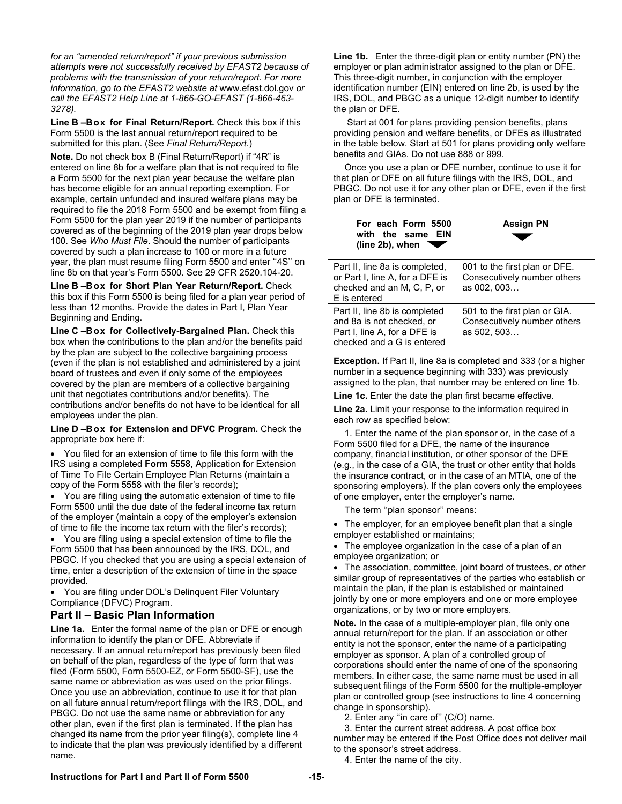*for an "amended return/report" if your previous submission attempts were not successfully received by EFAST2 because of problems with the transmission of your return/report. For more information, go to the EFAST2 website at* www.efast.dol.gov *or call the EFAST2 Help Line at 1-866-GO-EFAST (1-866-463- 3278).* 

Line **B-Box for Final Return/Report.** Check this box if this Form 5500 is the last annual return/report required to be submitted for this plan. (See *Final Return/Report*.)

**Note.** Do not check box B (Final Return/Report) if "4R" is entered on line 8b for a welfare plan that is not required to file a Form 5500 for the next plan year because the welfare plan has become eligible for an annual reporting exemption. For example, certain unfunded and insured welfare plans may be required to file the 2018 Form 5500 and be exempt from filing a Form 5500 for the plan year 2019 if the number of participants covered as of the beginning of the 2019 plan year drops below 100. See *Who Must File*. Should the number of participants covered by such a plan increase to 100 or more in a future year, the plan must resume filing Form 5500 and enter "4S" on line 8b on that year's Form 5500. See 29 CFR 2520.104-20.

Line B-Box for Short Plan Year Return/Report. Check this box if this Form 5500 is being filed for a plan year period of less than 12 months. Provide the dates in Part I, Plan Year Beginning and Ending.

Line C-Box for Collectively-Bargained Plan. Check this box when the contributions to the plan and/or the benefits paid by the plan are subject to the collective bargaining process (even if the plan is not established and administered by a joint board of trustees and even if only some of the employees covered by the plan are members of a collective bargaining unit that negotiates contributions and/or benefits). The contributions and/or benefits do not have to be identical for all employees under the plan.

**Line D – Box for Extension and DFVC Program.** Check the appropriate box here if:

 You filed for an extension of time to file this form with the IRS using a completed **Form 5558**, Application for Extension of Time To File Certain Employee Plan Returns (maintain a copy of the Form 5558 with the filer's records);

 You are filing using the automatic extension of time to file Form 5500 until the due date of the federal income tax return of the employer (maintain a copy of the employer's extension of time to file the income tax return with the filer's records);

 You are filing using a special extension of time to file the Form 5500 that has been announced by the IRS, DOL, and PBGC. If you checked that you are using a special extension of time, enter a description of the extension of time in the space provided.

 You are filing under DOL's Delinquent Filer Voluntary Compliance (DFVC) Program.

#### **Part II – Basic Plan Information**

**Line 1a.** Enter the formal name of the plan or DFE or enough information to identify the plan or DFE. Abbreviate if necessary. If an annual return/report has previously been filed on behalf of the plan, regardless of the type of form that was filed (Form 5500, Form 5500-EZ, or Form 5500-SF), use the same name or abbreviation as was used on the prior filings. Once you use an abbreviation, continue to use it for that plan on all future annual return/report filings with the IRS, DOL, and PBGC. Do not use the same name or abbreviation for any other plan, even if the first plan is terminated. If the plan has changed its name from the prior year filing(s), complete line 4 to indicate that the plan was previously identified by a different name.

**Line 1b.** Enter the three-digit plan or entity number (PN) the employer or plan administrator assigned to the plan or DFE. This three-digit number, in conjunction with the employer identification number (EIN) entered on line 2b, is used by the IRS, DOL, and PBGC as a unique 12-digit number to identify the plan or DFE.

 Start at 001 for plans providing pension benefits, plans providing pension and welfare benefits, or DFEs as illustrated in the table below. Start at 501 for plans providing only welfare benefits and GIAs. Do not use 888 or 999.

Once you use a plan or DFE number, continue to use it for that plan or DFE on all future filings with the IRS, DOL, and PBGC. Do not use it for any other plan or DFE, even if the first plan or DFE is terminated.

| For each Form 5500<br>with the same EIN<br>(line 2b), when                                                               | <b>Assign PN</b>                                                            |
|--------------------------------------------------------------------------------------------------------------------------|-----------------------------------------------------------------------------|
| Part II, line 8a is completed,<br>or Part I, line A, for a DFE is<br>checked and an M, C, P, or<br>E is entered          | 001 to the first plan or DFE.<br>Consecutively number others<br>as 002, 003 |
| Part II, line 8b is completed<br>and 8a is not checked, or<br>Part I, line A, for a DFE is<br>checked and a G is entered | 501 to the first plan or GIA.<br>Consecutively number others<br>as 502, 503 |

**Exception.** If Part II, line 8a is completed and 333 (or a higher number in a sequence beginning with 333) was previously assigned to the plan, that number may be entered on line 1b.

**Line 1c.** Enter the date the plan first became effective.

**Line 2a.** Limit your response to the information required in each row as specified below:

1. Enter the name of the plan sponsor or, in the case of a Form 5500 filed for a DFE, the name of the insurance company, financial institution, or other sponsor of the DFE (e.g., in the case of a GIA, the trust or other entity that holds the insurance contract, or in the case of an MTIA, one of the sponsoring employers). If the plan covers only the employees of one employer, enter the employer's name.

The term ''plan sponsor'' means:

 The employer, for an employee benefit plan that a single employer established or maintains;

 The employee organization in the case of a plan of an employee organization; or

 The association, committee, joint board of trustees, or other similar group of representatives of the parties who establish or maintain the plan, if the plan is established or maintained jointly by one or more employers and one or more employee organizations, or by two or more employers.

**Note.** In the case of a multiple-employer plan, file only one annual return/report for the plan. If an association or other entity is not the sponsor, enter the name of a participating employer as sponsor. A plan of a controlled group of corporations should enter the name of one of the sponsoring members. In either case, the same name must be used in all subsequent filings of the Form 5500 for the multiple-employer plan or controlled group (see instructions to line 4 concerning change in sponsorship).

2. Enter any ''in care of'' (C/O) name.

3. Enter the current street address. A post office box number may be entered if the Post Office does not deliver mail to the sponsor's street address.

4. Enter the name of the city.

#### **Instructions for Part I and Part II of Form 5500 -15-**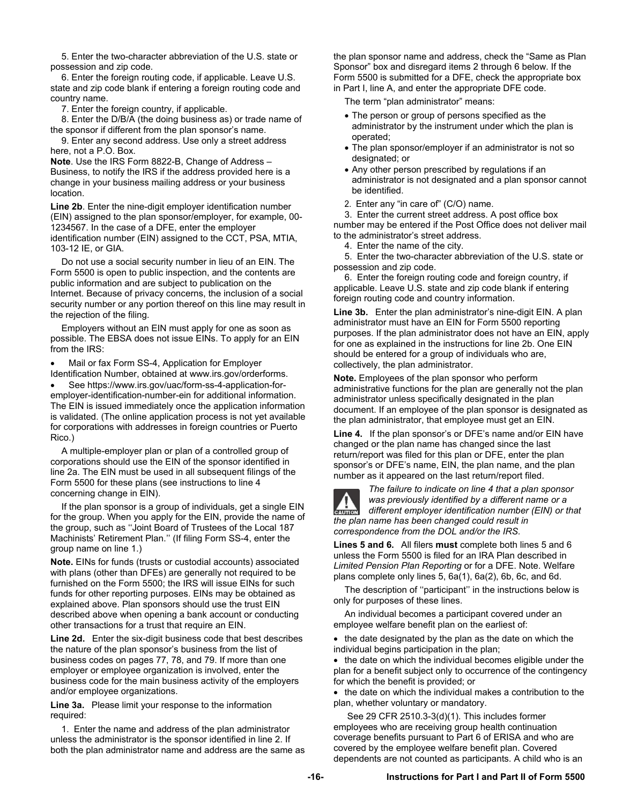5. Enter the two-character abbreviation of the U.S. state or possession and zip code.

6. Enter the foreign routing code, if applicable. Leave U.S. state and zip code blank if entering a foreign routing code and country name.

7. Enter the foreign country, if applicable.

8. Enter the D/B/A (the doing business as) or trade name of the sponsor if different from the plan sponsor's name.

9. Enter any second address. Use only a street address here, not a P.O. Box.

**Note**. Use the IRS Form 8822-B, Change of Address – Business, to notify the IRS if the address provided here is a change in your business mailing address or your business location.

**Line 2b**. Enter the nine-digit employer identification number (EIN) assigned to the plan sponsor/employer, for example, 00- 1234567. In the case of a DFE, enter the employer identification number (EIN) assigned to the CCT, PSA, MTIA, 103-12 IE, or GIA.

Do not use a social security number in lieu of an EIN. The Form 5500 is open to public inspection, and the contents are public information and are subject to publication on the Internet. Because of privacy concerns, the inclusion of a social security number or any portion thereof on this line may result in the rejection of the filing.

Employers without an EIN must apply for one as soon as possible. The EBSA does not issue EINs. To apply for an EIN from the IRS:

 Mail or fax Form SS-4, Application for Employer Identification Number, obtained at www.irs.gov/orderforms.

 See https://www.irs.gov/uac/form-ss-4-application-foremployer-identification-number-ein for additional information. The EIN is issued immediately once the application information is validated. (The online application process is not yet available for corporations with addresses in foreign countries or Puerto Rico.)

A multiple-employer plan or plan of a controlled group of corporations should use the EIN of the sponsor identified in line 2a. The EIN must be used in all subsequent filings of the Form 5500 for these plans (see instructions to line 4 concerning change in EIN).

If the plan sponsor is a group of individuals, get a single EIN for the group. When you apply for the EIN, provide the name of the group, such as ''Joint Board of Trustees of the Local 187 Machinists' Retirement Plan.'' (If filing Form SS-4, enter the group name on line 1.)

**Note.** EINs for funds (trusts or custodial accounts) associated with plans (other than DFEs) are generally not required to be furnished on the Form 5500; the IRS will issue EINs for such funds for other reporting purposes. EINs may be obtained as explained above. Plan sponsors should use the trust EIN described above when opening a bank account or conducting other transactions for a trust that require an EIN.

**Line 2d.** Enter the six-digit business code that best describes the nature of the plan sponsor's business from the list of business codes on pages 77, 78, and 79. If more than one employer or employee organization is involved, enter the business code for the main business activity of the employers and/or employee organizations.

**Line 3a.** Please limit your response to the information required:

1. Enter the name and address of the plan administrator unless the administrator is the sponsor identified in line 2. If both the plan administrator name and address are the same as

the plan sponsor name and address, check the "Same as Plan Sponsor" box and disregard items 2 through 6 below. If the Form 5500 is submitted for a DFE, check the appropriate box in Part I, line A, and enter the appropriate DFE code.

The term "plan administrator" means:

- The person or group of persons specified as the administrator by the instrument under which the plan is operated;
- The plan sponsor/employer if an administrator is not so designated; or
- Any other person prescribed by regulations if an administrator is not designated and a plan sponsor cannot be identified.
- 2. Enter any "in care of" (C/O) name.

3. Enter the current street address. A post office box number may be entered if the Post Office does not deliver mail

to the administrator's street address.

4. Enter the name of the city.

5. Enter the two-character abbreviation of the U.S. state or possession and zip code.

6. Enter the foreign routing code and foreign country, if applicable. Leave U.S. state and zip code blank if entering foreign routing code and country information.

**Line 3b.** Enter the plan administrator's nine-digit EIN. A plan administrator must have an EIN for Form 5500 reporting purposes. If the plan administrator does not have an EIN, apply for one as explained in the instructions for line 2b. One EIN should be entered for a group of individuals who are, collectively, the plan administrator.

**Note.** Employees of the plan sponsor who perform administrative functions for the plan are generally not the plan administrator unless specifically designated in the plan document. If an employee of the plan sponsor is designated as the plan administrator, that employee must get an EIN.

**Line 4.** If the plan sponsor's or DFE's name and/or EIN have changed or the plan name has changed since the last return/report was filed for this plan or DFE, enter the plan sponsor's or DFE's name, EIN, the plan name, and the plan number as it appeared on the last return/report filed.



*The failure to indicate on line 4 that a plan sponsor was previously identified by a different name or a different employer identification number (EIN) or that the plan name has been changed could result in correspondence from the DOL and/or the IRS.*

**Lines 5 and 6.** All filers **must** complete both lines 5 and 6 unless the Form 5500 is filed for an IRA Plan described in *Limited Pension Plan Reporting* or for a DFE. Note. Welfare plans complete only lines 5, 6a(1), 6a(2), 6b, 6c, and 6d.

The description of ''participant'' in the instructions below is only for purposes of these lines.

An individual becomes a participant covered under an employee welfare benefit plan on the earliest of:

• the date designated by the plan as the date on which the individual begins participation in the plan;

• the date on which the individual becomes eligible under the plan for a benefit subject only to occurrence of the contingency for which the benefit is provided; or

• the date on which the individual makes a contribution to the plan, whether voluntary or mandatory.

 See 29 CFR 2510.3-3(d)(1). This includes former employees who are receiving group health continuation coverage benefits pursuant to Part 6 of ERISA and who are covered by the employee welfare benefit plan. Covered dependents are not counted as participants. A child who is an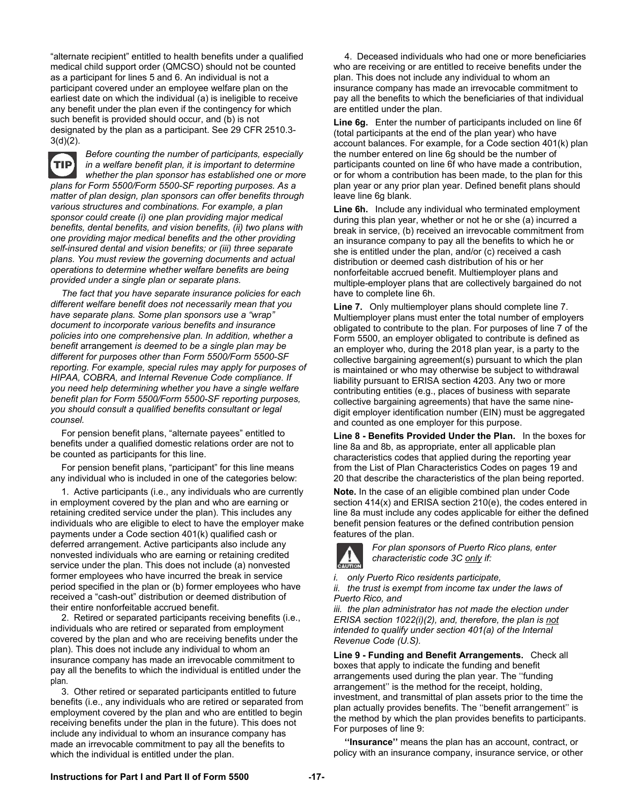"alternate recipient" entitled to health benefits under a qualified medical child support order (QMCSO) should not be counted as a participant for lines 5 and 6. An individual is not a participant covered under an employee welfare plan on the earliest date on which the individual (a) is ineligible to receive any benefit under the plan even if the contingency for which such benefit is provided should occur, and (b) is not designated by the plan as a participant. See 29 CFR 2510.3-  $3(d)(2)$ .



*Before counting the number of participants, especially in a welfare benefit plan, it is important to determine whether the plan sponsor has established one or more plans for Form 5500/Form 5500-SF reporting purposes. As a matter of plan design, plan sponsors can offer benefits through various structures and combinations. For example, a plan sponsor could create (i) one plan providing major medical benefits, dental benefits, and vision benefits, (ii) two plans with one providing major medical benefits and the other providing self-insured dental and vision benefits; or (iii) three separate plans. You must review the governing documents and actual operations to determine whether welfare benefits are being provided under a single plan or separate plans.* 

*The fact that you have separate insurance policies for each different welfare benefit does not necessarily mean that you have separate plans. Some plan sponsors use a "wrap" document to incorporate various benefits and insurance policies into one comprehensive plan. In addition, whether a benefit* arrangement *is deemed to be a single plan may be different for purposes other than Form 5500/Form 5500-SF reporting. For example, special rules may apply for purposes of HIPAA, COBRA, and Internal Revenue Code compliance. If you need help determining whether you have a single welfare benefit plan for Form 5500/Form 5500-SF reporting purposes, you should consult a qualified benefits consultant or legal counsel.*

For pension benefit plans, "alternate payees" entitled to benefits under a qualified domestic relations order are not to be counted as participants for this line.

For pension benefit plans, "participant" for this line means any individual who is included in one of the categories below:

1. Active participants (i.e., any individuals who are currently in employment covered by the plan and who are earning or retaining credited service under the plan). This includes any individuals who are eligible to elect to have the employer make payments under a Code section 401(k) qualified cash or deferred arrangement. Active participants also include any nonvested individuals who are earning or retaining credited service under the plan. This does not include (a) nonvested former employees who have incurred the break in service period specified in the plan or (b) former employees who have received a "cash-out" distribution or deemed distribution of their entire nonforfeitable accrued benefit.

2. Retired or separated participants receiving benefits (i.e., individuals who are retired or separated from employment covered by the plan and who are receiving benefits under the plan). This does not include any individual to whom an insurance company has made an irrevocable commitment to pay all the benefits to which the individual is entitled under the plan.

3. Other retired or separated participants entitled to future benefits (i.e., any individuals who are retired or separated from employment covered by the plan and who are entitled to begin receiving benefits under the plan in the future). This does not include any individual to whom an insurance company has made an irrevocable commitment to pay all the benefits to which the individual is entitled under the plan.

4. Deceased individuals who had one or more beneficiaries who are receiving or are entitled to receive benefits under the plan. This does not include any individual to whom an insurance company has made an irrevocable commitment to pay all the benefits to which the beneficiaries of that individual are entitled under the plan.

**Line 6g.** Enter the number of participants included on line 6f (total participants at the end of the plan year) who have account balances. For example, for a Code section 401(k) plan the number entered on line 6g should be the number of participants counted on line 6f who have made a contribution, or for whom a contribution has been made, to the plan for this plan year or any prior plan year. Defined benefit plans should leave line 6g blank.

**Line 6h.** Include any individual who terminated employment during this plan year, whether or not he or she (a) incurred a break in service, (b) received an irrevocable commitment from an insurance company to pay all the benefits to which he or she is entitled under the plan, and/or (c) received a cash distribution or deemed cash distribution of his or her nonforfeitable accrued benefit. Multiemployer plans and multiple-employer plans that are collectively bargained do not have to complete line 6h.

**Line 7.** Only multiemployer plans should complete line 7. Multiemployer plans must enter the total number of employers obligated to contribute to the plan. For purposes of line 7 of the Form 5500, an employer obligated to contribute is defined as an employer who, during the 2018 plan year, is a party to the collective bargaining agreement(s) pursuant to which the plan is maintained or who may otherwise be subject to withdrawal liability pursuant to ERISA section 4203. Any two or more contributing entities (e.g., places of business with separate collective bargaining agreements) that have the same ninedigit employer identification number (EIN) must be aggregated and counted as one employer for this purpose.

**Line 8 - Benefits Provided Under the Plan.** In the boxes for line 8a and 8b, as appropriate, enter all applicable plan characteristics codes that applied during the reporting year from the List of Plan Characteristics Codes on pages 19 and 20 that describe the characteristics of the plan being reported.

**Note.** In the case of an eligible combined plan under Code section 414(x) and ERISA section 210(e), the codes entered in line 8a must include any codes applicable for either the defined benefit pension features or the defined contribution pension features of the plan.



*For plan sponsors of Puerto Rico plans, enter characteristic code 3C only if:* 

*i. only Puerto Rico residents participate,* 

*ii. the trust is exempt from income tax under the laws of Puerto Rico, and* 

*iii. the plan administrator has not made the election under ERISA section 1022(i)(2), and, therefore, the plan is not intended to qualify under section 401(a) of the Internal Revenue Code (U.S).* 

**Line 9 - Funding and Benefit Arrangements.** Check all boxes that apply to indicate the funding and benefit arrangements used during the plan year. The ''funding arrangement'' is the method for the receipt, holding, investment, and transmittal of plan assets prior to the time the plan actually provides benefits. The ''benefit arrangement'' is the method by which the plan provides benefits to participants. For purposes of line 9:

**''Insurance''** means the plan has an account, contract, or policy with an insurance company, insurance service, or other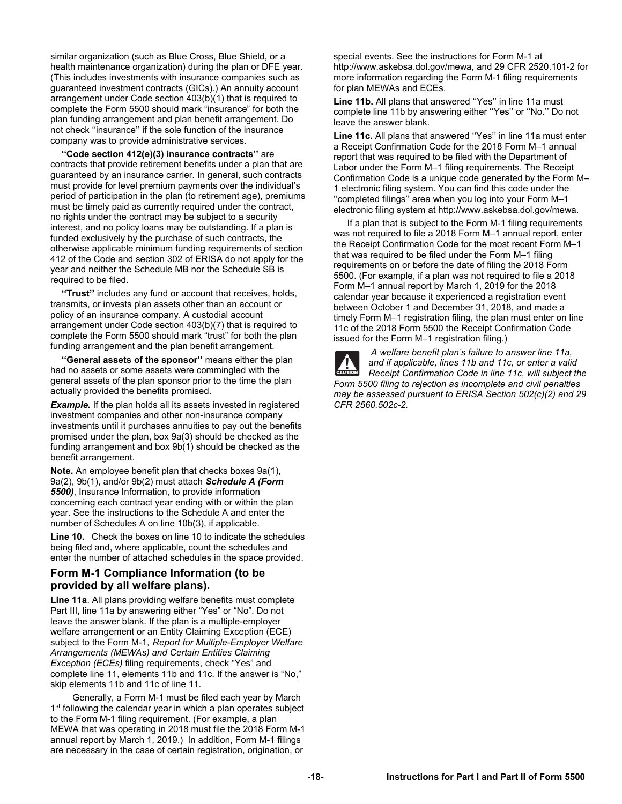similar organization (such as Blue Cross, Blue Shield, or a health maintenance organization) during the plan or DFE year. (This includes investments with insurance companies such as guaranteed investment contracts (GICs).) An annuity account arrangement under Code section 403(b)(1) that is required to complete the Form 5500 should mark "insurance" for both the plan funding arrangement and plan benefit arrangement. Do not check ''insurance'' if the sole function of the insurance company was to provide administrative services.

**''Code section 412(e)(3) insurance contracts''** are contracts that provide retirement benefits under a plan that are guaranteed by an insurance carrier. In general, such contracts must provide for level premium payments over the individual's period of participation in the plan (to retirement age), premiums must be timely paid as currently required under the contract, no rights under the contract may be subject to a security interest, and no policy loans may be outstanding. If a plan is funded exclusively by the purchase of such contracts, the otherwise applicable minimum funding requirements of section 412 of the Code and section 302 of ERISA do not apply for the year and neither the Schedule MB nor the Schedule SB is required to be filed.

**''Trust''** includes any fund or account that receives, holds, transmits, or invests plan assets other than an account or policy of an insurance company. A custodial account arrangement under Code section 403(b)(7) that is required to complete the Form 5500 should mark "trust" for both the plan funding arrangement and the plan benefit arrangement.

**''General assets of the sponsor''** means either the plan had no assets or some assets were commingled with the general assets of the plan sponsor prior to the time the plan actually provided the benefits promised.

**Example.** If the plan holds all its assets invested in registered investment companies and other non-insurance company investments until it purchases annuities to pay out the benefits promised under the plan, box 9a(3) should be checked as the funding arrangement and box 9b(1) should be checked as the benefit arrangement.

**Note.** An employee benefit plan that checks boxes 9a(1), 9a(2), 9b(1), and/or 9b(2) must attach *Schedule A (Form 5500)*, Insurance Information, to provide information concerning each contract year ending with or within the plan year. See the instructions to the Schedule A and enter the number of Schedules A on line 10b(3), if applicable.

**Line 10.** Check the boxes on line 10 to indicate the schedules being filed and, where applicable, count the schedules and enter the number of attached schedules in the space provided.

#### **Form M-1 Compliance Information (to be provided by all welfare plans).**

**Line 11a**. All plans providing welfare benefits must complete Part III, line 11a by answering either "Yes" or "No". Do not leave the answer blank. If the plan is a multiple-employer welfare arrangement or an Entity Claiming Exception (ECE) subject to the Form M-1, *Report for Multiple-Employer Welfare Arrangements (MEWAs) and Certain Entities Claiming Exception (ECEs)* filing requirements, check "Yes" and complete line 11, elements 11b and 11c. If the answer is "No," skip elements 11b and 11c of line 11.

 Generally, a Form M-1 must be filed each year by March 1<sup>st</sup> following the calendar year in which a plan operates subject to the Form M-1 filing requirement. (For example, a plan MEWA that was operating in 2018 must file the 2018 Form M-1 annual report by March 1, 2019.) In addition, Form M-1 filings are necessary in the case of certain registration, origination, or

special events. See the instructions for Form M-1 at http://www.askebsa.dol.gov/mewa, and 29 CFR 2520.101-2 for more information regarding the Form M-1 filing requirements for plan MEWAs and ECEs.

**Line 11b.** All plans that answered ''Yes'' in line 11a must complete line 11b by answering either ''Yes'' or ''No.'' Do not leave the answer blank.

**Line 11c.** All plans that answered ''Yes'' in line 11a must enter a Receipt Confirmation Code for the 2018 Form M–1 annual report that was required to be filed with the Department of Labor under the Form M–1 filing requirements. The Receipt Confirmation Code is a unique code generated by the Form M– 1 electronic filing system. You can find this code under the ''completed filings'' area when you log into your Form M–1 electronic filing system at http://www.askebsa.dol.gov/mewa.

 If a plan that is subject to the Form M-1 filing requirements was not required to file a 2018 Form M–1 annual report, enter the Receipt Confirmation Code for the most recent Form M–1 that was required to be filed under the Form M–1 filing requirements on or before the date of filing the 2018 Form 5500. (For example, if a plan was not required to file a 2018 Form M–1 annual report by March 1, 2019 for the 2018 calendar year because it experienced a registration event between October 1 and December 31, 2018, and made a timely Form M–1 registration filing, the plan must enter on line 11c of the 2018 Form 5500 the Receipt Confirmation Code issued for the Form M–1 registration filing.)



 *A welfare benefit plan's failure to answer line 11a, and if applicable, lines 11b and 11c, or enter a valid Receipt Confirmation Code in line 11c, will subject the Form 5500 filing to rejection as incomplete and civil penalties may be assessed pursuant to ERISA Section 502(c)(2) and 29 CFR 2560.502c-2.*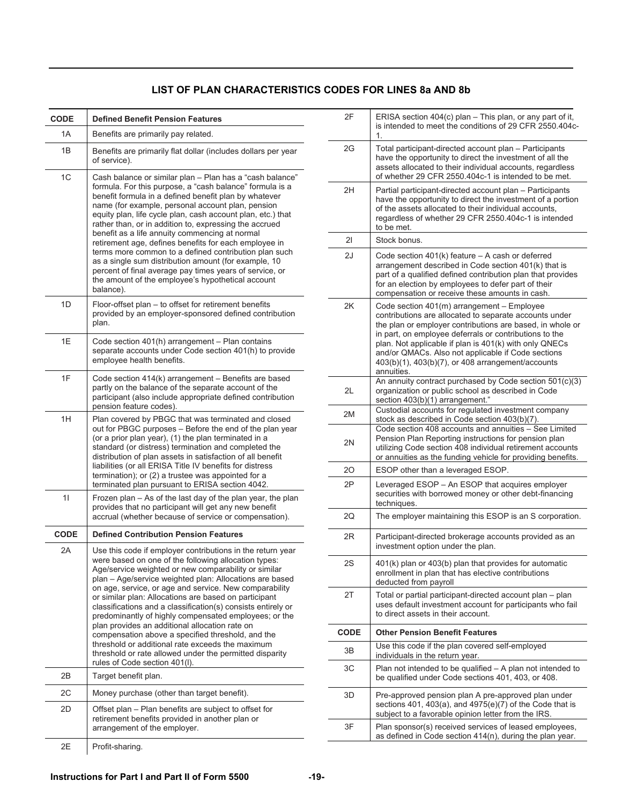#### **LIST OF PLAN CHARACTERISTICS CODES FOR LINES 8a AND 8b**

| CODE        | <b>Defined Benefit Pension Features</b>                                                                                                                                                                                                                                                                                                                                                                                                                                                                                                                                                                                                                                                                                                  |
|-------------|------------------------------------------------------------------------------------------------------------------------------------------------------------------------------------------------------------------------------------------------------------------------------------------------------------------------------------------------------------------------------------------------------------------------------------------------------------------------------------------------------------------------------------------------------------------------------------------------------------------------------------------------------------------------------------------------------------------------------------------|
| 1A          | Benefits are primarily pay related.                                                                                                                                                                                                                                                                                                                                                                                                                                                                                                                                                                                                                                                                                                      |
| 1B          | Benefits are primarily flat dollar (includes dollars per year<br>of service).                                                                                                                                                                                                                                                                                                                                                                                                                                                                                                                                                                                                                                                            |
| 1C          | Cash balance or similar plan - Plan has a "cash balance"<br>formula. For this purpose, a "cash balance" formula is a<br>benefit formula in a defined benefit plan by whatever<br>name (for example, personal account plan, pension<br>equity plan, life cycle plan, cash account plan, etc.) that<br>rather than, or in addition to, expressing the accrued<br>benefit as a life annuity commencing at normal<br>retirement age, defines benefits for each employee in<br>terms more common to a defined contribution plan such<br>as a single sum distribution amount (for example, 10<br>percent of final average pay times years of service, or<br>the amount of the employee's hypothetical account<br>balance).                     |
| 1D          | Floor-offset plan - to offset for retirement benefits<br>provided by an employer-sponsored defined contribution<br>plan.                                                                                                                                                                                                                                                                                                                                                                                                                                                                                                                                                                                                                 |
| 1E          | Code section 401(h) arrangement - Plan contains<br>separate accounts under Code section 401(h) to provide<br>employee health benefits.                                                                                                                                                                                                                                                                                                                                                                                                                                                                                                                                                                                                   |
| 1F          | Code section 414(k) arrangement - Benefits are based<br>partly on the balance of the separate account of the<br>participant (also include appropriate defined contribution<br>pension feature codes).                                                                                                                                                                                                                                                                                                                                                                                                                                                                                                                                    |
| 1H          | Plan covered by PBGC that was terminated and closed<br>out for PBGC purposes - Before the end of the plan year<br>(or a prior plan year), (1) the plan terminated in a<br>standard (or distress) termination and completed the<br>distribution of plan assets in satisfaction of all benefit<br>liabilities (or all ERISA Title IV benefits for distress<br>termination); or (2) a trustee was appointed for a<br>terminated plan pursuant to ERISA section 4042.                                                                                                                                                                                                                                                                        |
| 11          | Frozen plan - As of the last day of the plan year, the plan<br>provides that no participant will get any new benefit<br>accrual (whether because of service or compensation).                                                                                                                                                                                                                                                                                                                                                                                                                                                                                                                                                            |
| <b>CODE</b> | <b>Defined Contribution Pension Features</b>                                                                                                                                                                                                                                                                                                                                                                                                                                                                                                                                                                                                                                                                                             |
| 2Α          | Use this code if employer contributions in the return year<br>were based on one of the following allocation types:<br>Age/service weighted or new comparability or similar<br>plan - Age/service weighted plan: Allocations are based<br>on age, service, or age and service. New comparability<br>or similar plan: Allocations are based on participant<br>classifications and a classification(s) consists entirely or<br>predominantly of highly compensated employees; or the<br>plan provides an additional allocation rate on<br>compensation above a specified threshold, and the<br>threshold or additional rate exceeds the maximum<br>threshold or rate allowed under the permitted disparity<br>rules of Code section 401(I). |
| 2B          | Target benefit plan.                                                                                                                                                                                                                                                                                                                                                                                                                                                                                                                                                                                                                                                                                                                     |
| 2C          | Money purchase (other than target benefit).                                                                                                                                                                                                                                                                                                                                                                                                                                                                                                                                                                                                                                                                                              |
| 2D          | Offset plan – Plan benefits are subject to offset for<br>retirement benefits provided in another plan or<br>arrangement of the employer.                                                                                                                                                                                                                                                                                                                                                                                                                                                                                                                                                                                                 |
| 2Е          | Profit-sharing.                                                                                                                                                                                                                                                                                                                                                                                                                                                                                                                                                                                                                                                                                                                          |

| 2F          | ERISA section 404(c) plan - This plan, or any part of it,<br>is intended to meet the conditions of 29 CFR 2550.404c-<br>1.                                                                                                                                                                                                                                                                                         |
|-------------|--------------------------------------------------------------------------------------------------------------------------------------------------------------------------------------------------------------------------------------------------------------------------------------------------------------------------------------------------------------------------------------------------------------------|
| 2G          | Total participant-directed account plan - Participants<br>have the opportunity to direct the investment of all the<br>assets allocated to their individual accounts, regardless<br>of whether 29 CFR 2550.404c-1 is intended to be met.                                                                                                                                                                            |
| 2H          | Partial participant-directed account plan - Participants<br>have the opportunity to direct the investment of a portion<br>of the assets allocated to their individual accounts,<br>regardless of whether 29 CFR 2550.404c-1 is intended<br>to be met.                                                                                                                                                              |
| 21          | Stock bonus.                                                                                                                                                                                                                                                                                                                                                                                                       |
| 2J          | Code section $401(k)$ feature $-$ A cash or deferred<br>arrangement described in Code section 401(k) that is<br>part of a qualified defined contribution plan that provides<br>for an election by employees to defer part of their<br>compensation or receive these amounts in cash.                                                                                                                               |
| 2K          | Code section $401(m)$ arrangement $-$ Employee<br>contributions are allocated to separate accounts under<br>the plan or employer contributions are based, in whole or<br>in part, on employee deferrals or contributions to the<br>plan. Not applicable if plan is 401(k) with only QNECs<br>and/or QMACs. Also not applicable if Code sections<br>403(b)(1), 403(b)(7), or 408 arrangement/accounts<br>annuities. |
| 2L          | An annuity contract purchased by Code section 501(c)(3)<br>organization or public school as described in Code<br>section 403(b)(1) arrangement."                                                                                                                                                                                                                                                                   |
| 2M          | Custodial accounts for regulated investment company<br>stock as described in Code section 403(b)(7).                                                                                                                                                                                                                                                                                                               |
| 2N          | Code section 408 accounts and annuities - See Limited<br>Pension Plan Reporting instructions for pension plan<br>utilizing Code section 408 individual retirement accounts<br>or annuities as the funding vehicle for providing benefits.                                                                                                                                                                          |
| 20          | ESOP other than a leveraged ESOP.                                                                                                                                                                                                                                                                                                                                                                                  |
| 2P          | Leveraged ESOP - An ESOP that acquires employer<br>securities with borrowed money or other debt-financing<br>techniques.                                                                                                                                                                                                                                                                                           |
| 2Q          | The employer maintaining this ESOP is an S corporation.                                                                                                                                                                                                                                                                                                                                                            |
| 2R          | Participant-directed brokerage accounts provided as an<br>investment option under the plan.                                                                                                                                                                                                                                                                                                                        |
| 2S          | 401(k) plan or 403(b) plan that provides for automatic<br>enrollment in plan that has elective contributions<br>deducted from payroll                                                                                                                                                                                                                                                                              |
| 2Τ          | Total or partial participant-directed account plan – plan<br>uses default investment account for participants who fail<br>to direct assets in their account.                                                                                                                                                                                                                                                       |
| <b>CODE</b> | <b>Other Pension Benefit Features</b>                                                                                                                                                                                                                                                                                                                                                                              |
| 3B          | Use this code if the plan covered self-employed<br>individuals in the return year.                                                                                                                                                                                                                                                                                                                                 |
| ЗC          | Plan not intended to be qualified $-$ A plan not intended to<br>be qualified under Code sections 401, 403, or 408.                                                                                                                                                                                                                                                                                                 |
| 3D          | Pre-approved pension plan A pre-approved plan under<br>sections 401, 403(a), and 4975(e)(7) of the Code that is<br>subject to a favorable opinion letter from the IRS.                                                                                                                                                                                                                                             |
| 3F          | Plan sponsor(s) received services of leased employees,<br>as defined in Code section 414(n), during the plan year.                                                                                                                                                                                                                                                                                                 |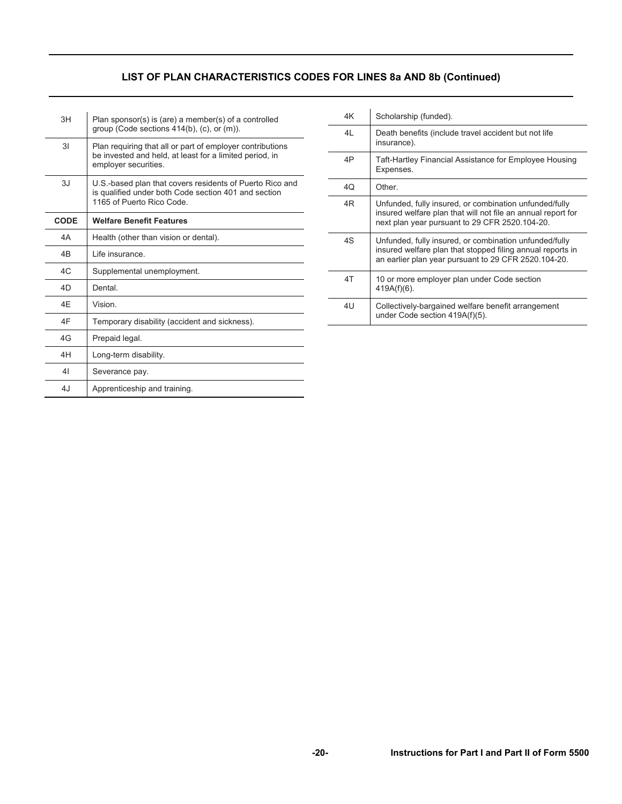# **LIST OF PLAN CHARACTERISTICS CODES FOR LINES 8a AND 8b (Continued)**

| 3H   | Plan sponsor(s) is (are) a member(s) of a controlled<br>group (Code sections $414(b)$ , (c), or (m)).                                        |
|------|----------------------------------------------------------------------------------------------------------------------------------------------|
| 31   | Plan requiring that all or part of employer contributions<br>be invested and held, at least for a limited period, in<br>employer securities. |
| 3.1  | U.S.-based plan that covers residents of Puerto Rico and<br>is qualified under both Code section 401 and section<br>1165 of Puerto Rico Code |
| CODE | <b>Welfare Benefit Features</b>                                                                                                              |
| 4A   | Health (other than vision or dental).                                                                                                        |
| 4B   | Life insurance.                                                                                                                              |
| AC   | Supplemental unemployment.                                                                                                                   |
| 4D   | Dental                                                                                                                                       |
| 4F   | Vision                                                                                                                                       |
| 4F   | Temporary disability (accident and sickness).                                                                                                |
| 4G   | Prepaid legal.                                                                                                                               |
| 4H   | Long-term disability.                                                                                                                        |
| 41   | Severance pay.                                                                                                                               |
| 4.1  | Apprenticeship and training.                                                                                                                 |

| 4K | Scholarship (funded).                                                                                                                                                        |
|----|------------------------------------------------------------------------------------------------------------------------------------------------------------------------------|
| 4L | Death benefits (include travel accident but not life<br>insurance).                                                                                                          |
| 4P | Taft-Hartley Financial Assistance for Employee Housing<br>Expenses.                                                                                                          |
| 4Q | Other.                                                                                                                                                                       |
| 4R | Unfunded, fully insured, or combination unfunded/fully<br>insured welfare plan that will not file an annual report for<br>next plan year pursuant to 29 CFR 2520.104-20.     |
| 4S | Unfunded, fully insured, or combination unfunded/fully<br>insured welfare plan that stopped filing annual reports in<br>an earlier plan year pursuant to 29 CFR 2520.104-20. |
| 4T | 10 or more employer plan under Code section<br>$419A(f)(6)$ .                                                                                                                |
| 4U | Collectively-bargained welfare benefit arrangement<br>under Code section 419A(f)(5).                                                                                         |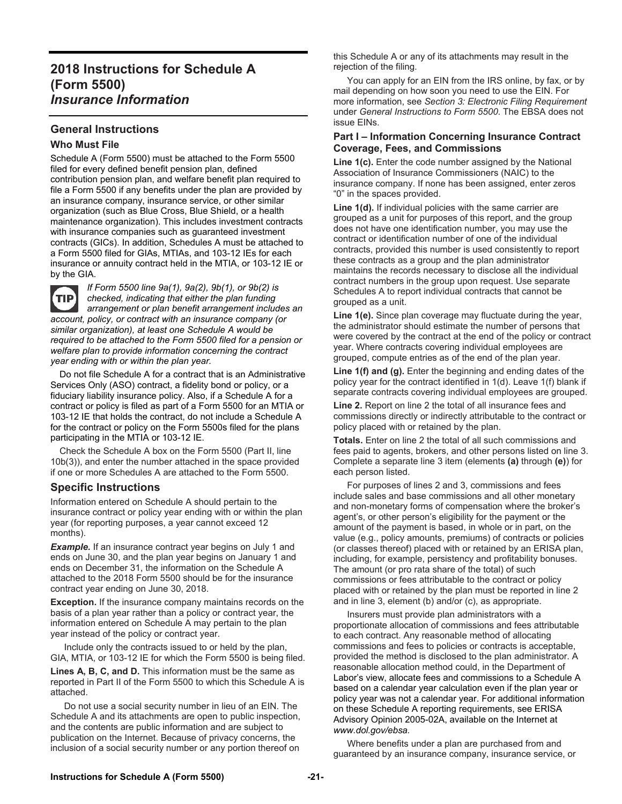# **2018 Instructions for Schedule A (Form 5500)**  *Insurance Information*

#### **General Instructions**

#### **Who Must File**

Schedule A (Form 5500) must be attached to the Form 5500 filed for every defined benefit pension plan, defined contribution pension plan, and welfare benefit plan required to file a Form 5500 if any benefits under the plan are provided by an insurance company, insurance service, or other similar organization (such as Blue Cross, Blue Shield, or a health maintenance organization). This includes investment contracts with insurance companies such as guaranteed investment contracts (GICs). In addition, Schedules A must be attached to a Form 5500 filed for GIAs, MTIAs, and 103-12 IEs for each insurance or annuity contract held in the MTIA, or 103-12 IE or by the GIA.

**TIP** 

*If Form 5500 line 9a(1), 9a(2), 9b(1), or 9b(2) is checked, indicating that either the plan funding arrangement or plan benefit arrangement includes an account, policy, or contract with an insurance company (or similar organization), at least one Schedule A would be required to be attached to the Form 5500 filed for a pension or welfare plan to provide information concerning the contract year ending with or within the plan year.* 

 Do not file Schedule A for a contract that is an Administrative Services Only (ASO) contract, a fidelity bond or policy, or a fiduciary liability insurance policy. Also, if a Schedule A for a contract or policy is filed as part of a Form 5500 for an MTIA or 103-12 IE that holds the contract, do not include a Schedule A for the contract or policy on the Form 5500s filed for the plans participating in the MTIA or 103-12 IE.

 Check the Schedule A box on the Form 5500 (Part II, line 10b(3)), and enter the number attached in the space provided if one or more Schedules A are attached to the Form 5500.

#### **Specific Instructions**

Information entered on Schedule A should pertain to the insurance contract or policy year ending with or within the plan year (for reporting purposes, a year cannot exceed 12 months).

**Example.** If an insurance contract year begins on July 1 and ends on June 30, and the plan year begins on January 1 and ends on December 31, the information on the Schedule A attached to the 2018 Form 5500 should be for the insurance contract year ending on June 30, 2018.

**Exception.** If the insurance company maintains records on the basis of a plan year rather than a policy or contract year, the information entered on Schedule A may pertain to the plan year instead of the policy or contract year.

 Include only the contracts issued to or held by the plan, GIA, MTIA, or 103-12 IE for which the Form 5500 is being filed.

**Lines A, B, C, and D.** This information must be the same as reported in Part II of the Form 5500 to which this Schedule A is attached.

 Do not use a social security number in lieu of an EIN. The Schedule A and its attachments are open to public inspection, and the contents are public information and are subject to publication on the Internet. Because of privacy concerns, the inclusion of a social security number or any portion thereof on

this Schedule A or any of its attachments may result in the rejection of the filing.

 You can apply for an EIN from the IRS online, by fax, or by mail depending on how soon you need to use the EIN. For more information, see *Section 3: Electronic Filing Requirement* under *General Instructions to Form 5500*. The EBSA does not issue EINs.

#### **Part I – Information Concerning Insurance Contract Coverage, Fees, and Commissions**

**Line 1(c).** Enter the code number assigned by the National Association of Insurance Commissioners (NAIC) to the insurance company. If none has been assigned, enter zeros "0" in the spaces provided.

Line 1(d). If individual policies with the same carrier are grouped as a unit for purposes of this report, and the group does not have one identification number, you may use the contract or identification number of one of the individual contracts, provided this number is used consistently to report these contracts as a group and the plan administrator maintains the records necessary to disclose all the individual contract numbers in the group upon request. Use separate Schedules A to report individual contracts that cannot be grouped as a unit.

**Line 1(e).** Since plan coverage may fluctuate during the year, the administrator should estimate the number of persons that were covered by the contract at the end of the policy or contract year. Where contracts covering individual employees are grouped, compute entries as of the end of the plan year.

**Line 1(f) and (g).** Enter the beginning and ending dates of the policy year for the contract identified in 1(d). Leave 1(f) blank if separate contracts covering individual employees are grouped.

**Line 2.** Report on line 2 the total of all insurance fees and commissions directly or indirectly attributable to the contract or policy placed with or retained by the plan.

**Totals.** Enter on line 2 the total of all such commissions and fees paid to agents, brokers, and other persons listed on line 3. Complete a separate line 3 item (elements **(a)** through **(e)**) for each person listed.

 For purposes of lines 2 and 3, commissions and fees include sales and base commissions and all other monetary and non-monetary forms of compensation where the broker's agent's, or other person's eligibility for the payment or the amount of the payment is based, in whole or in part, on the value (e.g., policy amounts, premiums) of contracts or policies (or classes thereof) placed with or retained by an ERISA plan, including, for example, persistency and profitability bonuses. The amount (or pro rata share of the total) of such commissions or fees attributable to the contract or policy placed with or retained by the plan must be reported in line 2 and in line 3, element (b) and/or (c), as appropriate.

 Insurers must provide plan administrators with a proportionate allocation of commissions and fees attributable to each contract. Any reasonable method of allocating commissions and fees to policies or contracts is acceptable, provided the method is disclosed to the plan administrator. A reasonable allocation method could, in the Department of Labor's view, allocate fees and commissions to a Schedule A based on a calendar year calculation even if the plan year or policy year was not a calendar year. For additional information on these Schedule A reporting requirements, see ERISA Advisory Opinion 2005-02A, available on the Internet at *www.dol.gov/ebsa.* 

 Where benefits under a plan are purchased from and guaranteed by an insurance company, insurance service, or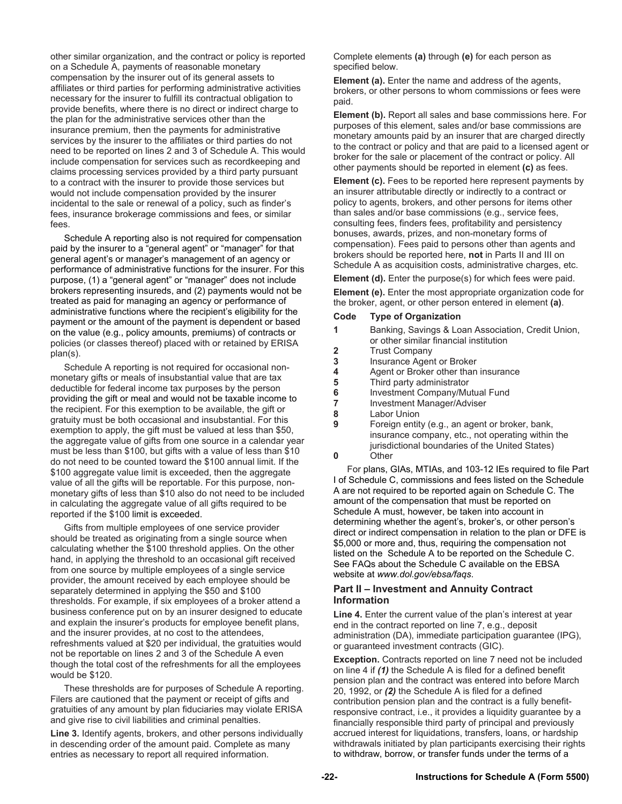other similar organization, and the contract or policy is reported on a Schedule A, payments of reasonable monetary compensation by the insurer out of its general assets to affiliates or third parties for performing administrative activities necessary for the insurer to fulfill its contractual obligation to provide benefits, where there is no direct or indirect charge to the plan for the administrative services other than the insurance premium, then the payments for administrative services by the insurer to the affiliates or third parties do not need to be reported on lines 2 and 3 of Schedule A. This would include compensation for services such as recordkeeping and claims processing services provided by a third party pursuant to a contract with the insurer to provide those services but would not include compensation provided by the insurer incidental to the sale or renewal of a policy, such as finder's fees, insurance brokerage commissions and fees, or similar fees.

 Schedule A reporting also is not required for compensation paid by the insurer to a "general agent" or "manager" for that general agent's or manager's management of an agency or performance of administrative functions for the insurer. For this purpose, (1) a "general agent" or "manager" does not include brokers representing insureds, and (2) payments would not be treated as paid for managing an agency or performance of administrative functions where the recipient's eligibility for the payment or the amount of the payment is dependent or based on the value (e.g., policy amounts, premiums) of contracts or policies (or classes thereof) placed with or retained by ERISA plan(s).

 Schedule A reporting is not required for occasional nonmonetary gifts or meals of insubstantial value that are tax deductible for federal income tax purposes by the person providing the gift or meal and would not be taxable income to the recipient. For this exemption to be available, the gift or gratuity must be both occasional and insubstantial. For this exemption to apply, the gift must be valued at less than \$50, the aggregate value of gifts from one source in a calendar year must be less than \$100, but gifts with a value of less than \$10 do not need to be counted toward the \$100 annual limit. If the \$100 aggregate value limit is exceeded, then the aggregate value of all the gifts will be reportable. For this purpose, nonmonetary gifts of less than \$10 also do not need to be included in calculating the aggregate value of all gifts required to be reported if the \$100 limit is exceeded.

 Gifts from multiple employees of one service provider should be treated as originating from a single source when calculating whether the \$100 threshold applies. On the other hand, in applying the threshold to an occasional gift received from one source by multiple employees of a single service provider, the amount received by each employee should be separately determined in applying the \$50 and \$100 thresholds. For example, if six employees of a broker attend a business conference put on by an insurer designed to educate and explain the insurer's products for employee benefit plans, and the insurer provides, at no cost to the attendees, refreshments valued at \$20 per individual, the gratuities would not be reportable on lines 2 and 3 of the Schedule A even though the total cost of the refreshments for all the employees would be \$120.

 These thresholds are for purposes of Schedule A reporting. Filers are cautioned that the payment or receipt of gifts and gratuities of any amount by plan fiduciaries may violate ERISA and give rise to civil liabilities and criminal penalties.

**Line 3.** Identify agents, brokers, and other persons individually in descending order of the amount paid. Complete as many entries as necessary to report all required information.

Complete elements **(a)** through **(e)** for each person as specified below.

**Element (a).** Enter the name and address of the agents, brokers, or other persons to whom commissions or fees were paid.

**Element (b).** Report all sales and base commissions here. For purposes of this element, sales and/or base commissions are monetary amounts paid by an insurer that are charged directly to the contract or policy and that are paid to a licensed agent or broker for the sale or placement of the contract or policy. All other payments should be reported in element **(c)** as fees.

**Element (c).** Fees to be reported here represent payments by an insurer attributable directly or indirectly to a contract or policy to agents, brokers, and other persons for items other than sales and/or base commissions (e.g., service fees, consulting fees, finders fees, profitability and persistency bonuses, awards, prizes, and non-monetary forms of compensation). Fees paid to persons other than agents and brokers should be reported here, **not** in Parts II and III on Schedule A as acquisition costs, administrative charges, etc.

**Element (d).** Enter the purpose(s) for which fees were paid.

**Element (e).** Enter the most appropriate organization code for the broker, agent, or other person entered in element **(a)**.

#### **Code Type of Organization**

|                | Banking, Savings & Loan Association, Credit Union,<br>or other similar financial institution |
|----------------|----------------------------------------------------------------------------------------------|
| $\overline{2}$ | <b>Trust Company</b>                                                                         |
| 3              | Insurance Agent or Broker                                                                    |
|                | Agent or Broker other than insurance                                                         |
| -5             | Third party administrator                                                                    |
| 6              | Investment Company/Mutual Fund                                                               |
|                | Investment Manager/Adviser                                                                   |

- **8** Labor Union
- **9** Foreign entity (e.g., an agent or broker, bank, insurance company, etc., not operating within the jurisdictional boundaries of the United States)

**0** Other

 For plans, GIAs, MTIAs, and 103-12 IEs required to file Part I of Schedule C, commissions and fees listed on the Schedule A are not required to be reported again on Schedule C. The amount of the compensation that must be reported on Schedule A must, however, be taken into account in determining whether the agent's, broker's, or other person's direct or indirect compensation in relation to the plan or DFE is \$5,000 or more and, thus, requiring the compensation not listed on the Schedule A to be reported on the Schedule C. See FAQs about the Schedule C available on the EBSA website at *www.dol.gov/ebsa/faqs*.

#### **Part II – Investment and Annuity Contract Information**

**Line 4.** Enter the current value of the plan's interest at year end in the contract reported on line 7, e.g., deposit administration (DA), immediate participation guarantee (IPG), or guaranteed investment contracts (GIC).

**Exception.** Contracts reported on line 7 need not be included on line 4 if *(1)* the Schedule A is filed for a defined benefit pension plan and the contract was entered into before March 20, 1992, or *(2)* the Schedule A is filed for a defined contribution pension plan and the contract is a fully benefitresponsive contract, i.e., it provides a liquidity guarantee by a financially responsible third party of principal and previously accrued interest for liquidations, transfers, loans, or hardship withdrawals initiated by plan participants exercising their rights to withdraw, borrow, or transfer funds under the terms of a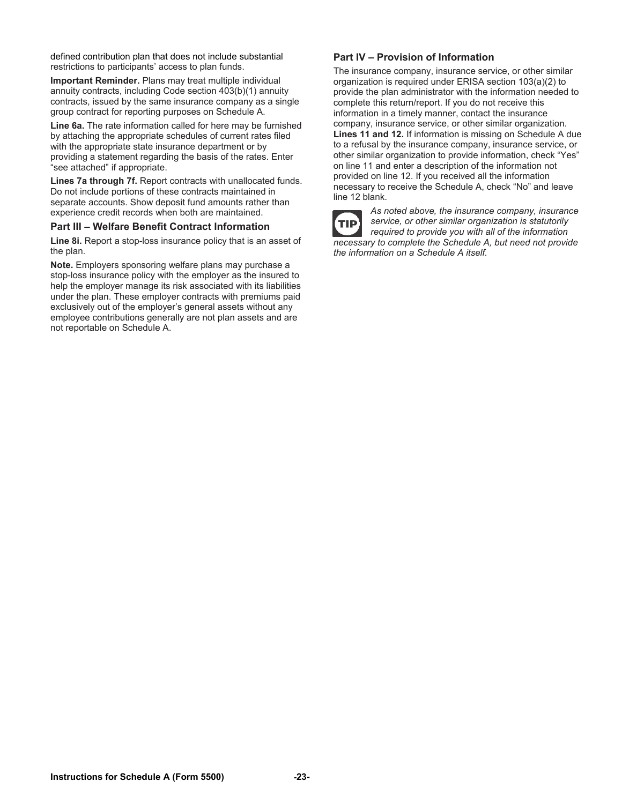defined contribution plan that does not include substantial restrictions to participants' access to plan funds.

**Important Reminder.** Plans may treat multiple individual annuity contracts, including Code section 403(b)(1) annuity contracts, issued by the same insurance company as a single group contract for reporting purposes on Schedule A.

**Line 6a.** The rate information called for here may be furnished by attaching the appropriate schedules of current rates filed with the appropriate state insurance department or by providing a statement regarding the basis of the rates. Enter "see attached" if appropriate.

**Lines 7a through 7f.** Report contracts with unallocated funds. Do not include portions of these contracts maintained in separate accounts. Show deposit fund amounts rather than experience credit records when both are maintained.

#### **Part III – Welfare Benefit Contract Information**

**Line 8i.** Report a stop-loss insurance policy that is an asset of the plan.

**Note.** Employers sponsoring welfare plans may purchase a stop-loss insurance policy with the employer as the insured to help the employer manage its risk associated with its liabilities under the plan. These employer contracts with premiums paid exclusively out of the employer's general assets without any employee contributions generally are not plan assets and are not reportable on Schedule A.

#### **Part IV – Provision of Information**

The insurance company, insurance service, or other similar organization is required under ERISA section 103(a)(2) to provide the plan administrator with the information needed to complete this return/report. If you do not receive this information in a timely manner, contact the insurance company, insurance service, or other similar organization. **Lines 11 and 12.** If information is missing on Schedule A due to a refusal by the insurance company, insurance service, or other similar organization to provide information, check "Yes" on line 11 and enter a description of the information not provided on line 12. If you received all the information necessary to receive the Schedule A, check "No" and leave line 12 blank.



*As noted above, the insurance company, insurance service, or other similar organization is statutorily required to provide you with all of the information necessary to complete the Schedule A, but need not provide the information on a Schedule A itself.*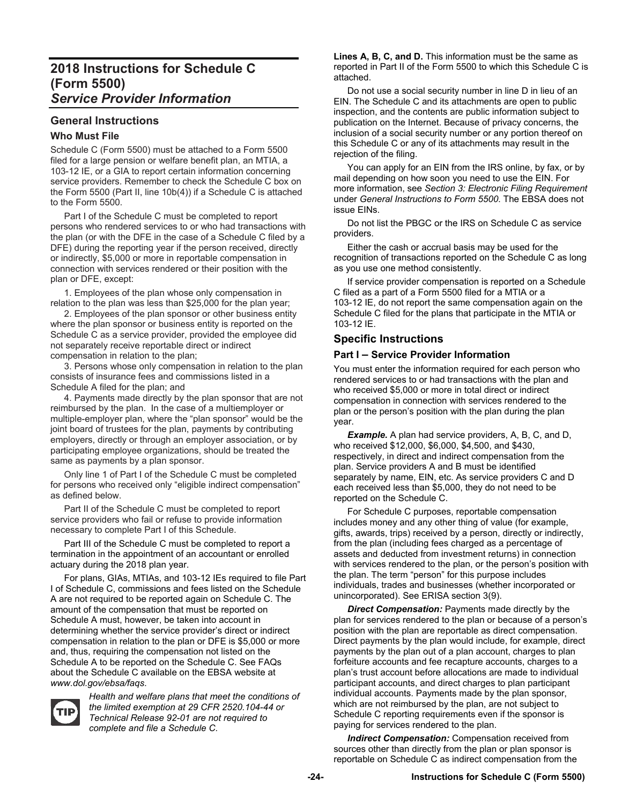# **2018 Instructions for Schedule C (Form 5500)**  *Service Provider Information*

# **General Instructions**

#### **Who Must File**

Schedule C (Form 5500) must be attached to a Form 5500 filed for a large pension or welfare benefit plan, an MTIA, a 103-12 IE, or a GIA to report certain information concerning service providers. Remember to check the Schedule C box on the Form 5500 (Part II, line 10b(4)) if a Schedule C is attached to the Form 5500.

 Part I of the Schedule C must be completed to report persons who rendered services to or who had transactions with the plan (or with the DFE in the case of a Schedule C filed by a DFE) during the reporting year if the person received, directly or indirectly, \$5,000 or more in reportable compensation in connection with services rendered or their position with the plan or DFE, except:

 1. Employees of the plan whose only compensation in relation to the plan was less than \$25,000 for the plan year;

 2. Employees of the plan sponsor or other business entity where the plan sponsor or business entity is reported on the Schedule C as a service provider, provided the employee did not separately receive reportable direct or indirect compensation in relation to the plan;

 3. Persons whose only compensation in relation to the plan consists of insurance fees and commissions listed in a Schedule A filed for the plan; and

 4. Payments made directly by the plan sponsor that are not reimbursed by the plan. In the case of a multiemployer or multiple-employer plan, where the "plan sponsor" would be the joint board of trustees for the plan, payments by contributing employers, directly or through an employer association, or by participating employee organizations, should be treated the same as payments by a plan sponsor.

 Only line 1 of Part I of the Schedule C must be completed for persons who received only "eligible indirect compensation" as defined below.

 Part II of the Schedule C must be completed to report service providers who fail or refuse to provide information necessary to complete Part I of this Schedule.

 Part III of the Schedule C must be completed to report a termination in the appointment of an accountant or enrolled actuary during the 2018 plan year.

 For plans, GIAs, MTIAs, and 103-12 IEs required to file Part I of Schedule C, commissions and fees listed on the Schedule A are not required to be reported again on Schedule C. The amount of the compensation that must be reported on Schedule A must, however, be taken into account in determining whether the service provider's direct or indirect compensation in relation to the plan or DFE is \$5,000 or more and, thus, requiring the compensation not listed on the Schedule A to be reported on the Schedule C. See FAQs about the Schedule C available on the EBSA website at *www.dol.gov/ebsa/faqs*.



*Health and welfare plans that meet the conditions of the limited exemption at 29 CFR 2520.104-44 or Technical Release 92-01 are not required to complete and file a Schedule C.* 

**Lines A, B, C, and D.** This information must be the same as reported in Part II of the Form 5500 to which this Schedule C is attached.

 Do not use a social security number in line D in lieu of an EIN. The Schedule C and its attachments are open to public inspection, and the contents are public information subject to publication on the Internet. Because of privacy concerns, the inclusion of a social security number or any portion thereof on this Schedule C or any of its attachments may result in the rejection of the filing.

 You can apply for an EIN from the IRS online, by fax, or by mail depending on how soon you need to use the EIN. For more information, see *Section 3: Electronic Filing Requirement*  under *General Instructions to Form 5500*. The EBSA does not issue EINs.

 Do not list the PBGC or the IRS on Schedule C as service providers.

 Either the cash or accrual basis may be used for the recognition of transactions reported on the Schedule C as long as you use one method consistently.

 If service provider compensation is reported on a Schedule C filed as a part of a Form 5500 filed for a MTIA or a 103-12 IE, do not report the same compensation again on the Schedule C filed for the plans that participate in the MTIA or 103-12 IE.

#### **Specific Instructions**

#### **Part I – Service Provider Information**

You must enter the information required for each person who rendered services to or had transactions with the plan and who received \$5,000 or more in total direct or indirect compensation in connection with services rendered to the plan or the person's position with the plan during the plan year.

**Example.** A plan had service providers, A, B, C, and D, who received \$12,000, \$6,000, \$4,500, and \$430, respectively, in direct and indirect compensation from the plan. Service providers A and B must be identified separately by name, EIN, etc. As service providers C and D each received less than \$5,000, they do not need to be reported on the Schedule C.

 For Schedule C purposes, reportable compensation includes money and any other thing of value (for example, gifts, awards, trips) received by a person, directly or indirectly, from the plan (including fees charged as a percentage of assets and deducted from investment returns) in connection with services rendered to the plan, or the person's position with the plan. The term "person" for this purpose includes individuals, trades and businesses (whether incorporated or unincorporated). See ERISA section 3(9).

 *Direct Compensation:* Payments made directly by the plan for services rendered to the plan or because of a person's position with the plan are reportable as direct compensation. Direct payments by the plan would include, for example, direct payments by the plan out of a plan account, charges to plan forfeiture accounts and fee recapture accounts, charges to a plan's trust account before allocations are made to individual participant accounts, and direct charges to plan participant individual accounts. Payments made by the plan sponsor, which are not reimbursed by the plan, are not subject to Schedule C reporting requirements even if the sponsor is paying for services rendered to the plan.

 *Indirect Compensation:* Compensation received from sources other than directly from the plan or plan sponsor is reportable on Schedule C as indirect compensation from the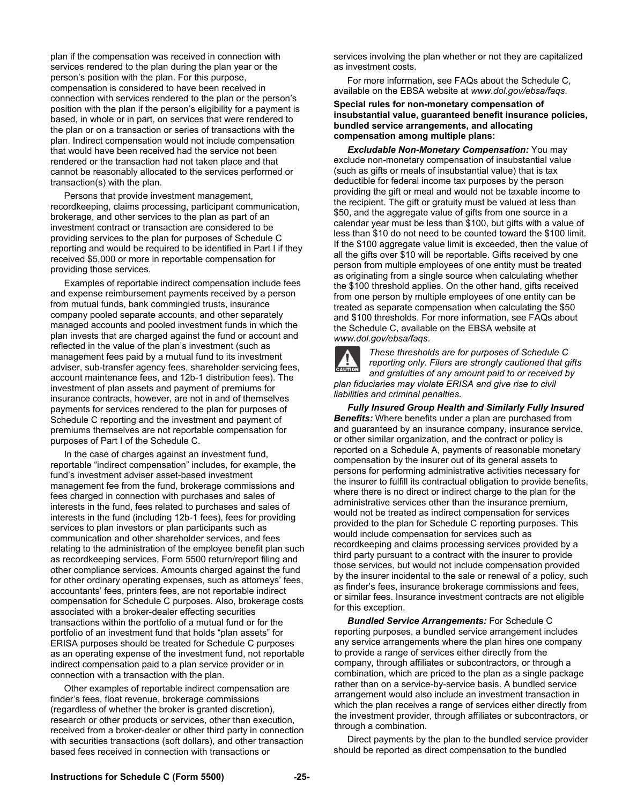plan if the compensation was received in connection with services rendered to the plan during the plan year or the person's position with the plan. For this purpose, compensation is considered to have been received in connection with services rendered to the plan or the person's position with the plan if the person's eligibility for a payment is based, in whole or in part, on services that were rendered to the plan or on a transaction or series of transactions with the plan. Indirect compensation would not include compensation that would have been received had the service not been rendered or the transaction had not taken place and that cannot be reasonably allocated to the services performed or transaction(s) with the plan.

 Persons that provide investment management, recordkeeping, claims processing, participant communication, brokerage, and other services to the plan as part of an investment contract or transaction are considered to be providing services to the plan for purposes of Schedule C reporting and would be required to be identified in Part I if they received \$5,000 or more in reportable compensation for providing those services.

 Examples of reportable indirect compensation include fees and expense reimbursement payments received by a person from mutual funds, bank commingled trusts, insurance company pooled separate accounts, and other separately managed accounts and pooled investment funds in which the plan invests that are charged against the fund or account and reflected in the value of the plan's investment (such as management fees paid by a mutual fund to its investment adviser, sub-transfer agency fees, shareholder servicing fees, account maintenance fees, and 12b-1 distribution fees). The investment of plan assets and payment of premiums for insurance contracts, however, are not in and of themselves payments for services rendered to the plan for purposes of Schedule C reporting and the investment and payment of premiums themselves are not reportable compensation for purposes of Part I of the Schedule C.

 In the case of charges against an investment fund, reportable "indirect compensation" includes, for example, the fund's investment adviser asset-based investment management fee from the fund, brokerage commissions and fees charged in connection with purchases and sales of interests in the fund, fees related to purchases and sales of interests in the fund (including 12b-1 fees), fees for providing services to plan investors or plan participants such as communication and other shareholder services, and fees relating to the administration of the employee benefit plan such as recordkeeping services, Form 5500 return/report filing and other compliance services. Amounts charged against the fund for other ordinary operating expenses, such as attorneys' fees, accountants' fees, printers fees, are not reportable indirect compensation for Schedule C purposes. Also, brokerage costs associated with a broker-dealer effecting securities transactions within the portfolio of a mutual fund or for the portfolio of an investment fund that holds "plan assets" for ERISA purposes should be treated for Schedule C purposes as an operating expense of the investment fund, not reportable indirect compensation paid to a plan service provider or in connection with a transaction with the plan.

 Other examples of reportable indirect compensation are finder's fees, float revenue, brokerage commissions (regardless of whether the broker is granted discretion), research or other products or services, other than execution, received from a broker-dealer or other third party in connection with securities transactions (soft dollars), and other transaction based fees received in connection with transactions or

services involving the plan whether or not they are capitalized as investment costs.

 For more information, see FAQs about the Schedule C, available on the EBSA website at *www.dol.gov/ebsa/faqs*.

**Special rules for non-monetary compensation of insubstantial value, guaranteed benefit insurance policies, bundled service arrangements, and allocating compensation among multiple plans:** 

 *Excludable Non-Monetary Compensation:* You may exclude non-monetary compensation of insubstantial value (such as gifts or meals of insubstantial value) that is tax deductible for federal income tax purposes by the person providing the gift or meal and would not be taxable income to the recipient. The gift or gratuity must be valued at less than \$50, and the aggregate value of gifts from one source in a calendar year must be less than \$100, but gifts with a value of less than \$10 do not need to be counted toward the \$100 limit. If the \$100 aggregate value limit is exceeded, then the value of all the gifts over \$10 will be reportable. Gifts received by one person from multiple employees of one entity must be treated as originating from a single source when calculating whether the \$100 threshold applies. On the other hand, gifts received from one person by multiple employees of one entity can be treated as separate compensation when calculating the \$50 and \$100 thresholds. For more information, see FAQs about the Schedule C, available on the EBSA website at *www.dol.gov/ebsa/faqs*.



*These thresholds are for purposes of Schedule C reporting only. Filers are strongly cautioned that gifts and gratuities of any amount paid to or received by plan fiduciaries may violate ERISA and give rise to civil liabilities and criminal penalties.* 

 *Fully Insured Group Health and Similarly Fully Insured Benefits:* Where benefits under a plan are purchased from and guaranteed by an insurance company, insurance service, or other similar organization, and the contract or policy is reported on a Schedule A, payments of reasonable monetary compensation by the insurer out of its general assets to persons for performing administrative activities necessary for the insurer to fulfill its contractual obligation to provide benefits, where there is no direct or indirect charge to the plan for the administrative services other than the insurance premium, would not be treated as indirect compensation for services provided to the plan for Schedule C reporting purposes. This would include compensation for services such as recordkeeping and claims processing services provided by a third party pursuant to a contract with the insurer to provide those services, but would not include compensation provided by the insurer incidental to the sale or renewal of a policy, such as finder's fees, insurance brokerage commissions and fees, or similar fees. Insurance investment contracts are not eligible for this exception.

 *Bundled Service Arrangements:* For Schedule C reporting purposes, a bundled service arrangement includes any service arrangements where the plan hires one company to provide a range of services either directly from the company, through affiliates or subcontractors, or through a combination, which are priced to the plan as a single package rather than on a service-by-service basis. A bundled service arrangement would also include an investment transaction in which the plan receives a range of services either directly from the investment provider, through affiliates or subcontractors, or through a combination.

 Direct payments by the plan to the bundled service provider should be reported as direct compensation to the bundled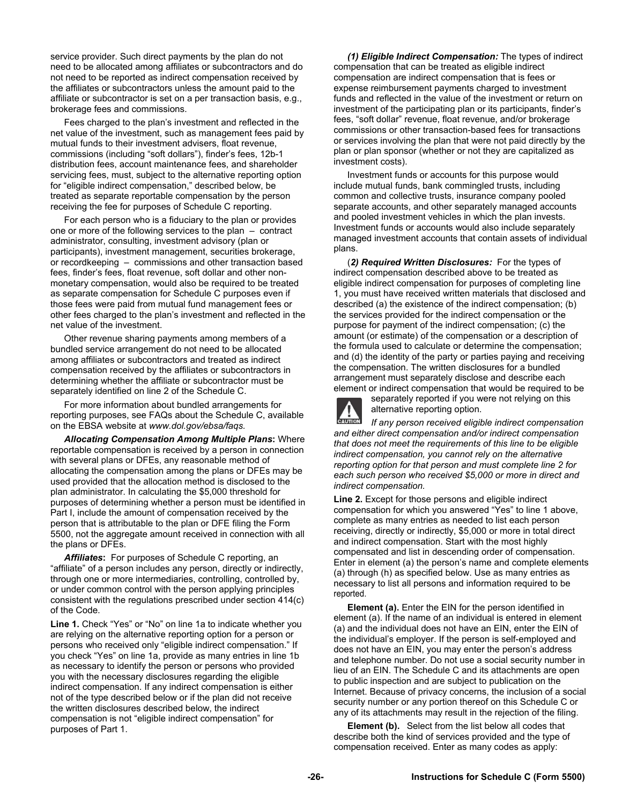service provider. Such direct payments by the plan do not need to be allocated among affiliates or subcontractors and do not need to be reported as indirect compensation received by the affiliates or subcontractors unless the amount paid to the affiliate or subcontractor is set on a per transaction basis, e.g., brokerage fees and commissions.

 Fees charged to the plan's investment and reflected in the net value of the investment, such as management fees paid by mutual funds to their investment advisers, float revenue, commissions (including "soft dollars"), finder's fees, 12b-1 distribution fees, account maintenance fees, and shareholder servicing fees, must, subject to the alternative reporting option for "eligible indirect compensation," described below, be treated as separate reportable compensation by the person receiving the fee for purposes of Schedule C reporting.

 For each person who is a fiduciary to the plan or provides one or more of the following services to the plan – contract administrator, consulting, investment advisory (plan or participants), investment management, securities brokerage, or recordkeeping – commissions and other transaction based fees, finder's fees, float revenue, soft dollar and other nonmonetary compensation, would also be required to be treated as separate compensation for Schedule C purposes even if those fees were paid from mutual fund management fees or other fees charged to the plan's investment and reflected in the net value of the investment.

 Other revenue sharing payments among members of a bundled service arrangement do not need to be allocated among affiliates or subcontractors and treated as indirect compensation received by the affiliates or subcontractors in determining whether the affiliate or subcontractor must be separately identified on line 2 of the Schedule C.

 For more information about bundled arrangements for reporting purposes, see FAQs about the Schedule C, available on the EBSA website at *www.dol.gov/ebsa/faqs.* 

*Allocating Compensation Among Multiple Plans***:** Where reportable compensation is received by a person in connection with several plans or DFEs, any reasonable method of allocating the compensation among the plans or DFEs may be used provided that the allocation method is disclosed to the plan administrator. In calculating the \$5,000 threshold for purposes of determining whether a person must be identified in Part I, include the amount of compensation received by the person that is attributable to the plan or DFE filing the Form 5500, not the aggregate amount received in connection with all the plans or DFEs.

*Affiliates***:** For purposes of Schedule C reporting, an "affiliate" of a person includes any person, directly or indirectly, through one or more intermediaries, controlling, controlled by, or under common control with the person applying principles consistent with the regulations prescribed under section 414(c) of the Code.

**Line 1.** Check "Yes" or "No" on line 1a to indicate whether you are relying on the alternative reporting option for a person or persons who received only "eligible indirect compensation." If you check "Yes" on line 1a, provide as many entries in line 1b as necessary to identify the person or persons who provided you with the necessary disclosures regarding the eligible indirect compensation. If any indirect compensation is either not of the type described below or if the plan did not receive the written disclosures described below, the indirect compensation is not "eligible indirect compensation" for purposes of Part 1.

*(1) Eligible Indirect Compensation:* The types of indirect compensation that can be treated as eligible indirect compensation are indirect compensation that is fees or expense reimbursement payments charged to investment funds and reflected in the value of the investment or return on investment of the participating plan or its participants, finder's fees, "soft dollar" revenue, float revenue, and/or brokerage commissions or other transaction-based fees for transactions or services involving the plan that were not paid directly by the plan or plan sponsor (whether or not they are capitalized as investment costs).

 Investment funds or accounts for this purpose would include mutual funds, bank commingled trusts, including common and collective trusts, insurance company pooled separate accounts, and other separately managed accounts and pooled investment vehicles in which the plan invests. Investment funds or accounts would also include separately managed investment accounts that contain assets of individual plans.

 (*2) Required Written Disclosures:* For the types of indirect compensation described above to be treated as eligible indirect compensation for purposes of completing line 1, you must have received written materials that disclosed and described (a) the existence of the indirect compensation; (b) the services provided for the indirect compensation or the purpose for payment of the indirect compensation; (c) the amount (or estimate) of the compensation or a description of the formula used to calculate or determine the compensation; and (d) the identity of the party or parties paying and receiving the compensation. The written disclosures for a bundled arrangement must separately disclose and describe each element or indirect compensation that would be required to be



separately reported if you were not relying on this alternative reporting option.

**CAUTION** *If any person received eligible indirect compensation and either direct compensation and/or indirect compensation that does not meet the requirements of this line to be eligible indirect compensation, you cannot rely on the alternative reporting option for that person and must complete line 2 for each such person who received \$5,000 or more in direct and indirect compensation.* 

**Line 2.** Except for those persons and eligible indirect compensation for which you answered "Yes" to line 1 above, complete as many entries as needed to list each person receiving, directly or indirectly, \$5,000 or more in total direct and indirect compensation. Start with the most highly compensated and list in descending order of compensation. Enter in element (a) the person's name and complete elements (a) through (h) as specified below. Use as many entries as necessary to list all persons and information required to be reported.

**Element (a).** Enter the EIN for the person identified in element (a). If the name of an individual is entered in element (a) and the individual does not have an EIN, enter the EIN of the individual's employer. If the person is self-employed and does not have an EIN, you may enter the person's address and telephone number. Do not use a social security number in lieu of an EIN. The Schedule C and its attachments are open to public inspection and are subject to publication on the Internet. Because of privacy concerns, the inclusion of a social security number or any portion thereof on this Schedule C or any of its attachments may result in the rejection of the filing.

 **Element (b).** Select from the list below all codes that describe both the kind of services provided and the type of compensation received. Enter as many codes as apply: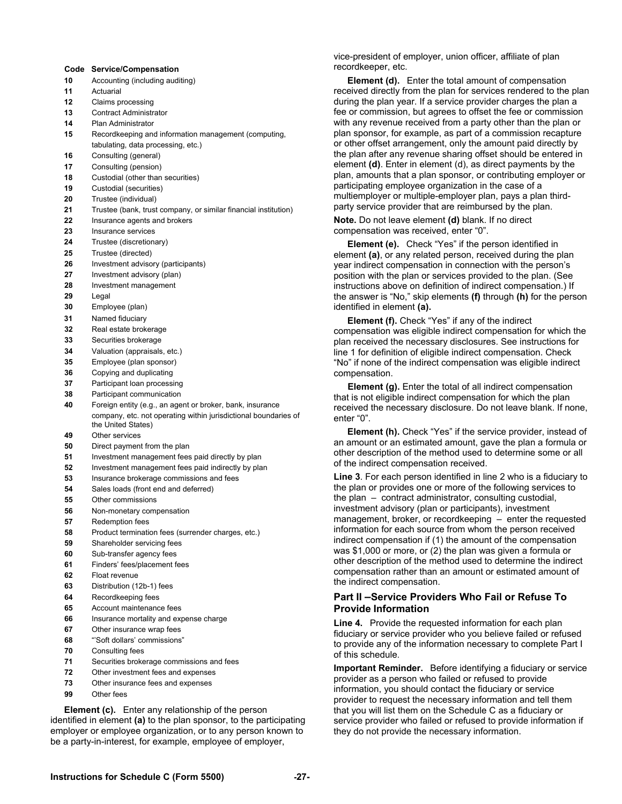#### **Code Service/Compensation**

- **10** Accounting (including auditing)
- **11** Actuarial
- **12** Claims processing
- **13** Contract Administrator
- **14** Plan Administrator
- **15** Recordkeeping and information management (computing, tabulating, data processing, etc.)
- **16** Consulting (general)
- **17** Consulting (pension)
- **18** Custodial (other than securities)
- **19** Custodial (securities)
- **20** Trustee (individual)
- **21** Trustee (bank, trust company, or similar financial institution)
- **22** Insurance agents and brokers
- **23** Insurance services
- **24** Trustee (discretionary)
- **25** Trustee (directed)
- **26** Investment advisory (participants)
- **27** Investment advisory (plan)
- **28** Investment management
- **29** Legal
- **30** Employee (plan)
- **31** Named fiduciary
- **32** Real estate brokerage
- **33** Securities brokerage
- **34** Valuation (appraisals, etc.)
- **35** Employee (plan sponsor)
- **36** Copying and duplicating
- **37** Participant loan processing
- **38** Participant communication
- **40** Foreign entity (e.g., an agent or broker, bank, insurance company, etc. not operating within jurisdictional boundaries of the United States)
- **49** Other services
- **50** Direct payment from the plan
- **51** Investment management fees paid directly by plan
- **52** Investment management fees paid indirectly by plan
- **53** Insurance brokerage commissions and fees
- **54** Sales loads (front end and deferred)
- **55** Other commissions
- **56** Non-monetary compensation
- **57** Redemption fees
- **58** Product termination fees (surrender charges, etc.)
- **59** Shareholder servicing fees
- **60** Sub-transfer agency fees
- **61** Finders' fees/placement fees
- **62** Float revenue
- **63** Distribution (12b-1) fees
- **64** Recordkeeping fees
- **65** Account maintenance fees
- **66** Insurance mortality and expense charge
- **67** Other insurance wrap fees
- **68** "'Soft dollars' commissions"
- **70** Consulting fees
- **71** Securities brokerage commissions and fees
- **72** Other investment fees and expenses
- **73** Other insurance fees and expenses
- **99** Other fees

**Element (c).** Enter any relationship of the person identified in element **(a)** to the plan sponsor, to the participating employer or employee organization, or to any person known to be a party-in-interest, for example, employee of employer,

vice-president of employer, union officer, affiliate of plan recordkeeper, etc.

 **Element (d).** Enter the total amount of compensation received directly from the plan for services rendered to the plan during the plan year. If a service provider charges the plan a fee or commission, but agrees to offset the fee or commission with any revenue received from a party other than the plan or plan sponsor, for example, as part of a commission recapture or other offset arrangement, only the amount paid directly by the plan after any revenue sharing offset should be entered in element **(d)**. Enter in element (d), as direct payments by the plan, amounts that a plan sponsor, or contributing employer or participating employee organization in the case of a multiemployer or multiple-employer plan, pays a plan thirdparty service provider that are reimbursed by the plan. **Note.** Do not leave element **(d)** blank. If no direct

compensation was received, enter "0".

 **Element (e).** Check "Yes" if the person identified in element **(a)**, or any related person, received during the plan year indirect compensation in connection with the person's position with the plan or services provided to the plan. (See instructions above on definition of indirect compensation.) If the answer is "No," skip elements **(f)** through **(h)** for the person identified in element **(a).**

 **Element (f).** Check "Yes" if any of the indirect compensation was eligible indirect compensation for which the plan received the necessary disclosures. See instructions for line 1 for definition of eligible indirect compensation. Check "No" if none of the indirect compensation was eligible indirect compensation.

**Element (g).** Enter the total of all indirect compensation that is not eligible indirect compensation for which the plan received the necessary disclosure. Do not leave blank. If none, enter "0".

 **Element (h).** Check "Yes" if the service provider, instead of an amount or an estimated amount, gave the plan a formula or other description of the method used to determine some or all of the indirect compensation received.

**Line 3**. For each person identified in line 2 who is a fiduciary to the plan or provides one or more of the following services to the plan – contract administrator, consulting custodial, investment advisory (plan or participants), investment management, broker, or recordkeeping – enter the requested information for each source from whom the person received indirect compensation if (1) the amount of the compensation was \$1,000 or more, or (2) the plan was given a formula or other description of the method used to determine the indirect compensation rather than an amount or estimated amount of the indirect compensation.

#### **Part II –Service Providers Who Fail or Refuse To Provide Information**

**Line 4.** Provide the requested information for each plan fiduciary or service provider who you believe failed or refused to provide any of the information necessary to complete Part I of this schedule.

**Important Reminder.** Before identifying a fiduciary or service provider as a person who failed or refused to provide information, you should contact the fiduciary or service provider to request the necessary information and tell them that you will list them on the Schedule C as a fiduciary or service provider who failed or refused to provide information if they do not provide the necessary information.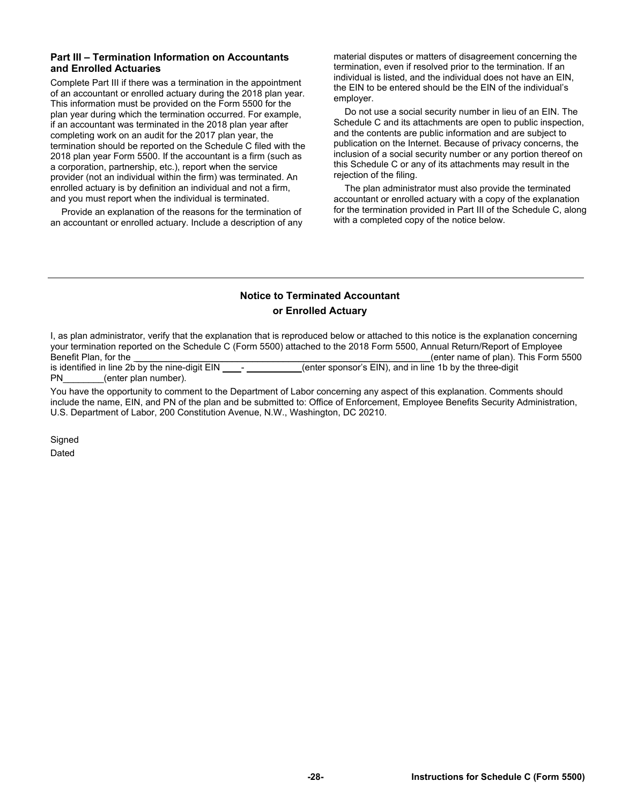#### **Part III – Termination Information on Accountants and Enrolled Actuaries**

Complete Part III if there was a termination in the appointment of an accountant or enrolled actuary during the 2018 plan year. This information must be provided on the Form 5500 for the plan year during which the termination occurred. For example, if an accountant was terminated in the 2018 plan year after completing work on an audit for the 2017 plan year, the termination should be reported on the Schedule C filed with the 2018 plan year Form 5500. If the accountant is a firm (such as a corporation, partnership, etc.), report when the service provider (not an individual within the firm) was terminated. An enrolled actuary is by definition an individual and not a firm, and you must report when the individual is terminated.

Provide an explanation of the reasons for the termination of an accountant or enrolled actuary. Include a description of any material disputes or matters of disagreement concerning the termination, even if resolved prior to the termination. If an individual is listed, and the individual does not have an EIN, the EIN to be entered should be the EIN of the individual's employer.

Do not use a social security number in lieu of an EIN. The Schedule C and its attachments are open to public inspection, and the contents are public information and are subject to publication on the Internet. Because of privacy concerns, the inclusion of a social security number or any portion thereof on this Schedule C or any of its attachments may result in the rejection of the filing.

The plan administrator must also provide the terminated accountant or enrolled actuary with a copy of the explanation for the termination provided in Part III of the Schedule C, along with a completed copy of the notice below.

### **Notice to Terminated Accountant or Enrolled Actuary**

I, as plan administrator, verify that the explanation that is reproduced below or attached to this notice is the explanation concerning your termination reported on the Schedule C (Form 5500) attached to the 2018 Form 5500, Annual Return/Report of Employee Benefit Plan, for the \_\_\_\_\_\_\_\_\_\_\_\_\_\_\_\_\_\_\_\_\_\_\_\_\_\_\_\_\_\_\_\_\_\_\_\_\_\_\_\_\_\_\_\_\_\_\_\_\_\_\_\_\_\_\_\_\_\_(enter name of plan). This Form 5500 (enter sponsor's EIN), and in line 1b by the three-digit PN (enter plan number).

You have the opportunity to comment to the Department of Labor concerning any aspect of this explanation. Comments should include the name, EIN, and PN of the plan and be submitted to: Office of Enforcement, Employee Benefits Security Administration, U.S. Department of Labor, 200 Constitution Avenue, N.W., Washington, DC 20210.

**Signed** 

Dated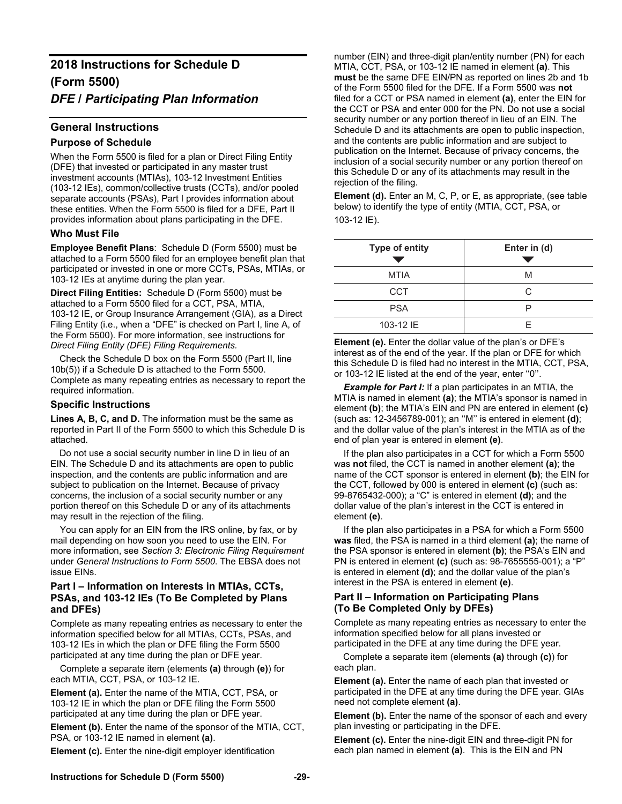# **2018 Instructions for Schedule D (Form 5500)**  *DFE* **/** *Participating Plan Information*

#### **General Instructions**

#### **Purpose of Schedule**

When the Form 5500 is filed for a plan or Direct Filing Entity (DFE) that invested or participated in any master trust investment accounts (MTIAs), 103-12 Investment Entities (103-12 IEs), common/collective trusts (CCTs), and/or pooled separate accounts (PSAs), Part I provides information about these entities. When the Form 5500 is filed for a DFE, Part II provides information about plans participating in the DFE.

#### **Who Must File**

**Employee Benefit Plans**: Schedule D (Form 5500) must be attached to a Form 5500 filed for an employee benefit plan that participated or invested in one or more CCTs, PSAs, MTIAs, or 103-12 IEs at anytime during the plan year.

**Direct Filing Entities:** Schedule D (Form 5500) must be attached to a Form 5500 filed for a CCT, PSA, MTIA, 103-12 IE, or Group Insurance Arrangement (GIA), as a Direct Filing Entity (i.e., when a "DFE" is checked on Part I, line A, of the Form 5500). For more information, see instructions for *Direct Filing Entity (DFE) Filing Requirements.* 

Check the Schedule D box on the Form 5500 (Part II, line 10b(5)) if a Schedule D is attached to the Form 5500. Complete as many repeating entries as necessary to report the required information.

#### **Specific Instructions**

Lines A, B, C, and D. The information must be the same as reported in Part II of the Form 5500 to which this Schedule D is attached.

Do not use a social security number in line D in lieu of an EIN. The Schedule D and its attachments are open to public inspection, and the contents are public information and are subject to publication on the Internet. Because of privacy concerns, the inclusion of a social security number or any portion thereof on this Schedule D or any of its attachments may result in the rejection of the filing.

You can apply for an EIN from the IRS online, by fax, or by mail depending on how soon you need to use the EIN. For more information, see *Section 3: Electronic Filing Requirement* under *General Instructions to Form 5500*. The EBSA does not issue EINs.

#### **Part I – Information on Interests in MTIAs, CCTs, PSAs, and 103-12 IEs (To Be Completed by Plans and DFEs)**

Complete as many repeating entries as necessary to enter the information specified below for all MTIAs, CCTs, PSAs, and 103-12 IEs in which the plan or DFE filing the Form 5500 participated at any time during the plan or DFE year.

Complete a separate item (elements **(a)** through **(e)**) for each MTIA, CCT, PSA, or 103-12 IE.

**Element (a).** Enter the name of the MTIA, CCT, PSA, or 103-12 IE in which the plan or DFE filing the Form 5500 participated at any time during the plan or DFE year.

**Element (b).** Enter the name of the sponsor of the MTIA, CCT, PSA, or 103-12 IE named in element **(a)**.

**Element (c).** Enter the nine-digit employer identification

number (EIN) and three-digit plan/entity number (PN) for each MTIA, CCT, PSA, or 103-12 IE named in element **(a)**. This **must** be the same DFE EIN/PN as reported on lines 2b and 1b of the Form 5500 filed for the DFE. If a Form 5500 was **not** filed for a CCT or PSA named in element **(a)**, enter the EIN for the CCT or PSA and enter 000 for the PN. Do not use a social security number or any portion thereof in lieu of an EIN. The Schedule D and its attachments are open to public inspection, and the contents are public information and are subject to publication on the Internet. Because of privacy concerns, the inclusion of a social security number or any portion thereof on this Schedule D or any of its attachments may result in the rejection of the filing.

**Element (d).** Enter an M, C, P, or E, as appropriate, (see table below) to identify the type of entity (MTIA, CCT, PSA, or 103-12 IE).

| <b>Type of entity</b> | Enter in (d) |
|-----------------------|--------------|
| <b>MTIA</b>           | M            |
| <b>CCT</b>            | C            |
| <b>PSA</b>            | □            |
| 103-12 IE             | F            |

**Element (e).** Enter the dollar value of the plan's or DFE's interest as of the end of the year. If the plan or DFE for which this Schedule D is filed had no interest in the MTIA, CCT, PSA, or 103-12 IE listed at the end of the year, enter ''0''.

*Example for Part I:* If a plan participates in an MTIA, the MTIA is named in element **(a)**; the MTIA's sponsor is named in element **(b)**; the MTIA's EIN and PN are entered in element **(c)** (such as: 12-3456789-001); an ''M'' is entered in element **(d)**; and the dollar value of the plan's interest in the MTIA as of the end of plan year is entered in element **(e)**.

If the plan also participates in a CCT for which a Form 5500 was **not** filed, the CCT is named in another element **(a)**; the name of the CCT sponsor is entered in element **(b)**; the EIN for the CCT, followed by 000 is entered in element **(c)** (such as: 99-8765432-000); a "C" is entered in element **(d)**; and the dollar value of the plan's interest in the CCT is entered in element **(e)**.

If the plan also participates in a PSA for which a Form 5500 **was** filed, the PSA is named in a third element **(a)**; the name of the PSA sponsor is entered in element **(b)**; the PSA's EIN and PN is entered in element **(c)** (such as: 98-7655555-001); a "P" is entered in element **(d)**; and the dollar value of the plan's interest in the PSA is entered in element **(e)**.

#### **Part II – Information on Participating Plans (To Be Completed Only by DFEs)**

Complete as many repeating entries as necessary to enter the information specified below for all plans invested or participated in the DFE at any time during the DFE year.

Complete a separate item (elements **(a)** through **(c)**) for each plan.

**Element (a).** Enter the name of each plan that invested or participated in the DFE at any time during the DFE year. GIAs need not complete element **(a)**.

**Element (b).** Enter the name of the sponsor of each and every plan investing or participating in the DFE.

**Element (c).** Enter the nine-digit EIN and three-digit PN for each plan named in element **(a)**.This is the EIN and PN

#### **Instructions for Schedule D (Form 5500) -29-**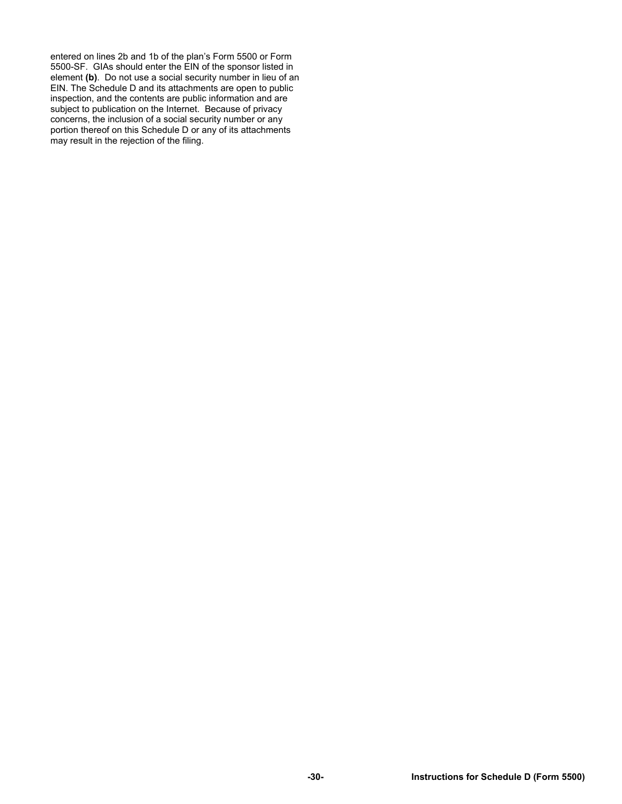entered on lines 2b and 1b of the plan's Form 5500 or Form 5500-SF. GIAs should enter the EIN of the sponsor listed in element **(b)**. Do not use a social security number in lieu of an EIN. The Schedule D and its attachments are open to public inspection, and the contents are public information and are subject to publication on the Internet. Because of privacy concerns, the inclusion of a social security number or any portion thereof on this Schedule D or any of its attachments may result in the rejection of the filing.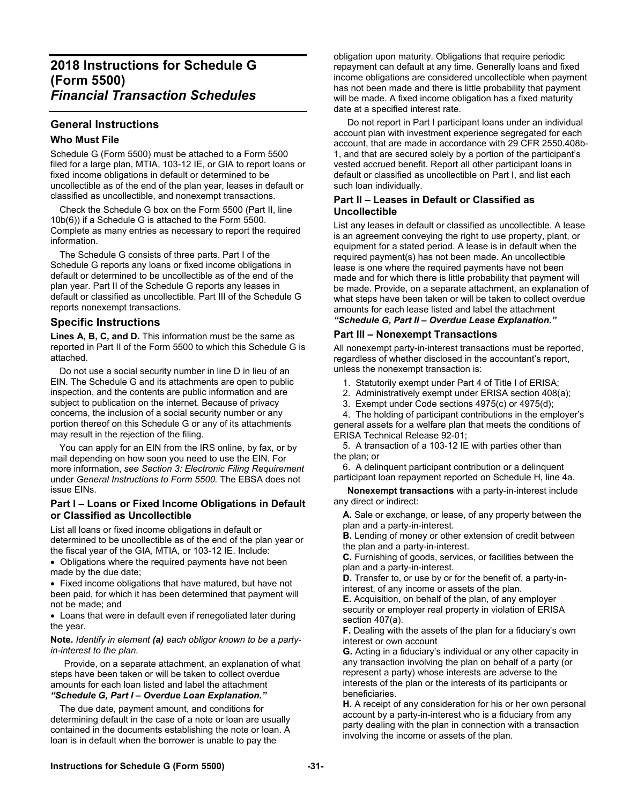# **General Instructions**

#### **Who Must File**

Schedule G (Form 5500) must be attached to a Form 5500 filed for a large plan, MTIA, 103-12 IE, or GIA to report loans or fixed income obligations in default or determined to be uncollectible as of the end of the plan year, leases in default or classified as uncollectible, and nonexempt transactions.

 Check the Schedule G box on the Form 5500 (Part II, line 10b(6)) if a Schedule G is attached to the Form 5500. Complete as many entries as necessary to report the required information.

 The Schedule G consists of three parts. Part I of the Schedule G reports any loans or fixed income obligations in default or determined to be uncollectible as of the end of the plan year. Part II of the Schedule G reports any leases in default or classified as uncollectible. Part III of the Schedule G reports nonexempt transactions.

#### **Specific Instructions**

Lines A, B, C, and D. This information must be the same as reported in Part II of the Form 5500 to which this Schedule G is attached.

 Do not use a social security number in line D in lieu of an EIN. The Schedule G and its attachments are open to public inspection, and the contents are public information and are subject to publication on the internet. Because of privacy concerns, the inclusion of a social security number or any portion thereof on this Schedule G or any of its attachments may result in the rejection of the filing.

 You can apply for an EIN from the IRS online, by fax, or by mail depending on how soon you need to use the EIN. For more information, *see Section 3: Electronic Filing Requirement*  under *General Instructions to Form 5500.* The EBSA does not issue EINs.

#### **Part I – Loans or Fixed Income Obligations in Default or Classified as Uncollectible**

List all loans or fixed income obligations in default or determined to be uncollectible as of the end of the plan year or the fiscal year of the GIA, MTIA, or 103-12 IE. Include:

 Obligations where the required payments have not been made by the due date;

 Fixed income obligations that have matured, but have not been paid, for which it has been determined that payment will not be made; and

 Loans that were in default even if renegotiated later during the year.

#### **Note.** *Identify in element (a) each obligor known to be a partyin-interest to the plan.*

 Provide, on a separate attachment, an explanation of what steps have been taken or will be taken to collect overdue amounts for each loan listed and label the attachment *"Schedule G, Part I – Overdue Loan Explanation."* 

 The due date, payment amount, and conditions for determining default in the case of a note or loan are usually contained in the documents establishing the note or loan. A loan is in default when the borrower is unable to pay the

obligation upon maturity. Obligations that require periodic repayment can default at any time. Generally loans and fixed income obligations are considered uncollectible when payment has not been made and there is little probability that payment will be made. A fixed income obligation has a fixed maturity date at a specified interest rate.

 Do not report in Part I participant loans under an individual account plan with investment experience segregated for each account, that are made in accordance with 29 CFR 2550.408b-1, and that are secured solely by a portion of the participant's vested accrued benefit. Report all other participant loans in default or classified as uncollectible on Part I, and list each such loan individually.

#### **Part II – Leases in Default or Classified as Uncollectible**

List any leases in default or classified as uncollectible. A lease is an agreement conveying the right to use property, plant, or equipment for a stated period. A lease is in default when the required payment(s) has not been made. An uncollectible lease is one where the required payments have not been made and for which there is little probability that payment will be made. Provide, on a separate attachment, an explanation of what steps have been taken or will be taken to collect overdue amounts for each lease listed and label the attachment *"Schedule G, Part II – Overdue Lease Explanation."* 

#### **Part III – Nonexempt Transactions**

All nonexempt party-in-interest transactions must be reported, regardless of whether disclosed in the accountant's report, unless the nonexempt transaction is:

- 1. Statutorily exempt under Part 4 of Title I of ERISA;
- 2. Administratively exempt under ERISA section 408(a);
- 3. Exempt under Code sections 4975(c) or 4975(d);

 4. The holding of participant contributions in the employer's general assets for a welfare plan that meets the conditions of ERISA Technical Release 92-01;

 5. A transaction of a 103-12 IE with parties other than the plan; or

 6. A delinquent participant contribution or a delinquent participant loan repayment reported on Schedule H, line 4a.

 **Nonexempt transactions** with a party-in-interest include any direct or indirect:

**A.** Sale or exchange, or lease, of any property between the plan and a party-in-interest.

**B.** Lending of money or other extension of credit between the plan and a party-in-interest.

**C.** Furnishing of goods, services, or facilities between the plan and a party-in-interest.

**D.** Transfer to, or use by or for the benefit of, a party-ininterest, of any income or assets of the plan.

**E.** Acquisition, on behalf of the plan, of any employer security or employer real property in violation of ERISA section 407(a).

**F.** Dealing with the assets of the plan for a fiduciary's own interest or own account

**G.** Acting in a fiduciary's individual or any other capacity in any transaction involving the plan on behalf of a party (or represent a party) whose interests are adverse to the interests of the plan or the interests of its participants or beneficiaries.

**H.** A receipt of any consideration for his or her own personal account by a party-in-interest who is a fiduciary from any party dealing with the plan in connection with a transaction involving the income or assets of the plan.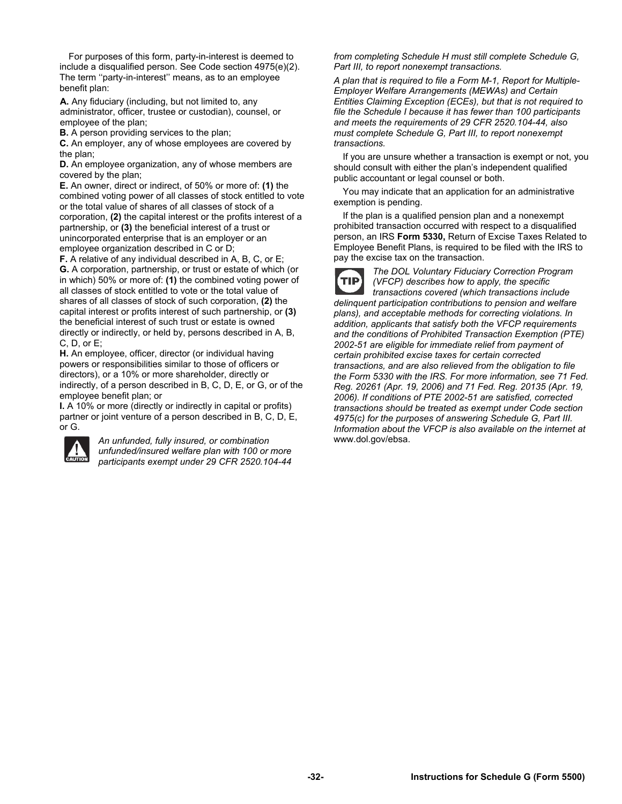For purposes of this form, party-in-interest is deemed to include a disqualified person. See Code section 4975(e)(2). The term ''party-in-interest'' means, as to an employee benefit plan:

**A.** Any fiduciary (including, but not limited to, any administrator, officer, trustee or custodian), counsel, or employee of the plan;

**B.** A person providing services to the plan;

**C.** An employer, any of whose employees are covered by the plan;

**D.** An employee organization, any of whose members are covered by the plan;

**E.** An owner, direct or indirect, of 50% or more of: **(1)** the combined voting power of all classes of stock entitled to vote or the total value of shares of all classes of stock of a corporation, **(2)** the capital interest or the profits interest of a partnership, or **(3)** the beneficial interest of a trust or unincorporated enterprise that is an employer or an employee organization described in C or D;

**F.** A relative of any individual described in A, B, C, or E; **G.** A corporation, partnership, or trust or estate of which (or in which) 50% or more of: **(1)** the combined voting power of all classes of stock entitled to vote or the total value of shares of all classes of stock of such corporation, **(2)** the capital interest or profits interest of such partnership, or **(3)**  the beneficial interest of such trust or estate is owned directly or indirectly, or held by, persons described in A, B, C, D, or E;

**H.** An employee, officer, director (or individual having powers or responsibilities similar to those of officers or directors), or a 10% or more shareholder, directly or indirectly, of a person described in B, C, D, E, or G, or of the employee benefit plan; or

**I.** A 10% or more (directly or indirectly in capital or profits) partner or joint venture of a person described in B, C, D, E, or G.



*An unfunded, fully insured, or combination unfunded/insured welfare plan with 100 or more participants exempt under 29 CFR 2520.104-44*  *from completing Schedule H must still complete Schedule G, Part III, to report nonexempt transactions.* 

*A plan that is required to file a Form M-1, Report for Multiple-Employer Welfare Arrangements (MEWAs) and Certain Entities Claiming Exception (ECEs), but that is not required to file the Schedule I because it has fewer than 100 participants and meets the requirements of 29 CFR 2520.104-44, also must complete Schedule G, Part III, to report nonexempt transactions.* 

 If you are unsure whether a transaction is exempt or not, you should consult with either the plan's independent qualified public accountant or legal counsel or both.

 You may indicate that an application for an administrative exemption is pending.

 If the plan is a qualified pension plan and a nonexempt prohibited transaction occurred with respect to a disqualified person, an IRS **Form 5330,** Return of Excise Taxes Related to Employee Benefit Plans, is required to be filed with the IRS to pay the excise tax on the transaction.

*The DOL Voluntary Fiduciary Correction Program*  **TIP** *(VFCP) describes how to apply, the specific transactions covered (which transactions include delinquent participation contributions to pension and welfare plans), and acceptable methods for correcting violations. In addition, applicants that satisfy both the VFCP requirements and the conditions of Prohibited Transaction Exemption (PTE) 2002-51 are eligible for immediate relief from payment of certain prohibited excise taxes for certain corrected transactions, and are also relieved from the obligation to file the Form 5330 with the IRS. For more information, see 71 Fed. Reg. 20261 (Apr. 19, 2006) and 71 Fed. Reg. 20135 (Apr. 19, 2006). If conditions of PTE 2002-51 are satisfied, corrected transactions should be treated as exempt under Code section 4975(c) for the purposes of answering Schedule G, Part III. Information about the VFCP is also available on the internet at*  www.dol.gov/ebsa.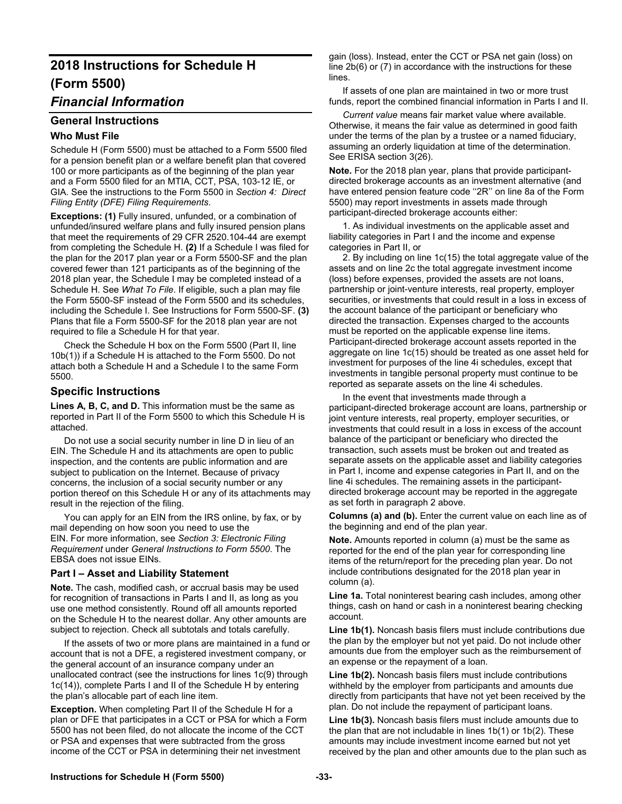# **2018 Instructions for Schedule H (Form 5500)**

# *Financial Information*

#### **General Instructions**

#### **Who Must File**

Schedule H (Form 5500) must be attached to a Form 5500 filed for a pension benefit plan or a welfare benefit plan that covered 100 or more participants as of the beginning of the plan year and a Form 5500 filed for an MTIA, CCT, PSA, 103-12 IE, or GIA. See the instructions to the Form 5500 in *Section 4: Direct Filing Entity (DFE) Filing Requirements*.

**Exceptions: (1)** Fully insured, unfunded, or a combination of unfunded/insured welfare plans and fully insured pension plans that meet the requirements of 29 CFR 2520.104-44 are exempt from completing the Schedule H. **(2)** If a Schedule I was filed for the plan for the 2017 plan year or a Form 5500-SF and the plan covered fewer than 121 participants as of the beginning of the 2018 plan year, the Schedule I may be completed instead of a Schedule H. See *What To File*. If eligible, such a plan may file the Form 5500-SF instead of the Form 5500 and its schedules, including the Schedule I. See Instructions for Form 5500-SF. **(3)**  Plans that file a Form 5500-SF for the 2018 plan year are not required to file a Schedule H for that year.

 Check the Schedule H box on the Form 5500 (Part II, line 10b(1)) if a Schedule H is attached to the Form 5500. Do not attach both a Schedule H and a Schedule I to the same Form 5500.

#### **Specific Instructions**

Lines A, B, C, and D. This information must be the same as reported in Part II of the Form 5500 to which this Schedule H is attached.

 Do not use a social security number in line D in lieu of an EIN. The Schedule H and its attachments are open to public inspection, and the contents are public information and are subject to publication on the Internet. Because of privacy concerns, the inclusion of a social security number or any portion thereof on this Schedule H or any of its attachments may result in the rejection of the filing.

 You can apply for an EIN from the IRS online, by fax, or by mail depending on how soon you need to use the EIN. For more information, see *Section 3: Electronic Filing Requirement* under *General Instructions to Form 5500*. The EBSA does not issue EINs.

#### **Part I – Asset and Liability Statement**

**Note.** The cash, modified cash, or accrual basis may be used for recognition of transactions in Parts I and II, as long as you use one method consistently. Round off all amounts reported on the Schedule H to the nearest dollar. Any other amounts are subject to rejection. Check all subtotals and totals carefully.

 If the assets of two or more plans are maintained in a fund or account that is not a DFE, a registered investment company, or the general account of an insurance company under an unallocated contract (see the instructions for lines 1c(9) through 1c(14)), complete Parts I and II of the Schedule H by entering the plan's allocable part of each line item.

**Exception.** When completing Part II of the Schedule H for a plan or DFE that participates in a CCT or PSA for which a Form 5500 has not been filed, do not allocate the income of the CCT or PSA and expenses that were subtracted from the gross income of the CCT or PSA in determining their net investment

gain (loss). Instead, enter the CCT or PSA net gain (loss) on line 2b(6) or (7) in accordance with the instructions for these lines.

 If assets of one plan are maintained in two or more trust funds, report the combined financial information in Parts I and II.

 *Current value* means fair market value where available. Otherwise, it means the fair value as determined in good faith under the terms of the plan by a trustee or a named fiduciary, assuming an orderly liquidation at time of the determination. See ERISA section 3(26).

**Note.** For the 2018 plan year, plans that provide participantdirected brokerage accounts as an investment alternative (and have entered pension feature code ''2R'' on line 8a of the Form 5500) may report investments in assets made through participant-directed brokerage accounts either:

 1. As individual investments on the applicable asset and liability categories in Part I and the income and expense categories in Part II, or

 2. By including on line 1c(15) the total aggregate value of the assets and on line 2c the total aggregate investment income (loss) before expenses, provided the assets are not loans, partnership or joint-venture interests, real property, employer securities, or investments that could result in a loss in excess of the account balance of the participant or beneficiary who directed the transaction. Expenses charged to the accounts must be reported on the applicable expense line items. Participant-directed brokerage account assets reported in the aggregate on line 1c(15) should be treated as one asset held for investment for purposes of the line 4i schedules, except that investments in tangible personal property must continue to be reported as separate assets on the line 4i schedules.

 In the event that investments made through a participant-directed brokerage account are loans, partnership or joint venture interests, real property, employer securities, or investments that could result in a loss in excess of the account balance of the participant or beneficiary who directed the transaction, such assets must be broken out and treated as separate assets on the applicable asset and liability categories in Part I, income and expense categories in Part II, and on the line 4i schedules. The remaining assets in the participantdirected brokerage account may be reported in the aggregate as set forth in paragraph 2 above.

**Columns (a) and (b).** Enter the current value on each line as of the beginning and end of the plan year.

**Note.** Amounts reported in column (a) must be the same as reported for the end of the plan year for corresponding line items of the return/report for the preceding plan year. Do not include contributions designated for the 2018 plan year in column (a).

**Line 1a.** Total noninterest bearing cash includes, among other things, cash on hand or cash in a noninterest bearing checking account.

**Line 1b(1).** Noncash basis filers must include contributions due the plan by the employer but not yet paid. Do not include other amounts due from the employer such as the reimbursement of an expense or the repayment of a loan.

**Line 1b(2).** Noncash basis filers must include contributions withheld by the employer from participants and amounts due directly from participants that have not yet been received by the plan. Do not include the repayment of participant loans.

**Line 1b(3).** Noncash basis filers must include amounts due to the plan that are not includable in lines 1b(1) or 1b(2). These amounts may include investment income earned but not yet received by the plan and other amounts due to the plan such as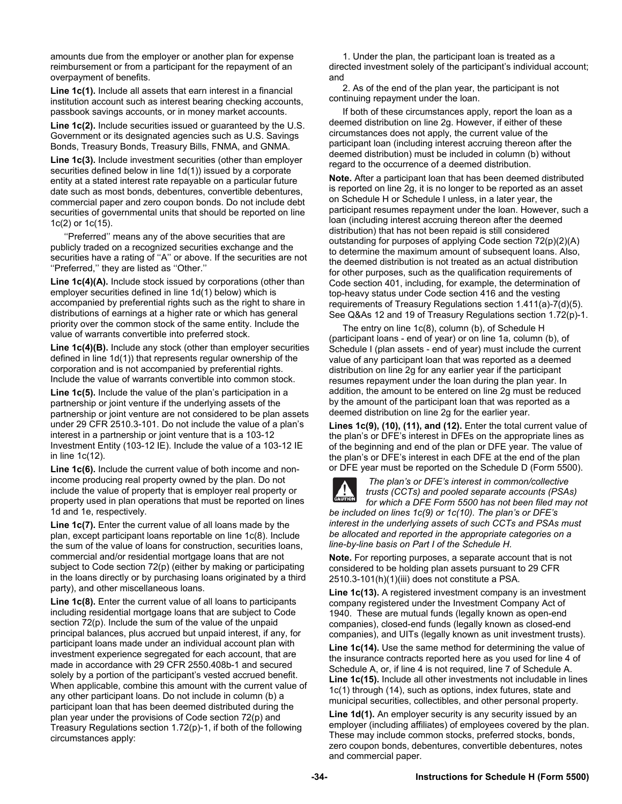amounts due from the employer or another plan for expense reimbursement or from a participant for the repayment of an overpayment of benefits.

**Line 1c(1).** Include all assets that earn interest in a financial institution account such as interest bearing checking accounts, passbook savings accounts, or in money market accounts.

**Line 1c(2).** Include securities issued or guaranteed by the U.S. Government or its designated agencies such as U.S. Savings Bonds, Treasury Bonds, Treasury Bills, FNMA, and GNMA.

**Line 1c(3).** Include investment securities (other than employer securities defined below in line 1d(1)) issued by a corporate entity at a stated interest rate repayable on a particular future date such as most bonds, debentures, convertible debentures, commercial paper and zero coupon bonds. Do not include debt securities of governmental units that should be reported on line 1c(2) or 1c(15).

 ''Preferred'' means any of the above securities that are publicly traded on a recognized securities exchange and the securities have a rating of ''A'' or above. If the securities are not ''Preferred,'' they are listed as ''Other.''

**Line 1c(4)(A).** Include stock issued by corporations (other than employer securities defined in line 1d(1) below) which is accompanied by preferential rights such as the right to share in distributions of earnings at a higher rate or which has general priority over the common stock of the same entity. Include the value of warrants convertible into preferred stock.

**Line 1c(4)(B).** Include any stock (other than employer securities defined in line 1d(1)) that represents regular ownership of the corporation and is not accompanied by preferential rights. Include the value of warrants convertible into common stock.

**Line 1c(5).** Include the value of the plan's participation in a partnership or joint venture if the underlying assets of the partnership or joint venture are not considered to be plan assets under 29 CFR 2510.3-101. Do not include the value of a plan's interest in a partnership or joint venture that is a 103-12 Investment Entity (103-12 IE). Include the value of a 103-12 IE in line 1c(12).

**Line 1c(6).** Include the current value of both income and nonincome producing real property owned by the plan. Do not include the value of property that is employer real property or property used in plan operations that must be reported on lines 1d and 1e, respectively.

Line 1c(7). Enter the current value of all loans made by the plan, except participant loans reportable on line 1c(8). Include the sum of the value of loans for construction, securities loans, commercial and/or residential mortgage loans that are not subject to Code section 72(p) (either by making or participating in the loans directly or by purchasing loans originated by a third party), and other miscellaneous loans.

**Line 1c(8).** Enter the current value of all loans to participants including residential mortgage loans that are subject to Code section 72(p). Include the sum of the value of the unpaid principal balances, plus accrued but unpaid interest, if any, for participant loans made under an individual account plan with investment experience segregated for each account, that are made in accordance with 29 CFR 2550.408b-1 and secured solely by a portion of the participant's vested accrued benefit. When applicable, combine this amount with the current value of any other participant loans. Do not include in column (b) a participant loan that has been deemed distributed during the plan year under the provisions of Code section 72(p) and Treasury Regulations section 1.72(p)-1, if both of the following circumstances apply:

 1. Under the plan, the participant loan is treated as a directed investment solely of the participant's individual account; and

 2. As of the end of the plan year, the participant is not continuing repayment under the loan.

 If both of these circumstances apply, report the loan as a deemed distribution on line 2g. However, if either of these circumstances does not apply, the current value of the participant loan (including interest accruing thereon after the deemed distribution) must be included in column (b) without regard to the occurrence of a deemed distribution.

**Note.** After a participant loan that has been deemed distributed is reported on line 2g, it is no longer to be reported as an asset on Schedule H or Schedule I unless, in a later year, the participant resumes repayment under the loan. However, such a loan (including interest accruing thereon after the deemed distribution) that has not been repaid is still considered outstanding for purposes of applying Code section 72(p)(2)(A) to determine the maximum amount of subsequent loans. Also, the deemed distribution is not treated as an actual distribution for other purposes, such as the qualification requirements of Code section 401, including, for example, the determination of top-heavy status under Code section 416 and the vesting requirements of Treasury Regulations section 1.411(a)-7(d)(5). See Q&As 12 and 19 of Treasury Regulations section 1.72(p)-1.

 The entry on line 1c(8), column (b), of Schedule H (participant loans - end of year) or on line 1a, column (b), of Schedule I (plan assets - end of year) must include the current value of any participant loan that was reported as a deemed distribution on line 2g for any earlier year if the participant resumes repayment under the loan during the plan year. In addition, the amount to be entered on line 2g must be reduced by the amount of the participant loan that was reported as a deemed distribution on line 2g for the earlier year.

**Lines 1c(9), (10), (11), and (12).** Enter the total current value of the plan's or DFE's interest in DFEs on the appropriate lines as of the beginning and end of the plan or DFE year. The value of the plan's or DFE's interest in each DFE at the end of the plan or DFE year must be reported on the Schedule D (Form 5500).



 *The plan's or DFE's interest in common/collective trusts (CCTs) and pooled separate accounts (PSAs) for which a DFE Form 5500 has not been filed may not* 

*be included on lines 1c(9) or 1c(10). The plan's or DFE's interest in the underlying assets of such CCTs and PSAs must be allocated and reported in the appropriate categories on a line-by-line basis on Part I of the Schedule H.* 

**Note.** For reporting purposes, a separate account that is not considered to be holding plan assets pursuant to 29 CFR 2510.3-101(h)(1)(iii) does not constitute a PSA.

**Line 1c(13).** A registered investment company is an investment company registered under the Investment Company Act of 1940. These are mutual funds (legally known as open-end companies), closed-end funds (legally known as closed-end companies), and UITs (legally known as unit investment trusts).

**Line 1c(14).** Use the same method for determining the value of the insurance contracts reported here as you used for line 4 of Schedule A, or, if line 4 is not required, line 7 of Schedule A. **Line 1c(15).** Include all other investments not includable in lines 1c(1) through (14), such as options, index futures, state and municipal securities, collectibles, and other personal property.

**Line 1d(1).** An employer security is any security issued by an employer (including affiliates) of employees covered by the plan. These may include common stocks, preferred stocks, bonds, zero coupon bonds, debentures, convertible debentures, notes and commercial paper.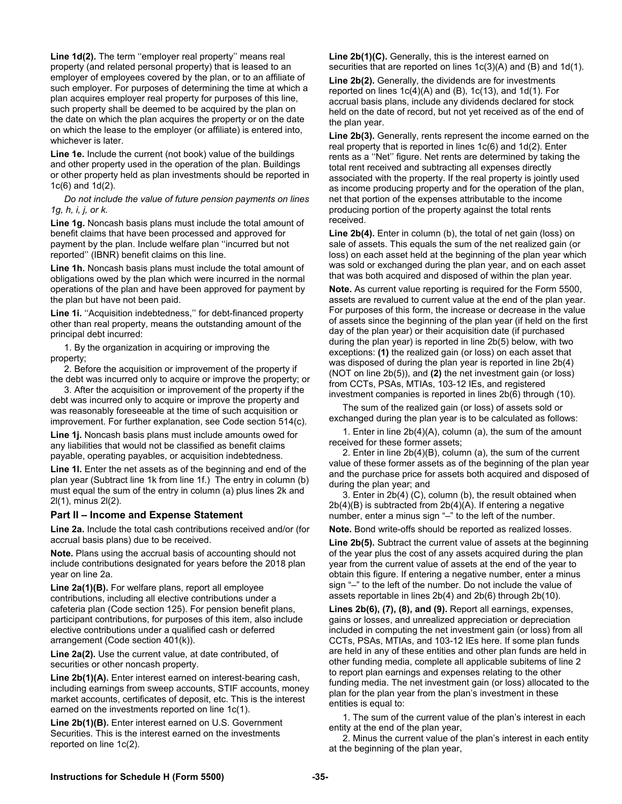**Line 1d(2).** The term ''employer real property'' means real property (and related personal property) that is leased to an employer of employees covered by the plan, or to an affiliate of such employer. For purposes of determining the time at which a plan acquires employer real property for purposes of this line, such property shall be deemed to be acquired by the plan on the date on which the plan acquires the property or on the date on which the lease to the employer (or affiliate) is entered into, whichever is later.

**Line 1e.** Include the current (not book) value of the buildings and other property used in the operation of the plan. Buildings or other property held as plan investments should be reported in 1c(6) and 1d(2).

 *Do not include the value of future pension payments on lines 1g, h, i, j, or k.* 

**Line 1g.** Noncash basis plans must include the total amount of benefit claims that have been processed and approved for payment by the plan. Include welfare plan ''incurred but not reported'' (IBNR) benefit claims on this line.

**Line 1h.** Noncash basis plans must include the total amount of obligations owed by the plan which were incurred in the normal operations of the plan and have been approved for payment by the plan but have not been paid.

Line 1i. "Acquisition indebtedness," for debt-financed property other than real property, means the outstanding amount of the principal debt incurred:

 1. By the organization in acquiring or improving the property;

 2. Before the acquisition or improvement of the property if the debt was incurred only to acquire or improve the property; or

 3. After the acquisition or improvement of the property if the debt was incurred only to acquire or improve the property and was reasonably foreseeable at the time of such acquisition or improvement. For further explanation, see Code section 514(c).

**Line 1j.** Noncash basis plans must include amounts owed for any liabilities that would not be classified as benefit claims payable, operating payables, or acquisition indebtedness.

Line 1I. Enter the net assets as of the beginning and end of the plan year (Subtract line 1k from line 1f.) The entry in column (b) must equal the sum of the entry in column (a) plus lines 2k and 2l(1), minus 2l(2).

#### **Part II – Income and Expense Statement**

**Line 2a.** Include the total cash contributions received and/or (for accrual basis plans) due to be received.

**Note.** Plans using the accrual basis of accounting should not include contributions designated for years before the 2018 plan year on line 2a.

**Line 2a(1)(B).** For welfare plans, report all employee contributions, including all elective contributions under a cafeteria plan (Code section 125). For pension benefit plans, participant contributions, for purposes of this item, also include elective contributions under a qualified cash or deferred arrangement (Code section 401(k)).

**Line 2a(2).** Use the current value, at date contributed, of securities or other noncash property.

**Line 2b(1)(A).** Enter interest earned on interest-bearing cash, including earnings from sweep accounts, STIF accounts, money market accounts, certificates of deposit, etc. This is the interest earned on the investments reported on line 1c(1).

**Line 2b(1)(B).** Enter interest earned on U.S. Government Securities. This is the interest earned on the investments reported on line 1c(2).

**Line 2b(1)(C).** Generally, this is the interest earned on securities that are reported on lines 1c(3)(A) and (B) and 1d(1).

**Line 2b(2).** Generally, the dividends are for investments reported on lines  $1c(4)(A)$  and  $(B)$ ,  $1c(13)$ , and  $1d(1)$ . For accrual basis plans, include any dividends declared for stock held on the date of record, but not yet received as of the end of the plan year.

**Line 2b(3).** Generally, rents represent the income earned on the real property that is reported in lines 1c(6) and 1d(2). Enter rents as a ''Net'' figure. Net rents are determined by taking the total rent received and subtracting all expenses directly associated with the property. If the real property is jointly used as income producing property and for the operation of the plan, net that portion of the expenses attributable to the income producing portion of the property against the total rents received.

**Line 2b(4).** Enter in column (b), the total of net gain (loss) on sale of assets. This equals the sum of the net realized gain (or loss) on each asset held at the beginning of the plan year which was sold or exchanged during the plan year, and on each asset that was both acquired and disposed of within the plan year.

**Note.** As current value reporting is required for the Form 5500, assets are revalued to current value at the end of the plan year. For purposes of this form, the increase or decrease in the value of assets since the beginning of the plan year (if held on the first day of the plan year) or their acquisition date (if purchased during the plan year) is reported in line 2b(5) below, with two exceptions: **(1)** the realized gain (or loss) on each asset that was disposed of during the plan year is reported in line 2b(4) (NOT on line 2b(5)), and **(2)** the net investment gain (or loss) from CCTs, PSAs, MTIAs, 103-12 IEs, and registered investment companies is reported in lines 2b(6) through (10).

 The sum of the realized gain (or loss) of assets sold or exchanged during the plan year is to be calculated as follows:

 1. Enter in line 2b(4)(A), column (a), the sum of the amount received for these former assets;

 2. Enter in line 2b(4)(B), column (a), the sum of the current value of these former assets as of the beginning of the plan year and the purchase price for assets both acquired and disposed of during the plan year; and

 3. Enter in 2b(4) (C), column (b), the result obtained when 2b(4)(B) is subtracted from 2b(4)(A). If entering a negative number, enter a minus sign "–" to the left of the number.

**Note.** Bond write-offs should be reported as realized losses.

**Line 2b(5).** Subtract the current value of assets at the beginning of the year plus the cost of any assets acquired during the plan year from the current value of assets at the end of the year to obtain this figure. If entering a negative number, enter a minus sign "–" to the left of the number. Do not include the value of assets reportable in lines 2b(4) and 2b(6) through 2b(10).

**Lines 2b(6), (7), (8), and (9).** Report all earnings, expenses, gains or losses, and unrealized appreciation or depreciation included in computing the net investment gain (or loss) from all CCTs, PSAs, MTIAs, and 103-12 IEs here. If some plan funds are held in any of these entities and other plan funds are held in other funding media, complete all applicable subitems of line 2 to report plan earnings and expenses relating to the other funding media. The net investment gain (or loss) allocated to the plan for the plan year from the plan's investment in these entities is equal to:

 1. The sum of the current value of the plan's interest in each entity at the end of the plan year,

 2. Minus the current value of the plan's interest in each entity at the beginning of the plan year,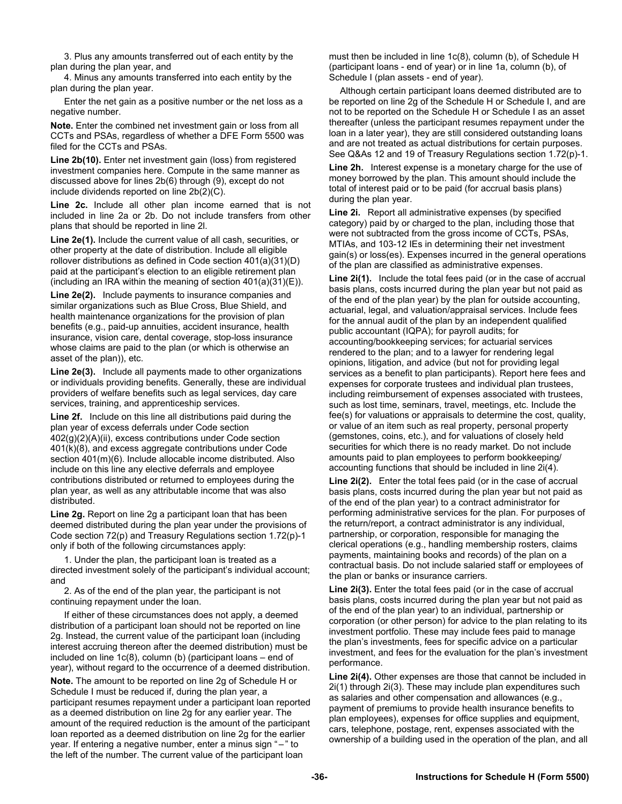3. Plus any amounts transferred out of each entity by the plan during the plan year, and

 4. Minus any amounts transferred into each entity by the plan during the plan year.

 Enter the net gain as a positive number or the net loss as a negative number.

**Note.** Enter the combined net investment gain or loss from all CCTs and PSAs, regardless of whether a DFE Form 5500 was filed for the CCTs and PSAs.

**Line 2b(10).** Enter net investment gain (loss) from registered investment companies here. Compute in the same manner as discussed above for lines 2b(6) through (9), except do not include dividends reported on line 2b(2)(C).

**Line 2c.** Include all other plan income earned that is not included in line 2a or 2b. Do not include transfers from other plans that should be reported in line 2l.

**Line 2e(1).** Include the current value of all cash, securities, or other property at the date of distribution. Include all eligible rollover distributions as defined in Code section 401(a)(31)(D) paid at the participant's election to an eligible retirement plan (including an IRA within the meaning of section  $401(a)(31)(E)$ ).

**Line 2e(2).** Include payments to insurance companies and similar organizations such as Blue Cross, Blue Shield, and health maintenance organizations for the provision of plan benefits (e.g., paid-up annuities, accident insurance, health insurance, vision care, dental coverage, stop-loss insurance whose claims are paid to the plan (or which is otherwise an asset of the plan)), etc.

**Line 2e(3).** Include all payments made to other organizations or individuals providing benefits. Generally, these are individual providers of welfare benefits such as legal services, day care services, training, and apprenticeship services.

**Line 2f.** Include on this line all distributions paid during the plan year of excess deferrals under Code section 402(g)(2)(A)(ii), excess contributions under Code section 401(k)(8), and excess aggregate contributions under Code section 401(m)(6). Include allocable income distributed. Also include on this line any elective deferrals and employee contributions distributed or returned to employees during the plan year, as well as any attributable income that was also distributed.

**Line 2g.** Report on line 2g a participant loan that has been deemed distributed during the plan year under the provisions of Code section 72(p) and Treasury Regulations section 1.72(p)-1 only if both of the following circumstances apply:

 1. Under the plan, the participant loan is treated as a directed investment solely of the participant's individual account; and

 2. As of the end of the plan year, the participant is not continuing repayment under the loan.

 If either of these circumstances does not apply, a deemed distribution of a participant loan should not be reported on line 2g. Instead, the current value of the participant loan (including interest accruing thereon after the deemed distribution) must be included on line 1c(8), column (b) (participant loans – end of year), without regard to the occurrence of a deemed distribution.

**Note.** The amount to be reported on line 2g of Schedule H or Schedule I must be reduced if, during the plan year, a participant resumes repayment under a participant loan reported as a deemed distribution on line 2g for any earlier year. The amount of the required reduction is the amount of the participant loan reported as a deemed distribution on line 2g for the earlier year. If entering a negative number, enter a minus sign " – " to the left of the number. The current value of the participant loan

must then be included in line 1c(8), column (b), of Schedule H (participant loans - end of year) or in line 1a, column (b), of Schedule I (plan assets - end of year).

Although certain participant loans deemed distributed are to be reported on line 2g of the Schedule H or Schedule I, and are not to be reported on the Schedule H or Schedule I as an asset thereafter (unless the participant resumes repayment under the loan in a later year), they are still considered outstanding loans and are not treated as actual distributions for certain purposes. See Q&As 12 and 19 of Treasury Regulations section 1.72(p)-1.

**Line 2h.** Interest expense is a monetary charge for the use of money borrowed by the plan. This amount should include the total of interest paid or to be paid (for accrual basis plans) during the plan year.

**Line 2i.** Report all administrative expenses (by specified category) paid by or charged to the plan, including those that were not subtracted from the gross income of CCTs, PSAs, MTIAs, and 103-12 IEs in determining their net investment gain(s) or loss(es). Expenses incurred in the general operations of the plan are classified as administrative expenses.

**Line 2i(1).** Include the total fees paid (or in the case of accrual basis plans, costs incurred during the plan year but not paid as of the end of the plan year) by the plan for outside accounting, actuarial, legal, and valuation/appraisal services. Include fees for the annual audit of the plan by an independent qualified public accountant (IQPA); for payroll audits; for accounting/bookkeeping services; for actuarial services rendered to the plan; and to a lawyer for rendering legal opinions, litigation, and advice (but not for providing legal services as a benefit to plan participants). Report here fees and expenses for corporate trustees and individual plan trustees, including reimbursement of expenses associated with trustees, such as lost time, seminars, travel, meetings, etc. Include the fee(s) for valuations or appraisals to determine the cost, quality, or value of an item such as real property, personal property (gemstones, coins, etc.), and for valuations of closely held securities for which there is no ready market. Do not include amounts paid to plan employees to perform bookkeeping/ accounting functions that should be included in line 2i(4).

**Line 2i(2).** Enter the total fees paid (or in the case of accrual basis plans, costs incurred during the plan year but not paid as of the end of the plan year) to a contract administrator for performing administrative services for the plan. For purposes of the return/report, a contract administrator is any individual, partnership, or corporation, responsible for managing the clerical operations (e.g., handling membership rosters, claims payments, maintaining books and records) of the plan on a contractual basis. Do not include salaried staff or employees of the plan or banks or insurance carriers.

**Line 2i(3).** Enter the total fees paid (or in the case of accrual basis plans, costs incurred during the plan year but not paid as of the end of the plan year) to an individual, partnership or corporation (or other person) for advice to the plan relating to its investment portfolio. These may include fees paid to manage the plan's investments, fees for specific advice on a particular investment, and fees for the evaluation for the plan's investment performance.

**Line 2i(4).** Other expenses are those that cannot be included in 2i(1) through 2i(3). These may include plan expenditures such as salaries and other compensation and allowances (e.g., payment of premiums to provide health insurance benefits to plan employees), expenses for office supplies and equipment, cars, telephone, postage, rent, expenses associated with the ownership of a building used in the operation of the plan, and all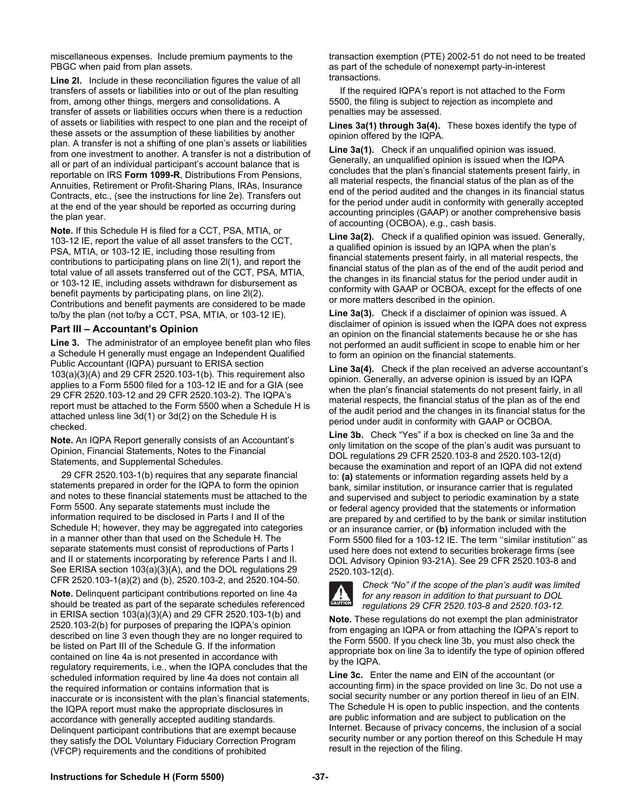miscellaneous expenses. Include premium payments to the PBGC when paid from plan assets.

**Line 2I.** Include in these reconciliation figures the value of all transfers of assets or liabilities into or out of the plan resulting from, among other things, mergers and consolidations. A transfer of assets or liabilities occurs when there is a reduction of assets or liabilities with respect to one plan and the receipt of these assets or the assumption of these liabilities by another plan. A transfer is not a shifting of one plan's assets or liabilities from one investment to another. A transfer is not a distribution of all or part of an individual participant's account balance that is reportable on IRS **Form 1099-R**, Distributions From Pensions, Annuities, Retirement or Profit-Sharing Plans, IRAs, Insurance Contracts, etc., (see the instructions for line 2e). Transfers out at the end of the year should be reported as occurring during the plan year.

**Note.** If this Schedule H is filed for a CCT, PSA, MTIA, or 103-12 IE, report the value of all asset transfers to the CCT, PSA, MTIA, or 103-12 IE, including those resulting from contributions to participating plans on line 2l(1), and report the total value of all assets transferred out of the CCT, PSA, MTIA, or 103-12 IE, including assets withdrawn for disbursement as benefit payments by participating plans, on line 2l(2). Contributions and benefit payments are considered to be made to/by the plan (not to/by a CCT, PSA, MTIA, or 103-12 IE).

### **Part III – Accountant's Opinion**

**Line 3.** The administrator of an employee benefit plan who files a Schedule H generally must engage an Independent Qualified Public Accountant (IQPA) pursuant to ERISA section 103(a)(3)(A) and 29 CFR 2520.103-1(b). This requirement also applies to a Form 5500 filed for a 103-12 IE and for a GIA (see 29 CFR 2520.103-12 and 29 CFR 2520.103-2). The IQPA's report must be attached to the Form 5500 when a Schedule H is attached unless line 3d(1) or 3d(2) on the Schedule H is checked.

**Note.** An IQPA Report generally consists of an Accountant's Opinion, Financial Statements, Notes to the Financial Statements, and Supplemental Schedules.

29 CFR 2520.103-1(b) requires that any separate financial statements prepared in order for the IQPA to form the opinion and notes to these financial statements must be attached to the Form 5500. Any separate statements must include the information required to be disclosed in Parts I and II of the Schedule H; however, they may be aggregated into categories in a manner other than that used on the Schedule H. The separate statements must consist of reproductions of Parts I and II or statements incorporating by reference Parts I and II. See ERISA section 103(a)(3)(A), and the DOL regulations 29 CFR 2520.103-1(a)(2) and (b), 2520.103-2, and 2520.104-50.

**Note.** Delinquent participant contributions reported on line 4a should be treated as part of the separate schedules referenced in ERISA section 103(a)(3)(A) and 29 CFR 2520.103-1(b) and 2520.103-2(b) for purposes of preparing the IQPA's opinion described on line 3 even though they are no longer required to be listed on Part III of the Schedule G. If the information contained on line 4a is not presented in accordance with regulatory requirements, i.e., when the IQPA concludes that the scheduled information required by line 4a does not contain all the required information or contains information that is inaccurate or is inconsistent with the plan's financial statements, the IQPA report must make the appropriate disclosures in accordance with generally accepted auditing standards. Delinquent participant contributions that are exempt because they satisfy the DOL Voluntary Fiduciary Correction Program (VFCP) requirements and the conditions of prohibited

transaction exemption (PTE) 2002-51 do not need to be treated as part of the schedule of nonexempt party-in-interest transactions.

If the required IQPA's report is not attached to the Form 5500, the filing is subject to rejection as incomplete and penalties may be assessed.

**Lines 3a(1) through 3a(4).** These boxes identify the type of opinion offered by the IQPA.

**Line 3a(1).** Check if an unqualified opinion was issued. Generally, an unqualified opinion is issued when the IQPA concludes that the plan's financial statements present fairly, in all material respects, the financial status of the plan as of the end of the period audited and the changes in its financial status for the period under audit in conformity with generally accepted accounting principles (GAAP) or another comprehensive basis of accounting (OCBOA), e.g., cash basis.

**Line 3a(2).** Check if a qualified opinion was issued. Generally, a qualified opinion is issued by an IQPA when the plan's financial statements present fairly, in all material respects, the financial status of the plan as of the end of the audit period and the changes in its financial status for the period under audit in conformity with GAAP or OCBOA, except for the effects of one or more matters described in the opinion.

**Line 3a(3).** Check if a disclaimer of opinion was issued. A disclaimer of opinion is issued when the IQPA does not express an opinion on the financial statements because he or she has not performed an audit sufficient in scope to enable him or her to form an opinion on the financial statements.

**Line 3a(4).** Check if the plan received an adverse accountant's opinion. Generally, an adverse opinion is issued by an IQPA when the plan's financial statements do not present fairly, in all material respects, the financial status of the plan as of the end of the audit period and the changes in its financial status for the period under audit in conformity with GAAP or OCBOA.

**Line 3b.** Check "Yes" if a box is checked on line 3a and the only limitation on the scope of the plan's audit was pursuant to DOL regulations 29 CFR 2520.103-8 and 2520.103-12(d) because the examination and report of an IQPA did not extend to: **(a)** statements or information regarding assets held by a bank, similar institution, or insurance carrier that is regulated and supervised and subject to periodic examination by a state or federal agency provided that the statements or information are prepared by and certified to by the bank or similar institution or an insurance carrier, or **(b)** information included with the Form 5500 filed for a 103-12 IE. The term ''similar institution'' as used here does not extend to securities brokerage firms (see DOL Advisory Opinion 93-21A). See 29 CFR 2520.103-8 and 2520.103-12(d).



*Check "No" if the scope of the plan's audit was limited for any reason in addition to that pursuant to DOL regulations 29 CFR 2520.103-8 and 2520.103-12.* 

**Note.** These regulations do not exempt the plan administrator from engaging an IQPA or from attaching the IQPA's report to the Form 5500. If you check line 3b, you must also check the appropriate box on line 3a to identify the type of opinion offered by the IQPA.

**Line 3c.** Enter the name and EIN of the accountant (or accounting firm) in the space provided on line 3c. Do not use a social security number or any portion thereof in lieu of an EIN. The Schedule H is open to public inspection, and the contents are public information and are subject to publication on the Internet. Because of privacy concerns, the inclusion of a social security number or any portion thereof on this Schedule H may result in the rejection of the filing.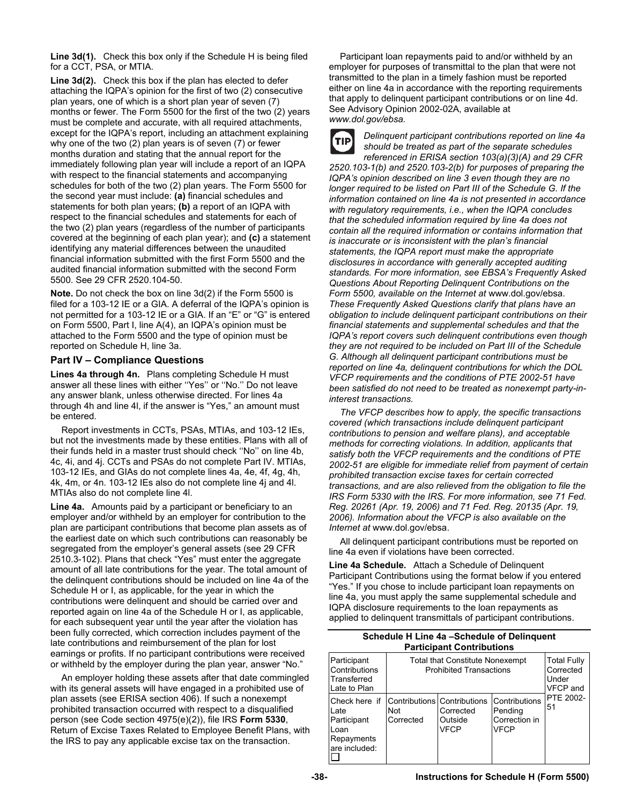**Line 3d(1).** Check this box only if the Schedule H is being filed for a CCT, PSA, or MTIA.

**Line 3d(2).** Check this box if the plan has elected to defer attaching the IQPA's opinion for the first of two (2) consecutive plan years, one of which is a short plan year of seven (7) months or fewer. The Form 5500 for the first of the two (2) years must be complete and accurate, with all required attachments, except for the IQPA's report, including an attachment explaining why one of the two (2) plan years is of seven (7) or fewer months duration and stating that the annual report for the immediately following plan year will include a report of an IQPA with respect to the financial statements and accompanying schedules for both of the two (2) plan years. The Form 5500 for the second year must include: **(a)** financial schedules and statements for both plan years; **(b)** a report of an IQPA with respect to the financial schedules and statements for each of the two (2) plan years (regardless of the number of participants covered at the beginning of each plan year); and **(c)** a statement identifying any material differences between the unaudited financial information submitted with the first Form 5500 and the audited financial information submitted with the second Form 5500. See 29 CFR 2520.104-50.

**Note.** Do not check the box on line 3d(2) if the Form 5500 is filed for a 103-12 IE or a GIA. A deferral of the IQPA's opinion is not permitted for a 103-12 IE or a GIA. If an "E" or "G" is entered on Form 5500, Part I, line A(4), an IQPA's opinion must be attached to the Form 5500 and the type of opinion must be reported on Schedule H, line 3a.

# **Part IV – Compliance Questions**

**Lines 4a through 4n.** Plans completing Schedule H must answer all these lines with either ''Yes'' or ''No.'' Do not leave any answer blank, unless otherwise directed. For lines 4a through 4h and line 4l, if the answer is "Yes," an amount must be entered.

Report investments in CCTs, PSAs, MTIAs, and 103-12 IEs, but not the investments made by these entities. Plans with all of their funds held in a master trust should check ''No'' on line 4b, 4c, 4i, and 4j. CCTs and PSAs do not complete Part IV. MTIAs, 103-12 IEs, and GIAs do not complete lines 4a, 4e, 4f, 4g, 4h, 4k, 4m, or 4n. 103-12 IEs also do not complete line 4j and 4l. MTIAs also do not complete line 4l.

**Line 4a.** Amounts paid by a participant or beneficiary to an employer and/or withheld by an employer for contribution to the plan are participant contributions that become plan assets as of the earliest date on which such contributions can reasonably be segregated from the employer's general assets (see 29 CFR 2510.3-102). Plans that check "Yes" must enter the aggregate amount of all late contributions for the year. The total amount of the delinquent contributions should be included on line 4a of the Schedule H or I, as applicable, for the year in which the contributions were delinquent and should be carried over and reported again on line 4a of the Schedule H or I, as applicable, for each subsequent year until the year after the violation has been fully corrected, which correction includes payment of the late contributions and reimbursement of the plan for lost earnings or profits. If no participant contributions were received or withheld by the employer during the plan year, answer "No."

An employer holding these assets after that date commingled with its general assets will have engaged in a prohibited use of plan assets (see ERISA section 406). If such a nonexempt prohibited transaction occurred with respect to a disqualified person (see Code section 4975(e)(2)), file IRS **Form 5330**, Return of Excise Taxes Related to Employee Benefit Plans, with the IRS to pay any applicable excise tax on the transaction.

Participant loan repayments paid to and/or withheld by an employer for purposes of transmittal to the plan that were not transmitted to the plan in a timely fashion must be reported either on line 4a in accordance with the reporting requirements that apply to delinquent participant contributions or on line 4d. See Advisory Opinion 2002-02A, available at *www.dol.gov/ebsa.* 



*Delinquent participant contributions reported on line 4a should be treated as part of the separate schedules* 

*referenced in ERISA section 103(a)(3)(A) and 29 CFR 2520.103-1(b) and 2520.103-2(b) for purposes of preparing the IQPA's opinion described on line 3 even though they are no longer required to be listed on Part III of the Schedule G. If the information contained on line 4a is not presented in accordance with regulatory requirements, i.e., when the IQPA concludes that the scheduled information required by line 4a does not contain all the required information or contains information that is inaccurate or is inconsistent with the plan's financial statements, the IQPA report must make the appropriate disclosures in accordance with generally accepted auditing standards. For more information, see EBSA's Frequently Asked Questions About Reporting Delinquent Contributions on the Form 5500, available on the Internet at* www.dol.gov/ebsa. *These Frequently Asked Questions clarify that plans have an obligation to include delinquent participant contributions on their financial statements and supplemental schedules and that the IQPA's report covers such delinquent contributions even though they are not required to be included on Part III of the Schedule G. Although all delinquent participant contributions must be reported on line 4a, delinquent contributions for which the DOL VFCP requirements and the conditions of PTE 2002-51 have been satisfied do not need to be treated as nonexempt party-ininterest transactions.* 

*The VFCP describes how to apply, the specific transactions covered (which transactions include delinquent participant contributions to pension and welfare plans), and acceptable methods for correcting violations. In addition, applicants that satisfy both the VFCP requirements and the conditions of PTE 2002-51 are eligible for immediate relief from payment of certain prohibited transaction excise taxes for certain corrected transactions, and are also relieved from the obligation to file the IRS Form 5330 with the IRS. For more information, see 71 Fed. Reg. 20261 (Apr. 19, 2006) and 71 Fed. Reg. 20135 (Apr. 19, 2006). Information about the VFCP is also available on the Internet at* www.dol.gov/ebsa.

All delinquent participant contributions must be reported on line 4a even if violations have been corrected.

**Line 4a Schedule.** Attach a Schedule of Delinquent Participant Contributions using the format below if you entered "Yes." If you chose to include participant loan repayments on line 4a, you must apply the same supplemental schedule and IQPA disclosure requirements to the loan repayments as applied to delinquent transmittals of participant contributions.

#### **Schedule H Line 4a –Schedule of Delinquent Participant Contributions**

| Participant<br>Contributions<br>Transferred<br>Late to Plan                 | <b>Total that Constitute Nonexempt</b><br><b>Prohibited Transactions</b> | <b>Total Fully</b><br>Corrected<br>Under<br><b>VFCP</b> and |                                                                 |                 |
|-----------------------------------------------------------------------------|--------------------------------------------------------------------------|-------------------------------------------------------------|-----------------------------------------------------------------|-----------------|
| Check here if<br>Late<br>Participant<br>Loan<br>Repayments<br>are included: | Contributions Contributions<br>Not<br>Corrected                          | Corrected<br>Outside<br><b>VFCP</b>                         | <b>Contributions</b><br>Pending<br>Correction in<br><b>VFCP</b> | PTE 2002-<br>51 |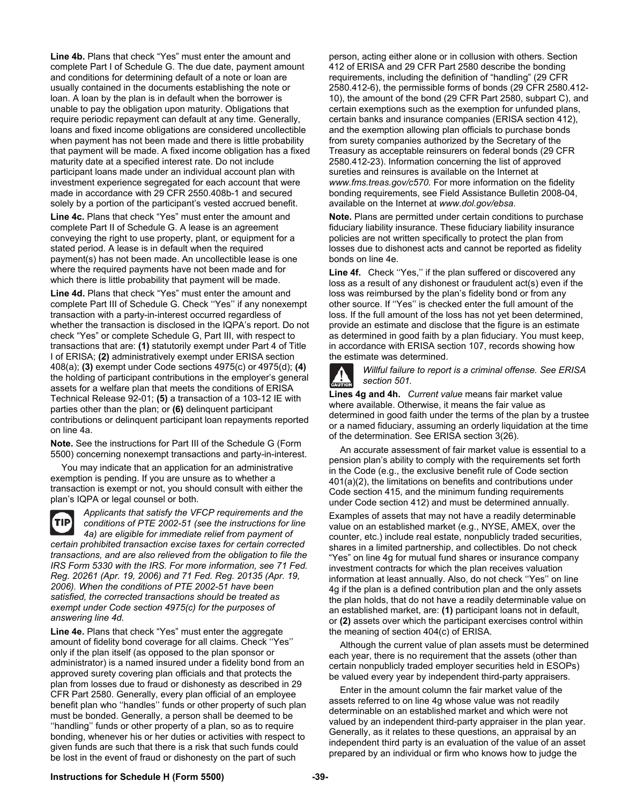**Line 4b.** Plans that check "Yes" must enter the amount and complete Part I of Schedule G. The due date, payment amount and conditions for determining default of a note or loan are usually contained in the documents establishing the note or loan. A loan by the plan is in default when the borrower is unable to pay the obligation upon maturity. Obligations that require periodic repayment can default at any time. Generally, loans and fixed income obligations are considered uncollectible when payment has not been made and there is little probability that payment will be made. A fixed income obligation has a fixed maturity date at a specified interest rate. Do not include participant loans made under an individual account plan with investment experience segregated for each account that were made in accordance with 29 CFR 2550.408b-1 and secured solely by a portion of the participant's vested accrued benefit.

**Line 4c.** Plans that check "Yes" must enter the amount and complete Part II of Schedule G. A lease is an agreement conveying the right to use property, plant, or equipment for a stated period. A lease is in default when the required payment(s) has not been made. An uncollectible lease is one where the required payments have not been made and for which there is little probability that payment will be made.

**Line 4d.** Plans that check "Yes" must enter the amount and complete Part III of Schedule G. Check ''Yes'' if any nonexempt transaction with a party-in-interest occurred regardless of whether the transaction is disclosed in the IQPA's report. Do not check "Yes" or complete Schedule G, Part III, with respect to transactions that are: **(1)** statutorily exempt under Part 4 of Title I of ERISA; **(2)** administratively exempt under ERISA section 408(a); **(3)** exempt under Code sections 4975(c) or 4975(d); **(4)**  the holding of participant contributions in the employer's general assets for a welfare plan that meets the conditions of ERISA Technical Release 92-01; **(5)** a transaction of a 103-12 IE with parties other than the plan; or **(6)** delinquent participant contributions or delinquent participant loan repayments reported on line 4a.

**Note.** See the instructions for Part III of the Schedule G (Form 5500) concerning nonexempt transactions and party-in-interest.

You may indicate that an application for an administrative exemption is pending. If you are unsure as to whether a transaction is exempt or not, you should consult with either the plan's IQPA or legal counsel or both.

TIP

*Applicants that satisfy the VFCP requirements and the conditions of PTE 2002-51 (see the instructions for line 4a) are eligible for immediate relief from payment of certain prohibited transaction excise taxes for certain corrected* 

*transactions, and are also relieved from the obligation to file the IRS Form 5330 with the IRS. For more information, see 71 Fed. Reg. 20261 (Apr. 19, 2006) and 71 Fed. Reg. 20135 (Apr. 19, 2006). When the conditions of PTE 2002-51 have been satisfied, the corrected transactions should be treated as exempt under Code section 4975(c) for the purposes of answering line 4d.* 

**Line 4e.** Plans that check "Yes" must enter the aggregate amount of fidelity bond coverage for all claims. Check ''Yes'' only if the plan itself (as opposed to the plan sponsor or administrator) is a named insured under a fidelity bond from an approved surety covering plan officials and that protects the plan from losses due to fraud or dishonesty as described in 29 CFR Part 2580. Generally, every plan official of an employee benefit plan who ''handles'' funds or other property of such plan must be bonded. Generally, a person shall be deemed to be ''handling'' funds or other property of a plan, so as to require bonding, whenever his or her duties or activities with respect to given funds are such that there is a risk that such funds could be lost in the event of fraud or dishonesty on the part of such

person, acting either alone or in collusion with others. Section 412 of ERISA and 29 CFR Part 2580 describe the bonding requirements, including the definition of "handling" (29 CFR 2580.412-6), the permissible forms of bonds (29 CFR 2580.412- 10), the amount of the bond (29 CFR Part 2580, subpart C), and certain exemptions such as the exemption for unfunded plans, certain banks and insurance companies (ERISA section 412), and the exemption allowing plan officials to purchase bonds from surety companies authorized by the Secretary of the Treasury as acceptable reinsurers on federal bonds (29 CFR 2580.412-23). Information concerning the list of approved sureties and reinsures is available on the Internet at *www.fms.treas.gov/c570.* For more information on the fidelity bonding requirements, see Field Assistance Bulletin 2008-04, available on the Internet at *www.dol.gov/ebsa*.

**Note.** Plans are permitted under certain conditions to purchase fiduciary liability insurance. These fiduciary liability insurance policies are not written specifically to protect the plan from losses due to dishonest acts and cannot be reported as fidelity bonds on line 4e.

**Line 4f.** Check ''Yes,'' if the plan suffered or discovered any loss as a result of any dishonest or fraudulent act(s) even if the loss was reimbursed by the plan's fidelity bond or from any other source. If ''Yes'' is checked enter the full amount of the loss. If the full amount of the loss has not yet been determined, provide an estimate and disclose that the figure is an estimate as determined in good faith by a plan fiduciary. You must keep, in accordance with ERISA section 107, records showing how the estimate was determined.



*Willful failure to report is a criminal offense. See ERISA section 501.* 

**Lines 4g and 4h.** *Current value* means fair market value where available. Otherwise, it means the fair value as determined in good faith under the terms of the plan by a trustee or a named fiduciary, assuming an orderly liquidation at the time of the determination. See ERISA section 3(26).

An accurate assessment of fair market value is essential to a pension plan's ability to comply with the requirements set forth in the Code (e.g., the exclusive benefit rule of Code section 401(a)(2), the limitations on benefits and contributions under Code section 415, and the minimum funding requirements under Code section 412) and must be determined annually.

Examples of assets that may not have a readily determinable value on an established market (e.g., NYSE, AMEX, over the counter, etc.) include real estate, nonpublicly traded securities, shares in a limited partnership, and collectibles. Do not check "Yes" on line 4g for mutual fund shares or insurance company investment contracts for which the plan receives valuation information at least annually. Also, do not check ''Yes'' on line 4g if the plan is a defined contribution plan and the only assets the plan holds, that do not have a readily determinable value on an established market, are: **(1)** participant loans not in default, or **(2)** assets over which the participant exercises control within the meaning of section 404(c) of ERISA.

Although the current value of plan assets must be determined each year, there is no requirement that the assets (other than certain nonpublicly traded employer securities held in ESOPs) be valued every year by independent third-party appraisers.

Enter in the amount column the fair market value of the assets referred to on line 4g whose value was not readily determinable on an established market and which were not valued by an independent third-party appraiser in the plan year. Generally, as it relates to these questions, an appraisal by an independent third party is an evaluation of the value of an asset prepared by an individual or firm who knows how to judge the

# **Instructions for Schedule H (Form 5500) -39-**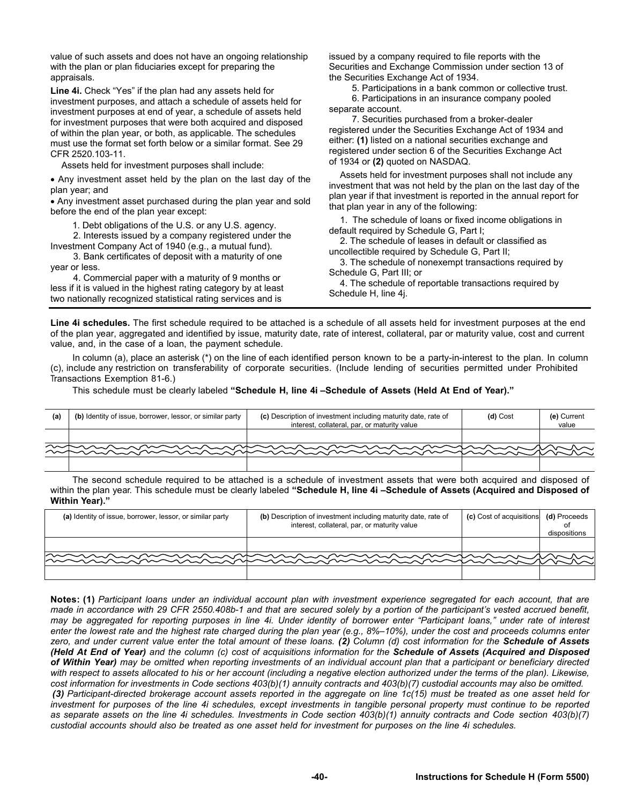value of such assets and does not have an ongoing relationship with the plan or plan fiduciaries except for preparing the appraisals.

**Line 4i.** Check "Yes" if the plan had any assets held for investment purposes, and attach a schedule of assets held for investment purposes at end of year, a schedule of assets held for investment purposes that were both acquired and disposed of within the plan year, or both, as applicable. The schedules must use the format set forth below or a similar format. See 29 CFR 2520.103-11.

Assets held for investment purposes shall include:

 Any investment asset held by the plan on the last day of the plan year; and

 Any investment asset purchased during the plan year and sold before the end of the plan year except:

1. Debt obligations of the U.S. or any U.S. agency.

2. Interests issued by a company registered under the Investment Company Act of 1940 (e.g., a mutual fund).

3. Bank certificates of deposit with a maturity of one year or less.

4. Commercial paper with a maturity of 9 months or less if it is valued in the highest rating category by at least two nationally recognized statistical rating services and is

issued by a company required to file reports with the Securities and Exchange Commission under section 13 of the Securities Exchange Act of 1934.

5. Participations in a bank common or collective trust. 6. Participations in an insurance company pooled separate account.

7. Securities purchased from a broker-dealer registered under the Securities Exchange Act of 1934 and either: **(1)** listed on a national securities exchange and registered under section 6 of the Securities Exchange Act of 1934 or **(2)** quoted on NASDAQ.

Assets held for investment purposes shall not include any investment that was not held by the plan on the last day of the plan year if that investment is reported in the annual report for that plan year in any of the following:

1. The schedule of loans or fixed income obligations in default required by Schedule G, Part I;

2. The schedule of leases in default or classified as uncollectible required by Schedule G, Part II;

3. The schedule of nonexempt transactions required by Schedule G, Part III; or

4. The schedule of reportable transactions required by Schedule H, line 4j.

**Line 4i schedules.** The first schedule required to be attached is a schedule of all assets held for investment purposes at the end of the plan year, aggregated and identified by issue, maturity date, rate of interest, collateral, par or maturity value, cost and current value, and, in the case of a loan, the payment schedule.

 In column (a), place an asterisk (\*) on the line of each identified person known to be a party-in-interest to the plan. In column (c), include any restriction on transferability of corporate securities. (Include lending of securities permitted under Prohibited Transactions Exemption 81-6.)

This schedule must be clearly labeled **"Schedule H, line 4i –Schedule of Assets (Held At End of Year)."**

| (a) | (b) Identity of issue, borrower, lessor, or similar party | (c) Description of investment including maturity date, rate of<br>interest, collateral, par, or maturity value | (d) Cost | (e) Current<br>value |
|-----|-----------------------------------------------------------|----------------------------------------------------------------------------------------------------------------|----------|----------------------|
|     |                                                           |                                                                                                                |          |                      |
|     |                                                           |                                                                                                                |          |                      |
|     |                                                           |                                                                                                                |          |                      |

 The second schedule required to be attached is a schedule of investment assets that were both acquired and disposed of within the plan year. This schedule must be clearly labeled **"Schedule H, line 4i –Schedule of Assets (Acquired and Disposed of Within Year)."** 

| (a) Identity of issue, borrower, lessor, or similar party | (b) Description of investment including maturity date, rate of<br>interest, collateral, par, or maturity value | <b>(c)</b> Cost of acquisitions | (d) Proceeds<br>dispositions |
|-----------------------------------------------------------|----------------------------------------------------------------------------------------------------------------|---------------------------------|------------------------------|
|                                                           |                                                                                                                |                                 |                              |
|                                                           |                                                                                                                |                                 |                              |
|                                                           |                                                                                                                |                                 |                              |

**Notes: (1)** *Participant loans under an individual account plan with investment experience segregated for each account, that are made in accordance with 29 CFR 2550.408b-1 and that are secured solely by a portion of the participant's vested accrued benefit, may be aggregated for reporting purposes in line 4i. Under identity of borrower enter "Participant loans," under rate of interest enter the lowest rate and the highest rate charged during the plan year (e.g., 8%–10%), under the cost and proceeds columns enter zero, and under current value enter the total amount of these loans. (2) Column (d) cost information for the Schedule of Assets (Held At End of Year) and the column (c) cost of acquisitions information for the Schedule of Assets (Acquired and Disposed of Within Year) may be omitted when reporting investments of an individual account plan that a participant or beneficiary directed* with respect to assets allocated to his or her account (including a negative election authorized under the terms of the plan). Likewise, *cost information for investments in Code sections 403(b)(1) annuity contracts and 403(b)(7) custodial accounts may also be omitted. (3) Participant-directed brokerage account assets reported in the aggregate on line 1c(15) must be treated as one asset held for investment for purposes of the line 4i schedules, except investments in tangible personal property must continue to be reported as separate assets on the line 4i schedules. Investments in Code section 403(b)(1) annuity contracts and Code section 403(b)(7) custodial accounts should also be treated as one asset held for investment for purposes on the line 4i schedules.*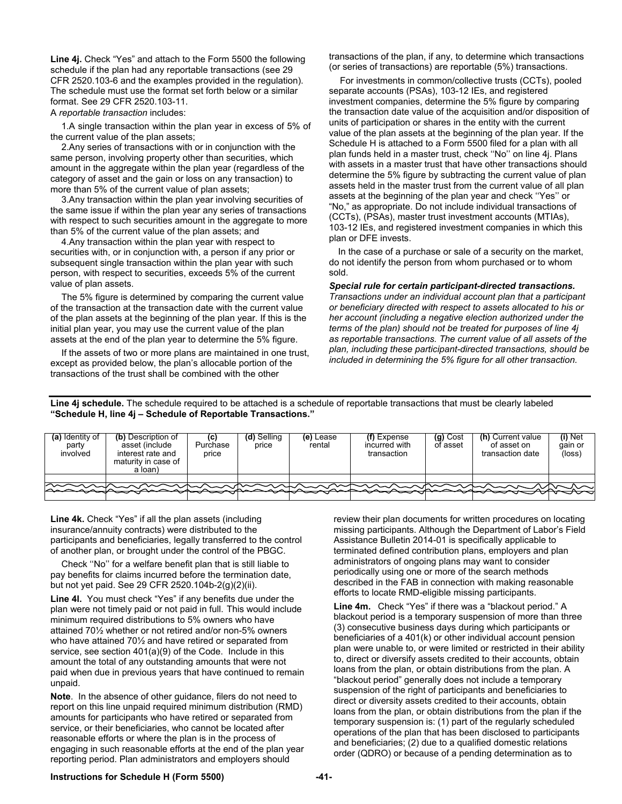**Line 4j.** Check "Yes" and attach to the Form 5500 the following schedule if the plan had any reportable transactions (see 29 CFR 2520.103-6 and the examples provided in the regulation). The schedule must use the format set forth below or a similar format. See 29 CFR 2520.103-11. A *reportable transaction* includes:

1.A single transaction within the plan year in excess of 5% of the current value of the plan assets;

2.Any series of transactions with or in conjunction with the same person, involving property other than securities, which amount in the aggregate within the plan year (regardless of the category of asset and the gain or loss on any transaction) to more than 5% of the current value of plan assets;

3.Any transaction within the plan year involving securities of the same issue if within the plan year any series of transactions with respect to such securities amount in the aggregate to more than 5% of the current value of the plan assets; and

4.Any transaction within the plan year with respect to securities with, or in conjunction with, a person if any prior or subsequent single transaction within the plan year with such person, with respect to securities, exceeds 5% of the current value of plan assets.

The 5% figure is determined by comparing the current value of the transaction at the transaction date with the current value of the plan assets at the beginning of the plan year. If this is the initial plan year, you may use the current value of the plan assets at the end of the plan year to determine the 5% figure.

If the assets of two or more plans are maintained in one trust, except as provided below, the plan's allocable portion of the transactions of the trust shall be combined with the other

transactions of the plan, if any, to determine which transactions (or series of transactions) are reportable (5%) transactions.

For investments in common/collective trusts (CCTs), pooled separate accounts (PSAs), 103-12 IEs, and registered investment companies, determine the 5% figure by comparing the transaction date value of the acquisition and/or disposition of units of participation or shares in the entity with the current value of the plan assets at the beginning of the plan year. If the Schedule H is attached to a Form 5500 filed for a plan with all plan funds held in a master trust, check ''No'' on line 4j. Plans with assets in a master trust that have other transactions should determine the 5% figure by subtracting the current value of plan assets held in the master trust from the current value of all plan assets at the beginning of the plan year and check ''Yes'' or "No," as appropriate. Do not include individual transactions of (CCTs), (PSAs), master trust investment accounts (MTIAs), 103-12 IEs, and registered investment companies in which this plan or DFE invests.

 In the case of a purchase or sale of a security on the market, do not identify the person from whom purchased or to whom sold.

*Special rule for certain participant-directed transactions.* 

*Transactions under an individual account plan that a participant or beneficiary directed with respect to assets allocated to his or her account (including a negative election authorized under the terms of the plan) should not be treated for purposes of line 4j as reportable transactions. The current value of all assets of the plan, including these participant-directed transactions, should be included in determining the 5% figure for all other transaction.* 

Line 4j schedule. The schedule required to be attached is a schedule of reportable transactions that must be clearly labeled **"Schedule H, line 4j – Schedule of Reportable Transactions."** 

| (a) Identity of<br>party<br>involved | (b) Description of<br>asset (include<br>interest rate and<br>maturity in case of<br>a loan) | Purchase<br>price | Selling<br>price | (e) Lease<br>rental | $(f)$ Expense<br>incurred with<br>transaction | (g) Cost<br>of asset | (h) Current value<br>of asset on<br>transaction date | (i) Net<br>gain or<br>(loss) |
|--------------------------------------|---------------------------------------------------------------------------------------------|-------------------|------------------|---------------------|-----------------------------------------------|----------------------|------------------------------------------------------|------------------------------|
|                                      |                                                                                             |                   |                  |                     |                                               |                      |                                                      |                              |
| へ~へへ                                 | ヽ~~~                                                                                        |                   |                  |                     |                                               |                      |                                                      |                              |
|                                      |                                                                                             |                   |                  |                     |                                               |                      |                                                      |                              |

**Line 4k.** Check "Yes" if all the plan assets (including insurance/annuity contracts) were distributed to the participants and beneficiaries, legally transferred to the control of another plan, or brought under the control of the PBGC.

Check ''No'' for a welfare benefit plan that is still liable to pay benefits for claims incurred before the termination date, but not yet paid. See 29 CFR 2520.104b-2(g)(2)(ii).

**Line 4l.** You must check "Yes" if any benefits due under the plan were not timely paid or not paid in full. This would include minimum required distributions to 5% owners who have attained 70½ whether or not retired and/or non-5% owners who have attained 70½ and have retired or separated from service, see section 401(a)(9) of the Code. Include in this amount the total of any outstanding amounts that were not paid when due in previous years that have continued to remain unpaid.

**Note**. In the absence of other guidance, filers do not need to report on this line unpaid required minimum distribution (RMD) amounts for participants who have retired or separated from service, or their beneficiaries, who cannot be located after reasonable efforts or where the plan is in the process of engaging in such reasonable efforts at the end of the plan year reporting period. Plan administrators and employers should

review their plan documents for written procedures on locating missing participants. Although the Department of Labor's Field Assistance Bulletin 2014-01 is specifically applicable to terminated defined contribution plans, employers and plan administrators of ongoing plans may want to consider periodically using one or more of the search methods described in the FAB in connection with making reasonable efforts to locate RMD-eligible missing participants.

**Line 4m.** Check "Yes" if there was a "blackout period." A blackout period is a temporary suspension of more than three (3) consecutive business days during which participants or beneficiaries of a 401(k) or other individual account pension plan were unable to, or were limited or restricted in their ability to, direct or diversify assets credited to their accounts, obtain loans from the plan, or obtain distributions from the plan. A "blackout period" generally does not include a temporary suspension of the right of participants and beneficiaries to direct or diversity assets credited to their accounts, obtain loans from the plan, or obtain distributions from the plan if the temporary suspension is: (1) part of the regularly scheduled operations of the plan that has been disclosed to participants and beneficiaries; (2) due to a qualified domestic relations order (QDRO) or because of a pending determination as to

# **Instructions for Schedule H (Form 5500) -41-**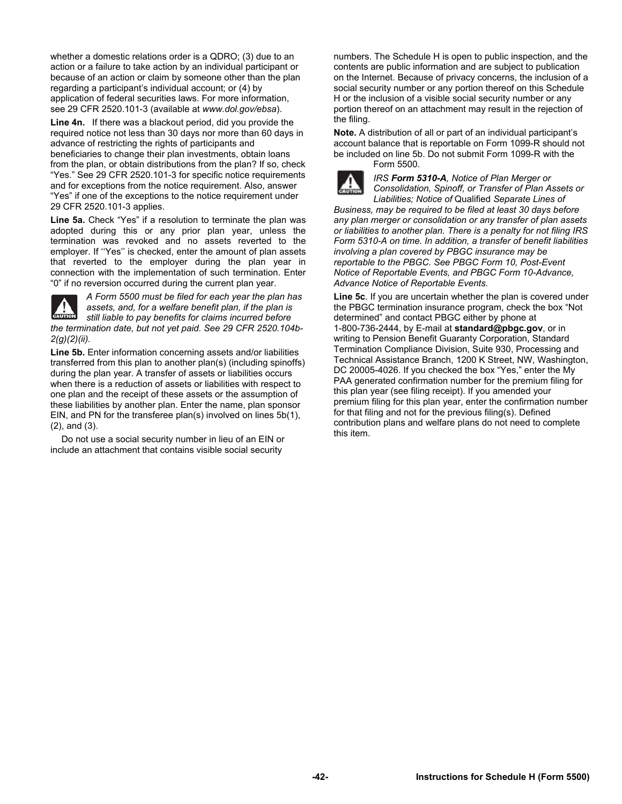whether a domestic relations order is a QDRO; (3) due to an action or a failure to take action by an individual participant or because of an action or claim by someone other than the plan regarding a participant's individual account; or (4) by application of federal securities laws. For more information, see 29 CFR 2520.101-3 (available at *www.dol.gov/ebsa*).

**Line 4n.** If there was a blackout period, did you provide the required notice not less than 30 days nor more than 60 days in advance of restricting the rights of participants and beneficiaries to change their plan investments, obtain loans from the plan, or obtain distributions from the plan? If so, check "Yes." See 29 CFR 2520.101-3 for specific notice requirements and for exceptions from the notice requirement. Also, answer "Yes" if one of the exceptions to the notice requirement under 29 CFR 2520.101-3 applies.

**Line 5a.** Check "Yes" if a resolution to terminate the plan was adopted during this or any prior plan year, unless the termination was revoked and no assets reverted to the employer. If ''Yes'' is checked, enter the amount of plan assets that reverted to the employer during the plan year in connection with the implementation of such termination. Enter "0" if no reversion occurred during the current plan year.



*A Form 5500 must be filed for each year the plan has assets, and, for a welfare benefit plan, if the plan is still liable to pay benefits for claims incurred before the termination date, but not yet paid. See 29 CFR 2520.104b-2(g)(2)(ii).* 

**Line 5b.** Enter information concerning assets and/or liabilities transferred from this plan to another plan(s) (including spinoffs) during the plan year. A transfer of assets or liabilities occurs when there is a reduction of assets or liabilities with respect to one plan and the receipt of these assets or the assumption of these liabilities by another plan. Enter the name, plan sponsor EIN, and PN for the transferee plan(s) involved on lines 5b(1), (2), and (3).

Do not use a social security number in lieu of an EIN or include an attachment that contains visible social security

numbers. The Schedule H is open to public inspection, and the contents are public information and are subject to publication on the Internet. Because of privacy concerns, the inclusion of a social security number or any portion thereof on this Schedule H or the inclusion of a visible social security number or any portion thereof on an attachment may result in the rejection of the filing.

**Note.** A distribution of all or part of an individual participant's account balance that is reportable on Form 1099-R should not be included on line 5b. Do not submit Form 1099-R with the Form 5500.



*IRS Form 5310-A, Notice of Plan Merger or Consolidation, Spinoff, or Transfer of Plan Assets or Liabilities; Notice of* Qualified *Separate Lines of* 

*Business, may be required to be filed at least 30 days before any plan merger or consolidation or any transfer of plan assets or liabilities to another plan. There is a penalty for not filing IRS Form 5310-A on time. In addition, a transfer of benefit liabilities involving a plan covered by PBGC insurance may be reportable to the PBGC. See PBGC Form 10, Post-Event Notice of Reportable Events, and PBGC Form 10-Advance, Advance Notice of Reportable Events.* 

**Line 5c**. If you are uncertain whether the plan is covered under the PBGC termination insurance program, check the box "Not determined" and contact PBGC either by phone at 1-800-736-2444, by E-mail at **standard@pbgc.gov**, or in writing to Pension Benefit Guaranty Corporation, Standard Termination Compliance Division, Suite 930, Processing and Technical Assistance Branch, 1200 K Street, NW, Washington, DC 20005-4026. If you checked the box "Yes," enter the My PAA generated confirmation number for the premium filing for this plan year (see filing receipt). If you amended your premium filing for this plan year, enter the confirmation number for that filing and not for the previous filing(s). Defined contribution plans and welfare plans do not need to complete this item.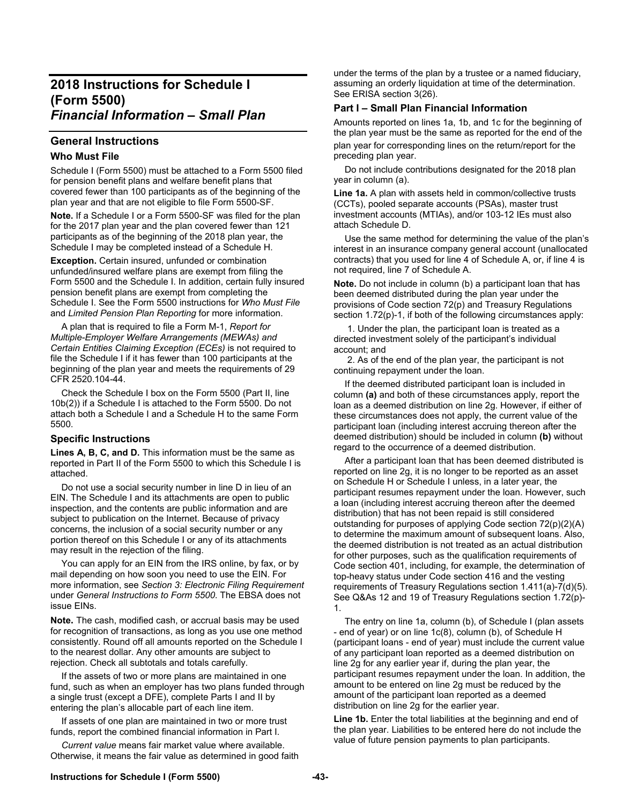# **2018 Instructions for Schedule I (Form 5500)**  *Financial Information – Small Plan*

# **General Instructions**

# **Who Must File**

Schedule I (Form 5500) must be attached to a Form 5500 filed for pension benefit plans and welfare benefit plans that covered fewer than 100 participants as of the beginning of the plan year and that are not eligible to file Form 5500-SF.

**Note.** If a Schedule I or a Form 5500-SF was filed for the plan for the 2017 plan year and the plan covered fewer than 121 participants as of the beginning of the 2018 plan year, the Schedule I may be completed instead of a Schedule H.

**Exception.** Certain insured, unfunded or combination unfunded/insured welfare plans are exempt from filing the Form 5500 and the Schedule I. In addition, certain fully insured pension benefit plans are exempt from completing the Schedule I. See the Form 5500 instructions for *Who Must File*  and *Limited Pension Plan Reporting* for more information.

A plan that is required to file a Form M-1, *Report for Multiple-Employer Welfare Arrangements (MEWAs) and Certain Entities Claiming Exception (ECEs)* is not required to file the Schedule I if it has fewer than 100 participants at the beginning of the plan year and meets the requirements of 29 CFR 2520.104-44.

Check the Schedule I box on the Form 5500 (Part II, line 10b(2)) if a Schedule I is attached to the Form 5500. Do not attach both a Schedule I and a Schedule H to the same Form 5500.

# **Specific Instructions**

**Lines A, B, C, and D.** This information must be the same as reported in Part II of the Form 5500 to which this Schedule I is attached.

Do not use a social security number in line D in lieu of an EIN. The Schedule I and its attachments are open to public inspection, and the contents are public information and are subject to publication on the Internet. Because of privacy concerns, the inclusion of a social security number or any portion thereof on this Schedule I or any of its attachments may result in the rejection of the filing.

You can apply for an EIN from the IRS online, by fax, or by mail depending on how soon you need to use the EIN. For more information, see *Section 3: Electronic Filing Requirement* under *General Instructions to Form 5500*. The EBSA does not issue EINs.

**Note.** The cash, modified cash, or accrual basis may be used for recognition of transactions, as long as you use one method consistently. Round off all amounts reported on the Schedule I to the nearest dollar. Any other amounts are subject to rejection. Check all subtotals and totals carefully.

If the assets of two or more plans are maintained in one fund, such as when an employer has two plans funded through a single trust (except a DFE), complete Parts I and II by entering the plan's allocable part of each line item.

If assets of one plan are maintained in two or more trust funds, report the combined financial information in Part I.

*Current value* means fair market value where available. Otherwise, it means the fair value as determined in good faith under the terms of the plan by a trustee or a named fiduciary, assuming an orderly liquidation at time of the determination. See ERISA section 3(26).

# **Part I – Small Plan Financial Information**

Amounts reported on lines 1a, 1b, and 1c for the beginning of the plan year must be the same as reported for the end of the plan year for corresponding lines on the return/report for the preceding plan year.

Do not include contributions designated for the 2018 plan year in column (a).

**Line 1a.** A plan with assets held in common/collective trusts (CCTs), pooled separate accounts (PSAs), master trust investment accounts (MTIAs), and/or 103-12 IEs must also attach Schedule D.

Use the same method for determining the value of the plan's interest in an insurance company general account (unallocated contracts) that you used for line 4 of Schedule A, or, if line 4 is not required, line 7 of Schedule A.

**Note.** Do not include in column (b) a participant loan that has been deemed distributed during the plan year under the provisions of Code section 72(p) and Treasury Regulations section 1.72(p)-1, if both of the following circumstances apply:

 1. Under the plan, the participant loan is treated as a directed investment solely of the participant's individual account; and

 2. As of the end of the plan year, the participant is not continuing repayment under the loan.

If the deemed distributed participant loan is included in column **(a)** and both of these circumstances apply, report the loan as a deemed distribution on line 2g. However, if either of these circumstances does not apply, the current value of the participant loan (including interest accruing thereon after the deemed distribution) should be included in column **(b)** without regard to the occurrence of a deemed distribution.

After a participant loan that has been deemed distributed is reported on line 2g, it is no longer to be reported as an asset on Schedule H or Schedule I unless, in a later year, the participant resumes repayment under the loan. However, such a loan (including interest accruing thereon after the deemed distribution) that has not been repaid is still considered outstanding for purposes of applying Code section 72(p)(2)(A) to determine the maximum amount of subsequent loans. Also, the deemed distribution is not treated as an actual distribution for other purposes, such as the qualification requirements of Code section 401, including, for example, the determination of top-heavy status under Code section 416 and the vesting requirements of Treasury Regulations section 1.411(a)-7(d)(5). See Q&As 12 and 19 of Treasury Regulations section 1.72(p)- 1.

The entry on line 1a, column (b), of Schedule I (plan assets - end of year) or on line 1c(8), column (b), of Schedule H (participant loans - end of year) must include the current value of any participant loan reported as a deemed distribution on line 2g for any earlier year if, during the plan year, the participant resumes repayment under the loan. In addition, the amount to be entered on line 2g must be reduced by the amount of the participant loan reported as a deemed distribution on line 2g for the earlier year.

**Line 1b.** Enter the total liabilities at the beginning and end of the plan year. Liabilities to be entered here do not include the value of future pension payments to plan participants.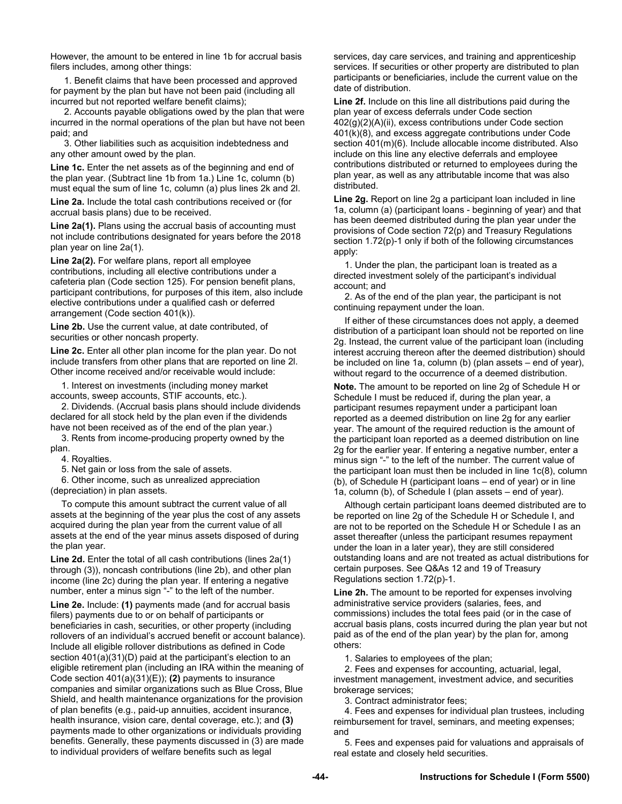However, the amount to be entered in line 1b for accrual basis filers includes, among other things:

 1. Benefit claims that have been processed and approved for payment by the plan but have not been paid (including all incurred but not reported welfare benefit claims);

 2. Accounts payable obligations owed by the plan that were incurred in the normal operations of the plan but have not been paid; and

 3. Other liabilities such as acquisition indebtedness and any other amount owed by the plan.

Line 1c. Enter the net assets as of the beginning and end of the plan year. (Subtract line 1b from 1a.) Line 1c, column (b) must equal the sum of line 1c, column (a) plus lines 2k and 2l.

**Line 2a.** Include the total cash contributions received or (for accrual basis plans) due to be received.

**Line 2a(1).** Plans using the accrual basis of accounting must not include contributions designated for years before the 2018 plan year on line 2a(1).

**Line 2a(2).** For welfare plans, report all employee contributions, including all elective contributions under a cafeteria plan (Code section 125). For pension benefit plans, participant contributions, for purposes of this item, also include elective contributions under a qualified cash or deferred arrangement (Code section 401(k)).

**Line 2b.** Use the current value, at date contributed, of securities or other noncash property.

**Line 2c.** Enter all other plan income for the plan year. Do not include transfers from other plans that are reported on line 2l. Other income received and/or receivable would include:

1. Interest on investments (including money market accounts, sweep accounts, STIF accounts, etc.).

2. Dividends. (Accrual basis plans should include dividends declared for all stock held by the plan even if the dividends have not been received as of the end of the plan year.)

3. Rents from income-producing property owned by the plan.

4. Royalties.

5. Net gain or loss from the sale of assets.

6. Other income, such as unrealized appreciation (depreciation) in plan assets.

To compute this amount subtract the current value of all assets at the beginning of the year plus the cost of any assets acquired during the plan year from the current value of all assets at the end of the year minus assets disposed of during the plan year.

**Line 2d.** Enter the total of all cash contributions (lines 2a(1) through (3)), noncash contributions (line 2b), and other plan income (line 2c) during the plan year. If entering a negative number, enter a minus sign "-" to the left of the number.

**Line 2e.** Include: **(1)** payments made (and for accrual basis filers) payments due to or on behalf of participants or beneficiaries in cash, securities, or other property (including rollovers of an individual's accrued benefit or account balance). Include all eligible rollover distributions as defined in Code section 401(a)(31)(D) paid at the participant's election to an eligible retirement plan (including an IRA within the meaning of Code section 401(a)(31)(E)); **(2)** payments to insurance companies and similar organizations such as Blue Cross, Blue Shield, and health maintenance organizations for the provision of plan benefits (e.g., paid-up annuities, accident insurance, health insurance, vision care, dental coverage, etc.); and **(3)**  payments made to other organizations or individuals providing benefits. Generally, these payments discussed in (3) are made to individual providers of welfare benefits such as legal

services, day care services, and training and apprenticeship services. If securities or other property are distributed to plan participants or beneficiaries, include the current value on the date of distribution.

**Line 2f.** Include on this line all distributions paid during the plan year of excess deferrals under Code section 402(g)(2)(A)(ii), excess contributions under Code section 401(k)(8), and excess aggregate contributions under Code section 401(m)(6). Include allocable income distributed. Also include on this line any elective deferrals and employee contributions distributed or returned to employees during the plan year, as well as any attributable income that was also distributed.

**Line 2g.** Report on line 2g a participant loan included in line 1a, column (a) (participant loans - beginning of year) and that has been deemed distributed during the plan year under the provisions of Code section 72(p) and Treasury Regulations section 1.72(p)-1 only if both of the following circumstances apply:

1. Under the plan, the participant loan is treated as a directed investment solely of the participant's individual account; and

2. As of the end of the plan year, the participant is not continuing repayment under the loan.

If either of these circumstances does not apply, a deemed distribution of a participant loan should not be reported on line 2g. Instead, the current value of the participant loan (including interest accruing thereon after the deemed distribution) should be included on line 1a, column (b) (plan assets – end of year), without regard to the occurrence of a deemed distribution.

**Note.** The amount to be reported on line 2g of Schedule H or Schedule I must be reduced if, during the plan year, a participant resumes repayment under a participant loan reported as a deemed distribution on line 2g for any earlier year. The amount of the required reduction is the amount of the participant loan reported as a deemed distribution on line 2g for the earlier year. If entering a negative number, enter a minus sign "-" to the left of the number. The current value of the participant loan must then be included in line 1c(8), column (b), of Schedule H (participant loans – end of year) or in line 1a, column (b), of Schedule I (plan assets – end of year).

Although certain participant loans deemed distributed are to be reported on line 2g of the Schedule H or Schedule I, and are not to be reported on the Schedule H or Schedule I as an asset thereafter (unless the participant resumes repayment under the loan in a later year), they are still considered outstanding loans and are not treated as actual distributions for certain purposes. See Q&As 12 and 19 of Treasury Regulations section 1.72(p)-1.

**Line 2h.** The amount to be reported for expenses involving administrative service providers (salaries, fees, and commissions) includes the total fees paid (or in the case of accrual basis plans, costs incurred during the plan year but not paid as of the end of the plan year) by the plan for, among others:

1. Salaries to employees of the plan;

2. Fees and expenses for accounting, actuarial, legal, investment management, investment advice, and securities brokerage services;

3. Contract administrator fees;

4. Fees and expenses for individual plan trustees, including reimbursement for travel, seminars, and meeting expenses; and

5. Fees and expenses paid for valuations and appraisals of real estate and closely held securities.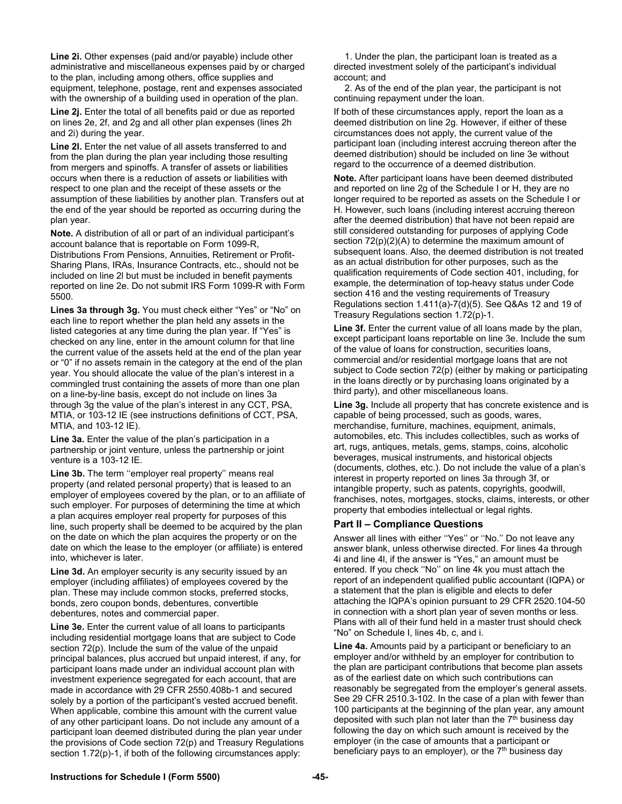**Line 2i.** Other expenses (paid and/or payable) include other administrative and miscellaneous expenses paid by or charged to the plan, including among others, office supplies and equipment, telephone, postage, rent and expenses associated with the ownership of a building used in operation of the plan.

**Line 2j.** Enter the total of all benefits paid or due as reported on lines 2e, 2f, and 2g and all other plan expenses (lines 2h and 2i) during the year.

**Line 2l.** Enter the net value of all assets transferred to and from the plan during the plan year including those resulting from mergers and spinoffs. A transfer of assets or liabilities occurs when there is a reduction of assets or liabilities with respect to one plan and the receipt of these assets or the assumption of these liabilities by another plan. Transfers out at the end of the year should be reported as occurring during the plan year.

**Note.** A distribution of all or part of an individual participant's account balance that is reportable on Form 1099-R, Distributions From Pensions, Annuities, Retirement or Profit-Sharing Plans, IRAs, Insurance Contracts, etc., should not be included on line 2l but must be included in benefit payments reported on line 2e. Do not submit IRS Form 1099-R with Form 5500.

**Lines 3a through 3g.** You must check either "Yes" or "No" on each line to report whether the plan held any assets in the listed categories at any time during the plan year. If "Yes" is checked on any line, enter in the amount column for that line the current value of the assets held at the end of the plan year or "0" if no assets remain in the category at the end of the plan year. You should allocate the value of the plan's interest in a commingled trust containing the assets of more than one plan on a line-by-line basis, except do not include on lines 3a through 3g the value of the plan's interest in any CCT, PSA, MTIA, or 103-12 IE (see instructions definitions of CCT, PSA, MTIA, and 103-12 IE).

**Line 3a.** Enter the value of the plan's participation in a partnership or joint venture, unless the partnership or joint venture is a 103-12 IE.

Line 3b. The term "employer real property" means real property (and related personal property) that is leased to an employer of employees covered by the plan, or to an affiliate of such employer. For purposes of determining the time at which a plan acquires employer real property for purposes of this line, such property shall be deemed to be acquired by the plan on the date on which the plan acquires the property or on the date on which the lease to the employer (or affiliate) is entered into, whichever is later.

**Line 3d.** An employer security is any security issued by an employer (including affiliates) of employees covered by the plan. These may include common stocks, preferred stocks, bonds, zero coupon bonds, debentures, convertible debentures, notes and commercial paper.

**Line 3e.** Enter the current value of all loans to participants including residential mortgage loans that are subject to Code section 72(p). Include the sum of the value of the unpaid principal balances, plus accrued but unpaid interest, if any, for participant loans made under an individual account plan with investment experience segregated for each account, that are made in accordance with 29 CFR 2550.408b-1 and secured solely by a portion of the participant's vested accrued benefit. When applicable, combine this amount with the current value of any other participant loans. Do not include any amount of a participant loan deemed distributed during the plan year under the provisions of Code section 72(p) and Treasury Regulations section 1.72(p)-1, if both of the following circumstances apply:

1. Under the plan, the participant loan is treated as a directed investment solely of the participant's individual account; and

2. As of the end of the plan year, the participant is not continuing repayment under the loan.

If both of these circumstances apply, report the loan as a deemed distribution on line 2g. However, if either of these circumstances does not apply, the current value of the participant loan (including interest accruing thereon after the deemed distribution) should be included on line 3e without regard to the occurrence of a deemed distribution.

**Note.** After participant loans have been deemed distributed and reported on line 2g of the Schedule I or H, they are no longer required to be reported as assets on the Schedule I or H. However, such loans (including interest accruing thereon after the deemed distribution) that have not been repaid are still considered outstanding for purposes of applying Code section 72(p)(2)(A) to determine the maximum amount of subsequent loans. Also, the deemed distribution is not treated as an actual distribution for other purposes, such as the qualification requirements of Code section 401, including, for example, the determination of top-heavy status under Code section 416 and the vesting requirements of Treasury Regulations section 1.411(a)-7(d)(5). See Q&As 12 and 19 of Treasury Regulations section 1.72(p)-1.

**Line 3f.** Enter the current value of all loans made by the plan, except participant loans reportable on line 3e. Include the sum of the value of loans for construction, securities loans, commercial and/or residential mortgage loans that are not subject to Code section 72(p) (either by making or participating in the loans directly or by purchasing loans originated by a third party), and other miscellaneous loans.

**Line 3g.** Include all property that has concrete existence and is capable of being processed, such as goods, wares, merchandise, furniture, machines, equipment, animals, automobiles, etc. This includes collectibles, such as works of art, rugs, antiques, metals, gems, stamps, coins, alcoholic beverages, musical instruments, and historical objects (documents, clothes, etc.). Do not include the value of a plan's interest in property reported on lines 3a through 3f, or intangible property, such as patents, copyrights, goodwill, franchises, notes, mortgages, stocks, claims, interests, or other property that embodies intellectual or legal rights.

# **Part II – Compliance Questions**

Answer all lines with either ''Yes'' or ''No.'' Do not leave any answer blank, unless otherwise directed. For lines 4a through 4i and line 4l, if the answer is "Yes," an amount must be entered. If you check ''No'' on line 4k you must attach the report of an independent qualified public accountant (IQPA) or a statement that the plan is eligible and elects to defer attaching the IQPA's opinion pursuant to 29 CFR 2520.104-50 in connection with a short plan year of seven months or less. Plans with all of their fund held in a master trust should check "No" on Schedule I, lines 4b, c, and i.

**Line 4a.** Amounts paid by a participant or beneficiary to an employer and/or withheld by an employer for contribution to the plan are participant contributions that become plan assets as of the earliest date on which such contributions can reasonably be segregated from the employer's general assets. See 29 CFR 2510.3-102. In the case of a plan with fewer than 100 participants at the beginning of the plan year, any amount deposited with such plan not later than the  $7<sup>th</sup>$  business day following the day on which such amount is received by the employer (in the case of amounts that a participant or beneficiary pays to an employer), or the  $7<sup>th</sup>$  business day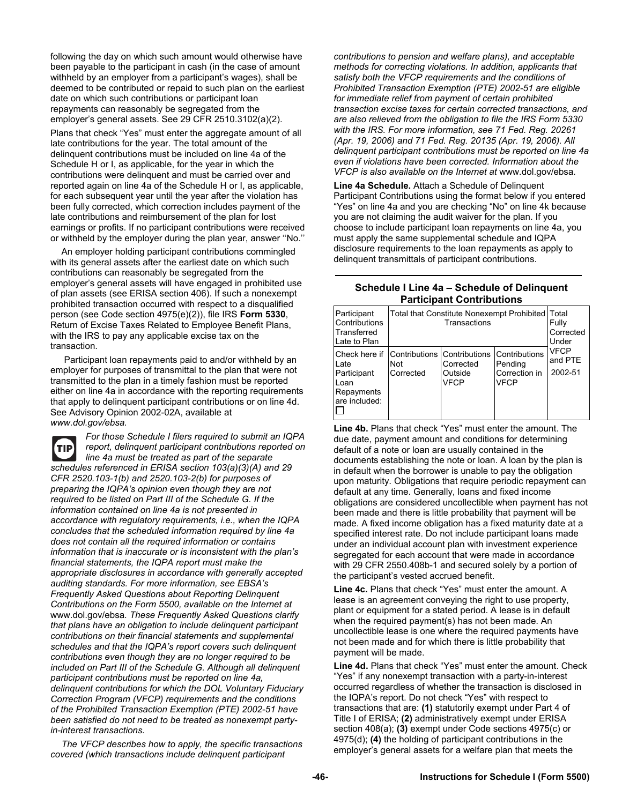following the day on which such amount would otherwise have been payable to the participant in cash (in the case of amount withheld by an employer from a participant's wages), shall be deemed to be contributed or repaid to such plan on the earliest date on which such contributions or participant loan repayments can reasonably be segregated from the employer's general assets. See 29 CFR 2510.3102(a)(2).

Plans that check "Yes" must enter the aggregate amount of all late contributions for the year. The total amount of the delinquent contributions must be included on line 4a of the Schedule H or I, as applicable, for the year in which the contributions were delinquent and must be carried over and reported again on line 4a of the Schedule H or I, as applicable, for each subsequent year until the year after the violation has been fully corrected, which correction includes payment of the late contributions and reimbursement of the plan for lost earnings or profits. If no participant contributions were received or withheld by the employer during the plan year, answer ''No.''

An employer holding participant contributions commingled with its general assets after the earliest date on which such contributions can reasonably be segregated from the employer's general assets will have engaged in prohibited use of plan assets (see ERISA section 406). If such a nonexempt prohibited transaction occurred with respect to a disqualified person (see Code section 4975(e)(2)), file IRS **Form 5330**, Return of Excise Taxes Related to Employee Benefit Plans, with the IRS to pay any applicable excise tax on the transaction.

 Participant loan repayments paid to and/or withheld by an employer for purposes of transmittal to the plan that were not transmitted to the plan in a timely fashion must be reported either on line 4a in accordance with the reporting requirements that apply to delinquent participant contributions or on line 4d. See Advisory Opinion 2002-02A, available at *www.dol.gov/ebsa.* 

*For those Schedule I filers required to submit an IQPA*  (TIP) *report, delinquent participant contributions reported on line 4a must be treated as part of the separate schedules referenced in ERISA section 103(a)(3)(A) and 29 CFR 2520.103-1(b) and 2520.103-2(b) for purposes of preparing the IQPA's opinion even though they are not required to be listed on Part III of the Schedule G. If the information contained on line 4a is not presented in accordance with regulatory requirements, i.e., when the IQPA concludes that the scheduled information required by line 4a does not contain all the required information or contains information that is inaccurate or is inconsistent with the plan's financial statements, the IQPA report must make the appropriate disclosures in accordance with generally accepted auditing standards. For more information, see EBSA's Frequently Asked Questions about Reporting Delinquent Contributions on the Form 5500, available on the Internet at*  www.dol.gov/ebsa*. These Frequently Asked Questions clarify that plans have an obligation to include delinquent participant contributions on their financial statements and supplemental schedules and that the IQPA's report covers such delinquent contributions even though they are no longer required to be included on Part III of the Schedule G. Although all delinquent participant contributions must be reported on line 4a, delinquent contributions for which the DOL Voluntary Fiduciary Correction Program (VFCP) requirements and the conditions of the Prohibited Transaction Exemption (PTE) 2002-51 have been satisfied do not need to be treated as nonexempt partyin-interest transactions.* 

*The VFCP describes how to apply, the specific transactions covered (which transactions include delinquent participant* 

*contributions to pension and welfare plans), and acceptable methods for correcting violations. In addition, applicants that satisfy both the VFCP requirements and the conditions of Prohibited Transaction Exemption (PTE) 2002-51 are eligible for immediate relief from payment of certain prohibited transaction excise taxes for certain corrected transactions, and are also relieved from the obligation to file the IRS Form 5330 with the IRS. For more information, see 71 Fed. Reg. 20261 (Apr. 19, 2006) and 71 Fed. Reg. 20135 (Apr. 19, 2006). All delinquent participant contributions must be reported on line 4a even if violations have been corrected. Information about the VFCP is also available on the Internet at* www.dol.gov/ebsa*.* 

**Line 4a Schedule.** Attach a Schedule of Delinquent Participant Contributions using the format below if you entered "Yes" on line 4a and you are checking "No" on line 4k because you are not claiming the audit waiver for the plan. If you choose to include participant loan repayments on line 4a, you must apply the same supplemental schedule and IQPA disclosure requirements to the loan repayments as apply to delinquent transmittals of participant contributions.

### **Schedule I Line 4a – Schedule of Delinquent Participant Contributions**

| Participant<br>Contributions<br>Transferred<br>Late to Plan                 | Total that Constitute Nonexempt Prohibited Total | Fully<br>Corrected<br>Under         |                                                          |                                   |
|-----------------------------------------------------------------------------|--------------------------------------------------|-------------------------------------|----------------------------------------------------------|-----------------------------------|
| Check here if<br>Late<br>Participant<br>Loan<br>Repayments<br>are included: | Contributions Contributions<br>Not<br>Corrected  | Corrected<br>Outside<br><b>VFCP</b> | Contributions<br>Pending<br>Correction in<br><b>VFCP</b> | <b>VFCP</b><br>and PTE<br>2002-51 |

**Line 4b.** Plans that check "Yes" must enter the amount. The due date, payment amount and conditions for determining default of a note or loan are usually contained in the documents establishing the note or loan. A loan by the plan is in default when the borrower is unable to pay the obligation upon maturity. Obligations that require periodic repayment can default at any time. Generally, loans and fixed income obligations are considered uncollectible when payment has not been made and there is little probability that payment will be made. A fixed income obligation has a fixed maturity date at a specified interest rate. Do not include participant loans made under an individual account plan with investment experience segregated for each account that were made in accordance with 29 CFR 2550.408b-1 and secured solely by a portion of the participant's vested accrued benefit.

**Line 4c.** Plans that check "Yes" must enter the amount. A lease is an agreement conveying the right to use property, plant or equipment for a stated period. A lease is in default when the required payment(s) has not been made. An uncollectible lease is one where the required payments have not been made and for which there is little probability that payment will be made.

**Line 4d.** Plans that check "Yes" must enter the amount. Check "Yes" if any nonexempt transaction with a party-in-interest occurred regardless of whether the transaction is disclosed in the IQPA's report. Do not check "Yes" with respect to transactions that are: **(1)** statutorily exempt under Part 4 of Title I of ERISA; **(2)** administratively exempt under ERISA section 408(a); **(3)** exempt under Code sections 4975(c) or 4975(d); **(4)** the holding of participant contributions in the employer's general assets for a welfare plan that meets the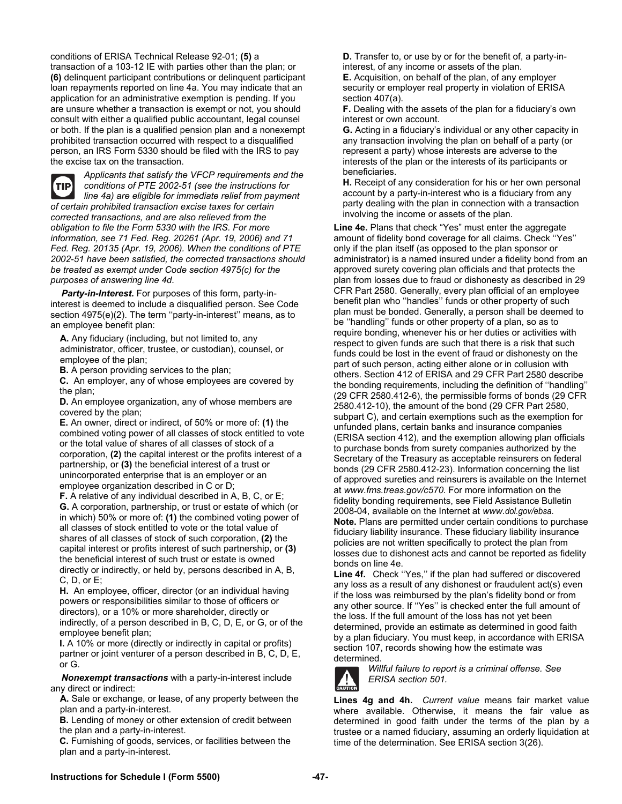conditions of ERISA Technical Release 92-01; **(5)** a transaction of a 103-12 IE with parties other than the plan; or **(6)** delinquent participant contributions or delinquent participant loan repayments reported on line 4a. You may indicate that an application for an administrative exemption is pending. If you are unsure whether a transaction is exempt or not, you should consult with either a qualified public accountant, legal counsel or both. If the plan is a qualified pension plan and a nonexempt prohibited transaction occurred with respect to a disqualified person, an IRS Form 5330 should be filed with the IRS to pay the excise tax on the transaction.



*Applicants that satisfy the VFCP requirements and the conditions of PTE 2002-51 (see the instructions for line 4a) are eligible for immediate relief from payment of certain prohibited transaction excise taxes for certain corrected transactions, and are also relieved from the obligation to file the Form 5330 with the IRS. For more information, see 71 Fed. Reg. 20261 (Apr. 19, 2006) and 71 Fed. Reg. 20135 (Apr. 19, 2006). When the conditions of PTE 2002-51 have been satisfied, the corrected transactions should be treated as exempt under Code section 4975(c) for the purposes of answering line 4d.* 

*Party-in-Interest.* For purposes of this form, party-ininterest is deemed to include a disqualified person. See Code section 4975(e)(2). The term ''party-in-interest'' means, as to an employee benefit plan:

**A.** Any fiduciary (including, but not limited to, any administrator, officer, trustee, or custodian), counsel, or employee of the plan;

**B.** A person providing services to the plan;

**C.** An employer, any of whose employees are covered by the plan;

**D.** An employee organization, any of whose members are covered by the plan;

**E.** An owner, direct or indirect, of 50% or more of: **(1)** the combined voting power of all classes of stock entitled to vote or the total value of shares of all classes of stock of a corporation, **(2)** the capital interest or the profits interest of a partnership, or **(3)** the beneficial interest of a trust or unincorporated enterprise that is an employer or an employee organization described in C or D;

**F.** A relative of any individual described in A, B, C, or E; **G.** A corporation, partnership, or trust or estate of which (or in which) 50% or more of: **(1)** the combined voting power of all classes of stock entitled to vote or the total value of shares of all classes of stock of such corporation, **(2)** the capital interest or profits interest of such partnership, or **(3)** the beneficial interest of such trust or estate is owned directly or indirectly, or held by, persons described in A, B, C, D, or E;

**H.** An employee, officer, director (or an individual having powers or responsibilities similar to those of officers or directors), or a 10% or more shareholder, directly or indirectly, of a person described in B, C, D, E, or G, or of the employee benefit plan;

**I.** A 10% or more (directly or indirectly in capital or profits) partner or joint venturer of a person described in B, C, D, E, or G.

*Nonexempt transactions* with a party-in-interest include any direct or indirect:

**A.** Sale or exchange, or lease, of any property between the plan and a party-in-interest.

**B.** Lending of money or other extension of credit between the plan and a party-in-interest.

**C.** Furnishing of goods, services, or facilities between the plan and a party-in-interest.

**D.** Transfer to, or use by or for the benefit of, a party-ininterest, of any income or assets of the plan.

**E.** Acquisition, on behalf of the plan, of any employer security or employer real property in violation of ERISA section 407(a).

**F.** Dealing with the assets of the plan for a fiduciary's own interest or own account.

**G.** Acting in a fiduciary's individual or any other capacity in any transaction involving the plan on behalf of a party (or represent a party) whose interests are adverse to the interests of the plan or the interests of its participants or beneficiaries.

**H.** Receipt of any consideration for his or her own personal account by a party-in-interest who is a fiduciary from any party dealing with the plan in connection with a transaction involving the income or assets of the plan.

**Line 4e.** Plans that check "Yes" must enter the aggregate amount of fidelity bond coverage for all claims. Check ''Yes'' only if the plan itself (as opposed to the plan sponsor or administrator) is a named insured under a fidelity bond from an approved surety covering plan officials and that protects the plan from losses due to fraud or dishonesty as described in 29 CFR Part 2580. Generally, every plan official of an employee benefit plan who ''handles'' funds or other property of such plan must be bonded. Generally, a person shall be deemed to be ''handling'' funds or other property of a plan, so as to require bonding, whenever his or her duties or activities with respect to given funds are such that there is a risk that such funds could be lost in the event of fraud or dishonesty on the part of such person, acting either alone or in collusion with others. Section 412 of ERISA and 29 CFR Part 2580 describe the bonding requirements, including the definition of ''handling'' (29 CFR 2580.412-6), the permissible forms of bonds (29 CFR 2580.412-10), the amount of the bond (29 CFR Part 2580, subpart C), and certain exemptions such as the exemption for unfunded plans, certain banks and insurance companies (ERISA section 412), and the exemption allowing plan officials to purchase bonds from surety companies authorized by the Secretary of the Treasury as acceptable reinsurers on federal bonds (29 CFR 2580.412-23). Information concerning the list of approved sureties and reinsurers is available on the Internet at *www.fms.treas.gov/c570*. For more information on the fidelity bonding requirements, see Field Assistance Bulletin 2008-04, available on the Internet at *www.dol.gov/ebsa*. **Note.** Plans are permitted under certain conditions to purchase fiduciary liability insurance. These fiduciary liability insurance policies are not written specifically to protect the plan from losses due to dishonest acts and cannot be reported as fidelity bonds on line 4e.

**Line 4f.** Check ''Yes,'' if the plan had suffered or discovered any loss as a result of any dishonest or fraudulent act(s) even if the loss was reimbursed by the plan's fidelity bond or from any other source. If ''Yes'' is checked enter the full amount of the loss. If the full amount of the loss has not yet been determined, provide an estimate as determined in good faith by a plan fiduciary. You must keep, in accordance with ERISA section 107, records showing how the estimate was determined.



*Willful failure to report is a criminal offense. See ERISA section 501.*

**Lines 4g and 4h.** *Current value* means fair market value where available. Otherwise, it means the fair value as determined in good faith under the terms of the plan by a trustee or a named fiduciary, assuming an orderly liquidation at time of the determination. See ERISA section 3(26).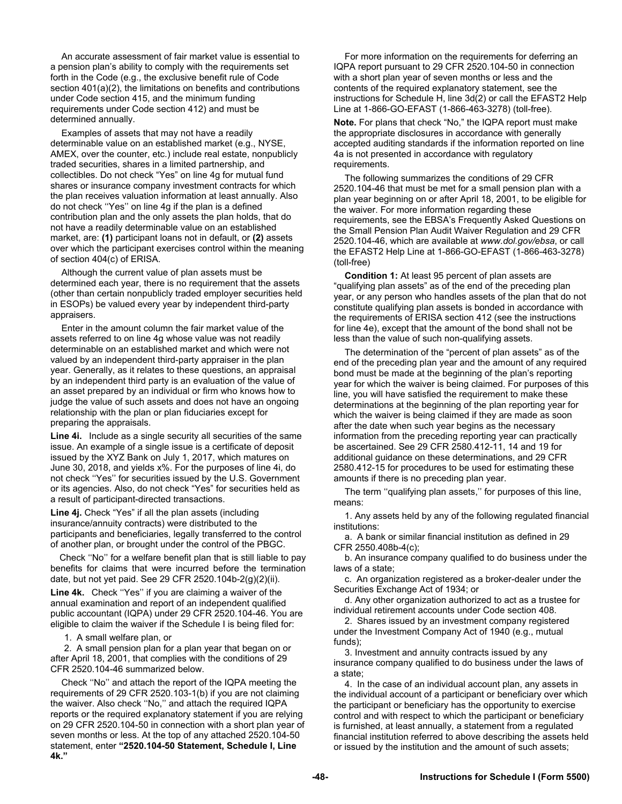An accurate assessment of fair market value is essential to a pension plan's ability to comply with the requirements set forth in the Code (e.g., the exclusive benefit rule of Code section 401(a)(2), the limitations on benefits and contributions under Code section 415, and the minimum funding requirements under Code section 412) and must be determined annually.

Examples of assets that may not have a readily determinable value on an established market (e.g., NYSE, AMEX, over the counter, etc.) include real estate, nonpublicly traded securities, shares in a limited partnership, and collectibles. Do not check "Yes" on line 4g for mutual fund shares or insurance company investment contracts for which the plan receives valuation information at least annually. Also do not check ''Yes'' on line 4g if the plan is a defined contribution plan and the only assets the plan holds, that do not have a readily determinable value on an established market, are: **(1)** participant loans not in default, or **(2)** assets over which the participant exercises control within the meaning of section 404(c) of ERISA.

Although the current value of plan assets must be determined each year, there is no requirement that the assets (other than certain nonpublicly traded employer securities held in ESOPs) be valued every year by independent third-party appraisers.

Enter in the amount column the fair market value of the assets referred to on line 4g whose value was not readily determinable on an established market and which were not valued by an independent third-party appraiser in the plan year. Generally, as it relates to these questions, an appraisal by an independent third party is an evaluation of the value of an asset prepared by an individual or firm who knows how to judge the value of such assets and does not have an ongoing relationship with the plan or plan fiduciaries except for preparing the appraisals.

**Line 4i.** Include as a single security all securities of the same issue. An example of a single issue is a certificate of deposit issued by the XYZ Bank on July 1, 2017, which matures on June 30, 2018, and yields x%. For the purposes of line 4i, do not check ''Yes'' for securities issued by the U.S. Government or its agencies. Also, do not check "Yes" for securities held as a result of participant-directed transactions.

**Line 4j.** Check "Yes" if all the plan assets (including insurance/annuity contracts) were distributed to the participants and beneficiaries, legally transferred to the control of another plan, or brought under the control of the PBGC.

 Check ''No'' for a welfare benefit plan that is still liable to pay benefits for claims that were incurred before the termination date, but not yet paid. See 29 CFR 2520.104b-2(g)(2)(ii).

**Line 4k.** Check ''Yes'' if you are claiming a waiver of the annual examination and report of an independent qualified public accountant (IQPA) under 29 CFR 2520.104-46. You are eligible to claim the waiver if the Schedule I is being filed for:

1. A small welfare plan, or

2. A small pension plan for a plan year that began on or after April 18, 2001, that complies with the conditions of 29 CFR 2520.104-46 summarized below.

Check ''No'' and attach the report of the IQPA meeting the requirements of 29 CFR 2520.103-1(b) if you are not claiming the waiver. Also check ''No,'' and attach the required IQPA reports or the required explanatory statement if you are relying on 29 CFR 2520.104-50 in connection with a short plan year of seven months or less. At the top of any attached 2520.104-50 statement, enter **"2520.104-50 Statement, Schedule I, Line 4k."**

For more information on the requirements for deferring an IQPA report pursuant to 29 CFR 2520.104-50 in connection with a short plan year of seven months or less and the contents of the required explanatory statement, see the instructions for Schedule H, line 3d(2) or call the EFAST2 Help Line at 1-866-GO-EFAST (1-866-463-3278) (toll-free).

**Note.** For plans that check "No," the IQPA report must make the appropriate disclosures in accordance with generally accepted auditing standards if the information reported on line 4a is not presented in accordance with regulatory requirements.

The following summarizes the conditions of 29 CFR 2520.104-46 that must be met for a small pension plan with a plan year beginning on or after April 18, 2001, to be eligible for the waiver. For more information regarding these requirements, see the EBSA's Frequently Asked Questions on the Small Pension Plan Audit Waiver Regulation and 29 CFR 2520.104-46, which are available at *www.dol.gov/ebsa*, or call the EFAST2 Help Line at 1-866-GO-EFAST (1-866-463-3278) (toll-free)

**Condition 1:** At least 95 percent of plan assets are "qualifying plan assets" as of the end of the preceding plan year, or any person who handles assets of the plan that do not constitute qualifying plan assets is bonded in accordance with the requirements of ERISA section 412 (see the instructions for line 4e), except that the amount of the bond shall not be less than the value of such non-qualifying assets.

The determination of the "percent of plan assets" as of the end of the preceding plan year and the amount of any required bond must be made at the beginning of the plan's reporting year for which the waiver is being claimed. For purposes of this line, you will have satisfied the requirement to make these determinations at the beginning of the plan reporting year for which the waiver is being claimed if they are made as soon after the date when such year begins as the necessary information from the preceding reporting year can practically be ascertained. See 29 CFR 2580.412-11, 14 and 19 for additional guidance on these determinations, and 29 CFR 2580.412-15 for procedures to be used for estimating these amounts if there is no preceding plan year.

The term ''qualifying plan assets,'' for purposes of this line, means:

1. Any assets held by any of the following regulated financial institutions:

a. A bank or similar financial institution as defined in 29 CFR 2550.408b-4(c);

b. An insurance company qualified to do business under the laws of a state;

c. An organization registered as a broker-dealer under the Securities Exchange Act of 1934; or

d. Any other organization authorized to act as a trustee for individual retirement accounts under Code section 408.

2. Shares issued by an investment company registered under the Investment Company Act of 1940 (e.g., mutual funds);

3. Investment and annuity contracts issued by any insurance company qualified to do business under the laws of a state;

4. In the case of an individual account plan, any assets in the individual account of a participant or beneficiary over which the participant or beneficiary has the opportunity to exercise control and with respect to which the participant or beneficiary is furnished, at least annually, a statement from a regulated financial institution referred to above describing the assets held or issued by the institution and the amount of such assets;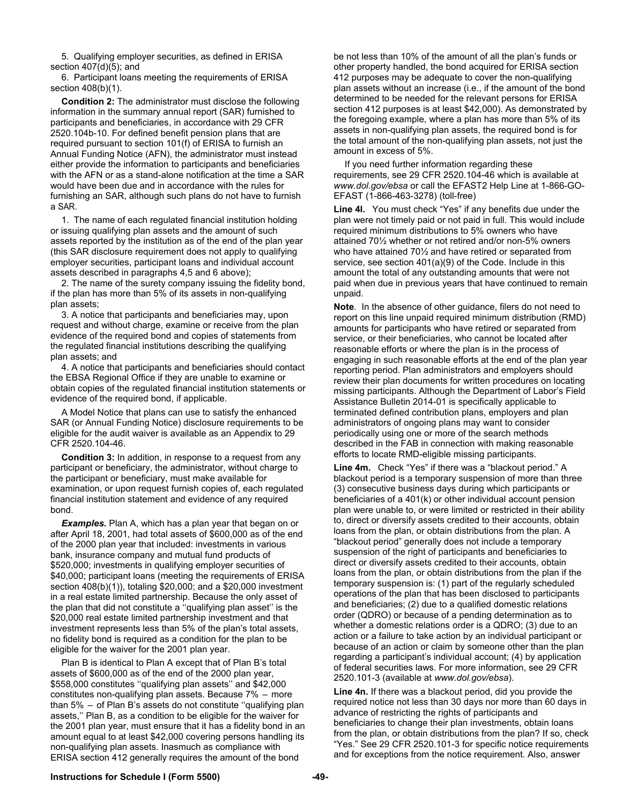5. Qualifying employer securities, as defined in ERISA section 407(d)(5); and

6. Participant loans meeting the requirements of ERISA section 408(b)(1).

**Condition 2:** The administrator must disclose the following information in the summary annual report (SAR) furnished to participants and beneficiaries, in accordance with 29 CFR 2520.104b-10. For defined benefit pension plans that are required pursuant to section 101(f) of ERISA to furnish an Annual Funding Notice (AFN), the administrator must instead either provide the information to participants and beneficiaries with the AFN or as a stand-alone notification at the time a SAR would have been due and in accordance with the rules for furnishing an SAR, although such plans do not have to furnish a SAR.

1. The name of each regulated financial institution holding or issuing qualifying plan assets and the amount of such assets reported by the institution as of the end of the plan year (this SAR disclosure requirement does not apply to qualifying employer securities, participant loans and individual account assets described in paragraphs 4,5 and 6 above);

2. The name of the surety company issuing the fidelity bond, if the plan has more than 5% of its assets in non-qualifying plan assets;

3. A notice that participants and beneficiaries may, upon request and without charge, examine or receive from the plan evidence of the required bond and copies of statements from the regulated financial institutions describing the qualifying plan assets; and

4. A notice that participants and beneficiaries should contact the EBSA Regional Office if they are unable to examine or obtain copies of the regulated financial institution statements or evidence of the required bond, if applicable.

A Model Notice that plans can use to satisfy the enhanced SAR (or Annual Funding Notice) disclosure requirements to be eligible for the audit waiver is available as an Appendix to 29 CFR 2520.104-46.

**Condition 3:** In addition, in response to a request from any participant or beneficiary, the administrator, without charge to the participant or beneficiary, must make available for examination, or upon request furnish copies of, each regulated financial institution statement and evidence of any required bond.

*Examples.* Plan A, which has a plan year that began on or after April 18, 2001, had total assets of \$600,000 as of the end of the 2000 plan year that included: investments in various bank, insurance company and mutual fund products of \$520,000; investments in qualifying employer securities of \$40,000; participant loans (meeting the requirements of ERISA section 408(b)(1)), totaling \$20,000; and a \$20,000 investment in a real estate limited partnership. Because the only asset of the plan that did not constitute a ''qualifying plan asset'' is the \$20,000 real estate limited partnership investment and that investment represents less than 5% of the plan's total assets, no fidelity bond is required as a condition for the plan to be eligible for the waiver for the 2001 plan year.

Plan B is identical to Plan A except that of Plan B's total assets of \$600,000 as of the end of the 2000 plan year, \$558,000 constitutes ''qualifying plan assets'' and \$42,000 constitutes non-qualifying plan assets. Because 7% – more than 5% – of Plan B's assets do not constitute ''qualifying plan assets,'' Plan B, as a condition to be eligible for the waiver for the 2001 plan year, must ensure that it has a fidelity bond in an amount equal to at least \$42,000 covering persons handling its non-qualifying plan assets. Inasmuch as compliance with ERISA section 412 generally requires the amount of the bond

be not less than 10% of the amount of all the plan's funds or other property handled, the bond acquired for ERISA section 412 purposes may be adequate to cover the non-qualifying plan assets without an increase (i.e., if the amount of the bond determined to be needed for the relevant persons for ERISA section 412 purposes is at least \$42,000). As demonstrated by the foregoing example, where a plan has more than 5% of its assets in non-qualifying plan assets, the required bond is for the total amount of the non-qualifying plan assets, not just the amount in excess of 5%.

If you need further information regarding these requirements, see 29 CFR 2520.104-46 which is available at *www.dol.gov/ebsa* or call the EFAST2 Help Line at 1-866-GO-EFAST (1-866-463-3278) (toll-free)

**Line 4l.** You must check "Yes" if any benefits due under the plan were not timely paid or not paid in full. This would include required minimum distributions to 5% owners who have attained 70½ whether or not retired and/or non-5% owners who have attained 70½ and have retired or separated from service, see section 401(a)(9) of the Code. Include in this amount the total of any outstanding amounts that were not paid when due in previous years that have continued to remain unpaid.

**Note**. In the absence of other guidance, filers do not need to report on this line unpaid required minimum distribution (RMD) amounts for participants who have retired or separated from service, or their beneficiaries, who cannot be located after reasonable efforts or where the plan is in the process of engaging in such reasonable efforts at the end of the plan year reporting period. Plan administrators and employers should review their plan documents for written procedures on locating missing participants. Although the Department of Labor's Field Assistance Bulletin 2014-01 is specifically applicable to terminated defined contribution plans, employers and plan administrators of ongoing plans may want to consider periodically using one or more of the search methods described in the FAB in connection with making reasonable efforts to locate RMD-eligible missing participants.

**Line 4m.** Check "Yes" if there was a "blackout period." A blackout period is a temporary suspension of more than three (3) consecutive business days during which participants or beneficiaries of a 401(k) or other individual account pension plan were unable to, or were limited or restricted in their ability to, direct or diversify assets credited to their accounts, obtain loans from the plan, or obtain distributions from the plan. A "blackout period" generally does not include a temporary suspension of the right of participants and beneficiaries to direct or diversify assets credited to their accounts, obtain loans from the plan, or obtain distributions from the plan if the temporary suspension is: (1) part of the regularly scheduled operations of the plan that has been disclosed to participants and beneficiaries; (2) due to a qualified domestic relations order (QDRO) or because of a pending determination as to whether a domestic relations order is a QDRO; (3) due to an action or a failure to take action by an individual participant or because of an action or claim by someone other than the plan regarding a participant's individual account; (4) by application of federal securities laws. For more information, see 29 CFR 2520.101-3 (available at *www.dol.gov/ebsa*).

**Line 4n.** If there was a blackout period, did you provide the required notice not less than 30 days nor more than 60 days in advance of restricting the rights of participants and beneficiaries to change their plan investments, obtain loans from the plan, or obtain distributions from the plan? If so, check "Yes." See 29 CFR 2520.101-3 for specific notice requirements and for exceptions from the notice requirement. Also, answer

#### **Instructions for Schedule I (Form 5500) -49-**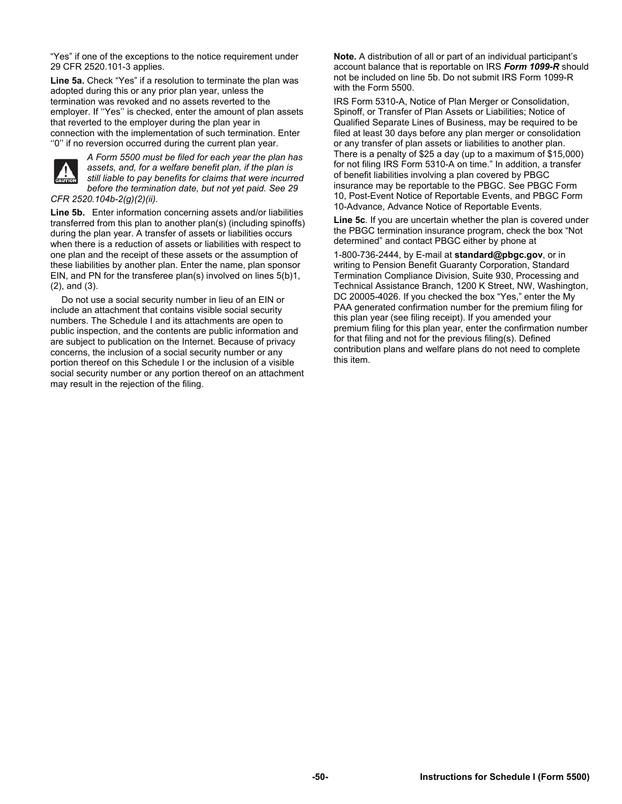"Yes" if one of the exceptions to the notice requirement under 29 CFR 2520.101-3 applies.

**Line 5a.** Check "Yes" if a resolution to terminate the plan was adopted during this or any prior plan year, unless the termination was revoked and no assets reverted to the employer. If ''Yes'' is checked, enter the amount of plan assets that reverted to the employer during the plan year in connection with the implementation of such termination. Enter ''0'' if no reversion occurred during the current plan year.



*A Form 5500 must be filed for each year the plan has assets, and, for a welfare benefit plan, if the plan is still liable to pay benefits for claims that were incurred before the termination date, but not yet paid. See 29 CFR 2520.104b-2(g)(2)(ii).* 

**Line 5b.** Enter information concerning assets and/or liabilities transferred from this plan to another plan(s) (including spinoffs) during the plan year. A transfer of assets or liabilities occurs when there is a reduction of assets or liabilities with respect to one plan and the receipt of these assets or the assumption of these liabilities by another plan. Enter the name, plan sponsor EIN, and PN for the transferee plan(s) involved on lines 5(b)1, (2), and (3).

Do not use a social security number in lieu of an EIN or include an attachment that contains visible social security numbers. The Schedule I and its attachments are open to public inspection, and the contents are public information and are subject to publication on the Internet. Because of privacy concerns, the inclusion of a social security number or any portion thereof on this Schedule I or the inclusion of a visible social security number or any portion thereof on an attachment may result in the rejection of the filing.

**Note.** A distribution of all or part of an individual participant's account balance that is reportable on IRS *Form 1099-R* should not be included on line 5b. Do not submit IRS Form 1099-R with the Form 5500.

IRS Form 5310-A, Notice of Plan Merger or Consolidation, Spinoff, or Transfer of Plan Assets or Liabilities; Notice of Qualified Separate Lines of Business, may be required to be filed at least 30 days before any plan merger or consolidation or any transfer of plan assets or liabilities to another plan. There is a penalty of \$25 a day (up to a maximum of \$15,000) for not filing IRS Form 5310-A on time." In addition, a transfer of benefit liabilities involving a plan covered by PBGC insurance may be reportable to the PBGC. See PBGC Form 10, Post-Event Notice of Reportable Events, and PBGC Form 10-Advance, Advance Notice of Reportable Events.

**Line 5c**. If you are uncertain whether the plan is covered under the PBGC termination insurance program, check the box "Not determined" and contact PBGC either by phone at

1-800-736-2444, by E-mail at **standard@pbgc.gov**, or in writing to Pension Benefit Guaranty Corporation, Standard Termination Compliance Division, Suite 930, Processing and Technical Assistance Branch, 1200 K Street, NW, Washington, DC 20005-4026. If you checked the box "Yes," enter the My PAA generated confirmation number for the premium filing for this plan year (see filing receipt). If you amended your premium filing for this plan year, enter the confirmation number for that filing and not for the previous filing(s). Defined contribution plans and welfare plans do not need to complete this item.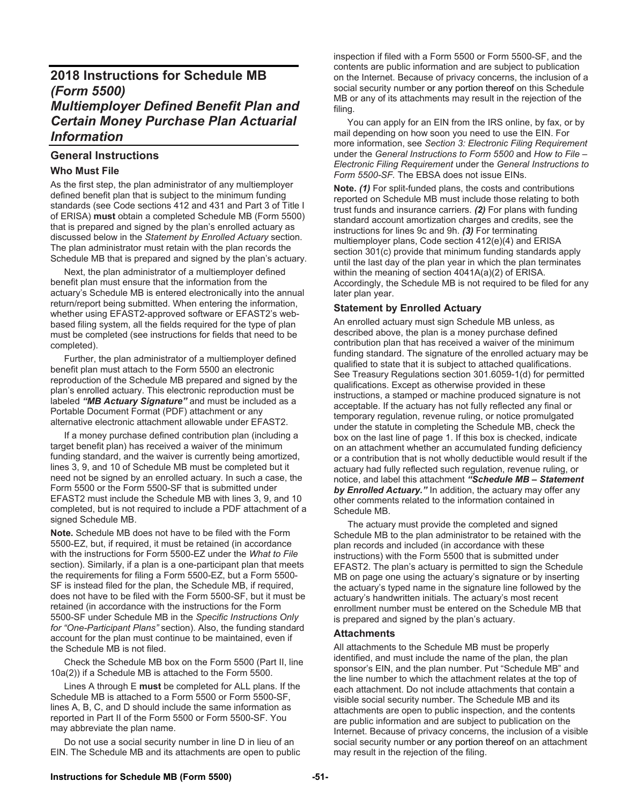# **2018 Instructions for Schedule MB** *(Form 5500) Multiemployer Defined Benefit Plan and Certain Money Purchase Plan Actuarial Information*

# **General Instructions**

# **Who Must File**

As the first step, the plan administrator of any multiemployer defined benefit plan that is subject to the minimum funding standards (see Code sections 412 and 431 and Part 3 of Title I of ERISA) **must** obtain a completed Schedule MB (Form 5500) that is prepared and signed by the plan's enrolled actuary as discussed below in the *Statement by Enrolled Actuary* section. The plan administrator must retain with the plan records the Schedule MB that is prepared and signed by the plan's actuary.

 Next, the plan administrator of a multiemployer defined benefit plan must ensure that the information from the actuary's Schedule MB is entered electronically into the annual return/report being submitted. When entering the information, whether using EFAST2-approved software or EFAST2's webbased filing system, all the fields required for the type of plan must be completed (see instructions for fields that need to be completed).

 Further, the plan administrator of a multiemployer defined benefit plan must attach to the Form 5500 an electronic reproduction of the Schedule MB prepared and signed by the plan's enrolled actuary. This electronic reproduction must be labeled *"MB Actuary Signature"* and must be included as a Portable Document Format (PDF) attachment or any alternative electronic attachment allowable under EFAST2.

 If a money purchase defined contribution plan (including a target benefit plan) has received a waiver of the minimum funding standard, and the waiver is currently being amortized, lines 3, 9, and 10 of Schedule MB must be completed but it need not be signed by an enrolled actuary. In such a case, the Form 5500 or the Form 5500-SF that is submitted under EFAST2 must include the Schedule MB with lines 3, 9, and 10 completed, but is not required to include a PDF attachment of a signed Schedule MB.

**Note.** Schedule MB does not have to be filed with the Form 5500-EZ, but, if required, it must be retained (in accordance with the instructions for Form 5500-EZ under the *What to File* section). Similarly, if a plan is a one-participant plan that meets the requirements for filing a Form 5500-EZ, but a Form 5500- SF is instead filed for the plan, the Schedule MB, if required, does not have to be filed with the Form 5500-SF, but it must be retained (in accordance with the instructions for the Form 5500-SF under Schedule MB in the *Specific Instructions Only for "One-Participant Plans"* section). Also, the funding standard account for the plan must continue to be maintained, even if the Schedule MB is not filed.

 Check the Schedule MB box on the Form 5500 (Part II, line 10a(2)) if a Schedule MB is attached to the Form 5500.

 Lines A through E **must** be completed for ALL plans. If the Schedule MB is attached to a Form 5500 or Form 5500-SF, lines A, B, C, and D should include the same information as reported in Part II of the Form 5500 or Form 5500-SF. You may abbreviate the plan name.

 Do not use a social security number in line D in lieu of an EIN. The Schedule MB and its attachments are open to public inspection if filed with a Form 5500 or Form 5500-SF, and the contents are public information and are subject to publication on the Internet. Because of privacy concerns, the inclusion of a social security number or any portion thereof on this Schedule MB or any of its attachments may result in the rejection of the filing.

 You can apply for an EIN from the IRS online, by fax, or by mail depending on how soon you need to use the EIN. For more information, see *Section 3: Electronic Filing Requirement*  under the *General Instructions to Form 5500* and *How to File – Electronic Filing Requirement* under the *General Instructions to Form 5500-SF.* The EBSA does not issue EINs.

**Note.** *(1)* For split-funded plans, the costs and contributions reported on Schedule MB must include those relating to both trust funds and insurance carriers. *(2)* For plans with funding standard account amortization charges and credits, see the instructions for lines 9c and 9h. *(3)* For terminating multiemployer plans, Code section 412(e)(4) and ERISA section 301(c) provide that minimum funding standards apply until the last day of the plan year in which the plan terminates within the meaning of section 4041A(a)(2) of ERISA. Accordingly, the Schedule MB is not required to be filed for any later plan year.

# **Statement by Enrolled Actuary**

An enrolled actuary must sign Schedule MB unless, as described above, the plan is a money purchase defined contribution plan that has received a waiver of the minimum funding standard. The signature of the enrolled actuary may be qualified to state that it is subject to attached qualifications. See Treasury Regulations section 301.6059-1(d) for permitted qualifications. Except as otherwise provided in these instructions, a stamped or machine produced signature is not acceptable. If the actuary has not fully reflected any final or temporary regulation, revenue ruling, or notice promulgated under the statute in completing the Schedule MB, check the box on the last line of page 1. If this box is checked, indicate on an attachment whether an accumulated funding deficiency or a contribution that is not wholly deductible would result if the actuary had fully reflected such regulation, revenue ruling, or notice, and label this attachment *"Schedule MB – Statement by Enrolled Actuary."* In addition, the actuary may offer any other comments related to the information contained in Schedule MB.

The actuary must provide the completed and signed Schedule MB to the plan administrator to be retained with the plan records and included (in accordance with these instructions) with the Form 5500 that is submitted under EFAST2. The plan's actuary is permitted to sign the Schedule MB on page one using the actuary's signature or by inserting the actuary's typed name in the signature line followed by the actuary's handwritten initials. The actuary's most recent enrollment number must be entered on the Schedule MB that is prepared and signed by the plan's actuary.

# **Attachments**

All attachments to the Schedule MB must be properly identified, and must include the name of the plan, the plan sponsor's EIN, and the plan number. Put "Schedule MB" and the line number to which the attachment relates at the top of each attachment. Do not include attachments that contain a visible social security number. The Schedule MB and its attachments are open to public inspection, and the contents are public information and are subject to publication on the Internet. Because of privacy concerns, the inclusion of a visible social security number or any portion thereof on an attachment may result in the rejection of the filing.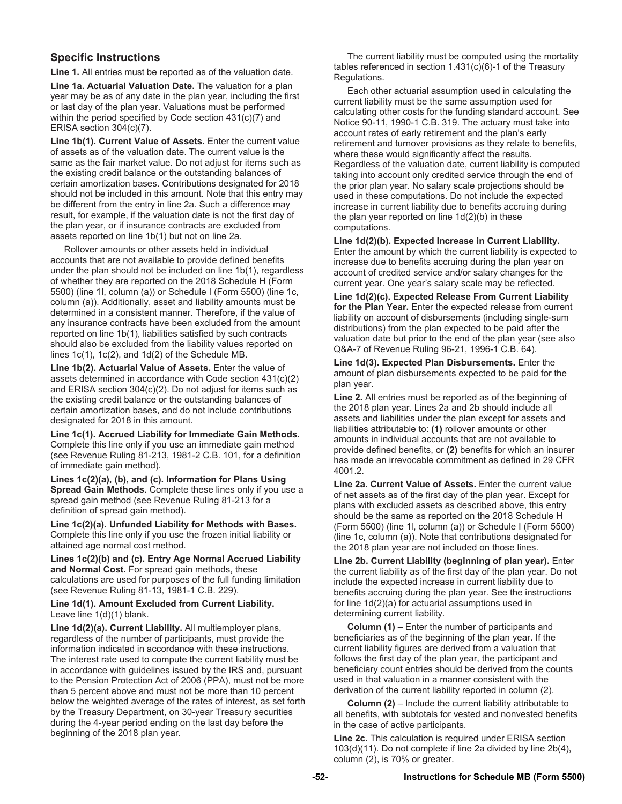# **Specific Instructions**

**Line 1.** All entries must be reported as of the valuation date.

**Line 1a. Actuarial Valuation Date.** The valuation for a plan year may be as of any date in the plan year, including the first or last day of the plan year. Valuations must be performed within the period specified by Code section 431(c)(7) and ERISA section 304(c)(7).

Line 1b(1). Current Value of Assets. Enter the current value of assets as of the valuation date. The current value is the same as the fair market value. Do not adjust for items such as the existing credit balance or the outstanding balances of certain amortization bases. Contributions designated for 2018 should not be included in this amount. Note that this entry may be different from the entry in line 2a. Such a difference may result, for example, if the valuation date is not the first day of the plan year, or if insurance contracts are excluded from assets reported on line 1b(1) but not on line 2a.

 Rollover amounts or other assets held in individual accounts that are not available to provide defined benefits under the plan should not be included on line 1b(1), regardless of whether they are reported on the 2018 Schedule H (Form 5500) (line 1I, column (a)) or Schedule I (Form 5500) (line 1c, column (a)). Additionally, asset and liability amounts must be determined in a consistent manner. Therefore, if the value of any insurance contracts have been excluded from the amount reported on line 1b(1), liabilities satisfied by such contracts should also be excluded from the liability values reported on lines 1c(1), 1c(2), and 1d(2) of the Schedule MB.

**Line 1b(2). Actuarial Value of Assets.** Enter the value of assets determined in accordance with Code section 431(c)(2) and ERISA section 304(c)(2). Do not adjust for items such as the existing credit balance or the outstanding balances of certain amortization bases, and do not include contributions designated for 2018 in this amount.

**Line 1c(1). Accrued Liability for Immediate Gain Methods.** Complete this line only if you use an immediate gain method (see Revenue Ruling 81-213, 1981-2 C.B. 101, for a definition of immediate gain method).

**Lines 1c(2)(a), (b), and (c). Information for Plans Using Spread Gain Methods.** Complete these lines only if you use a spread gain method (see Revenue Ruling 81-213 for a definition of spread gain method).

**Line 1c(2)(a). Unfunded Liability for Methods with Bases.**  Complete this line only if you use the frozen initial liability or attained age normal cost method.

**Lines 1c(2)(b) and (c). Entry Age Normal Accrued Liability and Normal Cost.** For spread gain methods, these calculations are used for purposes of the full funding limitation (see Revenue Ruling 81-13, 1981-1 C.B. 229).

**Line 1d(1). Amount Excluded from Current Liability.** Leave line 1(d)(1) blank.

**Line 1d(2)(a). Current Liability.** All multiemployer plans, regardless of the number of participants, must provide the information indicated in accordance with these instructions. The interest rate used to compute the current liability must be in accordance with guidelines issued by the IRS and, pursuant to the Pension Protection Act of 2006 (PPA), must not be more than 5 percent above and must not be more than 10 percent below the weighted average of the rates of interest, as set forth by the Treasury Department, on 30-year Treasury securities during the 4-year period ending on the last day before the beginning of the 2018 plan year.

 The current liability must be computed using the mortality tables referenced in section 1.431(c)(6)-1 of the Treasury Regulations.

 Each other actuarial assumption used in calculating the current liability must be the same assumption used for calculating other costs for the funding standard account. See Notice 90-11, 1990-1 C.B. 319. The actuary must take into account rates of early retirement and the plan's early retirement and turnover provisions as they relate to benefits, where these would significantly affect the results. Regardless of the valuation date, current liability is computed taking into account only credited service through the end of the prior plan year. No salary scale projections should be used in these computations. Do not include the expected increase in current liability due to benefits accruing during the plan year reported on line 1d(2)(b) in these computations.

**Line 1d(2)(b). Expected Increase in Current Liability.** Enter the amount by which the current liability is expected to increase due to benefits accruing during the plan year on account of credited service and/or salary changes for the current year. One year's salary scale may be reflected.

**Line 1d(2)(c). Expected Release From Current Liability for the Plan Year.** Enter the expected release from current liability on account of disbursements (including single-sum distributions) from the plan expected to be paid after the valuation date but prior to the end of the plan year (see also Q&A-7 of Revenue Ruling 96-21, 1996-1 C.B. 64).

**Line 1d(3). Expected Plan Disbursements.** Enter the amount of plan disbursements expected to be paid for the plan year.

**Line 2.** All entries must be reported as of the beginning of the 2018 plan year. Lines 2a and 2b should include all assets and liabilities under the plan except for assets and liabilities attributable to: **(1)** rollover amounts or other amounts in individual accounts that are not available to provide defined benefits, or **(2)** benefits for which an insurer has made an irrevocable commitment as defined in 29 CFR 4001.2.

**Line 2a. Current Value of Assets.** Enter the current value of net assets as of the first day of the plan year. Except for plans with excluded assets as described above, this entry should be the same as reported on the 2018 Schedule H (Form 5500) (line 1l, column (a)) or Schedule I (Form 5500) (line 1c, column (a)). Note that contributions designated for the 2018 plan year are not included on those lines.

**Line 2b. Current Liability (beginning of plan year).** Enter the current liability as of the first day of the plan year. Do not include the expected increase in current liability due to benefits accruing during the plan year. See the instructions for line 1d(2)(a) for actuarial assumptions used in determining current liability.

 **Column (1)** – Enter the number of participants and beneficiaries as of the beginning of the plan year. If the current liability figures are derived from a valuation that follows the first day of the plan year, the participant and beneficiary count entries should be derived from the counts used in that valuation in a manner consistent with the derivation of the current liability reported in column (2).

 **Column (2)** – Include the current liability attributable to all benefits, with subtotals for vested and nonvested benefits in the case of active participants.

**Line 2c.** This calculation is required under ERISA section 103(d)(11). Do not complete if line 2a divided by line 2b(4), column (2), is 70% or greater.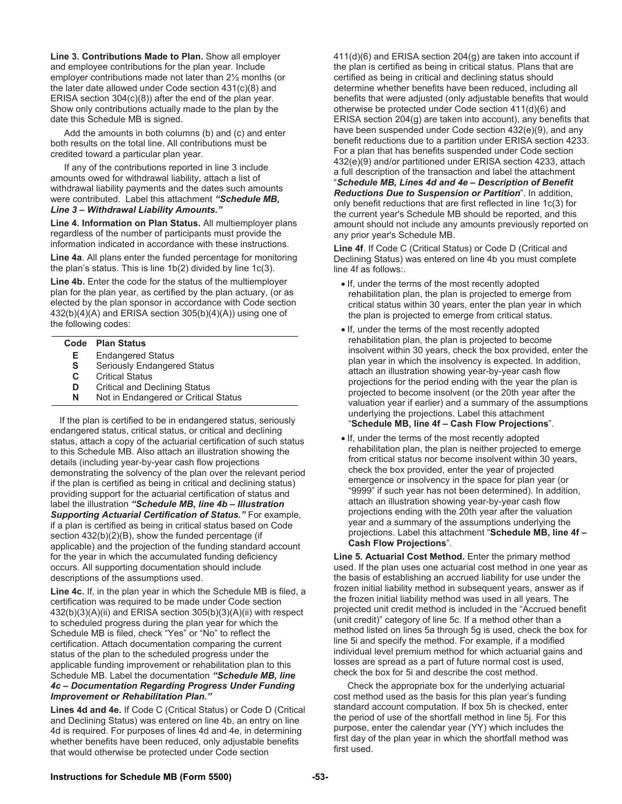**Line 3. Contributions Made to Plan.** Show all employer and employee contributions for the plan year. Include employer contributions made not later than 2½ months (or the later date allowed under Code section 431(c)(8) and ERISA section 304(c)(8)) after the end of the plan year. Show only contributions actually made to the plan by the date this Schedule MB is signed.

 Add the amounts in both columns (b) and (c) and enter both results on the total line. All contributions must be credited toward a particular plan year.

 If any of the contributions reported in line 3 include amounts owed for withdrawal liability, attach a list of withdrawal liability payments and the dates such amounts were contributed. Label this attachment *"Schedule MB, Line 3 – Withdrawal Liability Amounts."* 

**Line 4. Information on Plan Status.** All multiemployer plans regardless of the number of participants must provide the information indicated in accordance with these instructions.

**Line 4a**. All plans enter the funded percentage for monitoring the plan's status. This is line 1b(2) divided by line 1c(3).

**Line 4b.** Enter the code for the status of the multiemployer plan for the plan year, as certified by the plan actuary, (or as elected by the plan sponsor in accordance with Code section 432(b)(4)(A) and ERISA section 305(b)(4)(A)) using one of the following codes:

|    | Code Plan Status                     |
|----|--------------------------------------|
| Е. | <b>Endangered Status</b>             |
| S  | <b>Seriously Endangered Status</b>   |
| C. | <b>Critical Status</b>               |
| D  | <b>Critical and Declining Status</b> |
| N  | Not in Endangered or Critical Status |
|    |                                      |

 If the plan is certified to be in endangered status, seriously endangered status, critical status, or critical and declining status, attach a copy of the actuarial certification of such status to this Schedule MB. Also attach an illustration showing the details (including year-by-year cash flow projections demonstrating the solvency of the plan over the relevant period if the plan is certified as being in critical and declining status) providing support for the actuarial certification of status and label the illustration *"Schedule MB, line 4b – Illustration Supporting Actuarial Certification of Status."* For example, if a plan is certified as being in critical status based on Code section 432(b)(2)(B), show the funded percentage (if applicable) and the projection of the funding standard account for the year in which the accumulated funding deficiency occurs. All supporting documentation should include descriptions of the assumptions used.

**Line 4c.** If, in the plan year in which the Schedule MB is filed, a certification was required to be made under Code section 432(b)(3)(A)(ii) and ERISA section 305(b)(3)(A)(ii) with respect to scheduled progress during the plan year for which the Schedule MB is filed, check "Yes" or "No" to reflect the certification. Attach documentation comparing the current status of the plan to the scheduled progress under the applicable funding improvement or rehabilitation plan to this Schedule MB. Label the documentation *"Schedule MB, line 4c – Documentation Regarding Progress Under Funding Improvement or Rehabilitation Plan."*

**Lines 4d and 4e.** If Code C (Critical Status) or Code D (Critical and Declining Status) was entered on line 4b, an entry on line 4d is required. For purposes of lines 4d and 4e, in determining whether benefits have been reduced, only adjustable benefits that would otherwise be protected under Code section

411(d)(6) and ERISA section 204(g) are taken into account if the plan is certified as being in critical status. Plans that are certified as being in critical and declining status should determine whether benefits have been reduced, including all benefits that were adjusted (only adjustable benefits that would otherwise be protected under Code section 411(d)(6) and ERISA section 204(g) are taken into account), any benefits that have been suspended under Code section 432(e)(9), and any benefit reductions due to a partition under ERISA section 4233. For a plan that has benefits suspended under Code section 432(e)(9) and/or partitioned under ERISA section 4233, attach a full description of the transaction and label the attachment "*Schedule MB, Lines 4d and 4e – Description of Benefit Reductions Due to Suspension or Partition*". In addition, only benefit reductions that are first reflected in line 1c(3) for the current year's Schedule MB should be reported, and this amount should not include any amounts previously reported on any prior year's Schedule MB.

**Line 4f**. If Code C (Critical Status) or Code D (Critical and Declining Status) was entered on line 4b you must complete line 4f as follows:.

- If, under the terms of the most recently adopted rehabilitation plan, the plan is projected to emerge from critical status within 30 years, enter the plan year in which the plan is projected to emerge from critical status.
- If, under the terms of the most recently adopted rehabilitation plan, the plan is projected to become insolvent within 30 years, check the box provided, enter the plan year in which the insolvency is expected. In addition, attach an illustration showing year-by-year cash flow projections for the period ending with the year the plan is projected to become insolvent (or the 20th year after the valuation year if earlier) and a summary of the assumptions underlying the projections. Label this attachment "**Schedule MB, line 4f – Cash Flow Projections**".
- If, under the terms of the most recently adopted rehabilitation plan, the plan is neither projected to emerge from critical status nor become insolvent within 30 years, check the box provided, enter the year of projected emergence or insolvency in the space for plan year (or "9999" if such year has not been determined). In addition, attach an illustration showing year-by-year cash flow projections ending with the 20th year after the valuation year and a summary of the assumptions underlying the projections. Label this attachment "**Schedule MB, line 4f – Cash Flow Projections**".

**Line 5. Actuarial Cost Method.** Enter the primary method used. If the plan uses one actuarial cost method in one year as the basis of establishing an accrued liability for use under the frozen initial liability method in subsequent years, answer as if the frozen initial liability method was used in all years. The projected unit credit method is included in the "Accrued benefit (unit credit)" category of line 5c. If a method other than a method listed on lines 5a through 5g is used, check the box for line 5i and specify the method. For example, if a modified individual level premium method for which actuarial gains and losses are spread as a part of future normal cost is used, check the box for 5i and describe the cost method.

 Check the appropriate box for the underlying actuarial cost method used as the basis for this plan year's funding standard account computation. If box 5h is checked, enter the period of use of the shortfall method in line 5j. For this purpose, enter the calendar year (YY) which includes the first day of the plan year in which the shortfall method was first used.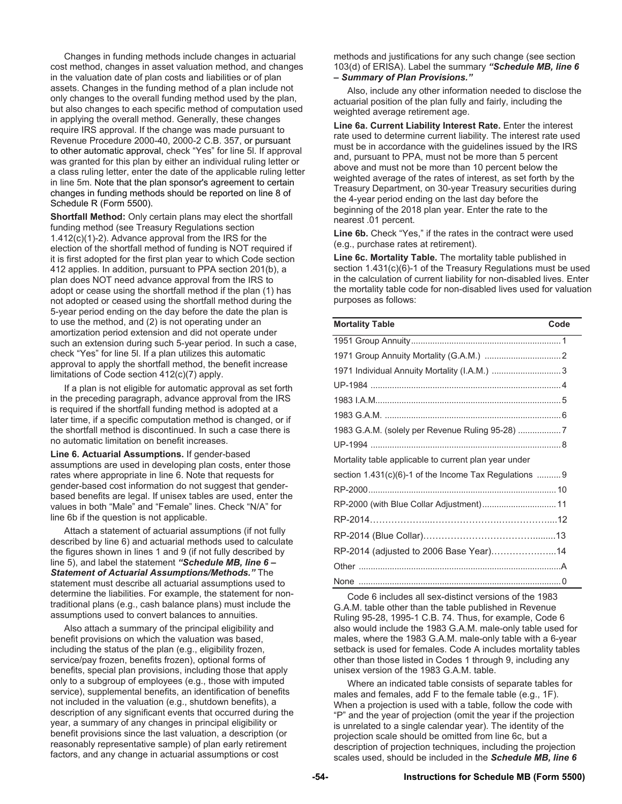Changes in funding methods include changes in actuarial cost method, changes in asset valuation method, and changes in the valuation date of plan costs and liabilities or of plan assets. Changes in the funding method of a plan include not only changes to the overall funding method used by the plan, but also changes to each specific method of computation used in applying the overall method. Generally, these changes require IRS approval. If the change was made pursuant to Revenue Procedure 2000-40, 2000-2 C.B. 357, or pursuant to other automatic approval, check "Yes" for line 5l. If approval was granted for this plan by either an individual ruling letter or a class ruling letter, enter the date of the applicable ruling letter in line 5m. Note that the plan sponsor's agreement to certain changes in funding methods should be reported on line 8 of Schedule R (Form 5500).

**Shortfall Method:** Only certain plans may elect the shortfall funding method (see Treasury Regulations section 1.412(c)(1)-2). Advance approval from the IRS for the election of the shortfall method of funding is NOT required if it is first adopted for the first plan year to which Code section 412 applies. In addition, pursuant to PPA section 201(b), a plan does NOT need advance approval from the IRS to adopt or cease using the shortfall method if the plan (1) has not adopted or ceased using the shortfall method during the 5-year period ending on the day before the date the plan is to use the method, and (2) is not operating under an amortization period extension and did not operate under such an extension during such 5-year period. In such a case, check "Yes" for line 5l. If a plan utilizes this automatic approval to apply the shortfall method, the benefit increase limitations of Code section 412(c)(7) apply.

 If a plan is not eligible for automatic approval as set forth in the preceding paragraph, advance approval from the IRS is required if the shortfall funding method is adopted at a later time, if a specific computation method is changed, or if the shortfall method is discontinued. In such a case there is no automatic limitation on benefit increases.

**Line 6. Actuarial Assumptions.** If gender-based assumptions are used in developing plan costs, enter those rates where appropriate in line 6. Note that requests for gender-based cost information do not suggest that genderbased benefits are legal. If unisex tables are used, enter the values in both "Male" and "Female" lines. Check "N/A" for line 6b if the question is not applicable.

 Attach a statement of actuarial assumptions (if not fully described by line 6) and actuarial methods used to calculate the figures shown in lines 1 and 9 (if not fully described by line 5), and label the statement *"Schedule MB, line 6 – Statement of Actuarial Assumptions/Methods."* The statement must describe all actuarial assumptions used to determine the liabilities. For example, the statement for nontraditional plans (e.g., cash balance plans) must include the assumptions used to convert balances to annuities.

 Also attach a summary of the principal eligibility and benefit provisions on which the valuation was based, including the status of the plan (e.g., eligibility frozen, service/pay frozen, benefits frozen), optional forms of benefits, special plan provisions, including those that apply only to a subgroup of employees (e.g., those with imputed service), supplemental benefits, an identification of benefits not included in the valuation (e.g., shutdown benefits), a description of any significant events that occurred during the year, a summary of any changes in principal eligibility or benefit provisions since the last valuation, a description (or reasonably representative sample) of plan early retirement factors, and any change in actuarial assumptions or cost

methods and justifications for any such change (see section 103(d) of ERISA). Label the summary *"Schedule MB, line 6 – Summary of Plan Provisions."*

 Also, include any other information needed to disclose the actuarial position of the plan fully and fairly, including the weighted average retirement age.

**Line 6a. Current Liability Interest Rate.** Enter the interest rate used to determine current liability. The interest rate used must be in accordance with the guidelines issued by the IRS and, pursuant to PPA, must not be more than 5 percent above and must not be more than 10 percent below the weighted average of the rates of interest, as set forth by the Treasury Department, on 30-year Treasury securities during the 4-year period ending on the last day before the beginning of the 2018 plan year. Enter the rate to the nearest .01 percent.

**Line 6b.** Check "Yes," if the rates in the contract were used (e.g., purchase rates at retirement).

**Line 6c. Mortality Table.** The mortality table published in section 1.431(c)(6)-1 of the Treasury Regulations must be used in the calculation of current liability for non-disabled lives. Enter the mortality table code for non-disabled lives used for valuation purposes as follows:

| <b>Mortality Table</b>                                 | Code |
|--------------------------------------------------------|------|
|                                                        |      |
|                                                        |      |
| 1971 Individual Annuity Mortality (I.A.M.)  3          |      |
|                                                        |      |
|                                                        |      |
|                                                        |      |
| 1983 G.A.M. (solely per Revenue Ruling 95-28)          |      |
|                                                        |      |
| Mortality table applicable to current plan year under  |      |
| section 1.431(c)(6)-1 of the Income Tax Regulations  9 |      |
|                                                        |      |
|                                                        |      |
|                                                        |      |
|                                                        |      |
| RP-2014 (adjusted to 2006 Base Year)14                 |      |
|                                                        |      |
|                                                        |      |

 Code 6 includes all sex-distinct versions of the 1983 G.A.M. table other than the table published in Revenue Ruling 95-28, 1995-1 C.B. 74. Thus, for example, Code 6 also would include the 1983 G.A.M. male-only table used for males, where the 1983 G.A.M. male-only table with a 6-year setback is used for females. Code A includes mortality tables other than those listed in Codes 1 through 9, including any unisex version of the 1983 G.A.M. table.

 Where an indicated table consists of separate tables for males and females, add F to the female table (e.g., 1F). When a projection is used with a table, follow the code with "P" and the year of projection (omit the year if the projection is unrelated to a single calendar year). The identity of the projection scale should be omitted from line 6c, but a description of projection techniques, including the projection scales used, should be included in the *Schedule MB, line 6*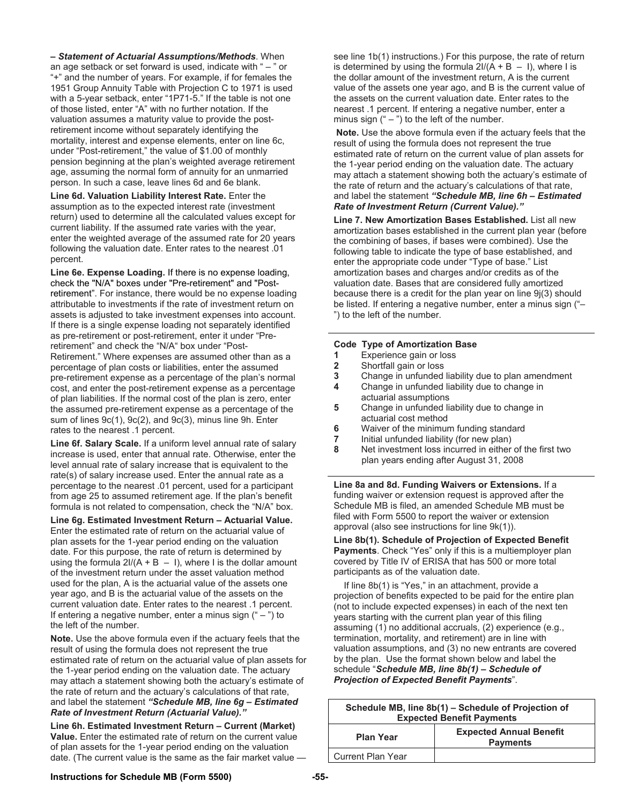*– Statement of Actuarial Assumptions/Methods*. When an age setback or set forward is used, indicate with " – " or "+" and the number of years. For example, if for females the 1951 Group Annuity Table with Projection C to 1971 is used with a 5-year setback, enter "1P71-5." If the table is not one of those listed, enter "A" with no further notation. If the valuation assumes a maturity value to provide the postretirement income without separately identifying the mortality, interest and expense elements, enter on line 6c, under "Post-retirement," the value of \$1.00 of monthly pension beginning at the plan's weighted average retirement age, assuming the normal form of annuity for an unmarried person. In such a case, leave lines 6d and 6e blank.

**Line 6d. Valuation Liability Interest Rate.** Enter the assumption as to the expected interest rate (investment return) used to determine all the calculated values except for current liability. If the assumed rate varies with the year, enter the weighted average of the assumed rate for 20 years following the valuation date. Enter rates to the nearest .01 percent.

**Line 6e. Expense Loading.** If there is no expense loading, check the "N/A" boxes under "Pre-retirement" and "Postretirement". For instance, there would be no expense loading attributable to investments if the rate of investment return on assets is adjusted to take investment expenses into account. If there is a single expense loading not separately identified as pre-retirement or post-retirement, enter it under "Preretirement" and check the "N/A" box under "Post-Retirement." Where expenses are assumed other than as a percentage of plan costs or liabilities, enter the assumed pre-retirement expense as a percentage of the plan's normal cost, and enter the post-retirement expense as a percentage of plan liabilities. If the normal cost of the plan is zero, enter the assumed pre-retirement expense as a percentage of the sum of lines 9c(1), 9c(2), and 9c(3), minus line 9h. Enter rates to the nearest .1 percent.

**Line 6f. Salary Scale.** If a uniform level annual rate of salary increase is used, enter that annual rate. Otherwise, enter the level annual rate of salary increase that is equivalent to the rate(s) of salary increase used. Enter the annual rate as a percentage to the nearest .01 percent, used for a participant from age 25 to assumed retirement age. If the plan's benefit formula is not related to compensation, check the "N/A" box.

**Line 6g. Estimated Investment Return – Actuarial Value.**  Enter the estimated rate of return on the actuarial value of plan assets for the 1-year period ending on the valuation date. For this purpose, the rate of return is determined by using the formula  $2I/(A + B - I)$ , where I is the dollar amount of the investment return under the asset valuation method used for the plan, A is the actuarial value of the assets one year ago, and B is the actuarial value of the assets on the current valuation date. Enter rates to the nearest .1 percent. If entering a negative number, enter a minus sign  $(4 - 7)$  to the left of the number.

**Note.** Use the above formula even if the actuary feels that the result of using the formula does not represent the true estimated rate of return on the actuarial value of plan assets for the 1-year period ending on the valuation date. The actuary may attach a statement showing both the actuary's estimate of the rate of return and the actuary's calculations of that rate, and label the statement *"Schedule MB, line 6g – Estimated Rate of Investment Return (Actuarial Value)."*

**Line 6h. Estimated Investment Return – Current (Market) Value.** Enter the estimated rate of return on the current value of plan assets for the 1-year period ending on the valuation date. (The current value is the same as the fair market value — see line 1b(1) instructions.) For this purpose, the rate of return is determined by using the formula  $2I/(A + B - I)$ , where I is the dollar amount of the investment return, A is the current value of the assets one year ago, and B is the current value of the assets on the current valuation date. Enter rates to the nearest .1 percent. If entering a negative number, enter a minus sign  $(" -")$  to the left of the number.

 **Note.** Use the above formula even if the actuary feels that the result of using the formula does not represent the true estimated rate of return on the current value of plan assets for the 1-year period ending on the valuation date. The actuary may attach a statement showing both the actuary's estimate of the rate of return and the actuary's calculations of that rate, and label the statement *"Schedule MB, line 6h – Estimated Rate of Investment Return (Current Value)."*

**Line 7. New Amortization Bases Established.** List all new amortization bases established in the current plan year (before the combining of bases, if bases were combined). Use the following table to indicate the type of base established, and enter the appropriate code under "Type of base." List amortization bases and charges and/or credits as of the valuation date. Bases that are considered fully amortized because there is a credit for the plan year on line 9j(3) should be listed. If entering a negative number, enter a minus sign ("– ") to the left of the number.

#### **Code Type of Amortization Base**

- **1** Experience gain or loss
- **2** Shortfall gain or loss
- **3** Change in unfunded liability due to plan amendment
- **4** Change in unfunded liability due to change in actuarial assumptions
- **5** Change in unfunded liability due to change in actuarial cost method
- **6** Waiver of the minimum funding standard
- **7** Initial unfunded liability (for new plan)
- **8** Net investment loss incurred in either of the first two plan years ending after August 31, 2008

**Line 8a and 8d. Funding Waivers or Extensions.** If a funding waiver or extension request is approved after the Schedule MB is filed, an amended Schedule MB must be filed with Form 5500 to report the waiver or extension approval (also see instructions for line 9k(1)).

**Line 8b(1). Schedule of Projection of Expected Benefit Payments**. Check "Yes" only if this is a multiemployer plan covered by Title IV of ERISA that has 500 or more total participants as of the valuation date.

 If line 8b(1) is "Yes," in an attachment, provide a projection of benefits expected to be paid for the entire plan (not to include expected expenses) in each of the next ten years starting with the current plan year of this filing assuming (1) no additional accruals, (2) experience (e.g., termination, mortality, and retirement) are in line with valuation assumptions, and (3) no new entrants are covered by the plan. Use the format shown below and label the schedule "*Schedule MB, line 8b(1) – Schedule of Projection of Expected Benefit Payments*".

| Schedule MB, line 8b(1) – Schedule of Projection of<br><b>Expected Benefit Payments</b> |                                                   |  |  |  |
|-----------------------------------------------------------------------------------------|---------------------------------------------------|--|--|--|
| <b>Plan Year</b>                                                                        | <b>Expected Annual Benefit</b><br><b>Payments</b> |  |  |  |
| <b>Current Plan Year</b>                                                                |                                                   |  |  |  |

# **Instructions for Schedule MB (Form 5500) -55-**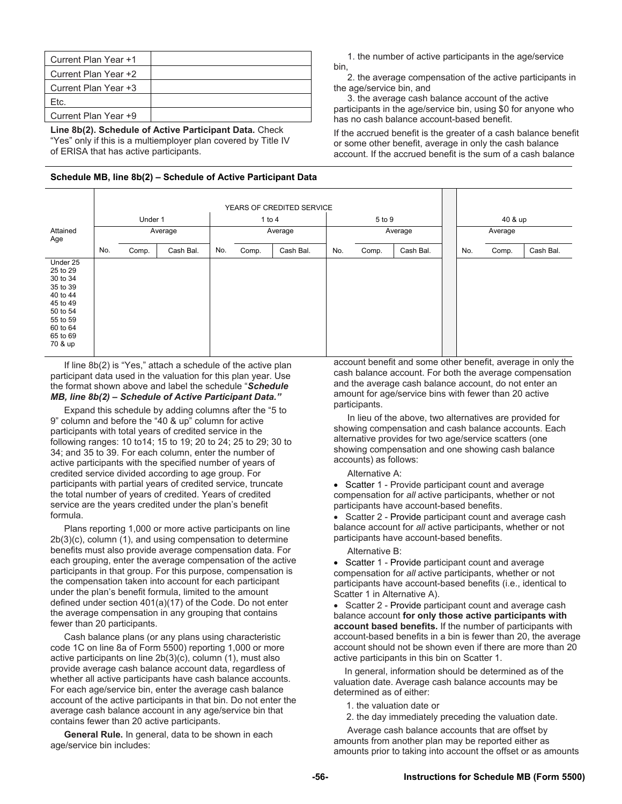| Current Plan Year +1 |  |
|----------------------|--|
| Current Plan Year +2 |  |
| Current Plan Year +3 |  |
| Ftc.                 |  |
| Current Plan Year +9 |  |

**Line 8b(2). Schedule of Active Participant Data.** Check "Yes" only if this is a multiemployer plan covered by Title IV of ERISA that has active participants.

#### **Schedule MB, line 8b(2) – Schedule of Active Participant Data**

 1. the number of active participants in the age/service bin,

 2. the average compensation of the active participants in the age/service bin, and

 3. the average cash balance account of the active participants in the age/service bin, using \$0 for anyone who has no cash balance account-based benefit.

If the accrued benefit is the greater of a cash balance benefit or some other benefit, average in only the cash balance account. If the accrued benefit is the sum of a cash balance

|                                                                                                                                 |     | YEARS OF CREDITED SERVICE |           |     |         |           |         |        |           |         |       |           |
|---------------------------------------------------------------------------------------------------------------------------------|-----|---------------------------|-----------|-----|---------|-----------|---------|--------|-----------|---------|-------|-----------|
|                                                                                                                                 |     | Under 1                   |           |     |         | 1 to $4$  |         | 5 to 9 |           | 40 & up |       |           |
| Attained<br>Age                                                                                                                 |     |                           | Average   |     | Average |           | Average |        | Average   |         |       |           |
|                                                                                                                                 | No. | Comp.                     | Cash Bal. | No. | Comp.   | Cash Bal. | No.     | Comp.  | Cash Bal. | No.     | Comp. | Cash Bal. |
| Under 25<br>25 to 29<br>30 to 34<br>35 to 39<br>40 to 44<br>45 to 49<br>50 to 54<br>55 to 59<br>60 to 64<br>65 to 69<br>70 & up |     |                           |           |     |         |           |         |        |           |         |       |           |

 If line 8b(2) is "Yes," attach a schedule of the active plan participant data used in the valuation for this plan year. Use the format shown above and label the schedule "*Schedule MB, line 8b(2) – Schedule of Active Participant Data."* 

 Expand this schedule by adding columns after the "5 to 9" column and before the "40 & up" column for active participants with total years of credited service in the following ranges: 10 to14; 15 to 19; 20 to 24; 25 to 29; 30 to 34; and 35 to 39. For each column, enter the number of active participants with the specified number of years of credited service divided according to age group. For participants with partial years of credited service, truncate the total number of years of credited. Years of credited service are the years credited under the plan's benefit formula.

 Plans reporting 1,000 or more active participants on line 2b(3)(c), column (1), and using compensation to determine benefits must also provide average compensation data. For each grouping, enter the average compensation of the active participants in that group. For this purpose, compensation is the compensation taken into account for each participant under the plan's benefit formula, limited to the amount defined under section 401(a)(17) of the Code. Do not enter the average compensation in any grouping that contains fewer than 20 participants.

 Cash balance plans (or any plans using characteristic code 1C on line 8a of Form 5500) reporting 1,000 or more active participants on line 2b(3)(c), column (1), must also provide average cash balance account data, regardless of whether all active participants have cash balance accounts. For each age/service bin, enter the average cash balance account of the active participants in that bin. Do not enter the average cash balance account in any age/service bin that contains fewer than 20 active participants.

 **General Rule.** In general, data to be shown in each age/service bin includes:

account benefit and some other benefit, average in only the cash balance account. For both the average compensation and the average cash balance account, do not enter an amount for age/service bins with fewer than 20 active participants.

 In lieu of the above, two alternatives are provided for showing compensation and cash balance accounts. Each alternative provides for two age/service scatters (one showing compensation and one showing cash balance accounts) as follows:

#### Alternative A:

• Scatter 1 - Provide participant count and average compensation for *all* active participants, whether or not participants have account-based benefits.

• Scatter 2 - Provide participant count and average cash balance account for *all* active participants, whether or not participants have account-based benefits.

#### Alternative B:

• Scatter 1 - Provide participant count and average compensation for *all* active participants, whether or not participants have account-based benefits (i.e., identical to Scatter 1 in Alternative A).

• Scatter 2 - Provide participant count and average cash balance account **for only those active participants with account based benefits.** If the number of participants with account-based benefits in a bin is fewer than 20, the average account should not be shown even if there are more than 20 active participants in this bin on Scatter 1.

In general, information should be determined as of the valuation date. Average cash balance accounts may be determined as of either:

1. the valuation date or

2. the day immediately preceding the valuation date.

 Average cash balance accounts that are offset by amounts from another plan may be reported either as amounts prior to taking into account the offset or as amounts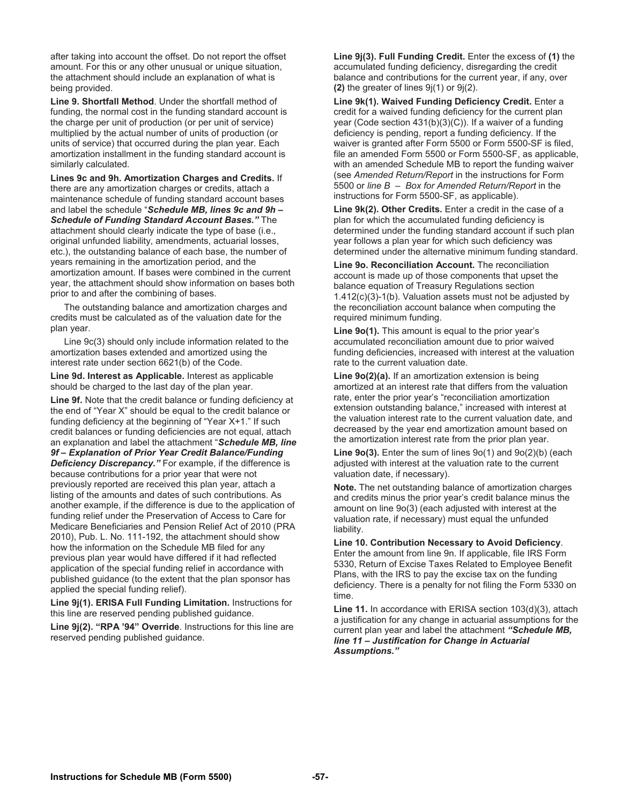after taking into account the offset. Do not report the offset amount. For this or any other unusual or unique situation, the attachment should include an explanation of what is being provided.

**Line 9. Shortfall Method**. Under the shortfall method of funding, the normal cost in the funding standard account is the charge per unit of production (or per unit of service) multiplied by the actual number of units of production (or units of service) that occurred during the plan year. Each amortization installment in the funding standard account is similarly calculated.

**Lines 9c and 9h. Amortization Charges and Credits.** If there are any amortization charges or credits, attach a maintenance schedule of funding standard account bases and label the schedule "*Schedule MB, lines 9c and 9h – Schedule of Funding Standard Account Bases."* The attachment should clearly indicate the type of base (i.e., original unfunded liability, amendments, actuarial losses, etc.), the outstanding balance of each base, the number of years remaining in the amortization period, and the amortization amount. If bases were combined in the current year, the attachment should show information on bases both prior to and after the combining of bases.

 The outstanding balance and amortization charges and credits must be calculated as of the valuation date for the plan year.

 Line 9c(3) should only include information related to the amortization bases extended and amortized using the interest rate under section 6621(b) of the Code.

**Line 9d. Interest as Applicable.** Interest as applicable should be charged to the last day of the plan year.

**Line 9f.** Note that the credit balance or funding deficiency at the end of "Year X" should be equal to the credit balance or funding deficiency at the beginning of "Year X+1." If such credit balances or funding deficiencies are not equal, attach an explanation and label the attachment "*Schedule MB, line 9f – Explanation of Prior Year Credit Balance/Funding Deficiency Discrepancy."* For example, if the difference is because contributions for a prior year that were not previously reported are received this plan year, attach a listing of the amounts and dates of such contributions. As another example, if the difference is due to the application of funding relief under the Preservation of Access to Care for Medicare Beneficiaries and Pension Relief Act of 2010 (PRA 2010), Pub. L. No. 111-192, the attachment should show how the information on the Schedule MB filed for any previous plan year would have differed if it had reflected application of the special funding relief in accordance with published guidance (to the extent that the plan sponsor has applied the special funding relief).

**Line 9j(1). ERISA Full Funding Limitation.** Instructions for this line are reserved pending published guidance.

**Line 9j(2). "RPA '94" Override**. Instructions for this line are reserved pending published guidance.

**Line 9j(3). Full Funding Credit.** Enter the excess of **(1)** the accumulated funding deficiency, disregarding the credit balance and contributions for the current year, if any, over **(2)** the greater of lines 9j(1) or 9j(2).

**Line 9k(1). Waived Funding Deficiency Credit.** Enter a credit for a waived funding deficiency for the current plan year (Code section 431(b)(3)(C)). If a waiver of a funding deficiency is pending, report a funding deficiency. If the waiver is granted after Form 5500 or Form 5500-SF is filed, file an amended Form 5500 or Form 5500-SF, as applicable, with an amended Schedule MB to report the funding waiver (see *Amended Return/Report* in the instructions for Form 5500 or *line B – Box for Amended Return/Report* in the instructions for Form 5500-SF, as applicable).

**Line 9k(2). Other Credits.** Enter a credit in the case of a plan for which the accumulated funding deficiency is determined under the funding standard account if such plan year follows a plan year for which such deficiency was determined under the alternative minimum funding standard.

**Line 9o. Reconciliation Account.** The reconciliation account is made up of those components that upset the balance equation of Treasury Regulations section 1.412(c)(3)-1(b). Valuation assets must not be adjusted by the reconciliation account balance when computing the required minimum funding.

**Line 9o(1).** This amount is equal to the prior year's accumulated reconciliation amount due to prior waived funding deficiencies, increased with interest at the valuation rate to the current valuation date.

**Line 9o(2)(a).** If an amortization extension is being amortized at an interest rate that differs from the valuation rate, enter the prior year's "reconciliation amortization extension outstanding balance," increased with interest at the valuation interest rate to the current valuation date, and decreased by the year end amortization amount based on the amortization interest rate from the prior plan year.

**Line 9o(3).** Enter the sum of lines 9o(1) and 9o(2)(b) (each adjusted with interest at the valuation rate to the current valuation date, if necessary).

**Note.** The net outstanding balance of amortization charges and credits minus the prior year's credit balance minus the amount on line 9o(3) (each adjusted with interest at the valuation rate, if necessary) must equal the unfunded liability.

**Line 10. Contribution Necessary to Avoid Deficiency**. Enter the amount from line 9n. If applicable, file IRS Form 5330, Return of Excise Taxes Related to Employee Benefit Plans, with the IRS to pay the excise tax on the funding deficiency. There is a penalty for not filing the Form 5330 on time.

**Line 11.** In accordance with ERISA section 103(d)(3), attach a justification for any change in actuarial assumptions for the current plan year and label the attachment *"Schedule MB, line 11 – Justification for Change in Actuarial Assumptions."*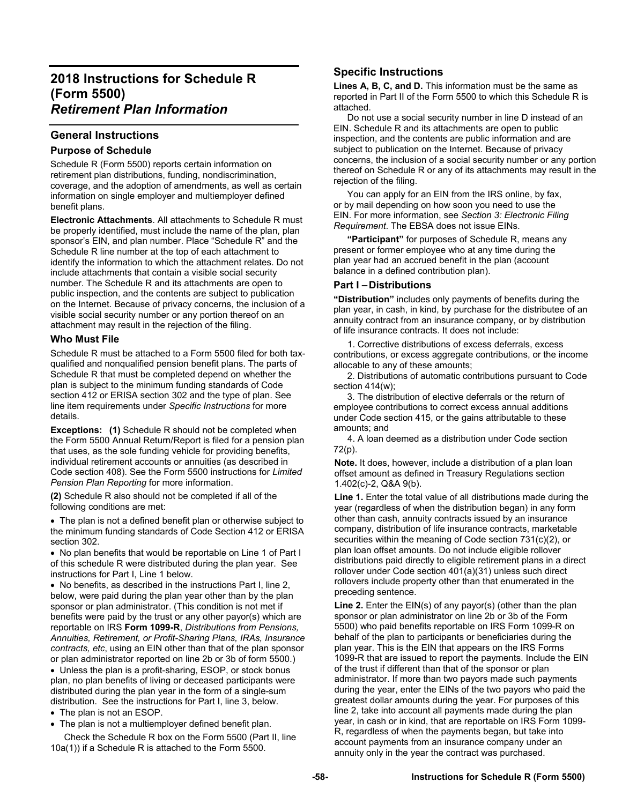# **2018 Instructions for Schedule R (Form 5500)**  *Retirement Plan Information*

# **General Instructions**

# **Purpose of Schedule**

Schedule R (Form 5500) reports certain information on retirement plan distributions, funding, nondiscrimination, coverage, and the adoption of amendments, as well as certain information on single employer and multiemployer defined benefit plans.

**Electronic Attachments**. All attachments to Schedule R must be properly identified, must include the name of the plan, plan sponsor's EIN, and plan number. Place "Schedule R" and the Schedule R line number at the top of each attachment to identify the information to which the attachment relates. Do not include attachments that contain a visible social security number. The Schedule R and its attachments are open to public inspection, and the contents are subject to publication on the Internet. Because of privacy concerns, the inclusion of a visible social security number or any portion thereof on an attachment may result in the rejection of the filing.

# **Who Must File**

Schedule R must be attached to a Form 5500 filed for both taxqualified and nonqualified pension benefit plans. The parts of Schedule R that must be completed depend on whether the plan is subject to the minimum funding standards of Code section 412 or ERISA section 302 and the type of plan. See line item requirements under *Specific Instructions* for more details.

**Exceptions:** (1) Schedule R should not be completed when the Form 5500 Annual Return/Report is filed for a pension plan that uses, as the sole funding vehicle for providing benefits, individual retirement accounts or annuities (as described in Code section 408). See the Form 5500 instructions for *Limited Pension Plan Reporting* for more information.

**(2)** Schedule R also should not be completed if all of the following conditions are met:

 The plan is not a defined benefit plan or otherwise subject to the minimum funding standards of Code Section 412 or ERISA section 302.

 No plan benefits that would be reportable on Line 1 of Part I of this schedule R were distributed during the plan year. See instructions for Part I, Line 1 below.

• No benefits, as described in the instructions Part I, line 2, below, were paid during the plan year other than by the plan sponsor or plan administrator. (This condition is not met if benefits were paid by the trust or any other payor(s) which are reportable on IRS **Form 1099-R**, *Distributions from Pensions, Annuities, Retirement, or Profit-Sharing Plans, IRAs, Insurance contracts, etc*, using an EIN other than that of the plan sponsor or plan administrator reported on line 2b or 3b of form 5500.)

• Unless the plan is a profit-sharing, ESOP, or stock bonus plan, no plan benefits of living or deceased participants were distributed during the plan year in the form of a single-sum distribution. See the instructions for Part I, line 3, below.

• The plan is not an ESOP.

• The plan is not a multiemployer defined benefit plan.

 Check the Schedule R box on the Form 5500 (Part II, line 10a(1)) if a Schedule R is attached to the Form 5500.

# **Specific Instructions**

**Lines A, B, C, and D.** This information must be the same as reported in Part II of the Form 5500 to which this Schedule R is attached.

 Do not use a social security number in line D instead of an EIN. Schedule R and its attachments are open to public inspection, and the contents are public information and are subject to publication on the Internet. Because of privacy concerns, the inclusion of a social security number or any portion thereof on Schedule R or any of its attachments may result in the rejection of the filing.

 You can apply for an EIN from the IRS online, by fax, or by mail depending on how soon you need to use the EIN. For more information, see *Section 3: Electronic Filing Requirement*. The EBSA does not issue EINs.

**"Participant"** for purposes of Schedule R, means any present or former employee who at any time during the plan year had an accrued benefit in the plan (account balance in a defined contribution plan).

# **Part I – Distributions**

**"Distribution"** includes only payments of benefits during the plan year, in cash, in kind, by purchase for the distributee of an annuity contract from an insurance company, or by distribution of life insurance contracts. It does not include:

1. Corrective distributions of excess deferrals, excess contributions, or excess aggregate contributions, or the income allocable to any of these amounts;

2. Distributions of automatic contributions pursuant to Code section 414(w);

3. The distribution of elective deferrals or the return of employee contributions to correct excess annual additions under Code section 415, or the gains attributable to these amounts; and

4. A loan deemed as a distribution under Code section 72(p).

**Note.** It does, however, include a distribution of a plan loan offset amount as defined in Treasury Regulations section 1.402(c)-2, Q&A 9(b).

Line 1. Enter the total value of all distributions made during the year (regardless of when the distribution began) in any form other than cash, annuity contracts issued by an insurance company, distribution of life insurance contracts, marketable securities within the meaning of Code section 731(c)(2), or plan loan offset amounts. Do not include eligible rollover distributions paid directly to eligible retirement plans in a direct rollover under Code section 401(a)(31) unless such direct rollovers include property other than that enumerated in the preceding sentence.

**Line 2.** Enter the EIN(s) of any payor(s) (other than the plan sponsor or plan administrator on line 2b or 3b of the Form 5500) who paid benefits reportable on IRS Form 1099-R on behalf of the plan to participants or beneficiaries during the plan year. This is the EIN that appears on the IRS Forms 1099-R that are issued to report the payments. Include the EIN of the trust if different than that of the sponsor or plan administrator. If more than two payors made such payments during the year, enter the EINs of the two payors who paid the greatest dollar amounts during the year. For purposes of this line 2, take into account all payments made during the plan year, in cash or in kind, that are reportable on IRS Form 1099- R, regardless of when the payments began, but take into account payments from an insurance company under an annuity only in the year the contract was purchased.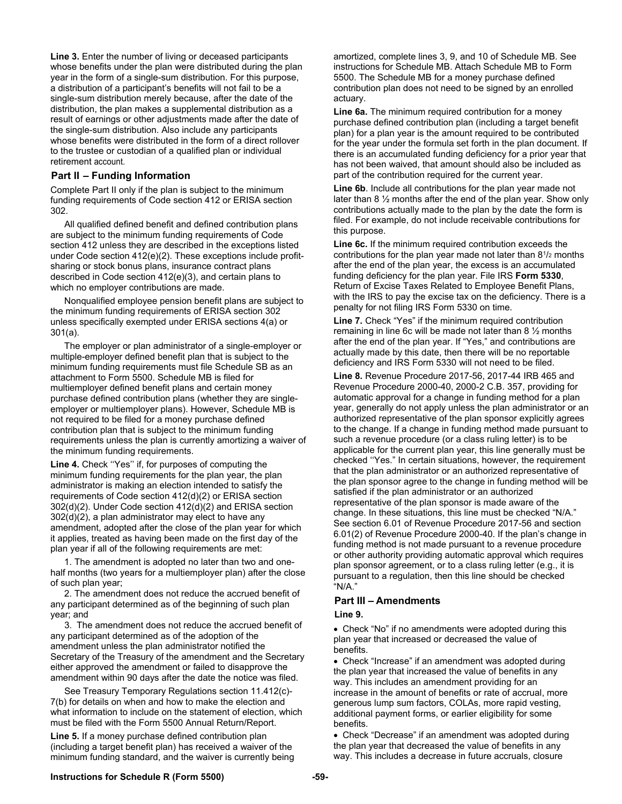**Line 3.** Enter the number of living or deceased participants whose benefits under the plan were distributed during the plan year in the form of a single-sum distribution. For this purpose, a distribution of a participant's benefits will not fail to be a single-sum distribution merely because, after the date of the distribution, the plan makes a supplemental distribution as a result of earnings or other adjustments made after the date of the single-sum distribution. Also include any participants whose benefits were distributed in the form of a direct rollover to the trustee or custodian of a qualified plan or individual retirement account.

# **Part II – Funding Information**

Complete Part II only if the plan is subject to the minimum funding requirements of Code section 412 or ERISA section 302.

All qualified defined benefit and defined contribution plans are subject to the minimum funding requirements of Code section 412 unless they are described in the exceptions listed under Code section 412(e)(2). These exceptions include profitsharing or stock bonus plans, insurance contract plans described in Code section 412(e)(3), and certain plans to which no employer contributions are made.

Nonqualified employee pension benefit plans are subject to the minimum funding requirements of ERISA section 302 unless specifically exempted under ERISA sections 4(a) or 301(a).

The employer or plan administrator of a single-employer or multiple-employer defined benefit plan that is subject to the minimum funding requirements must file Schedule SB as an attachment to Form 5500. Schedule MB is filed for multiemployer defined benefit plans and certain money purchase defined contribution plans (whether they are singleemployer or multiemployer plans). However, Schedule MB is not required to be filed for a money purchase defined contribution plan that is subject to the minimum funding requirements unless the plan is currently amortizing a waiver of the minimum funding requirements.

**Line 4.** Check ''Yes'' if, for purposes of computing the minimum funding requirements for the plan year, the plan administrator is making an election intended to satisfy the requirements of Code section 412(d)(2) or ERISA section 302(d)(2). Under Code section 412(d)(2) and ERISA section 302(d)(2), a plan administrator may elect to have any amendment, adopted after the close of the plan year for which it applies, treated as having been made on the first day of the plan year if all of the following requirements are met:

1. The amendment is adopted no later than two and onehalf months (two years for a multiemployer plan) after the close of such plan year;

2. The amendment does not reduce the accrued benefit of any participant determined as of the beginning of such plan year; and

3. The amendment does not reduce the accrued benefit of any participant determined as of the adoption of the amendment unless the plan administrator notified the Secretary of the Treasury of the amendment and the Secretary either approved the amendment or failed to disapprove the amendment within 90 days after the date the notice was filed.

See Treasury Temporary Regulations section 11.412(c)- 7(b) for details on when and how to make the election and what information to include on the statement of election, which must be filed with the Form 5500 Annual Return/Report.

**Line 5.** If a money purchase defined contribution plan (including a target benefit plan) has received a waiver of the minimum funding standard, and the waiver is currently being amortized, complete lines 3, 9, and 10 of Schedule MB. See instructions for Schedule MB. Attach Schedule MB to Form 5500. The Schedule MB for a money purchase defined contribution plan does not need to be signed by an enrolled actuary.

**Line 6a.** The minimum required contribution for a money purchase defined contribution plan (including a target benefit plan) for a plan year is the amount required to be contributed for the year under the formula set forth in the plan document. If there is an accumulated funding deficiency for a prior year that has not been waived, that amount should also be included as part of the contribution required for the current year.

**Line 6b**. Include all contributions for the plan year made not later than 8 ½ months after the end of the plan year. Show only contributions actually made to the plan by the date the form is filed. For example, do not include receivable contributions for this purpose.

**Line 6c.** If the minimum required contribution exceeds the contributions for the plan year made not later than 81/2 months after the end of the plan year, the excess is an accumulated funding deficiency for the plan year. File IRS **Form 5330**, Return of Excise Taxes Related to Employee Benefit Plans, with the IRS to pay the excise tax on the deficiency. There is a penalty for not filing IRS Form 5330 on time.

**Line 7.** Check "Yes" if the minimum required contribution remaining in line 6c will be made not later than 8 ½ months after the end of the plan year. If "Yes," and contributions are actually made by this date, then there will be no reportable deficiency and IRS Form 5330 will not need to be filed.

**Line 8.** Revenue Procedure 2017-56, 2017-44 IRB 465 and Revenue Procedure 2000-40, 2000-2 C.B. 357, providing for automatic approval for a change in funding method for a plan year, generally do not apply unless the plan administrator or an authorized representative of the plan sponsor explicitly agrees to the change. If a change in funding method made pursuant to such a revenue procedure (or a class ruling letter) is to be applicable for the current plan year, this line generally must be checked ''Yes." In certain situations, however, the requirement that the plan administrator or an authorized representative of the plan sponsor agree to the change in funding method will be satisfied if the plan administrator or an authorized representative of the plan sponsor is made aware of the change. In these situations, this line must be checked "N/A." See section 6.01 of Revenue Procedure 2017-56 and section 6.01(2) of Revenue Procedure 2000-40. If the plan's change in funding method is not made pursuant to a revenue procedure or other authority providing automatic approval which requires plan sponsor agreement, or to a class ruling letter (e.g., it is pursuant to a regulation, then this line should be checked "N/A."

#### **Part III – Amendments**

#### **Line 9.**

 Check "No" if no amendments were adopted during this plan year that increased or decreased the value of benefits.

 Check "Increase" if an amendment was adopted during the plan year that increased the value of benefits in any way. This includes an amendment providing for an increase in the amount of benefits or rate of accrual, more generous lump sum factors, COLAs, more rapid vesting, additional payment forms, or earlier eligibility for some benefits.

 Check "Decrease" if an amendment was adopted during the plan year that decreased the value of benefits in any way. This includes a decrease in future accruals, closure

#### **Instructions for Schedule R (Form 5500) -59-**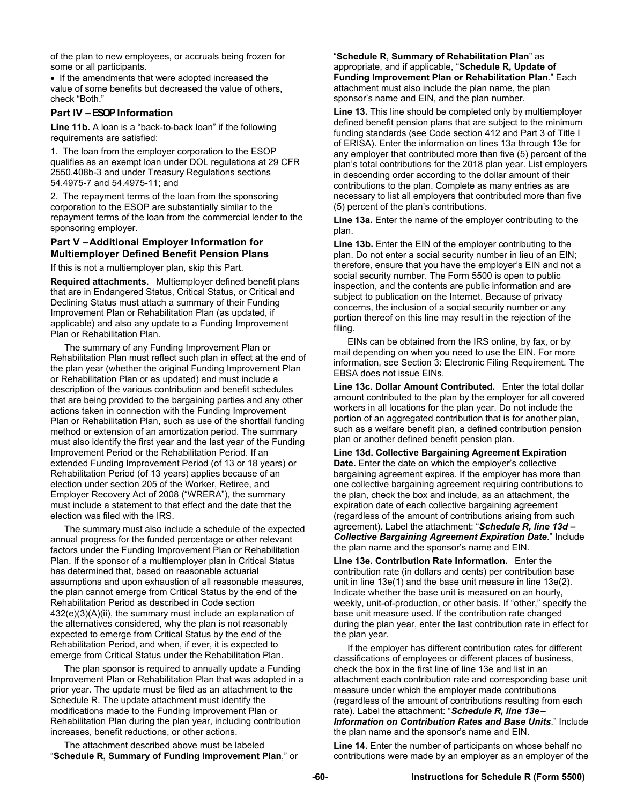of the plan to new employees, or accruals being frozen for some or all participants.

• If the amendments that were adopted increased the value of some benefits but decreased the value of others, check "Both."

### **Part IV – ESOP Information**

**Line 11b.** A loan is a "back-to-back loan" if the following requirements are satisfied:

1. The loan from the employer corporation to the ESOP qualifies as an exempt loan under DOL regulations at 29 CFR 2550.408b-3 and under Treasury Regulations sections 54.4975-7 and 54.4975-11; and

2. The repayment terms of the loan from the sponsoring corporation to the ESOP are substantially similar to the repayment terms of the loan from the commercial lender to the sponsoring employer.

### **Part V – Additional Employer Information for Multiemployer Defined Benefit Pension Plans**

If this is not a multiemployer plan, skip this Part.

**Required attachments.** Multiemployer defined benefit plans that are in Endangered Status, Critical Status, or Critical and Declining Status must attach a summary of their Funding Improvement Plan or Rehabilitation Plan (as updated, if applicable) and also any update to a Funding Improvement Plan or Rehabilitation Plan.

The summary of any Funding Improvement Plan or Rehabilitation Plan must reflect such plan in effect at the end of the plan year (whether the original Funding Improvement Plan or Rehabilitation Plan or as updated) and must include a description of the various contribution and benefit schedules that are being provided to the bargaining parties and any other actions taken in connection with the Funding Improvement Plan or Rehabilitation Plan, such as use of the shortfall funding method or extension of an amortization period. The summary must also identify the first year and the last year of the Funding Improvement Period or the Rehabilitation Period. If an extended Funding Improvement Period (of 13 or 18 years) or Rehabilitation Period (of 13 years) applies because of an election under section 205 of the Worker, Retiree, and Employer Recovery Act of 2008 ("WRERA"), the summary must include a statement to that effect and the date that the election was filed with the IRS.

The summary must also include a schedule of the expected annual progress for the funded percentage or other relevant factors under the Funding Improvement Plan or Rehabilitation Plan. If the sponsor of a multiemployer plan in Critical Status has determined that, based on reasonable actuarial assumptions and upon exhaustion of all reasonable measures, the plan cannot emerge from Critical Status by the end of the Rehabilitation Period as described in Code section 432(e)(3)(A)(ii), the summary must include an explanation of the alternatives considered, why the plan is not reasonably expected to emerge from Critical Status by the end of the Rehabilitation Period, and when, if ever, it is expected to emerge from Critical Status under the Rehabilitation Plan.

The plan sponsor is required to annually update a Funding Improvement Plan or Rehabilitation Plan that was adopted in a prior year. The update must be filed as an attachment to the Schedule R. The update attachment must identify the modifications made to the Funding Improvement Plan or Rehabilitation Plan during the plan year, including contribution increases, benefit reductions, or other actions.

The attachment described above must be labeled "**Schedule R, Summary of Funding Improvement Plan**," or

#### "**Schedule R**, **Summary of Rehabilitation Plan**" as appropriate, and if applicable, "**Schedule R, Update of Funding Improvement Plan or Rehabilitation Plan**." Each attachment must also include the plan name, the plan sponsor's name and EIN, and the plan number.

**Line 13.** This line should be completed only by multiemployer defined benefit pension plans that are subject to the minimum funding standards (see Code section 412 and Part 3 of Title I of ERISA). Enter the information on lines 13a through 13e for any employer that contributed more than five (5) percent of the plan's total contributions for the 2018 plan year. List employers in descending order according to the dollar amount of their contributions to the plan. Complete as many entries as are necessary to list all employers that contributed more than five (5) percent of the plan's contributions.

**Line 13a.** Enter the name of the employer contributing to the plan.

**Line 13b.** Enter the EIN of the employer contributing to the plan. Do not enter a social security number in lieu of an EIN; therefore, ensure that you have the employer's EIN and not a social security number. The Form 5500 is open to public inspection, and the contents are public information and are subject to publication on the Internet. Because of privacy concerns, the inclusion of a social security number or any portion thereof on this line may result in the rejection of the filing.

EINs can be obtained from the IRS online, by fax, or by mail depending on when you need to use the EIN. For more information, see Section 3: Electronic Filing Requirement. The EBSA does not issue EINs.

**Line 13c. Dollar Amount Contributed.** Enter the total dollar amount contributed to the plan by the employer for all covered workers in all locations for the plan year. Do not include the portion of an aggregated contribution that is for another plan, such as a welfare benefit plan, a defined contribution pension plan or another defined benefit pension plan.

**Line 13d. Collective Bargaining Agreement Expiration Date.** Enter the date on which the employer's collective bargaining agreement expires. If the employer has more than one collective bargaining agreement requiring contributions to the plan, check the box and include, as an attachment, the expiration date of each collective bargaining agreement (regardless of the amount of contributions arising from such agreement). Label the attachment: "*Schedule R, line 13d – Collective Bargaining Agreement Expiration Date*." Include the plan name and the sponsor's name and EIN.

**Line 13e. Contribution Rate Information.** Enter the contribution rate (in dollars and cents) per contribution base unit in line 13e(1) and the base unit measure in line 13e(2). Indicate whether the base unit is measured on an hourly, weekly, unit-of-production, or other basis. If "other," specify the base unit measure used. If the contribution rate changed during the plan year, enter the last contribution rate in effect for the plan year.

If the employer has different contribution rates for different classifications of employees or different places of business, check the box in the first line of line 13e and list in an attachment each contribution rate and corresponding base unit measure under which the employer made contributions (regardless of the amount of contributions resulting from each rate). Label the attachment: "*Schedule R, line 13e – Information on Contribution Rates and Base Units*." Include the plan name and the sponsor's name and EIN.

**Line 14.** Enter the number of participants on whose behalf no contributions were made by an employer as an employer of the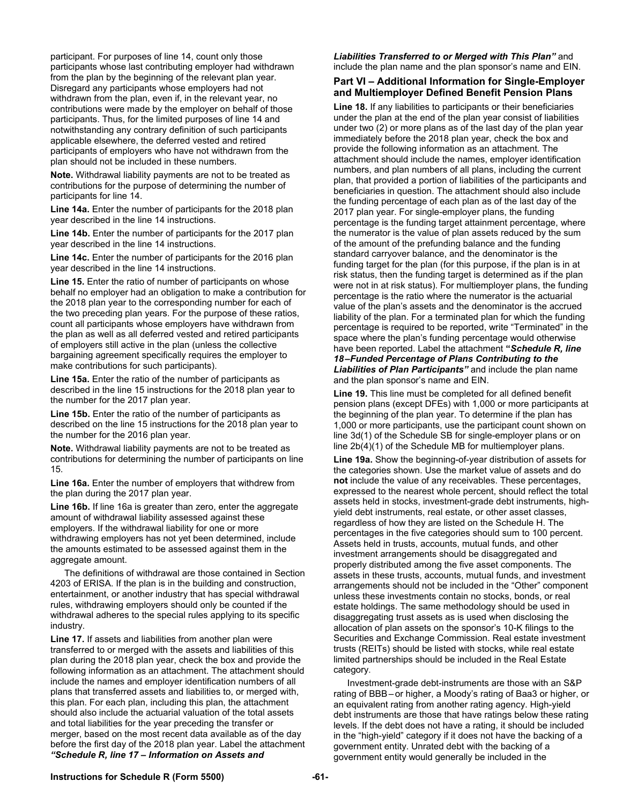participant. For purposes of line 14, count only those participants whose last contributing employer had withdrawn from the plan by the beginning of the relevant plan year. Disregard any participants whose employers had not withdrawn from the plan, even if, in the relevant year, no contributions were made by the employer on behalf of those participants. Thus, for the limited purposes of line 14 and notwithstanding any contrary definition of such participants applicable elsewhere, the deferred vested and retired participants of employers who have not withdrawn from the plan should not be included in these numbers.

**Note.** Withdrawal liability payments are not to be treated as contributions for the purpose of determining the number of participants for line 14.

**Line 14a.** Enter the number of participants for the 2018 plan year described in the line 14 instructions.

Line 14b. Enter the number of participants for the 2017 plan year described in the line 14 instructions.

**Line 14c.** Enter the number of participants for the 2016 plan year described in the line 14 instructions.

**Line 15.** Enter the ratio of number of participants on whose behalf no employer had an obligation to make a contribution for the 2018 plan year to the corresponding number for each of the two preceding plan years. For the purpose of these ratios, count all participants whose employers have withdrawn from the plan as well as all deferred vested and retired participants of employers still active in the plan (unless the collective bargaining agreement specifically requires the employer to make contributions for such participants).

**Line 15a.** Enter the ratio of the number of participants as described in the line 15 instructions for the 2018 plan year to the number for the 2017 plan year.

**Line 15b.** Enter the ratio of the number of participants as described on the line 15 instructions for the 2018 plan year to the number for the 2016 plan year.

**Note.** Withdrawal liability payments are not to be treated as contributions for determining the number of participants on line 15.

**Line 16a.** Enter the number of employers that withdrew from the plan during the 2017 plan year.

**Line 16b.** If line 16a is greater than zero, enter the aggregate amount of withdrawal liability assessed against these employers. If the withdrawal liability for one or more withdrawing employers has not yet been determined, include the amounts estimated to be assessed against them in the aggregate amount.

The definitions of withdrawal are those contained in Section 4203 of ERISA. If the plan is in the building and construction, entertainment, or another industry that has special withdrawal rules, withdrawing employers should only be counted if the withdrawal adheres to the special rules applying to its specific industry.

**Line 17.** If assets and liabilities from another plan were transferred to or merged with the assets and liabilities of this plan during the 2018 plan year, check the box and provide the following information as an attachment. The attachment should include the names and employer identification numbers of all plans that transferred assets and liabilities to, or merged with, this plan. For each plan, including this plan, the attachment should also include the actuarial valuation of the total assets and total liabilities for the year preceding the transfer or merger, based on the most recent data available as of the day before the first day of the 2018 plan year. Label the attachment *"Schedule R, line 17 – Information on Assets and* 

*Liabilities Transferred to or Merged with This Plan"* and include the plan name and the plan sponsor's name and EIN.

# **Part VI – Additional Information for Single-Employer and Multiemployer Defined Benefit Pension Plans**

**Line 18.** If any liabilities to participants or their beneficiaries under the plan at the end of the plan year consist of liabilities under two (2) or more plans as of the last day of the plan year immediately before the 2018 plan year, check the box and provide the following information as an attachment. The attachment should include the names, employer identification numbers, and plan numbers of all plans, including the current plan, that provided a portion of liabilities of the participants and beneficiaries in question. The attachment should also include the funding percentage of each plan as of the last day of the 2017 plan year. For single-employer plans, the funding percentage is the funding target attainment percentage, where the numerator is the value of plan assets reduced by the sum of the amount of the prefunding balance and the funding standard carryover balance, and the denominator is the funding target for the plan (for this purpose, if the plan is in at risk status, then the funding target is determined as if the plan were not in at risk status). For multiemployer plans, the funding percentage is the ratio where the numerator is the actuarial value of the plan's assets and the denominator is the accrued liability of the plan. For a terminated plan for which the funding percentage is required to be reported, write "Terminated" in the space where the plan's funding percentage would otherwise have been reported. Label the attachment **"***Schedule R, line 18 –Funded Percentage of Plans Contributing to the Liabilities of Plan Participants"* and include the plan name and the plan sponsor's name and EIN.

**Line 19.** This line must be completed for all defined benefit pension plans (except DFEs) with 1,000 or more participants at the beginning of the plan year. To determine if the plan has 1,000 or more participants, use the participant count shown on line 3d(1) of the Schedule SB for single-employer plans or on line 2b(4)(1) of the Schedule MB for multiemployer plans.

**Line 19a.** Show the beginning-of-year distribution of assets for the categories shown. Use the market value of assets and do **not** include the value of any receivables. These percentages, expressed to the nearest whole percent, should reflect the total assets held in stocks, investment-grade debt instruments, highyield debt instruments, real estate, or other asset classes, regardless of how they are listed on the Schedule H. The percentages in the five categories should sum to 100 percent. Assets held in trusts, accounts, mutual funds, and other investment arrangements should be disaggregated and properly distributed among the five asset components. The assets in these trusts, accounts, mutual funds, and investment arrangements should not be included in the "Other" component unless these investments contain no stocks, bonds, or real estate holdings. The same methodology should be used in disaggregating trust assets as is used when disclosing the allocation of plan assets on the sponsor's 10-K filings to the Securities and Exchange Commission. Real estate investment trusts (REITs) should be listed with stocks, while real estate limited partnerships should be included in the Real Estate category.

 Investment-grade debt-instruments are those with an S&P rating of BBB – or higher, a Moody's rating of Baa3 or higher, or an equivalent rating from another rating agency. High-yield debt instruments are those that have ratings below these rating levels. If the debt does not have a rating, it should be included in the "high-yield" category if it does not have the backing of a government entity. Unrated debt with the backing of a government entity would generally be included in the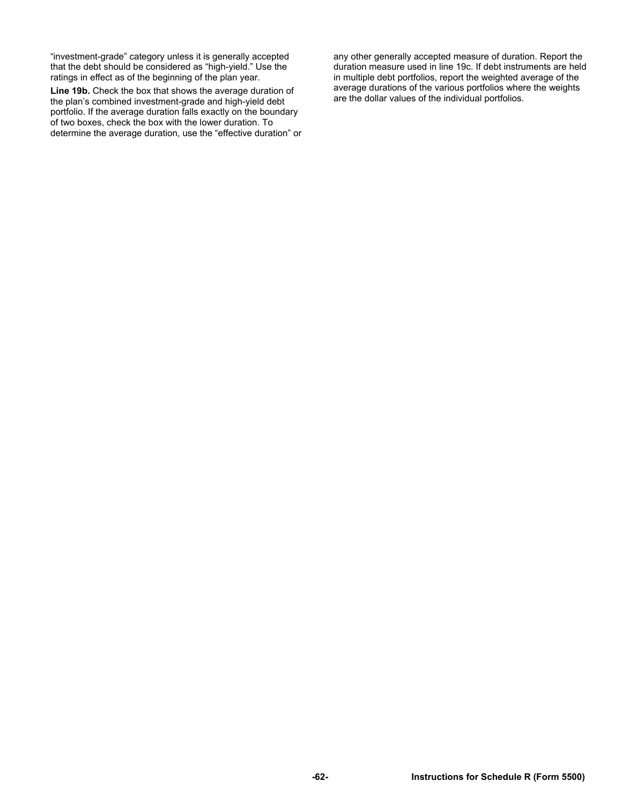"investment-grade" category unless it is generally accepted that the debt should be considered as "high-yield." Use the ratings in effect as of the beginning of the plan year.

**Line 19b.** Check the box that shows the average duration of the plan's combined investment-grade and high-yield debt portfolio. If the average duration falls exactly on the boundary of two boxes, check the box with the lower duration. To determine the average duration, use the "effective duration" or any other generally accepted measure of duration. Report the duration measure used in line 19c. If debt instruments are held in multiple debt portfolios, report the weighted average of the average durations of the various portfolios where the weights are the dollar values of the individual portfolios.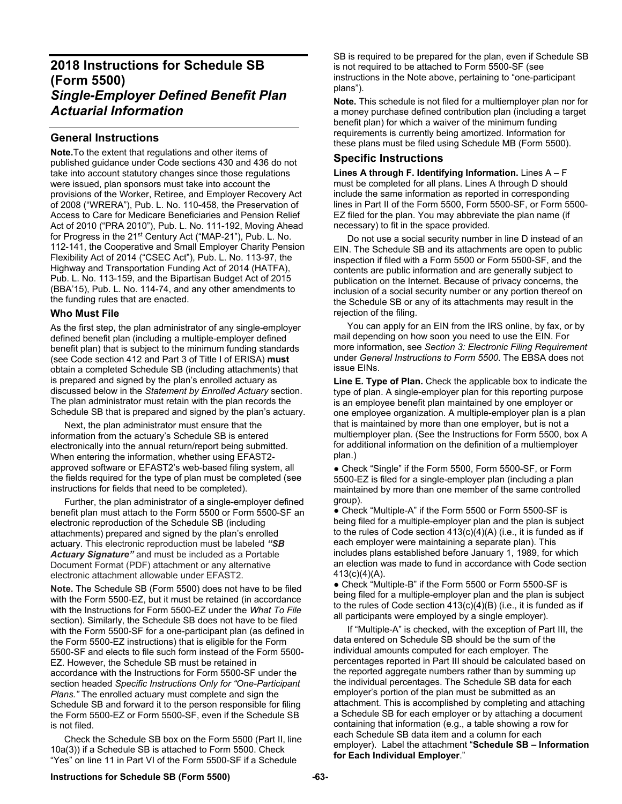# **2018 Instructions for Schedule SB (Form 5500)**  *Single-Employer Defined Benefit Plan Actuarial Information*

# **General Instructions**

**Note.**To the extent that regulations and other items of published guidance under Code sections 430 and 436 do not take into account statutory changes since those regulations were issued, plan sponsors must take into account the provisions of the Worker, Retiree, and Employer Recovery Act of 2008 ("WRERA"), Pub. L. No. 110-458, the Preservation of Access to Care for Medicare Beneficiaries and Pension Relief Act of 2010 ("PRA 2010"), Pub. L. No. 111-192, Moving Ahead for Progress in the 21<sup>st</sup> Century Act ("MAP-21"), Pub. L. No. 112-141, the Cooperative and Small Employer Charity Pension Flexibility Act of 2014 ("CSEC Act"), Pub. L. No. 113-97, the Highway and Transportation Funding Act of 2014 (HATFA), Pub. L. No. 113-159, and the Bipartisan Budget Act of 2015 (BBA'15), Pub. L. No. 114-74, and any other amendments to the funding rules that are enacted.

### **Who Must File**

As the first step, the plan administrator of any single-employer defined benefit plan (including a multiple-employer defined benefit plan) that is subject to the minimum funding standards (see Code section 412 and Part 3 of Title I of ERISA) **must** obtain a completed Schedule SB (including attachments) that is prepared and signed by the plan's enrolled actuary as discussed below in the *Statement by Enrolled Actuary* section. The plan administrator must retain with the plan records the Schedule SB that is prepared and signed by the plan's actuary.

Next, the plan administrator must ensure that the information from the actuary's Schedule SB is entered electronically into the annual return/report being submitted. When entering the information, whether using EFAST2 approved software or EFAST2's web-based filing system, all the fields required for the type of plan must be completed (see instructions for fields that need to be completed).

Further, the plan administrator of a single-employer defined benefit plan must attach to the Form 5500 or Form 5500-SF an electronic reproduction of the Schedule SB (including attachments) prepared and signed by the plan's enrolled actuary. This electronic reproduction must be labeled *"SB Actuary Signature"* and must be included as a Portable Document Format (PDF) attachment or any alternative electronic attachment allowable under EFAST2.

**Note.** The Schedule SB (Form 5500) does not have to be filed with the Form 5500-EZ, but it must be retained (in accordance with the Instructions for Form 5500-EZ under the *What To File* section). Similarly, the Schedule SB does not have to be filed with the Form 5500-SF for a one-participant plan (as defined in the Form 5500-EZ instructions) that is eligible for the Form 5500-SF and elects to file such form instead of the Form 5500- EZ. However, the Schedule SB must be retained in accordance with the Instructions for Form 5500-SF under the section headed *Specific Instructions Only for "One-Participant Plans."* The enrolled actuary must complete and sign the Schedule SB and forward it to the person responsible for filing the Form 5500-EZ or Form 5500-SF, even if the Schedule SB is not filed.

Check the Schedule SB box on the Form 5500 (Part II, line 10a(3)) if a Schedule SB is attached to Form 5500. Check "Yes" on line 11 in Part VI of the Form 5500-SF if a Schedule

SB is required to be prepared for the plan, even if Schedule SB is not required to be attached to Form 5500-SF (see instructions in the Note above, pertaining to "one-participant plans").

**Note.** This schedule is not filed for a multiemployer plan nor for a money purchase defined contribution plan (including a target benefit plan) for which a waiver of the minimum funding requirements is currently being amortized. Information for these plans must be filed using Schedule MB (Form 5500).

# **Specific Instructions**

**Lines A through F. Identifying Information.** Lines A – F must be completed for all plans. Lines A through D should include the same information as reported in corresponding lines in Part II of the Form 5500, Form 5500-SF, or Form 5500- EZ filed for the plan. You may abbreviate the plan name (if necessary) to fit in the space provided.

 Do not use a social security number in line D instead of an EIN. The Schedule SB and its attachments are open to public inspection if filed with a Form 5500 or Form 5500-SF, and the contents are public information and are generally subject to publication on the Internet. Because of privacy concerns, the inclusion of a social security number or any portion thereof on the Schedule SB or any of its attachments may result in the rejection of the filing.

 You can apply for an EIN from the IRS online, by fax, or by mail depending on how soon you need to use the EIN. For more information, see *Section 3: Electronic Filing Requirement*  under *General Instructions to Form 5500*. The EBSA does not issue EINs.

**Line E. Type of Plan.** Check the applicable box to indicate the type of plan. A single-employer plan for this reporting purpose is an employee benefit plan maintained by one employer or one employee organization. A multiple-employer plan is a plan that is maintained by more than one employer, but is not a multiemployer plan. (See the Instructions for Form 5500, box A for additional information on the definition of a multiemployer plan.)

• Check "Single" if the Form 5500, Form 5500-SF, or Form 5500-EZ is filed for a single-employer plan (including a plan maintained by more than one member of the same controlled group).

● Check "Multiple-A" if the Form 5500 or Form 5500-SF is being filed for a multiple-employer plan and the plan is subject to the rules of Code section 413(c)(4)(A) (i.e., it is funded as if each employer were maintaining a separate plan). This includes plans established before January 1, 1989, for which an election was made to fund in accordance with Code section 413(c)(4)(A).

● Check "Multiple-B" if the Form 5500 or Form 5500-SF is being filed for a multiple-employer plan and the plan is subject to the rules of Code section 413(c)(4)(B) (i.e., it is funded as if all participants were employed by a single employer).

 If "Multiple-A" is checked, with the exception of Part III, the data entered on Schedule SB should be the sum of the individual amounts computed for each employer. The percentages reported in Part III should be calculated based on the reported aggregate numbers rather than by summing up the individual percentages. The Schedule SB data for each employer's portion of the plan must be submitted as an attachment. This is accomplished by completing and attaching a Schedule SB for each employer or by attaching a document containing that information (e.g., a table showing a row for each Schedule SB data item and a column for each employer). Label the attachment "**Schedule SB – Information for Each Individual Employer**."

#### **Instructions for Schedule SB (Form 5500) -63-**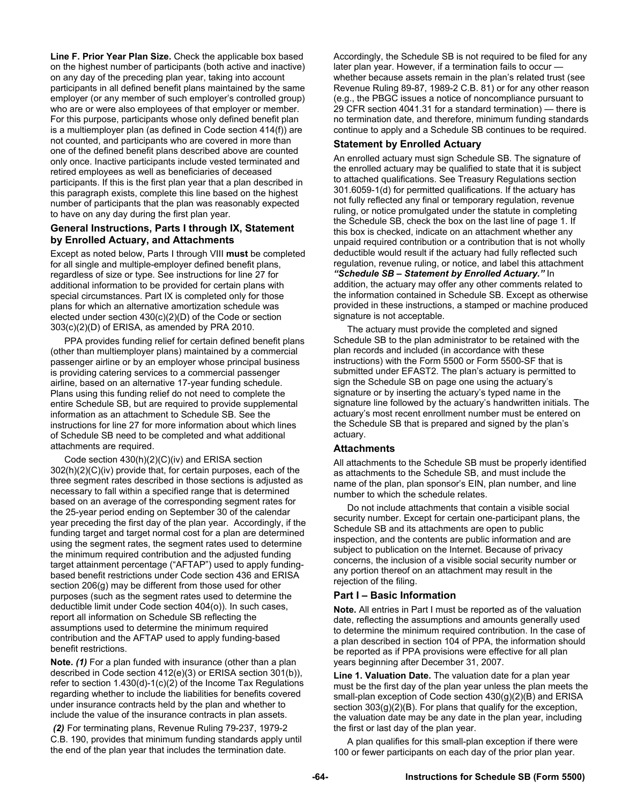**Line F. Prior Year Plan Size.** Check the applicable box based on the highest number of participants (both active and inactive) on any day of the preceding plan year, taking into account participants in all defined benefit plans maintained by the same employer (or any member of such employer's controlled group) who are or were also employees of that employer or member. For this purpose, participants whose only defined benefit plan is a multiemployer plan (as defined in Code section 414(f)) are not counted, and participants who are covered in more than one of the defined benefit plans described above are counted only once. Inactive participants include vested terminated and retired employees as well as beneficiaries of deceased participants. If this is the first plan year that a plan described in this paragraph exists, complete this line based on the highest number of participants that the plan was reasonably expected to have on any day during the first plan year.

# **General Instructions, Parts I through IX, Statement by Enrolled Actuary, and Attachments**

Except as noted below, Parts I through VIII **must** be completed for all single and multiple-employer defined benefit plans, regardless of size or type. See instructions for line 27 for additional information to be provided for certain plans with special circumstances. Part IX is completed only for those plans for which an alternative amortization schedule was elected under section 430(c)(2)(D) of the Code or section 303(c)(2)(D) of ERISA, as amended by PRA 2010.

PPA provides funding relief for certain defined benefit plans (other than multiemployer plans) maintained by a commercial passenger airline or by an employer whose principal business is providing catering services to a commercial passenger airline, based on an alternative 17-year funding schedule. Plans using this funding relief do not need to complete the entire Schedule SB, but are required to provide supplemental information as an attachment to Schedule SB. See the instructions for line 27 for more information about which lines of Schedule SB need to be completed and what additional attachments are required.

Code section 430(h)(2)(C)(iv) and ERISA section 302(h)(2)(C)(iv) provide that, for certain purposes, each of the three segment rates described in those sections is adjusted as necessary to fall within a specified range that is determined based on an average of the corresponding segment rates for the 25-year period ending on September 30 of the calendar year preceding the first day of the plan year. Accordingly, if the funding target and target normal cost for a plan are determined using the segment rates, the segment rates used to determine the minimum required contribution and the adjusted funding target attainment percentage ("AFTAP") used to apply fundingbased benefit restrictions under Code section 436 and ERISA section 206(g) may be different from those used for other purposes (such as the segment rates used to determine the deductible limit under Code section 404(o)). In such cases, report all information on Schedule SB reflecting the assumptions used to determine the minimum required contribution and the AFTAP used to apply funding-based benefit restrictions.

**Note.** *(1)* For a plan funded with insurance (other than a plan described in Code section 412(e)(3) or ERISA section 301(b)), refer to section 1.430(d)-1(c)(2) of the Income Tax Regulations regarding whether to include the liabilities for benefits covered under insurance contracts held by the plan and whether to include the value of the insurance contracts in plan assets.

 *(2)* For terminating plans, Revenue Ruling 79-237, 1979-2 C.B. 190, provides that minimum funding standards apply until the end of the plan year that includes the termination date.

Accordingly, the Schedule SB is not required to be filed for any later plan year. However, if a termination fails to occur whether because assets remain in the plan's related trust (see Revenue Ruling 89-87, 1989-2 C.B. 81) or for any other reason (e.g., the PBGC issues a notice of noncompliance pursuant to 29 CFR section 4041.31 for a standard termination) — there is no termination date, and therefore, minimum funding standards continue to apply and a Schedule SB continues to be required.

# **Statement by Enrolled Actuary**

An enrolled actuary must sign Schedule SB. The signature of the enrolled actuary may be qualified to state that it is subject to attached qualifications. See Treasury Regulations section 301.6059-1(d) for permitted qualifications. If the actuary has not fully reflected any final or temporary regulation, revenue ruling, or notice promulgated under the statute in completing the Schedule SB, check the box on the last line of page 1. If this box is checked, indicate on an attachment whether any unpaid required contribution or a contribution that is not wholly deductible would result if the actuary had fully reflected such regulation, revenue ruling, or notice, and label this attachment *"Schedule SB – Statement by Enrolled Actuary."* In addition, the actuary may offer any other comments related to the information contained in Schedule SB. Except as otherwise provided in these instructions, a stamped or machine produced signature is not acceptable.

 The actuary must provide the completed and signed Schedule SB to the plan administrator to be retained with the plan records and included (in accordance with these instructions) with the Form 5500 or Form 5500-SF that is submitted under EFAST2. The plan's actuary is permitted to sign the Schedule SB on page one using the actuary's signature or by inserting the actuary's typed name in the signature line followed by the actuary's handwritten initials. The actuary's most recent enrollment number must be entered on the Schedule SB that is prepared and signed by the plan's actuary.

# **Attachments**

All attachments to the Schedule SB must be properly identified as attachments to the Schedule SB, and must include the name of the plan, plan sponsor's EIN, plan number, and line number to which the schedule relates.

 Do not include attachments that contain a visible social security number. Except for certain one-participant plans, the Schedule SB and its attachments are open to public inspection, and the contents are public information and are subject to publication on the Internet. Because of privacy concerns, the inclusion of a visible social security number or any portion thereof on an attachment may result in the rejection of the filing.

# **Part I – Basic Information**

**Note.** All entries in Part I must be reported as of the valuation date, reflecting the assumptions and amounts generally used to determine the minimum required contribution. In the case of a plan described in section 104 of PPA, the information should be reported as if PPA provisions were effective for all plan years beginning after December 31, 2007.

**Line 1. Valuation Date.** The valuation date for a plan year must be the first day of the plan year unless the plan meets the small-plan exception of Code section 430(g)(2)(B) and ERISA section  $303(g)(2)(B)$ . For plans that qualify for the exception, the valuation date may be any date in the plan year, including the first or last day of the plan year.

 A plan qualifies for this small-plan exception if there were 100 or fewer participants on each day of the prior plan year.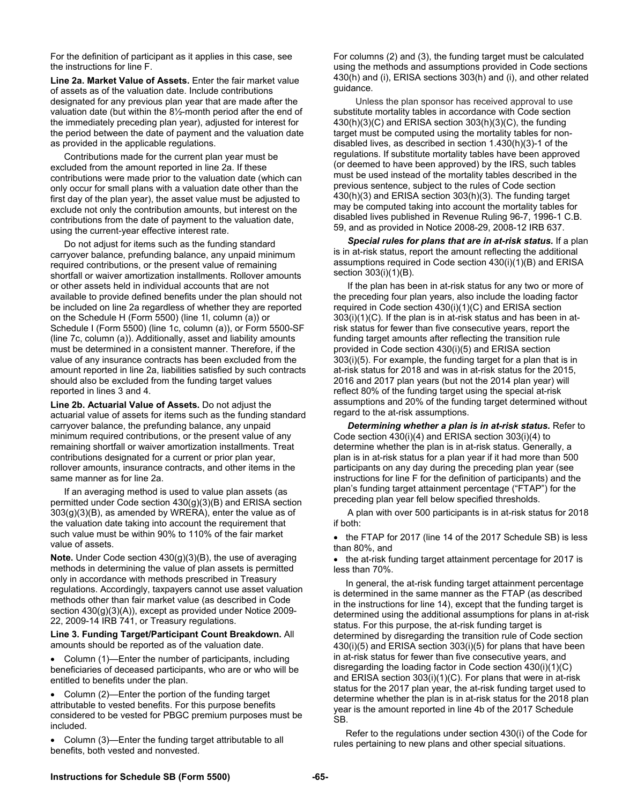For the definition of participant as it applies in this case, see the instructions for line F.

**Line 2a. Market Value of Assets.** Enter the fair market value of assets as of the valuation date. Include contributions designated for any previous plan year that are made after the valuation date (but within the 8½-month period after the end of the immediately preceding plan year), adjusted for interest for the period between the date of payment and the valuation date as provided in the applicable regulations.

 Contributions made for the current plan year must be excluded from the amount reported in line 2a. If these contributions were made prior to the valuation date (which can only occur for small plans with a valuation date other than the first day of the plan year), the asset value must be adjusted to exclude not only the contribution amounts, but interest on the contributions from the date of payment to the valuation date, using the current-year effective interest rate.

 Do not adjust for items such as the funding standard carryover balance, prefunding balance, any unpaid minimum required contributions, or the present value of remaining shortfall or waiver amortization installments. Rollover amounts or other assets held in individual accounts that are not available to provide defined benefits under the plan should not be included on line 2a regardless of whether they are reported on the Schedule H (Form 5500) (line 1l, column (a)) or Schedule I (Form 5500) (line 1c, column (a)), or Form 5500-SF (line 7c, column (a)). Additionally, asset and liability amounts must be determined in a consistent manner. Therefore, if the value of any insurance contracts has been excluded from the amount reported in line 2a, liabilities satisfied by such contracts should also be excluded from the funding target values reported in lines 3 and 4.

**Line 2b. Actuarial Value of Assets.** Do not adjust the actuarial value of assets for items such as the funding standard carryover balance, the prefunding balance, any unpaid minimum required contributions, or the present value of any remaining shortfall or waiver amortization installments. Treat contributions designated for a current or prior plan year, rollover amounts, insurance contracts, and other items in the same manner as for line 2a.

 If an averaging method is used to value plan assets (as permitted under Code section 430(g)(3)(B) and ERISA section 303(g)(3)(B), as amended by WRERA), enter the value as of the valuation date taking into account the requirement that such value must be within 90% to 110% of the fair market value of assets.

**Note.** Under Code section 430(g)(3)(B), the use of averaging methods in determining the value of plan assets is permitted only in accordance with methods prescribed in Treasury regulations. Accordingly, taxpayers cannot use asset valuation methods other than fair market value (as described in Code section  $430(g)(3)(A)$ , except as provided under Notice 2009-22, 2009-14 IRB 741, or Treasury regulations.

**Line 3. Funding Target/Participant Count Breakdown.** All amounts should be reported as of the valuation date.

 Column (1)—Enter the number of participants, including beneficiaries of deceased participants, who are or who will be entitled to benefits under the plan.

 Column (2)—Enter the portion of the funding target attributable to vested benefits. For this purpose benefits considered to be vested for PBGC premium purposes must be included.

 Column (3)—Enter the funding target attributable to all benefits, both vested and nonvested.

For columns (2) and (3), the funding target must be calculated using the methods and assumptions provided in Code sections 430(h) and (i), ERISA sections 303(h) and (i), and other related guidance.

Unless the plan sponsor has received approval to use substitute mortality tables in accordance with Code section 430(h)(3)(C) and ERISA section 303(h)(3)(C), the funding target must be computed using the mortality tables for nondisabled lives, as described in section 1.430(h)(3)-1 of the regulations. If substitute mortality tables have been approved (or deemed to have been approved) by the IRS, such tables must be used instead of the mortality tables described in the previous sentence, subject to the rules of Code section 430(h)(3) and ERISA section 303(h)(3). The funding target may be computed taking into account the mortality tables for disabled lives published in Revenue Ruling 96-7, 1996-1 C.B. 59, and as provided in Notice 2008-29, 2008-12 IRB 637.

Special rules for plans that are in at-risk status. If a plan is in at-risk status, report the amount reflecting the additional assumptions required in Code section 430(i)(1)(B) and ERISA section 303(i)(1)(B).

If the plan has been in at-risk status for any two or more of the preceding four plan years, also include the loading factor required in Code section 430(i)(1)(C) and ERISA section 303(i)(1)(C). If the plan is in at-risk status and has been in atrisk status for fewer than five consecutive years, report the funding target amounts after reflecting the transition rule provided in Code section 430(i)(5) and ERISA section 303(i)(5). For example, the funding target for a plan that is in at-risk status for 2018 and was in at-risk status for the 2015, 2016 and 2017 plan years (but not the 2014 plan year) will reflect 80% of the funding target using the special at-risk assumptions and 20% of the funding target determined without regard to the at-risk assumptions.

*Determining whether a plan is in at-risk status.* Refer to Code section 430(i)(4) and ERISA section 303(i)(4) to determine whether the plan is in at-risk status. Generally, a plan is in at-risk status for a plan year if it had more than 500 participants on any day during the preceding plan year (see instructions for line F for the definition of participants) and the plan's funding target attainment percentage ("FTAP") for the preceding plan year fell below specified thresholds.

A plan with over 500 participants is in at-risk status for 2018 if both:

• the FTAP for 2017 (line 14 of the 2017 Schedule SB) is less than 80%, and

• the at-risk funding target attainment percentage for 2017 is less than 70%.

 In general, the at-risk funding target attainment percentage is determined in the same manner as the FTAP (as described in the instructions for line 14), except that the funding target is determined using the additional assumptions for plans in at-risk status. For this purpose, the at-risk funding target is determined by disregarding the transition rule of Code section 430(i)(5) and ERISA section 303(i)(5) for plans that have been in at-risk status for fewer than five consecutive years, and disregarding the loading factor in Code section 430(i)(1)(C) and ERISA section 303(i)(1)(C). For plans that were in at-risk status for the 2017 plan year, the at-risk funding target used to determine whether the plan is in at-risk status for the 2018 plan year is the amount reported in line 4b of the 2017 Schedule SB.

 Refer to the regulations under section 430(i) of the Code for rules pertaining to new plans and other special situations.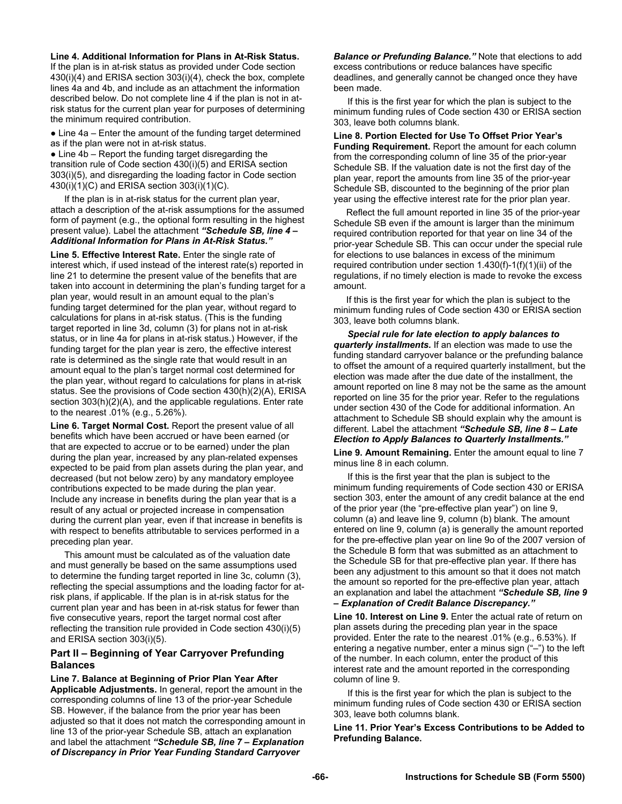#### **Line 4. Additional Information for Plans in At-Risk Status.**

If the plan is in at-risk status as provided under Code section 430(i)(4) and ERISA section 303(i)(4), check the box, complete lines 4a and 4b, and include as an attachment the information described below. Do not complete line 4 if the plan is not in atrisk status for the current plan year for purposes of determining the minimum required contribution.

• Line 4a – Enter the amount of the funding target determined as if the plan were not in at-risk status.

• Line 4b – Report the funding target disregarding the transition rule of Code section 430(i)(5) and ERISA section 303(i)(5), and disregarding the loading factor in Code section 430(i)(1)(C) and ERISA section 303(i)(1)(C).

If the plan is in at-risk status for the current plan year, attach a description of the at-risk assumptions for the assumed form of payment (e.g., the optional form resulting in the highest present value). Label the attachment *"Schedule SB, line 4 – Additional Information for Plans in At-Risk Status."*

**Line 5. Effective Interest Rate.** Enter the single rate of interest which, if used instead of the interest rate(s) reported in line 21 to determine the present value of the benefits that are taken into account in determining the plan's funding target for a plan year, would result in an amount equal to the plan's funding target determined for the plan year, without regard to calculations for plans in at-risk status. (This is the funding target reported in line 3d, column (3) for plans not in at-risk status, or in line 4a for plans in at-risk status.) However, if the funding target for the plan year is zero, the effective interest rate is determined as the single rate that would result in an amount equal to the plan's target normal cost determined for the plan year, without regard to calculations for plans in at-risk status. See the provisions of Code section 430(h)(2)(A), ERISA section 303(h)(2)(A), and the applicable regulations. Enter rate to the nearest .01% (e.g., 5.26%).

**Line 6. Target Normal Cost.** Report the present value of all benefits which have been accrued or have been earned (or that are expected to accrue or to be earned) under the plan during the plan year, increased by any plan-related expenses expected to be paid from plan assets during the plan year, and decreased (but not below zero) by any mandatory employee contributions expected to be made during the plan year. Include any increase in benefits during the plan year that is a result of any actual or projected increase in compensation during the current plan year, even if that increase in benefits is with respect to benefits attributable to services performed in a preceding plan year.

This amount must be calculated as of the valuation date and must generally be based on the same assumptions used to determine the funding target reported in line 3c, column (3), reflecting the special assumptions and the loading factor for atrisk plans, if applicable. If the plan is in at-risk status for the current plan year and has been in at-risk status for fewer than five consecutive years, report the target normal cost after reflecting the transition rule provided in Code section 430(i)(5) and ERISA section 303(i)(5).

#### **Part II – Beginning of Year Carryover Prefunding Balances**

**Line 7. Balance at Beginning of Prior Plan Year After Applicable Adjustments.** In general, report the amount in the corresponding columns of line 13 of the prior-year Schedule SB. However, if the balance from the prior year has been adjusted so that it does not match the corresponding amount in line 13 of the prior-year Schedule SB, attach an explanation and label the attachment *"Schedule SB, line 7 – Explanation of Discrepancy in Prior Year Funding Standard Carryover* 

*Balance or Prefunding Balance."* Note that elections to add excess contributions or reduce balances have specific deadlines, and generally cannot be changed once they have been made.

If this is the first year for which the plan is subject to the minimum funding rules of Code section 430 or ERISA section 303, leave both columns blank.

**Line 8. Portion Elected for Use To Offset Prior Year's Funding Requirement.** Report the amount for each column from the corresponding column of line 35 of the prior-year Schedule SB. If the valuation date is not the first day of the plan year, report the amounts from line 35 of the prior-year Schedule SB, discounted to the beginning of the prior plan year using the effective interest rate for the prior plan year.

 Reflect the full amount reported in line 35 of the prior-year Schedule SB even if the amount is larger than the minimum required contribution reported for that year on line 34 of the prior-year Schedule SB. This can occur under the special rule for elections to use balances in excess of the minimum required contribution under section 1.430(f)-1(f)(1)(ii) of the regulations, if no timely election is made to revoke the excess amount.

 If this is the first year for which the plan is subject to the minimum funding rules of Code section 430 or ERISA section 303, leave both columns blank.

*Special rule for late election to apply balances to quarterly installments.* If an election was made to use the funding standard carryover balance or the prefunding balance to offset the amount of a required quarterly installment, but the election was made after the due date of the installment, the amount reported on line 8 may not be the same as the amount reported on line 35 for the prior year. Refer to the regulations under section 430 of the Code for additional information. An attachment to Schedule SB should explain why the amount is different. Label the attachment *"Schedule SB, line 8 – Late Election to Apply Balances to Quarterly Installments."* 

**Line 9. Amount Remaining.** Enter the amount equal to line 7 minus line 8 in each column.

If this is the first year that the plan is subject to the minimum funding requirements of Code section 430 or ERISA section 303, enter the amount of any credit balance at the end of the prior year (the "pre-effective plan year") on line 9, column (a) and leave line 9, column (b) blank. The amount entered on line 9, column (a) is generally the amount reported for the pre-effective plan year on line 9o of the 2007 version of the Schedule B form that was submitted as an attachment to the Schedule SB for that pre-effective plan year. If there has been any adjustment to this amount so that it does not match the amount so reported for the pre-effective plan year, attach an explanation and label the attachment *"Schedule SB, line 9 – Explanation of Credit Balance Discrepancy."* 

**Line 10. Interest on Line 9.** Enter the actual rate of return on plan assets during the preceding plan year in the space provided. Enter the rate to the nearest .01% (e.g., 6.53%). If entering a negative number, enter a minus sign ("–") to the left of the number. In each column, enter the product of this interest rate and the amount reported in the corresponding column of line 9.

If this is the first year for which the plan is subject to the minimum funding rules of Code section 430 or ERISA section 303, leave both columns blank.

**Line 11. Prior Year's Excess Contributions to be Added to Prefunding Balance.**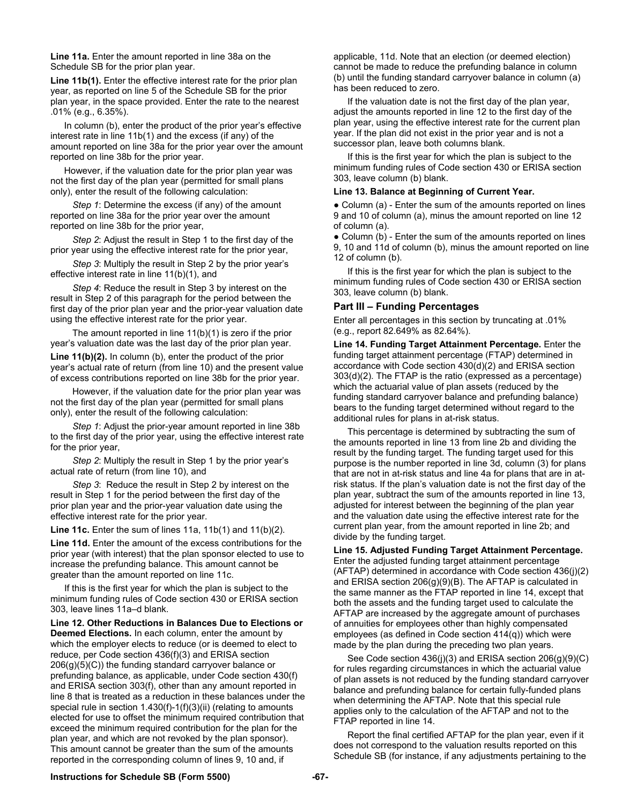**Line 11a.** Enter the amount reported in line 38a on the Schedule SB for the prior plan year.

Line 11b(1). Enter the effective interest rate for the prior plan year, as reported on line 5 of the Schedule SB for the prior plan year, in the space provided. Enter the rate to the nearest .01% (e.g., 6.35%).

 In column (b), enter the product of the prior year's effective interest rate in line 11b(1) and the excess (if any) of the amount reported on line 38a for the prior year over the amount reported on line 38b for the prior year.

 However, if the valuation date for the prior plan year was not the first day of the plan year (permitted for small plans only), enter the result of the following calculation:

 *Step 1*: Determine the excess (if any) of the amount reported on line 38a for the prior year over the amount reported on line 38b for the prior year,

 *Step 2*: Adjust the result in Step 1 to the first day of the prior year using the effective interest rate for the prior year,

 *Step 3*: Multiply the result in Step 2 by the prior year's effective interest rate in line 11(b)(1), and

 *Step 4*: Reduce the result in Step 3 by interest on the result in Step 2 of this paragraph for the period between the first day of the prior plan year and the prior-year valuation date using the effective interest rate for the prior year.

 The amount reported in line 11(b)(1) is zero if the prior year's valuation date was the last day of the prior plan year. Line 11(b)(2). In column (b), enter the product of the prior year's actual rate of return (from line 10) and the present value of excess contributions reported on line 38b for the prior year.

 However, if the valuation date for the prior plan year was not the first day of the plan year (permitted for small plans only), enter the result of the following calculation:

 *Step 1*: Adjust the prior-year amount reported in line 38b to the first day of the prior year, using the effective interest rate for the prior year,

 *Step 2*: Multiply the result in Step 1 by the prior year's actual rate of return (from line 10), and

 *Step 3*: Reduce the result in Step 2 by interest on the result in Step 1 for the period between the first day of the prior plan year and the prior-year valuation date using the effective interest rate for the prior year.

**Line 11c.** Enter the sum of lines 11a, 11b(1) and 11(b)(2).

**Line 11d.** Enter the amount of the excess contributions for the prior year (with interest) that the plan sponsor elected to use to increase the prefunding balance. This amount cannot be greater than the amount reported on line 11c.

If this is the first year for which the plan is subject to the minimum funding rules of Code section 430 or ERISA section 303, leave lines 11a–d blank.

**Line 12. Other Reductions in Balances Due to Elections or Deemed Elections.** In each column, enter the amount by which the employer elects to reduce (or is deemed to elect to reduce, per Code section 436(f)(3) and ERISA section  $206(g)(5)(C)$ ) the funding standard carryover balance or prefunding balance, as applicable, under Code section 430(f) and ERISA section 303(f), other than any amount reported in line 8 that is treated as a reduction in these balances under the special rule in section 1.430(f)-1(f)(3)(ii) (relating to amounts elected for use to offset the minimum required contribution that exceed the minimum required contribution for the plan for the plan year, and which are not revoked by the plan sponsor). This amount cannot be greater than the sum of the amounts reported in the corresponding column of lines 9, 10 and, if

applicable, 11d. Note that an election (or deemed election) cannot be made to reduce the prefunding balance in column (b) until the funding standard carryover balance in column (a) has been reduced to zero.

If the valuation date is not the first day of the plan year, adjust the amounts reported in line 12 to the first day of the plan year, using the effective interest rate for the current plan year. If the plan did not exist in the prior year and is not a successor plan, leave both columns blank.

If this is the first year for which the plan is subject to the minimum funding rules of Code section 430 or ERISA section 303, leave column (b) blank.

#### **Line 13. Balance at Beginning of Current Year.**

• Column (a) - Enter the sum of the amounts reported on lines 9 and 10 of column (a), minus the amount reported on line 12 of column (a).

• Column (b) - Enter the sum of the amounts reported on lines 9, 10 and 11d of column (b), minus the amount reported on line 12 of column (b).

If this is the first year for which the plan is subject to the minimum funding rules of Code section 430 or ERISA section 303, leave column (b) blank.

#### **Part III – Funding Percentages**

Enter all percentages in this section by truncating at .01% (e.g., report 82.649% as 82.64%).

**Line 14. Funding Target Attainment Percentage.** Enter the funding target attainment percentage (FTAP) determined in accordance with Code section 430(d)(2) and ERISA section 303(d)(2). The FTAP is the ratio (expressed as a percentage) which the actuarial value of plan assets (reduced by the funding standard carryover balance and prefunding balance) bears to the funding target determined without regard to the additional rules for plans in at-risk status.

This percentage is determined by subtracting the sum of the amounts reported in line 13 from line 2b and dividing the result by the funding target. The funding target used for this purpose is the number reported in line 3d, column (3) for plans that are not in at-risk status and line 4a for plans that are in atrisk status. If the plan's valuation date is not the first day of the plan year, subtract the sum of the amounts reported in line 13, adjusted for interest between the beginning of the plan year and the valuation date using the effective interest rate for the current plan year, from the amount reported in line 2b; and divide by the funding target.

**Line 15. Adjusted Funding Target Attainment Percentage.**  Enter the adjusted funding target attainment percentage (AFTAP) determined in accordance with Code section 436(j)(2) and ERISA section 206(g)(9)(B). The AFTAP is calculated in the same manner as the FTAP reported in line 14, except that both the assets and the funding target used to calculate the AFTAP are increased by the aggregate amount of purchases of annuities for employees other than highly compensated employees (as defined in Code section 414(q)) which were made by the plan during the preceding two plan years.

See Code section 436(j)(3) and ERISA section 206(g)(9)(C) for rules regarding circumstances in which the actuarial value of plan assets is not reduced by the funding standard carryover balance and prefunding balance for certain fully-funded plans when determining the AFTAP. Note that this special rule applies only to the calculation of the AFTAP and not to the FTAP reported in line 14.

Report the final certified AFTAP for the plan year, even if it does not correspond to the valuation results reported on this Schedule SB (for instance, if any adjustments pertaining to the

#### **Instructions for Schedule SB (Form 5500) -67-**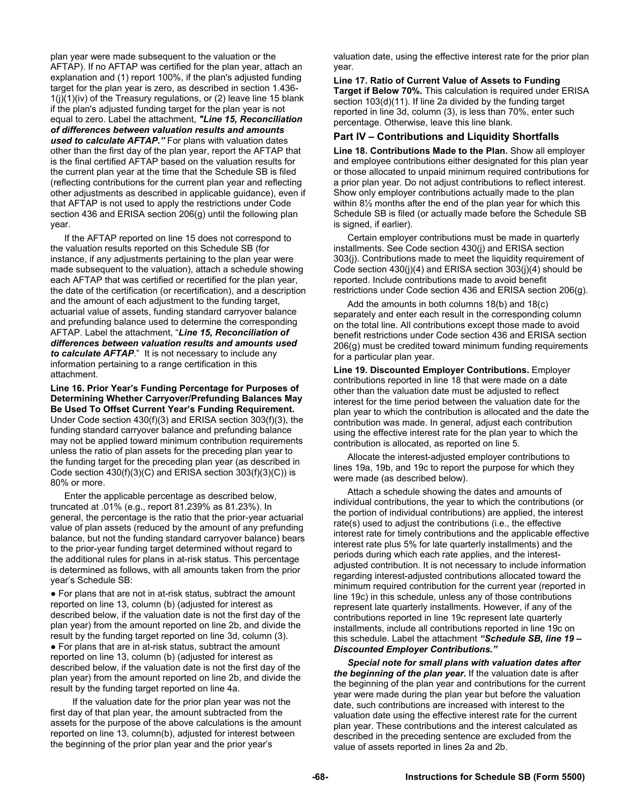plan year were made subsequent to the valuation or the AFTAP). If no AFTAP was certified for the plan year, attach an explanation and (1) report 100%, if the plan's adjusted funding target for the plan year is zero, as described in section 1.436-  $1(j)(1)(iv)$  of the Treasury regulations, or (2) leave line 15 blank if the plan's adjusted funding target for the plan year is not equal to zero. Label the attachment, *"Line 15, Reconciliation of differences between valuation results and amounts used to calculate AFTAP."* For plans with valuation dates other than the first day of the plan year, report the AFTAP that is the final certified AFTAP based on the valuation results for the current plan year at the time that the Schedule SB is filed (reflecting contributions for the current plan year and reflecting other adjustments as described in applicable guidance), even if that AFTAP is not used to apply the restrictions under Code section 436 and ERISA section 206(q) until the following plan year.

If the AFTAP reported on line 15 does not correspond to the valuation results reported on this Schedule SB (for instance, if any adjustments pertaining to the plan year were made subsequent to the valuation), attach a schedule showing each AFTAP that was certified or recertified for the plan year, the date of the certification (or recertification), and a description and the amount of each adjustment to the funding target, actuarial value of assets, funding standard carryover balance and prefunding balance used to determine the corresponding AFTAP. Label the attachment, "*Line 15, Reconciliation of differences between valuation results and amounts used to calculate AFTAP*." It is not necessary to include any information pertaining to a range certification in this attachment.

**Line 16. Prior Year's Funding Percentage for Purposes of Determining Whether Carryover/Prefunding Balances May Be Used To Offset Current Year's Funding Requirement.**  Under Code section 430(f)(3) and ERISA section 303(f)(3), the funding standard carryover balance and prefunding balance may not be applied toward minimum contribution requirements unless the ratio of plan assets for the preceding plan year to the funding target for the preceding plan year (as described in Code section 430(f)(3)(C) and ERISA section 303(f)(3)(C)) is 80% or more.

Enter the applicable percentage as described below, truncated at .01% (e.g., report 81.239% as 81.23%). In general, the percentage is the ratio that the prior-year actuarial value of plan assets (reduced by the amount of any prefunding balance, but not the funding standard carryover balance) bears to the prior-year funding target determined without regard to the additional rules for plans in at-risk status. This percentage is determined as follows, with all amounts taken from the prior year's Schedule SB:

● For plans that are not in at-risk status, subtract the amount reported on line 13, column (b) (adjusted for interest as described below, if the valuation date is not the first day of the plan year) from the amount reported on line 2b, and divide the result by the funding target reported on line 3d, column (3). ● For plans that are in at-risk status, subtract the amount reported on line 13, column (b) (adjusted for interest as described below, if the valuation date is not the first day of the plan year) from the amount reported on line 2b, and divide the result by the funding target reported on line 4a.

 If the valuation date for the prior plan year was not the first day of that plan year, the amount subtracted from the assets for the purpose of the above calculations is the amount reported on line 13, column(b), adjusted for interest between the beginning of the prior plan year and the prior year's

valuation date, using the effective interest rate for the prior plan year.

**Line 17. Ratio of Current Value of Assets to Funding Target if Below 70%.** This calculation is required under ERISA section 103(d)(11). If line 2a divided by the funding target reported in line 3d, column (3), is less than 70%, enter such percentage. Otherwise, leave this line blank.

### **Part IV – Contributions and Liquidity Shortfalls**

**Line 18. Contributions Made to the Plan.** Show all employer and employee contributions either designated for this plan year or those allocated to unpaid minimum required contributions for a prior plan year. Do not adjust contributions to reflect interest. Show only employer contributions actually made to the plan within 8½ months after the end of the plan year for which this Schedule SB is filed (or actually made before the Schedule SB is signed, if earlier).

Certain employer contributions must be made in quarterly installments. See Code section 430(j) and ERISA section 303(j). Contributions made to meet the liquidity requirement of Code section 430(j)(4) and ERISA section 303(j)(4) should be reported. Include contributions made to avoid benefit restrictions under Code section 436 and ERISA section 206(g).

Add the amounts in both columns 18(b) and 18(c) separately and enter each result in the corresponding column on the total line. All contributions except those made to avoid benefit restrictions under Code section 436 and ERISA section 206(g) must be credited toward minimum funding requirements for a particular plan year.

**Line 19. Discounted Employer Contributions.** Employer contributions reported in line 18 that were made on a date other than the valuation date must be adjusted to reflect interest for the time period between the valuation date for the plan year to which the contribution is allocated and the date the contribution was made. In general, adjust each contribution using the effective interest rate for the plan year to which the contribution is allocated, as reported on line 5.

Allocate the interest-adjusted employer contributions to lines 19a, 19b, and 19c to report the purpose for which they were made (as described below).

Attach a schedule showing the dates and amounts of individual contributions, the year to which the contributions (or the portion of individual contributions) are applied, the interest rate(s) used to adjust the contributions (i.e., the effective interest rate for timely contributions and the applicable effective interest rate plus 5% for late quarterly installments) and the periods during which each rate applies, and the interestadjusted contribution. It is not necessary to include information regarding interest-adjusted contributions allocated toward the minimum required contribution for the current year (reported in line 19c) in this schedule, unless any of those contributions represent late quarterly installments. However, if any of the contributions reported in line 19c represent late quarterly installments, include all contributions reported in line 19c on this schedule. Label the attachment *"Schedule SB, line 19 – Discounted Employer Contributions."* 

*Special note for small plans with valuation dates after the beginning of the plan year.* If the valuation date is after the beginning of the plan year and contributions for the current year were made during the plan year but before the valuation date, such contributions are increased with interest to the valuation date using the effective interest rate for the current plan year. These contributions and the interest calculated as described in the preceding sentence are excluded from the value of assets reported in lines 2a and 2b.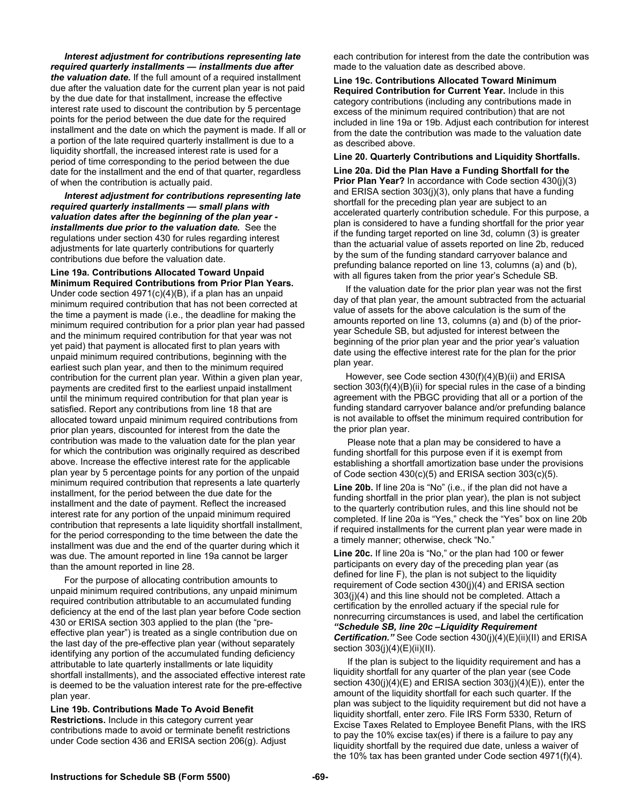*Interest adjustment for contributions representing late required quarterly installments — installments due after the valuation date.* If the full amount of a required installment due after the valuation date for the current plan year is not paid by the due date for that installment, increase the effective interest rate used to discount the contribution by 5 percentage points for the period between the due date for the required installment and the date on which the payment is made. If all or a portion of the late required quarterly installment is due to a liquidity shortfall, the increased interest rate is used for a period of time corresponding to the period between the due date for the installment and the end of that quarter, regardless of when the contribution is actually paid.

*Interest adjustment for contributions representing late required quarterly installments — small plans with valuation dates after the beginning of the plan year installments due prior to the valuation date.* See the regulations under section 430 for rules regarding interest adjustments for late quarterly contributions for quarterly contributions due before the valuation date.

**Line 19a. Contributions Allocated Toward Unpaid Minimum Required Contributions from Prior Plan Years.** Under code section 4971(c)(4)(B), if a plan has an unpaid minimum required contribution that has not been corrected at the time a payment is made (i.e., the deadline for making the minimum required contribution for a prior plan year had passed and the minimum required contribution for that year was not yet paid) that payment is allocated first to plan years with unpaid minimum required contributions, beginning with the earliest such plan year, and then to the minimum required contribution for the current plan year. Within a given plan year, payments are credited first to the earliest unpaid installment until the minimum required contribution for that plan year is satisfied. Report any contributions from line 18 that are allocated toward unpaid minimum required contributions from prior plan years, discounted for interest from the date the contribution was made to the valuation date for the plan year for which the contribution was originally required as described above. Increase the effective interest rate for the applicable plan year by 5 percentage points for any portion of the unpaid minimum required contribution that represents a late quarterly installment, for the period between the due date for the installment and the date of payment. Reflect the increased interest rate for any portion of the unpaid minimum required contribution that represents a late liquidity shortfall installment, for the period corresponding to the time between the date the installment was due and the end of the quarter during which it was due. The amount reported in line 19a cannot be larger than the amount reported in line 28.

For the purpose of allocating contribution amounts to unpaid minimum required contributions, any unpaid minimum required contribution attributable to an accumulated funding deficiency at the end of the last plan year before Code section 430 or ERISA section 303 applied to the plan (the "preeffective plan year") is treated as a single contribution due on the last day of the pre-effective plan year (without separately identifying any portion of the accumulated funding deficiency attributable to late quarterly installments or late liquidity shortfall installments), and the associated effective interest rate is deemed to be the valuation interest rate for the pre-effective plan year.

**Line 19b. Contributions Made To Avoid Benefit Restrictions.** Include in this category current year contributions made to avoid or terminate benefit restrictions under Code section 436 and ERISA section 206(g). Adjust

each contribution for interest from the date the contribution was made to the valuation date as described above.

**Line 19c. Contributions Allocated Toward Minimum Required Contribution for Current Year.** Include in this category contributions (including any contributions made in excess of the minimum required contribution) that are not included in line 19a or 19b. Adjust each contribution for interest from the date the contribution was made to the valuation date as described above.

#### **Line 20. Quarterly Contributions and Liquidity Shortfalls.**

**Line 20a. Did the Plan Have a Funding Shortfall for the Prior Plan Year?** In accordance with Code section 430(j)(3) and ERISA section 303(j)(3), only plans that have a funding shortfall for the preceding plan year are subject to an accelerated quarterly contribution schedule. For this purpose, a plan is considered to have a funding shortfall for the prior year if the funding target reported on line 3d, column (3) is greater than the actuarial value of assets reported on line 2b, reduced by the sum of the funding standard carryover balance and prefunding balance reported on line 13, columns (a) and (b), with all figures taken from the prior year's Schedule SB.

 If the valuation date for the prior plan year was not the first day of that plan year, the amount subtracted from the actuarial value of assets for the above calculation is the sum of the amounts reported on line 13, columns (a) and (b) of the prioryear Schedule SB, but adjusted for interest between the beginning of the prior plan year and the prior year's valuation date using the effective interest rate for the plan for the prior plan year.

 However, see Code section 430(f)(4)(B)(ii) and ERISA section 303(f)(4)(B)(ii) for special rules in the case of a binding agreement with the PBGC providing that all or a portion of the funding standard carryover balance and/or prefunding balance is not available to offset the minimum required contribution for the prior plan year.

Please note that a plan may be considered to have a funding shortfall for this purpose even if it is exempt from establishing a shortfall amortization base under the provisions of Code section 430(c)(5) and ERISA section 303(c)(5).

**Line 20b.** If line 20a is "No" (i.e., if the plan did not have a funding shortfall in the prior plan year), the plan is not subject to the quarterly contribution rules, and this line should not be completed. If line 20a is "Yes," check the "Yes" box on line 20b if required installments for the current plan year were made in a timely manner; otherwise, check "No."

**Line 20c.** If line 20a is "No," or the plan had 100 or fewer participants on every day of the preceding plan year (as defined for line F), the plan is not subject to the liquidity requirement of Code section 430(j)(4) and ERISA section 303(j)(4) and this line should not be completed. Attach a certification by the enrolled actuary if the special rule for nonrecurring circumstances is used, and label the certification *"Schedule SB, line 20c –Liquidity Requirement Certification."* See Code section 430(j)(4)(E)(ii)(II) and ERISA section 303(j)(4)(E)(ii)(II).

If the plan is subject to the liquidity requirement and has a liquidity shortfall for any quarter of the plan year (see Code section  $430(i)(4)(E)$  and ERISA section  $303(i)(4)(E)$ , enter the amount of the liquidity shortfall for each such quarter. If the plan was subject to the liquidity requirement but did not have a liquidity shortfall, enter zero. File IRS Form 5330, Return of Excise Taxes Related to Employee Benefit Plans, with the IRS to pay the 10% excise tax(es) if there is a failure to pay any liquidity shortfall by the required due date, unless a waiver of the 10% tax has been granted under Code section 4971(f)(4).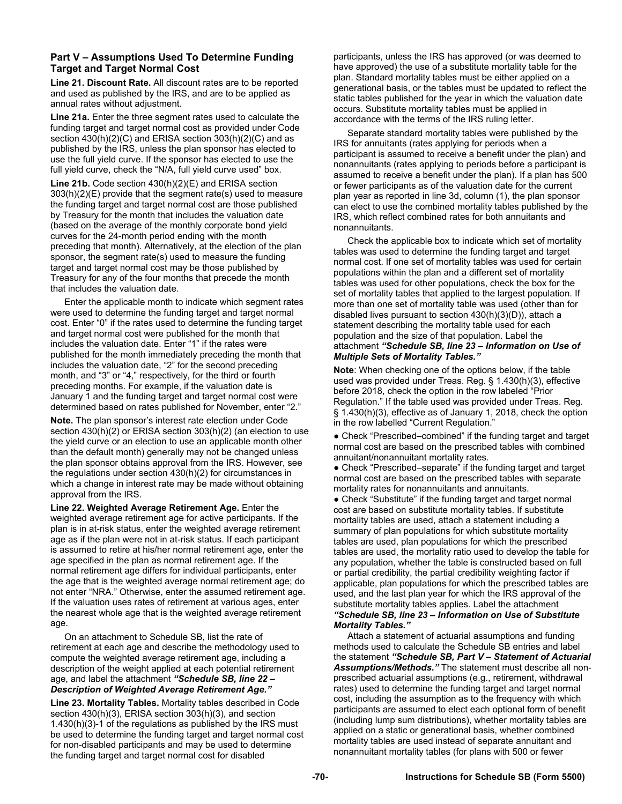# **Part V – Assumptions Used To Determine Funding Target and Target Normal Cost**

**Line 21. Discount Rate.** All discount rates are to be reported and used as published by the IRS, and are to be applied as annual rates without adjustment.

**Line 21a.** Enter the three segment rates used to calculate the funding target and target normal cost as provided under Code section 430(h)(2)(C) and ERISA section 303(h)(2)(C) and as published by the IRS, unless the plan sponsor has elected to use the full yield curve. If the sponsor has elected to use the full yield curve, check the "N/A, full yield curve used" box.

**Line 21b.** Code section 430(h)(2)(E) and ERISA section 303(h)(2)(E) provide that the segment rate(s) used to measure the funding target and target normal cost are those published by Treasury for the month that includes the valuation date (based on the average of the monthly corporate bond yield curves for the 24-month period ending with the month preceding that month). Alternatively, at the election of the plan sponsor, the segment rate(s) used to measure the funding target and target normal cost may be those published by Treasury for any of the four months that precede the month that includes the valuation date.

Enter the applicable month to indicate which segment rates were used to determine the funding target and target normal cost. Enter "0" if the rates used to determine the funding target and target normal cost were published for the month that includes the valuation date. Enter "1" if the rates were published for the month immediately preceding the month that includes the valuation date, "2" for the second preceding month, and "3" or "4," respectively, for the third or fourth preceding months. For example, if the valuation date is January 1 and the funding target and target normal cost were determined based on rates published for November, enter "2."

**Note.** The plan sponsor's interest rate election under Code section 430(h)(2) or ERISA section 303(h)(2) (an election to use the yield curve or an election to use an applicable month other than the default month) generally may not be changed unless the plan sponsor obtains approval from the IRS. However, see the regulations under section 430(h)(2) for circumstances in which a change in interest rate may be made without obtaining approval from the IRS.

**Line 22. Weighted Average Retirement Age.** Enter the weighted average retirement age for active participants. If the plan is in at-risk status, enter the weighted average retirement age as if the plan were not in at-risk status. If each participant is assumed to retire at his/her normal retirement age, enter the age specified in the plan as normal retirement age. If the normal retirement age differs for individual participants, enter the age that is the weighted average normal retirement age; do not enter "NRA." Otherwise, enter the assumed retirement age. If the valuation uses rates of retirement at various ages, enter the nearest whole age that is the weighted average retirement age.

On an attachment to Schedule SB, list the rate of retirement at each age and describe the methodology used to compute the weighted average retirement age, including a description of the weight applied at each potential retirement age, and label the attachment *"Schedule SB, line 22 – Description of Weighted Average Retirement Age."* 

**Line 23. Mortality Tables.** Mortality tables described in Code section 430(h)(3), ERISA section 303(h)(3), and section 1.430(h)(3)-1 of the regulations as published by the IRS must be used to determine the funding target and target normal cost for non-disabled participants and may be used to determine the funding target and target normal cost for disabled

participants, unless the IRS has approved (or was deemed to have approved) the use of a substitute mortality table for the plan. Standard mortality tables must be either applied on a generational basis, or the tables must be updated to reflect the static tables published for the year in which the valuation date occurs. Substitute mortality tables must be applied in accordance with the terms of the IRS ruling letter.

Separate standard mortality tables were published by the IRS for annuitants (rates applying for periods when a participant is assumed to receive a benefit under the plan) and nonannuitants (rates applying to periods before a participant is assumed to receive a benefit under the plan). If a plan has 500 or fewer participants as of the valuation date for the current plan year as reported in line 3d, column (1), the plan sponsor can elect to use the combined mortality tables published by the IRS, which reflect combined rates for both annuitants and nonannuitants.

Check the applicable box to indicate which set of mortality tables was used to determine the funding target and target normal cost. If one set of mortality tables was used for certain populations within the plan and a different set of mortality tables was used for other populations, check the box for the set of mortality tables that applied to the largest population. If more than one set of mortality table was used (other than for disabled lives pursuant to section 430(h)(3)(D)), attach a statement describing the mortality table used for each population and the size of that population. Label the attachment *"Schedule SB, line 23 – Information on Use of Multiple Sets of Mortality Tables."* 

**Note**: When checking one of the options below, if the table used was provided under Treas. Reg. § 1.430(h)(3), effective before 2018, check the option in the row labeled "Prior Regulation." If the table used was provided under Treas. Reg. § 1.430(h)(3), effective as of January 1, 2018, check the option in the row labelled "Current Regulation."

● Check "Prescribed–combined" if the funding target and target normal cost are based on the prescribed tables with combined annuitant/nonannuitant mortality rates.

● Check "Prescribed–separate" if the funding target and target normal cost are based on the prescribed tables with separate mortality rates for nonannuitants and annuitants.

• Check "Substitute" if the funding target and target normal cost are based on substitute mortality tables. If substitute mortality tables are used, attach a statement including a summary of plan populations for which substitute mortality tables are used, plan populations for which the prescribed tables are used, the mortality ratio used to develop the table for any population, whether the table is constructed based on full or partial credibility, the partial credibility weighting factor if applicable, plan populations for which the prescribed tables are used, and the last plan year for which the IRS approval of the substitute mortality tables applies. Label the attachment *"Schedule SB, line 23 – Information on Use of Substitute Mortality Tables."* 

Attach a statement of actuarial assumptions and funding methods used to calculate the Schedule SB entries and label the statement *"Schedule SB, Part V – Statement of Actuarial Assumptions/Methods."* The statement must describe all nonprescribed actuarial assumptions (e.g., retirement, withdrawal rates) used to determine the funding target and target normal cost, including the assumption as to the frequency with which participants are assumed to elect each optional form of benefit (including lump sum distributions), whether mortality tables are applied on a static or generational basis, whether combined mortality tables are used instead of separate annuitant and nonannuitant mortality tables (for plans with 500 or fewer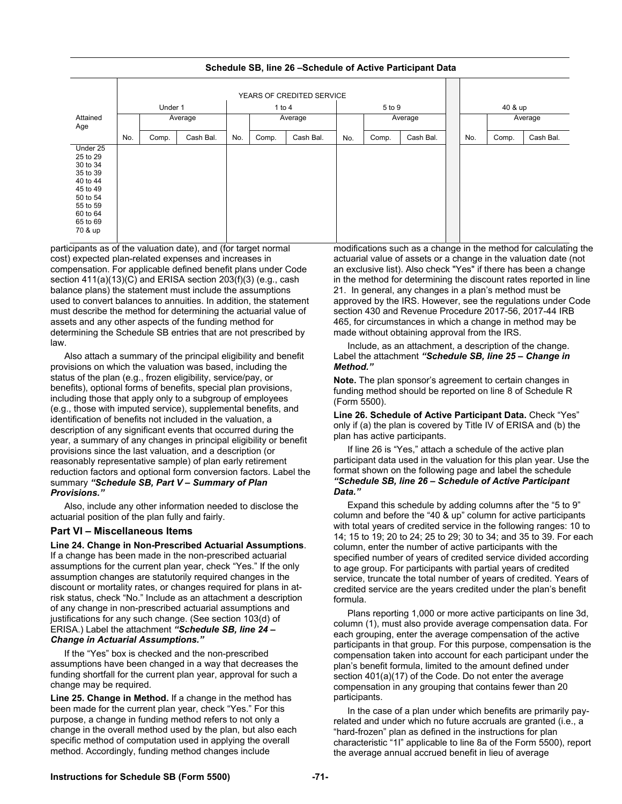YEARS OF CREDITED SERVICE Under 1 | 1 to 4 | 5 to 9 | 40 & up Attained Age No. Average No. Average No. Average **Average** Comp. | Cash Bal. | No. | Comp. | Cash Bal. | No. | Comp. | Cash Bal. | | No. | Comp. | Cash Bal. Under 25 25 to 29 30 to 34 35 to 39 40 to 44 45 to 49 50 to 54 55 to 59 60 to 64 65 to 69 70 & up

# **Schedule SB, line 26 –Schedule of Active Participant Data**

participants as of the valuation date), and (for target normal cost) expected plan-related expenses and increases in compensation. For applicable defined benefit plans under Code section 411(a)(13)(C) and ERISA section 203(f)(3) (e.g., cash balance plans) the statement must include the assumptions used to convert balances to annuities. In addition, the statement must describe the method for determining the actuarial value of assets and any other aspects of the funding method for determining the Schedule SB entries that are not prescribed by law.

Also attach a summary of the principal eligibility and benefit provisions on which the valuation was based, including the status of the plan (e.g., frozen eligibility, service/pay, or benefits), optional forms of benefits, special plan provisions, including those that apply only to a subgroup of employees (e.g., those with imputed service), supplemental benefits, and identification of benefits not included in the valuation, a description of any significant events that occurred during the year, a summary of any changes in principal eligibility or benefit provisions since the last valuation, and a description (or reasonably representative sample) of plan early retirement reduction factors and optional form conversion factors. Label the summary *"Schedule SB, Part V – Summary of Plan Provisions."* 

Also, include any other information needed to disclose the actuarial position of the plan fully and fairly.

# **Part VI – Miscellaneous Items**

**Line 24. Change in Non-Prescribed Actuarial Assumptions**. If a change has been made in the non-prescribed actuarial assumptions for the current plan year, check "Yes." If the only assumption changes are statutorily required changes in the discount or mortality rates, or changes required for plans in atrisk status, check "No." Include as an attachment a description of any change in non-prescribed actuarial assumptions and justifications for any such change. (See section 103(d) of ERISA.) Label the attachment *"Schedule SB, line 24 – Change in Actuarial Assumptions."* 

If the "Yes" box is checked and the non-prescribed assumptions have been changed in a way that decreases the funding shortfall for the current plan year, approval for such a change may be required.

**Line 25. Change in Method.** If a change in the method has been made for the current plan year, check "Yes." For this purpose, a change in funding method refers to not only a change in the overall method used by the plan, but also each specific method of computation used in applying the overall method. Accordingly, funding method changes include

modifications such as a change in the method for calculating the actuarial value of assets or a change in the valuation date (not an exclusive list). Also check "Yes" if there has been a change in the method for determining the discount rates reported in line 21. In general, any changes in a plan's method must be approved by the IRS. However, see the regulations under Code section 430 and Revenue Procedure 2017-56, 2017-44 IRB 465, for circumstances in which a change in method may be made without obtaining approval from the IRS.

Include, as an attachment, a description of the change. Label the attachment *"Schedule SB, line 25 – Change in Method."* 

**Note.** The plan sponsor's agreement to certain changes in funding method should be reported on line 8 of Schedule R (Form 5500).

**Line 26. Schedule of Active Participant Data.** Check "Yes" only if (a) the plan is covered by Title IV of ERISA and (b) the plan has active participants.

If line 26 is "Yes," attach a schedule of the active plan participant data used in the valuation for this plan year. Use the format shown on the following page and label the schedule *"Schedule SB, line 26 – Schedule of Active Participant Data."* 

Expand this schedule by adding columns after the "5 to 9" column and before the "40 & up" column for active participants with total years of credited service in the following ranges: 10 to 14; 15 to 19; 20 to 24; 25 to 29; 30 to 34; and 35 to 39. For each column, enter the number of active participants with the specified number of years of credited service divided according to age group. For participants with partial years of credited service, truncate the total number of years of credited. Years of credited service are the years credited under the plan's benefit formula.

Plans reporting 1,000 or more active participants on line 3d, column (1), must also provide average compensation data. For each grouping, enter the average compensation of the active participants in that group. For this purpose, compensation is the compensation taken into account for each participant under the plan's benefit formula, limited to the amount defined under section 401(a)(17) of the Code. Do not enter the average compensation in any grouping that contains fewer than 20 participants.

In the case of a plan under which benefits are primarily payrelated and under which no future accruals are granted (i.e., a "hard-frozen" plan as defined in the instructions for plan characteristic "1I" applicable to line 8a of the Form 5500), report the average annual accrued benefit in lieu of average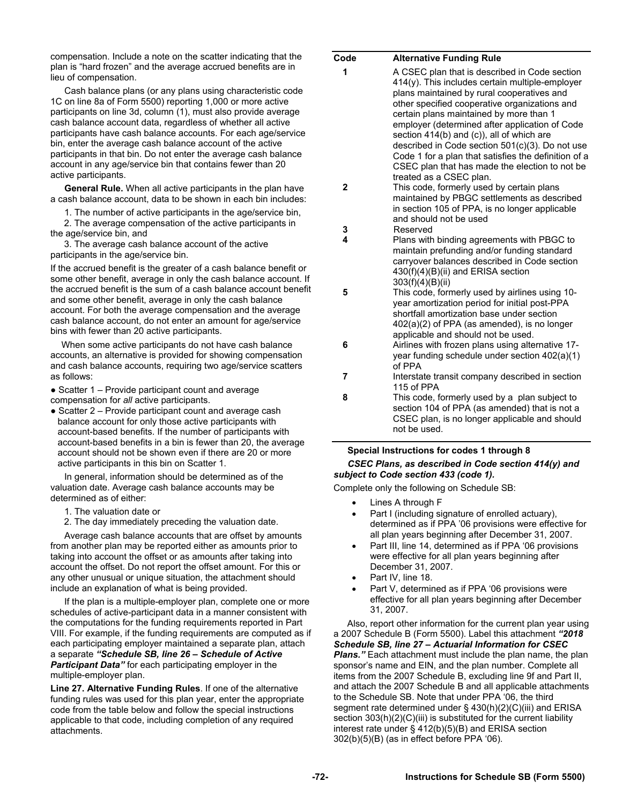compensation. Include a note on the scatter indicating that the plan is "hard frozen" and the average accrued benefits are in lieu of compensation.

Cash balance plans (or any plans using characteristic code 1C on line 8a of Form 5500) reporting 1,000 or more active participants on line 3d, column (1), must also provide average cash balance account data, regardless of whether all active participants have cash balance accounts. For each age/service bin, enter the average cash balance account of the active participants in that bin. Do not enter the average cash balance account in any age/service bin that contains fewer than 20 active participants.

**General Rule.** When all active participants in the plan have a cash balance account, data to be shown in each bin includes:

1. The number of active participants in the age/service bin,

2. The average compensation of the active participants in the age/service bin, and

3. The average cash balance account of the active participants in the age/service bin.

If the accrued benefit is the greater of a cash balance benefit or some other benefit, average in only the cash balance account. If the accrued benefit is the sum of a cash balance account benefit and some other benefit, average in only the cash balance account. For both the average compensation and the average cash balance account, do not enter an amount for age/service bins with fewer than 20 active participants.

When some active participants do not have cash balance accounts, an alternative is provided for showing compensation and cash balance accounts, requiring two age/service scatters as follows:

- Scatter 1 Provide participant count and average compensation for *all* active participants.
- Scatter 2 Provide participant count and average cash balance account for only those active participants with account-based benefits. If the number of participants with account-based benefits in a bin is fewer than 20, the average account should not be shown even if there are 20 or more active participants in this bin on Scatter 1.

In general, information should be determined as of the valuation date. Average cash balance accounts may be determined as of either:

- 1. The valuation date or
- 2. The day immediately preceding the valuation date.

Average cash balance accounts that are offset by amounts from another plan may be reported either as amounts prior to taking into account the offset or as amounts after taking into account the offset. Do not report the offset amount. For this or any other unusual or unique situation, the attachment should include an explanation of what is being provided.

If the plan is a multiple-employer plan, complete one or more schedules of active-participant data in a manner consistent with the computations for the funding requirements reported in Part VIII. For example, if the funding requirements are computed as if each participating employer maintained a separate plan, attach a separate *"Schedule SB, line 26 – Schedule of Active Participant Data"* for each participating employer in the multiple-employer plan.

**Line 27. Alternative Funding Rules**. If one of the alternative funding rules was used for this plan year, enter the appropriate code from the table below and follow the special instructions applicable to that code, including completion of any required attachments.

| Code         | <b>Alternative Funding Rule</b>                                                                                                                                                                                                                                                                                                                                                                                                                                                                                                   |
|--------------|-----------------------------------------------------------------------------------------------------------------------------------------------------------------------------------------------------------------------------------------------------------------------------------------------------------------------------------------------------------------------------------------------------------------------------------------------------------------------------------------------------------------------------------|
| 1            | A CSEC plan that is described in Code section<br>414(y). This includes certain multiple-employer<br>plans maintained by rural cooperatives and<br>other specified cooperative organizations and<br>certain plans maintained by more than 1<br>employer (determined after application of Code<br>section 414(b) and (c)), all of which are<br>described in Code section 501(c)(3). Do not use<br>Code 1 for a plan that satisfies the definition of a<br>CSEC plan that has made the election to not be<br>treated as a CSEC plan. |
| $\mathbf{2}$ | This code, formerly used by certain plans<br>maintained by PBGC settlements as described<br>in section 105 of PPA, is no longer applicable<br>and should not be used                                                                                                                                                                                                                                                                                                                                                              |
| 3            | Reserved                                                                                                                                                                                                                                                                                                                                                                                                                                                                                                                          |
| 4            | Plans with binding agreements with PBGC to<br>maintain prefunding and/or funding standard<br>carryover balances described in Code section<br>430(f)(4)(B)(ii) and ERISA section<br>303(f)(4)(B)(ii)                                                                                                                                                                                                                                                                                                                               |
| 5            | This code, formerly used by airlines using 10-<br>year amortization period for initial post-PPA<br>shortfall amortization base under section<br>402(a)(2) of PPA (as amended), is no longer<br>applicable and should not be used.                                                                                                                                                                                                                                                                                                 |
| 6            | Airlines with frozen plans using alternative 17-<br>year funding schedule under section 402(a)(1)<br>of PPA                                                                                                                                                                                                                                                                                                                                                                                                                       |
| 7            | Interstate transit company described in section<br>115 of PPA                                                                                                                                                                                                                                                                                                                                                                                                                                                                     |
| 8            | This code, formerly used by a plan subject to<br>section 104 of PPA (as amended) that is not a<br>CSEC plan, is no longer applicable and should<br>not be used.                                                                                                                                                                                                                                                                                                                                                                   |

#### **Special Instructions for codes 1 through 8**

*CSEC Plans, as described in Code section 414(y) and subject to Code section 433 (code 1).*

Complete only the following on Schedule SB:

- Lines A through F
- Part I (including signature of enrolled actuary), determined as if PPA '06 provisions were effective for all plan years beginning after December 31, 2007.
- Part III, line 14, determined as if PPA '06 provisions were effective for all plan years beginning after December 31, 2007.
- Part IV, line 18.
- Part V, determined as if PPA '06 provisions were effective for all plan years beginning after December 31, 2007.

Also, report other information for the current plan year using a 2007 Schedule B (Form 5500). Label this attachment *"2018 Schedule SB, line 27 – Actuarial Information for CSEC Plans."* Each attachment must include the plan name, the plan sponsor's name and EIN, and the plan number. Complete all items from the 2007 Schedule B, excluding line 9f and Part II, and attach the 2007 Schedule B and all applicable attachments to the Schedule SB. Note that under PPA '06, the third segment rate determined under § 430(h)(2)(C)(iii) and ERISA section 303(h)(2)(C)(iii) is substituted for the current liability interest rate under § 412(b)(5)(B) and ERISA section 302(b)(5)(B) (as in effect before PPA '06).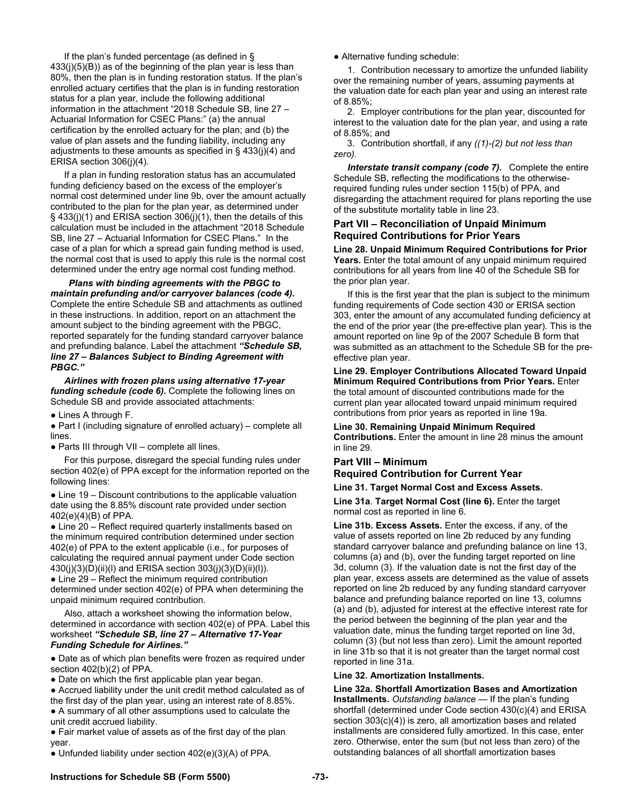If the plan's funded percentage (as defined in § 433(j)(5)(B)) as of the beginning of the plan year is less than 80%, then the plan is in funding restoration status. If the plan's enrolled actuary certifies that the plan is in funding restoration status for a plan year, include the following additional information in the attachment "2018 Schedule SB, line 27 – Actuarial Information for CSEC Plans:" (a) the annual certification by the enrolled actuary for the plan; and (b) the value of plan assets and the funding liability, including any adjustments to these amounts as specified in § 433(j)(4) and ERISA section 306(j)(4).

If a plan in funding restoration status has an accumulated funding deficiency based on the excess of the employer's normal cost determined under line 9b, over the amount actually contributed to the plan for the plan year, as determined under § 433(j)(1) and ERISA section 306(j)(1), then the details of this calculation must be included in the attachment "2018 Schedule SB, line 27 – Actuarial Information for CSEC Plans." In the case of a plan for which a spread gain funding method is used, the normal cost that is used to apply this rule is the normal cost determined under the entry age normal cost funding method.

*Plans with binding agreements with the PBGC to maintain prefunding and/or carryover balances (code 4).*  Complete the entire Schedule SB and attachments as outlined in these instructions. In addition, report on an attachment the amount subject to the binding agreement with the PBGC, reported separately for the funding standard carryover balance and prefunding balance. Label the attachment *"Schedule SB, line 27 – Balances Subject to Binding Agreement with PBGC."* 

*Airlines with frozen plans using alternative 17-year funding schedule (code 6).* Complete the following lines on Schedule SB and provide associated attachments:

● Lines A through F.

● Part I (including signature of enrolled actuary) – complete all lines.

● Parts III through VII – complete all lines.

For this purpose, disregard the special funding rules under section 402(e) of PPA except for the information reported on the following lines:

• Line 19 – Discount contributions to the applicable valuation date using the 8.85% discount rate provided under section 402(e)(4)(B) of PPA.

• Line 20 – Reflect required quarterly installments based on the minimum required contribution determined under section 402(e) of PPA to the extent applicable (i.e., for purposes of calculating the required annual payment under Code section 430(j)(3)(D)(ii)(l) and ERISA section 303(j)(3)(D)(ii)(l)).

 $\bullet$  Line 29 – Reflect the minimum required contribution determined under section 402(e) of PPA when determining the unpaid minimum required contribution.

Also, attach a worksheet showing the information below, determined in accordance with section 402(e) of PPA. Label this worksheet *"Schedule SB, line 27 – Alternative 17-Year Funding Schedule for Airlines."* 

• Date as of which plan benefits were frozen as required under section 402(b)(2) of PPA.

• Date on which the first applicable plan year began.

● Accrued liability under the unit credit method calculated as of

the first day of the plan year, using an interest rate of 8.85%.

● A summary of all other assumptions used to calculate the unit credit accrued liability.

● Fair market value of assets as of the first day of the plan year.

● Unfunded liability under section 402(e)(3)(A) of PPA.

• Alternative funding schedule:

1. Contribution necessary to amortize the unfunded liability over the remaining number of years, assuming payments at the valuation date for each plan year and using an interest rate of 8.85%;

2. Employer contributions for the plan year, discounted for interest to the valuation date for the plan year, and using a rate of 8.85%; and

3. Contribution shortfall, if any *((1)-(2) but not less than zero).*

*Interstate transit company (code 7).* Complete the entire Schedule SB, reflecting the modifications to the otherwiserequired funding rules under section 115(b) of PPA, and disregarding the attachment required for plans reporting the use of the substitute mortality table in line 23.

# **Part VII – Reconciliation of Unpaid Minimum Required Contributions for Prior Years**

**Line 28. Unpaid Minimum Required Contributions for Prior Years.** Enter the total amount of any unpaid minimum required contributions for all years from line 40 of the Schedule SB for the prior plan year.

If this is the first year that the plan is subject to the minimum funding requirements of Code section 430 or ERISA section 303, enter the amount of any accumulated funding deficiency at the end of the prior year (the pre-effective plan year). This is the amount reported on line 9p of the 2007 Schedule B form that was submitted as an attachment to the Schedule SB for the preeffective plan year.

**Line 29. Employer Contributions Allocated Toward Unpaid Minimum Required Contributions from Prior Years.** Enter the total amount of discounted contributions made for the current plan year allocated toward unpaid minimum required contributions from prior years as reported in line 19a.

**Line 30. Remaining Unpaid Minimum Required Contributions.** Enter the amount in line 28 minus the amount in line 29.

# **Part VIII – Minimum**

# **Required Contribution for Current Year**

# **Line 31. Target Normal Cost and Excess Assets.**

**Line 31a**. **Target Normal Cost (line 6).** Enter the target normal cost as reported in line 6.

**Line 31b. Excess Assets.** Enter the excess, if any, of the value of assets reported on line 2b reduced by any funding standard carryover balance and prefunding balance on line 13, columns (a) and (b), over the funding target reported on line 3d, column (3). If the valuation date is not the first day of the plan year, excess assets are determined as the value of assets reported on line 2b reduced by any funding standard carryover balance and prefunding balance reported on line 13, columns (a) and (b), adjusted for interest at the effective interest rate for the period between the beginning of the plan year and the valuation date, minus the funding target reported on line 3d, column (3) (but not less than zero). Limit the amount reported in line 31b so that it is not greater than the target normal cost reported in line 31a.

# **Line 32. Amortization Installments.**

**Line 32a. Shortfall Amortization Bases and Amortization Installments.** *Outstanding balance* — If the plan's funding shortfall (determined under Code section 430(c)(4) and ERISA section 303(c)(4)) is zero, all amortization bases and related installments are considered fully amortized. In this case, enter zero. Otherwise, enter the sum (but not less than zero) of the outstanding balances of all shortfall amortization bases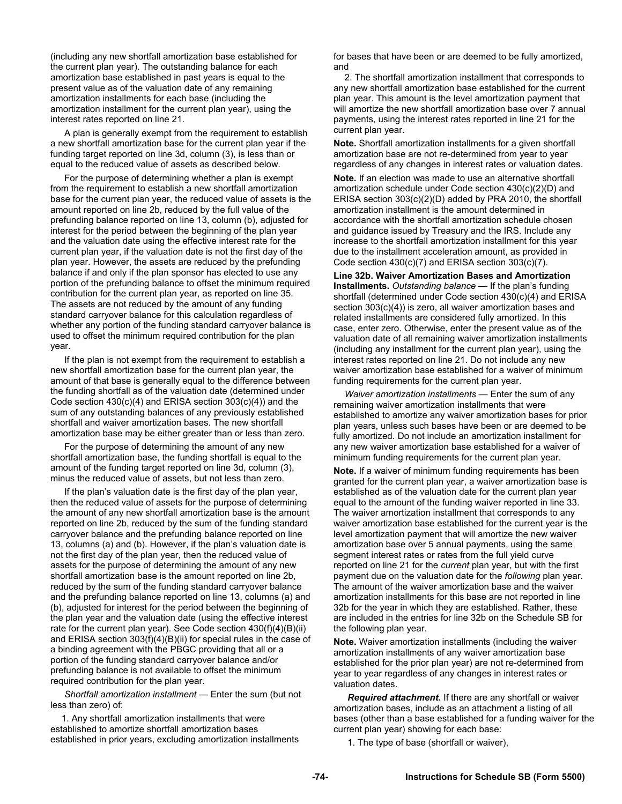(including any new shortfall amortization base established for the current plan year). The outstanding balance for each amortization base established in past years is equal to the present value as of the valuation date of any remaining amortization installments for each base (including the amortization installment for the current plan year), using the interest rates reported on line 21.

A plan is generally exempt from the requirement to establish a new shortfall amortization base for the current plan year if the funding target reported on line 3d, column (3), is less than or equal to the reduced value of assets as described below.

For the purpose of determining whether a plan is exempt from the requirement to establish a new shortfall amortization base for the current plan year, the reduced value of assets is the amount reported on line 2b, reduced by the full value of the prefunding balance reported on line 13, column (b), adjusted for interest for the period between the beginning of the plan year and the valuation date using the effective interest rate for the current plan year, if the valuation date is not the first day of the plan year. However, the assets are reduced by the prefunding balance if and only if the plan sponsor has elected to use any portion of the prefunding balance to offset the minimum required contribution for the current plan year, as reported on line 35. The assets are not reduced by the amount of any funding standard carryover balance for this calculation regardless of whether any portion of the funding standard carryover balance is used to offset the minimum required contribution for the plan year.

If the plan is not exempt from the requirement to establish a new shortfall amortization base for the current plan year, the amount of that base is generally equal to the difference between the funding shortfall as of the valuation date (determined under Code section 430(c)(4) and ERISA section 303(c)(4)) and the sum of any outstanding balances of any previously established shortfall and waiver amortization bases. The new shortfall amortization base may be either greater than or less than zero.

For the purpose of determining the amount of any new shortfall amortization base, the funding shortfall is equal to the amount of the funding target reported on line 3d, column (3), minus the reduced value of assets, but not less than zero.

If the plan's valuation date is the first day of the plan year, then the reduced value of assets for the purpose of determining the amount of any new shortfall amortization base is the amount reported on line 2b, reduced by the sum of the funding standard carryover balance and the prefunding balance reported on line 13, columns (a) and (b). However, if the plan's valuation date is not the first day of the plan year, then the reduced value of assets for the purpose of determining the amount of any new shortfall amortization base is the amount reported on line 2b, reduced by the sum of the funding standard carryover balance and the prefunding balance reported on line 13, columns (a) and (b), adjusted for interest for the period between the beginning of the plan year and the valuation date (using the effective interest rate for the current plan year). See Code section 430(f)(4)(B)(ii) and ERISA section 303(f)(4)(B)(ii) for special rules in the case of a binding agreement with the PBGC providing that all or a portion of the funding standard carryover balance and/or prefunding balance is not available to offset the minimum required contribution for the plan year.

*Shortfall amortization installment —* Enter the sum (but not less than zero) of:

1. Any shortfall amortization installments that were established to amortize shortfall amortization bases established in prior years, excluding amortization installments for bases that have been or are deemed to be fully amortized, and

2. The shortfall amortization installment that corresponds to any new shortfall amortization base established for the current plan year. This amount is the level amortization payment that will amortize the new shortfall amortization base over 7 annual payments, using the interest rates reported in line 21 for the current plan year.

**Note.** Shortfall amortization installments for a given shortfall amortization base are not re-determined from year to year regardless of any changes in interest rates or valuation dates.

**Note.** If an election was made to use an alternative shortfall amortization schedule under Code section 430(c)(2)(D) and ERISA section 303(c)(2)(D) added by PRA 2010, the shortfall amortization installment is the amount determined in accordance with the shortfall amortization schedule chosen and guidance issued by Treasury and the IRS. Include any increase to the shortfall amortization installment for this year due to the installment acceleration amount, as provided in Code section 430(c)(7) and ERISA section 303(c)(7).

**Line 32b. Waiver Amortization Bases and Amortization Installments.** *Outstanding balance —* If the plan's funding shortfall (determined under Code section 430(c)(4) and ERISA section 303(c)(4)) is zero, all waiver amortization bases and related installments are considered fully amortized. In this case, enter zero. Otherwise, enter the present value as of the valuation date of all remaining waiver amortization installments (including any installment for the current plan year), using the interest rates reported on line 21. Do not include any new waiver amortization base established for a waiver of minimum funding requirements for the current plan year.

*Waiver amortization installments* — Enter the sum of any remaining waiver amortization installments that were established to amortize any waiver amortization bases for prior plan years, unless such bases have been or are deemed to be fully amortized. Do not include an amortization installment for any new waiver amortization base established for a waiver of minimum funding requirements for the current plan year.

**Note.** If a waiver of minimum funding requirements has been granted for the current plan year, a waiver amortization base is established as of the valuation date for the current plan year equal to the amount of the funding waiver reported in line 33. The waiver amortization installment that corresponds to any waiver amortization base established for the current year is the level amortization payment that will amortize the new waiver amortization base over 5 annual payments, using the same segment interest rates or rates from the full yield curve reported on line 21 for the *current* plan year, but with the first payment due on the valuation date for the *following* plan year. The amount of the waiver amortization base and the waiver amortization installments for this base are not reported in line 32b for the year in which they are established. Rather, these are included in the entries for line 32b on the Schedule SB for the following plan year.

**Note.** Waiver amortization installments (including the waiver amortization installments of any waiver amortization base established for the prior plan year) are not re-determined from year to year regardless of any changes in interest rates or valuation dates.

*Required attachment.* If there are any shortfall or waiver amortization bases, include as an attachment a listing of all bases (other than a base established for a funding waiver for the current plan year) showing for each base:

1. The type of base (shortfall or waiver),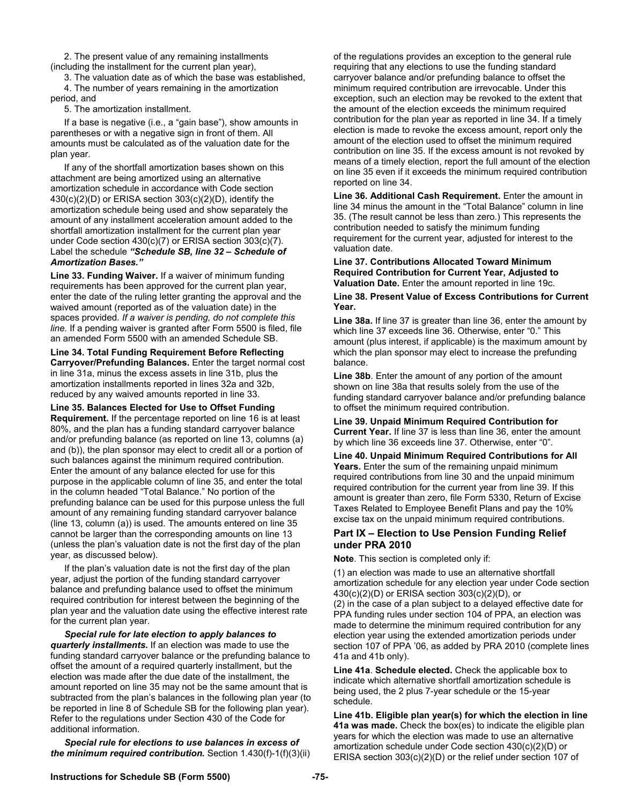2. The present value of any remaining installments (including the installment for the current plan year),

3. The valuation date as of which the base was established, 4. The number of years remaining in the amortization period, and

5. The amortization installment.

 If a base is negative (i.e., a "gain base"), show amounts in parentheses or with a negative sign in front of them. All amounts must be calculated as of the valuation date for the plan year.

 If any of the shortfall amortization bases shown on this attachment are being amortized using an alternative amortization schedule in accordance with Code section 430(c)(2)(D) or ERISA section 303(c)(2)(D), identify the amortization schedule being used and show separately the amount of any installment acceleration amount added to the shortfall amortization installment for the current plan year under Code section 430(c)(7) or ERISA section 303(c)(7). Label the schedule *"Schedule SB, line 32 – Schedule of Amortization Bases."*

**Line 33. Funding Waiver.** If a waiver of minimum funding requirements has been approved for the current plan year, enter the date of the ruling letter granting the approval and the waived amount (reported as of the valuation date) in the spaces provided. *If a waiver is pending, do not complete this line.* If a pending waiver is granted after Form 5500 is filed, file an amended Form 5500 with an amended Schedule SB.

**Line 34. Total Funding Requirement Before Reflecting Carryover/Prefunding Balances.** Enter the target normal cost in line 31a, minus the excess assets in line 31b, plus the amortization installments reported in lines 32a and 32b, reduced by any waived amounts reported in line 33.

**Line 35. Balances Elected for Use to Offset Funding Requirement.** If the percentage reported on line 16 is at least 80%, and the plan has a funding standard carryover balance and/or prefunding balance (as reported on line 13, columns (a) and (b)), the plan sponsor may elect to credit all or a portion of such balances against the minimum required contribution. Enter the amount of any balance elected for use for this purpose in the applicable column of line 35, and enter the total in the column headed "Total Balance." No portion of the prefunding balance can be used for this purpose unless the full amount of any remaining funding standard carryover balance (line 13, column (a)) is used. The amounts entered on line 35 cannot be larger than the corresponding amounts on line 13 (unless the plan's valuation date is not the first day of the plan year, as discussed below).

If the plan's valuation date is not the first day of the plan year, adjust the portion of the funding standard carryover balance and prefunding balance used to offset the minimum required contribution for interest between the beginning of the plan year and the valuation date using the effective interest rate for the current plan year.

*Special rule for late election to apply balances to quarterly installments.* If an election was made to use the funding standard carryover balance or the prefunding balance to offset the amount of a required quarterly installment, but the election was made after the due date of the installment, the amount reported on line 35 may not be the same amount that is subtracted from the plan's balances in the following plan year (to be reported in line 8 of Schedule SB for the following plan year). Refer to the regulations under Section 430 of the Code for additional information.

*Special rule for elections to use balances in excess of the minimum required contribution.* Section 1.430(f)-1(f)(3)(ii) of the regulations provides an exception to the general rule requiring that any elections to use the funding standard carryover balance and/or prefunding balance to offset the minimum required contribution are irrevocable. Under this exception, such an election may be revoked to the extent that the amount of the election exceeds the minimum required contribution for the plan year as reported in line 34. If a timely election is made to revoke the excess amount, report only the amount of the election used to offset the minimum required contribution on line 35. If the excess amount is not revoked by means of a timely election, report the full amount of the election on line 35 even if it exceeds the minimum required contribution reported on line 34.

**Line 36. Additional Cash Requirement.** Enter the amount in line 34 minus the amount in the "Total Balance" column in line 35. (The result cannot be less than zero.) This represents the contribution needed to satisfy the minimum funding requirement for the current year, adjusted for interest to the valuation date.

**Line 37. Contributions Allocated Toward Minimum Required Contribution for Current Year, Adjusted to Valuation Date.** Enter the amount reported in line 19c.

**Line 38. Present Value of Excess Contributions for Current Year.** 

**Line 38a.** If line 37 is greater than line 36, enter the amount by which line 37 exceeds line 36. Otherwise, enter "0." This amount (plus interest, if applicable) is the maximum amount by which the plan sponsor may elect to increase the prefunding balance.

**Line 38b**. Enter the amount of any portion of the amount shown on line 38a that results solely from the use of the funding standard carryover balance and/or prefunding balance to offset the minimum required contribution.

**Line 39. Unpaid Minimum Required Contribution for Current Year.** If line 37 is less than line 36, enter the amount by which line 36 exceeds line 37. Otherwise, enter "0".

**Line 40. Unpaid Minimum Required Contributions for All Years.** Enter the sum of the remaining unpaid minimum required contributions from line 30 and the unpaid minimum required contribution for the current year from line 39. If this amount is greater than zero, file Form 5330, Return of Excise Taxes Related to Employee Benefit Plans and pay the 10% excise tax on the unpaid minimum required contributions.

# **Part IX – Election to Use Pension Funding Relief under PRA 2010**

**Note**. This section is completed only if:

(1) an election was made to use an alternative shortfall amortization schedule for any election year under Code section 430(c)(2)(D) or ERISA section 303(c)(2)(D), or

(2) in the case of a plan subject to a delayed effective date for PPA funding rules under section 104 of PPA, an election was made to determine the minimum required contribution for any election year using the extended amortization periods under section 107 of PPA '06, as added by PRA 2010 (complete lines 41a and 41b only).

**Line 41a**. **Schedule elected.** Check the applicable box to indicate which alternative shortfall amortization schedule is being used, the 2 plus 7-year schedule or the 15-year schedule.

**Line 41b. Eligible plan year(s) for which the election in line 41a was made.** Check the box(es) to indicate the eligible plan years for which the election was made to use an alternative amortization schedule under Code section 430(c)(2)(D) or ERISA section 303(c)(2)(D) or the relief under section 107 of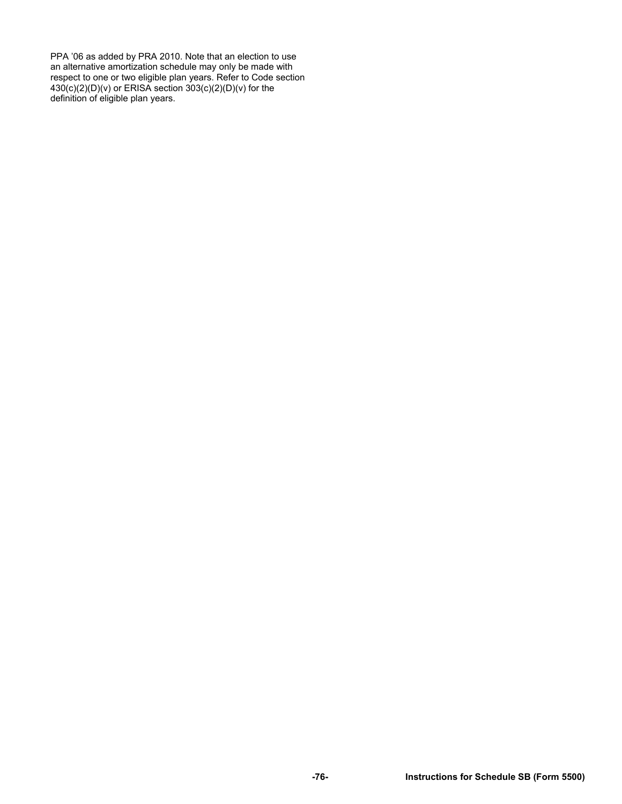PPA '06 as added by PRA 2010. Note that an election to use an alternative amortization schedule may only be made with respect to one or two eligible plan years. Refer to Code section 430(c)(2)(D)(v) or ERISA section 303(c)(2)(D)(v) for the definition of eligible plan years.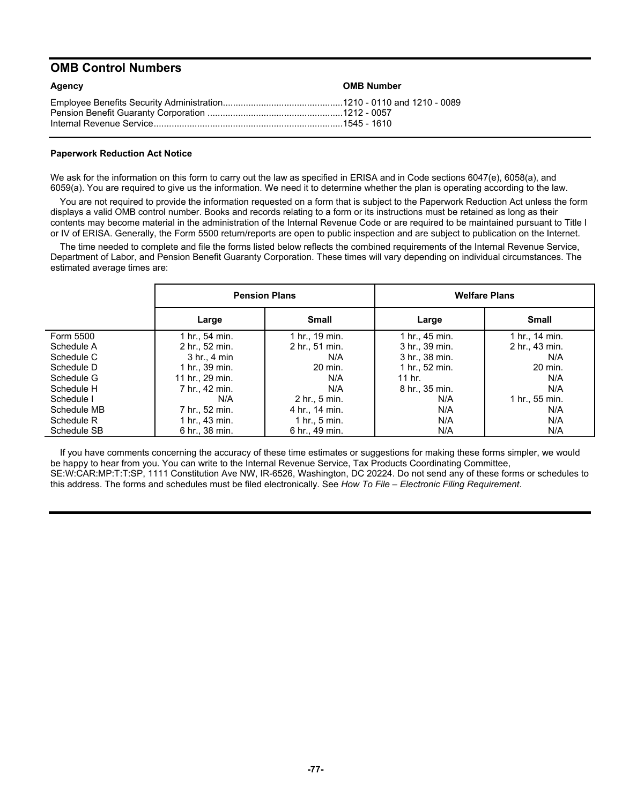# **OMB Control Numbers**

| Agency | <b>OMB Number</b> |
|--------|-------------------|
|        |                   |

# **Paperwork Reduction Act Notice**

We ask for the information on this form to carry out the law as specified in ERISA and in Code sections 6047(e), 6058(a), and 6059(a). You are required to give us the information. We need it to determine whether the plan is operating according to the law.

You are not required to provide the information requested on a form that is subject to the Paperwork Reduction Act unless the form displays a valid OMB control number. Books and records relating to a form or its instructions must be retained as long as their contents may become material in the administration of the Internal Revenue Code or are required to be maintained pursuant to Title I or IV of ERISA. Generally, the Form 5500 return/reports are open to public inspection and are subject to publication on the Internet.

The time needed to complete and file the forms listed below reflects the combined requirements of the Internal Revenue Service, Department of Labor, and Pension Benefit Guaranty Corporation. These times will vary depending on individual circumstances. The estimated average times are:

|             |                  | <b>Pension Plans</b> | <b>Welfare Plans</b> |                |  |
|-------------|------------------|----------------------|----------------------|----------------|--|
|             | Large            | <b>Small</b>         | Large                | <b>Small</b>   |  |
| Form 5500   | 1 hr., 54 min.   | 1 hr., 19 min.       | 1 hr., 45 min.       | 1 hr., 14 min. |  |
| Schedule A  | 2 hr., 52 min.   | 2 hr., 51 min.       | 3 hr., 39 min.       | 2 hr., 43 min. |  |
| Schedule C  | $3$ hr., $4$ min | N/A                  | 3 hr., 38 min.       | N/A            |  |
| Schedule D  | 1 hr., 39 min.   | 20 min.              | 1 hr., 52 min.       | 20 min.        |  |
| Schedule G  | 11 hr., 29 min.  | N/A                  | 11 hr.               | N/A            |  |
| Schedule H  | 7 hr., 42 min.   | N/A                  | 8 hr., 35 min.       | N/A            |  |
| Schedule I  | N/A              | 2 hr., 5 min.        | N/A                  | 1 hr., 55 min. |  |
| Schedule MB | 7 hr., 52 min.   | 4 hr., 14 min.       | N/A                  | N/A            |  |
| Schedule R  | 1 hr., 43 min.   | $1$ hr., $5$ min.    | N/A                  | N/A            |  |
| Schedule SB | 6 hr., 38 min.   | 6 hr., 49 min.       | N/A                  | N/A            |  |

If you have comments concerning the accuracy of these time estimates or suggestions for making these forms simpler, we would be happy to hear from you. You can write to the Internal Revenue Service, Tax Products Coordinating Committee, SE:W:CAR:MP:T:T:SP, 1111 Constitution Ave NW, IR-6526, Washington, DC 20224. Do not send any of these forms or schedules to this address. The forms and schedules must be filed electronically. See *How To File – Electronic Filing Requirement*.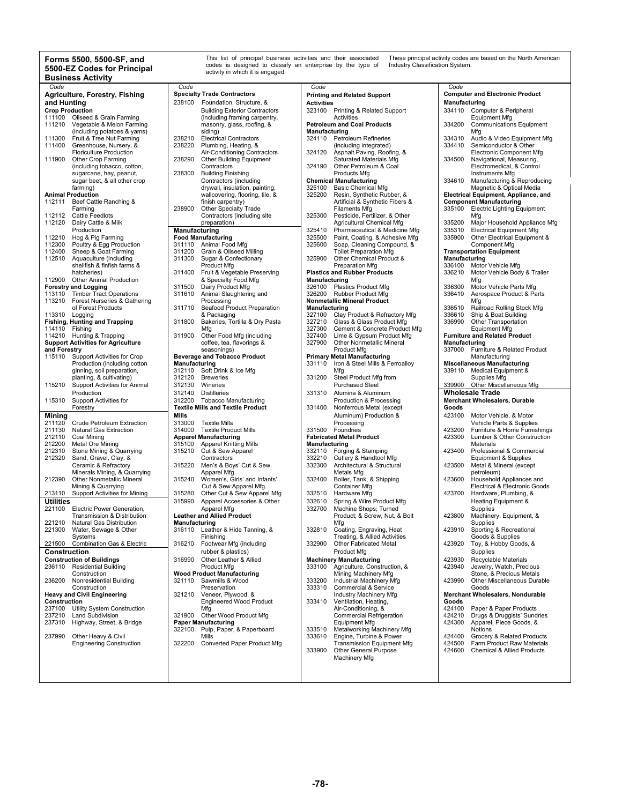#### **Forms 5500, 5500-SF, and 5500-EZ Codes for Principal Business Activity**

| Code                   |                                           |               |                                          |                   |                                     |               |                                        |
|------------------------|-------------------------------------------|---------------|------------------------------------------|-------------------|-------------------------------------|---------------|----------------------------------------|
|                        |                                           | Code          |                                          | Code              |                                     | Code          |                                        |
|                        | Agriculture, Forestry, Fishing            |               | <b>Specialty Trade Contractors</b>       |                   | <b>Printing and Related Support</b> |               | <b>Computer and Electronic Product</b> |
|                        |                                           |               |                                          |                   |                                     |               |                                        |
| and Hunting            |                                           | 238100        | Foundation, Structure, &                 | <b>Activities</b> |                                     | Manufacturing |                                        |
| <b>Crop Production</b> |                                           |               | <b>Building Exterior Contractors</b>     |                   | 323100 Printing & Related Support   |               | 334110 Computer & Peripheral           |
|                        |                                           |               |                                          |                   |                                     |               |                                        |
| 111100                 | Oilseed & Grain Farming                   |               | (including framing carpentry,            |                   | Activities                          |               | <b>Equipment Mfg</b>                   |
| 111210                 | Vegetable & Melon Farming                 |               | masonry, glass, roofing, &               |                   | <b>Petroleum and Coal Products</b>  | 334200        | <b>Communications Equipme</b>          |
|                        | (including potatoes & yams)               |               | siding)                                  | Manufacturing     |                                     |               | Mfg                                    |
|                        |                                           |               |                                          |                   |                                     |               |                                        |
| 111300                 | Fruit & Tree Nut Farming                  | 238210        | <b>Electrical Contractors</b>            |                   | 324110 Petroleum Refineries         | 334310        | Audio & Video Equipment                |
| 111400                 | Greenhouse, Nursery, &                    | 238220        | Plumbing, Heating, &                     |                   | (including integrated)              | 334410        | Semiconductor & Other                  |
|                        | <b>Floriculture Production</b>            |               | Air-Conditioning Contractors             | 324120            | Asphalt Paving, Roofing, &          |               | Electronic Component Mf                |
|                        |                                           |               |                                          |                   |                                     |               |                                        |
| 111900                 | Other Crop Farming                        | 238290        | <b>Other Building Equipment</b>          |                   | Saturated Materials Mfg             | 334500        | Navigational, Measuring,               |
|                        | (including tobacco, cotton,               |               | Contractors                              | 324190            | Other Petroleum & Coal              |               | Electromedical, & Control              |
|                        | sugarcane, hay, peanut,                   | 238300        | <b>Building Finishing</b>                |                   | <b>Products Mfg</b>                 |               | Instruments Mfg                        |
|                        |                                           |               |                                          |                   |                                     |               |                                        |
|                        | sugar beet, & all other crop              |               | Contractors (including                   |                   | <b>Chemical Manufacturing</b>       | 334610        | Manufacturing & Reprodu                |
|                        | farming)                                  |               | drywall, insulation, painting,           | 325100            | <b>Basic Chemical Mfg</b>           |               | Magnetic & Optical Media               |
|                        | <b>Animal Production</b>                  |               | wallcovering, flooring, tile, &          | 325200            | Resin, Synthetic Rubber, &          |               | Electrical Equipment, Appliance, a     |
|                        |                                           |               |                                          |                   |                                     |               |                                        |
|                        | 112111 Beef Cattle Ranching &             |               | finish carpentry)                        |                   | Artificial & Synthetic Fibers &     |               | <b>Component Manufacturing</b>         |
|                        | Farming                                   | 238900        | <b>Other Specialty Trade</b>             |                   | <b>Filaments Mfg</b>                |               | 335100 Electric Lighting Equipmer      |
| 112112                 | Cattle Feedlots                           |               | Contractors (including site              | 325300            | Pesticide, Fertilizer, & Other      |               | Mfg                                    |
|                        |                                           |               |                                          |                   |                                     |               |                                        |
| 112120                 | Dairy Cattle & Milk                       |               | preparation)                             |                   | Agricultural Chemical Mfg           | 335200        | Major Household Appliand               |
|                        | Production                                | Manufacturing |                                          | 325410            | Pharmaceutical & Medicine Mfg       | 335310        | <b>Electrical Equipment Mfg</b>        |
| 112210                 |                                           |               |                                          | 325500            |                                     | 335900        | Other Electrical Equipmer              |
|                        | Hog & Pig Farming                         |               | <b>Food Manufacturing</b>                |                   | Paint, Coating, & Adhesive Mfg      |               |                                        |
| 112300                 | Poultry & Egg Production                  |               | 311110 Animal Food Mfg                   | 325600            | Soap, Cleaning Compound, &          |               | Component Mfg                          |
| 112400                 | Sheep & Goat Farming                      | 311200        | Grain & Oilseed Milling                  |                   | <b>Toilet Preparation Mfg</b>       |               | <b>Transportation Equipment</b>        |
| 112510                 | Aquaculture (including                    | 311300        | Sugar & Confectionary                    | 325900            | Other Chemical Product &            | Manufacturing |                                        |
|                        |                                           |               |                                          |                   |                                     |               |                                        |
|                        | shellfish & finfish farms &               |               | Product Mfg                              |                   | Preparation Mfg                     | 336100        | Motor Vehicle Mfg                      |
|                        | hatcheries)                               | 311400        | Fruit & Vegetable Preserving             |                   | <b>Plastics and Rubber Products</b> | 336210        | Motor Vehicle Body & Tra               |
| 112900                 |                                           |               |                                          |                   |                                     |               |                                        |
|                        | <b>Other Animal Production</b>            |               | & Specialty Food Mfg                     | Manufacturing     |                                     |               | Mfg                                    |
|                        | <b>Forestry and Logging</b>               | 311500        | Dairy Product Mfg                        |                   | 326100 Plastics Product Mfg         | 336300        | Motor Vehicle Parts Mfg                |
|                        | 113110 Timber Tract Operations            | 311610        | Animal Slaughtering and                  |                   | 326200 Rubber Product Mfg           | 336410        | Aerospace Product & Part               |
|                        |                                           |               |                                          |                   |                                     |               |                                        |
|                        | 113210 Forest Nurseries & Gathering       |               | Processing                               |                   | <b>Nonmetallic Mineral Product</b>  |               | Mfg                                    |
|                        | of Forest Products                        | 311710        | Seafood Product Preparation              | Manufacturing     |                                     | 336510        | Railroad Rolling Stock Mf              |
| 113310 Logging         |                                           |               | & Packaging                              | 327100            | Clay Product & Refractory Mfg       | 336610        | Ship & Boat Building                   |
|                        |                                           |               |                                          |                   |                                     |               |                                        |
|                        | <b>Fishing, Hunting and Trapping</b>      | 311800        | Bakeries, Tortilla & Dry Pasta           | 327210            | Glass & Glass Product Mfg           | 336990        | Other Transportation                   |
| 114110 Fishing         |                                           |               | Mfg                                      | 327300            | Cement & Concrete Product Mfg       |               | <b>Equipment Mfg</b>                   |
|                        | 114210 Hunting & Trapping                 | 311900        | Other Food Mfg (including                | 327400            | Lime & Gypsum Product Mfg           |               | <b>Furniture and Related Product</b>   |
|                        |                                           |               |                                          |                   |                                     |               |                                        |
|                        | <b>Support Activities for Agriculture</b> |               | coffee, tea, flavorings &                | 327900            | Other Nonmetallic Mineral           | Manufacturing |                                        |
| and Forestry           |                                           |               | seasonings)                              |                   | <b>Product Mfg</b>                  | 337000        | Furniture & Related Produ              |
| 115110                 | <b>Support Activities for Crop</b>        |               | <b>Beverage and Tobacco Product</b>      |                   | <b>Primary Metal Manufacturing</b>  |               | Manufacturing                          |
|                        |                                           |               |                                          |                   |                                     |               |                                        |
|                        | Production (including cotton              | Manufacturing |                                          | 331110            | Iron & Steel Mills & Ferroalloy     |               | <b>Miscellaneous Manufacturing</b>     |
|                        | ginning, soil preparation,                |               | 312110 Soft Drink & Ice Mfg              |                   | Mfg                                 | 339110        | Medical Equipment &                    |
|                        | planting, & cultivating)                  |               | 312120 Breweries                         | 331200            | Steel Product Mfg from              |               | Supplies Mfg                           |
|                        |                                           |               |                                          |                   |                                     |               |                                        |
| 115210                 | <b>Support Activities for Animal</b>      | 312130        | Wineries                                 |                   | <b>Purchased Steel</b>              |               | 339900 Other Miscellaneous Mfg         |
|                        | Production                                | 312140        | <b>Distilleries</b>                      | 331310            | Alumina & Aluminum                  |               | <b>Wholesale Trade</b>                 |
|                        |                                           |               |                                          |                   |                                     |               |                                        |
| 115310                 | Support Activities for                    |               | 312200 Tobacco Manufacturing             |                   | Production & Processing             |               | <b>Merchant Wholesalers, Durable</b>   |
|                        | Forestry                                  |               | <b>Textile Mills and Textile Product</b> | 331400            | Nonferrous Metal (except            | Goods         |                                        |
|                        |                                           |               |                                          |                   |                                     |               |                                        |
| <b>Mining</b>          |                                           | Mills         |                                          |                   | Aluminum) Production &              | 423100        | Motor Vehicle, & Motor                 |
| 211120                 | Crude Petroleum Extraction                |               | 313000 Textile Mills                     |                   | Processing                          |               | Vehicle Parts & Supplies               |
| 211130                 | <b>Natural Gas Extraction</b>             |               | 314000 Textile Product Mills             |                   | 331500 Foundries                    | 423200        | Furniture & Home Furnish               |
|                        |                                           |               |                                          |                   |                                     |               |                                        |
|                        |                                           |               | <b>Apparel Manufacturing</b>             |                   |                                     |               |                                        |
| 212110                 | Coal Mining                               |               |                                          |                   | <b>Fabricated Metal Product</b>     | 423300        | Lumber & Other Construc                |
|                        |                                           |               |                                          |                   |                                     |               |                                        |
| 212200                 | Metal Ore Mining                          | 315100        | <b>Apparel Knitting Mills</b>            | Manufacturing     |                                     |               | Materials                              |
| 212310                 | Stone Mining & Quarrying                  | 315210        | Cut & Sew Apparel                        | 332110            | Forging & Stamping                  | 423400        | Professional & Commercia               |
| 212320                 | Sand, Gravel, Clay, &                     |               | Contractors                              | 332210            | Cutlery & Handtool Mfg              |               | Equipment & Supplies                   |
|                        |                                           |               |                                          |                   |                                     |               |                                        |
|                        | Ceramic & Refractory                      | 315220        | Men's & Boys' Cut & Sew                  | 332300            | Architectural & Structural          | 423500        | Metal & Mineral (except                |
|                        | Minerals Mining, & Quarrying              |               | Apparel Mfg.                             |                   | Metals Mfg                          |               | petroleum)                             |
| 212390                 | <b>Other Nonmetallic Mineral</b>          | 315240        | Women's, Girls' and Infants'             | 332400            | Boiler, Tank, & Shipping            | 423600        | Household Appliances an                |
|                        |                                           |               |                                          |                   |                                     |               |                                        |
|                        | Mining & Quarrying                        |               | Cut & Sew Apparel Mfg.                   |                   | Container Mfg                       |               | Electrical & Electronic Go             |
| 213110                 | <b>Support Activities for Mining</b>      | 315280        | Other Cut & Sew Apparel Mfg              | 332510            | Hardware Mfg                        | 423700        | Hardware, Plumbing, &                  |
| <b>Utilities</b>       |                                           | 315990        | Apparel Accessories & Other              | 332610            |                                     |               |                                        |
|                        |                                           |               |                                          |                   | Spring & Wire Product Mfg           |               | Heating Equipment &                    |
|                        | 221100 Electric Power Generation,         |               | Apparel Mfg                              | 332700            | Machine Shops; Turned               |               | Supplies                               |
|                        | Transmission & Distribution               |               | <b>Leather and Allied Product</b>        |                   | Product; & Screw, Nut, & Bolt       | 423800        | Machinery, Equipment, &                |
| 221210                 |                                           |               |                                          |                   |                                     |               |                                        |
|                        | Natural Gas Distribution                  | Manufacturing |                                          |                   | Mfg                                 |               | Supplies                               |
|                        | 221300 Water, Sewage & Other              |               | 316110 Leather & Hide Tanning, &         |                   | 332810 Coating, Engraving, Heat     |               | 423910 Sporting & Recreational         |
|                        | Systems                                   |               | Finishing                                |                   | Treating, & Allied Activities       |               | Goods & Supplies                       |
|                        |                                           |               |                                          |                   |                                     |               |                                        |
| 221500                 | Combination Gas & Electric                |               | 316210 Footwear Mfg (including           | 332900            | <b>Other Fabricated Metal</b>       | 423920        | Toy, & Hobby Goods, &                  |
| <b>Construction</b>    |                                           |               | rubber & plastics)                       |                   | Product Mfg                         |               | Supplies                               |
|                        |                                           |               |                                          |                   |                                     |               |                                        |
|                        | <b>Construction of Buildings</b>          | 316990        | Other Leather & Allied                   |                   | <b>Machinery Manufacturing</b>      | 423930        | Recyclable Materials                   |
|                        | 236110 Residential Building               |               | <b>Product Mfg</b>                       | 333100            | Agriculture, Construction, &        | 423940        | Jewelry, Watch, Precious               |
|                        | Construction                              |               | <b>Wood Product Manufacturing</b>        |                   | Mining Machinery Mfg                |               | Stone, & Precious Metals               |
|                        |                                           |               |                                          |                   |                                     |               |                                        |
| 236200                 | Nonresidential Building                   | 321110        | Sawmills & Wood                          | 333200            | Industrial Machinery Mfg            | 423990        | Other Miscellaneous Dura               |
|                        | Construction                              |               | Preservation                             | 333310            | Commercial & Service                |               | Goods                                  |
|                        | <b>Heavy and Civil Engineering</b>        | 321210        | Veneer, Plywood, &                       |                   | Industry Machinery Mfg              |               | <b>Merchant Wholesalers, Nondurab</b>  |
|                        |                                           |               |                                          |                   |                                     |               |                                        |
| Construction           |                                           |               | <b>Engineered Wood Product</b>           | 333410            | Ventilation, Heating,               | Goods         |                                        |
| 237100                 | Utility System Construction               |               | Mfg                                      |                   | Air-Conditioning, &                 | 424100        | Paper & Paper Products                 |
|                        |                                           | 321900        |                                          |                   |                                     | 424210        | Drugs & Druggists' Sundri              |
| 237210                 | <b>Land Subdivision</b>                   |               | Other Wood Product Mfg                   |                   | <b>Commercial Refrigeration</b>     |               |                                        |
| 237310                 | Highway, Street, & Bridge                 |               | <b>Paper Manufacturing</b>               |                   | <b>Equipment Mfg</b>                | 424300        | Apparel, Piece Goods, &                |
|                        |                                           | 322100        | Pulp, Paper, & Paperboard                | 333510            | Metalworking Machinery Mfg          |               | Notions                                |
| 237990                 |                                           |               | Mills                                    |                   |                                     | 424400        |                                        |
|                        | Other Heavy & Civil                       |               |                                          | 333610            | Engine, Turbine & Power             |               | Grocery & Related Produc               |
|                        | <b>Engineering Construction</b>           | 322200        | Converted Paper Product Mfg              |                   | <b>Transmission Equipment Mfg</b>   | 424500        | Farm Product Raw Materi                |
|                        |                                           |               |                                          | 333900            | Other General Purpose               | 424600        | Chemical & Allied Product              |
|                        |                                           |               |                                          |                   |                                     |               |                                        |
|                        |                                           |               |                                          |                   | Machinery Mfg                       |               |                                        |

codes is designed to classify an enterprise by the type of activity in which it is engaged. Industry Classification System. *Code Code Code Code*  **Agriculty Trade Contractors Contractors Printing and Related Support Computer and Electronic Product** <br> **Activities** Activities **Printing and Related Support Computer and Electronic Product Computer and Electronic Pro Foundation, Structure, & Activities Activities Activities** Manufacturing **Manufacturing 323100** Printing & Related Support 334110 Computer & Peripheral **Crop 23100** Printing & Related Support 334110 Computer & Peripheral Activities **Audit Activities** 111100 Oilseed & Grain Farming **(including framing carpentry, the coal Activities Activities and Coal Products** From Products Equipment Mfg and the masonry, glass, roofing, & **Petroleum and Coal Products** 334200 Communicat (including potatoes & yams) siding) **Manufacturing** Mfg 238210 Electrical Contractors 324110 Petroleum Refineries 334310 Audio & Video Equipment Mfg<br>238220 Plumbing, Heating, & 334410 Semiconductor & Other<br>Air-Conditioning Contractors 324120 Asphalt Paving, Roofing, & Electroni 111400 Greenhouse, Nursery, & 238220 Plumbing, Heating, & (including integrated) 334410 Semiconductor & Other Floriculture Production Air-Conditioning Contractors 324120 Asphalt Paving, Roofing, & Electronic Component Mfg Air-Conditioning Contractors<br>
238290 Other Building Equipment Saturated Materials Mfg 334500 Navigational, Measuring,<br>
238290 Other Building Equipment Saturated Materials Mfg 334500 Navigational, Measuring,<br>
24190 Other Pe Contractors Contractors 324190 Other Petroleum & Coal Electromedical, & Control<br>238300 Building Finishing Products Mfg Products Mfg Instruments Mfg Building Finishing<br>
Contractors (including Products Mfg Instruments Microsoft Chemical Manufacturing 334610 **Subset between Contract Contract Contract Contract Contract Chemical Manufacturing Chemical Manufacturing 334610**<br> **Chemical Manufacturing 334610** Manufacturing & Reproducing 325100 Basic Chemical Mfg Magnetic & Optical M drywall, insulation, painting, 325100 Basic Chemical Mfg<br>
wallcovering, flooring, tile, & 325200 Resin, Synthetic Rubber, & **Animal Production Conduction Appliance, and** animal Production **and Production Conduction Annunction Annunction Appliance**, and **finish carpentry**) **And Appliance Appliance**, and **Annunction Appliance**, and **c** 11121 Beef Cathering (1121) Component Manufacturing<br>
finish carpentry) Artificial & Synthetic Fibers & **Component Manufacturing**<br>
Filaments Mfg **Beef Cattle Ranching Equipment** Farming 2. 5 Filaments Mfg<br>Filaments Mfg<br>325300 Pesticide. Fertilizer. & Other 20112 Contractors (including site 325300 Pesticide, Ferdilizer, & Other preparation) 335200

# 1125900 Other Chemical Product Mfg<br>
Product Mfg<br>
<sup>325900</sup> Preparation Mfg **Support Activities For Agriculture in Agriculture in Agriculture in Agriculture in Agriculture in Agriculture in Agriculturing <b>Contracturing Contracturing** <br> **Support Agriculturing Product Mfa**<br> **Manufacturing Contract P** Forestry **Textile Mills and Textile Product** 331400 Nonferrous Metal (except **Goods**

This list of principal business activities and their associated

# 1**12210 Food Manufacturing Transform Coating Address** 325500 Paint, Coating, & Adhesive Mfg 335900 Other Electrical Equipment Mfg 325600 Soap, Cleaning Compound, & Component Mfg 335900 Other Electrical I 11230 Poultry Animal Food Mfg<br>
111200 Poultry States and States 325600 Soap, Cleaning Compound, & Compound, & Compound, & Compound, & Compound, & Compound Mfg 11200 Grain & Oilseed Milling **Farming Communist Preparation Mfg Toilet Preparation Mig Transportation Equipment**<br>131300 Sugar & Confectionary **1325900 Other Chemical Product & Manufacturing** Fruit & Vegetable Preserving **Plastics and Rubber Products 336210** Motor & Specialty Food Mfg **Motor Conducts Meanufacturing** 11900 Mfg Mfg 111900 Cement & Concrete Product Mfg 11900 Cement & Concrete Product Mfg of the planting of the current of the current of the current of the current of the current of the current of the current of the current of the current of the current of the current of the current of the current of the curr

These principal activity codes are based on the North American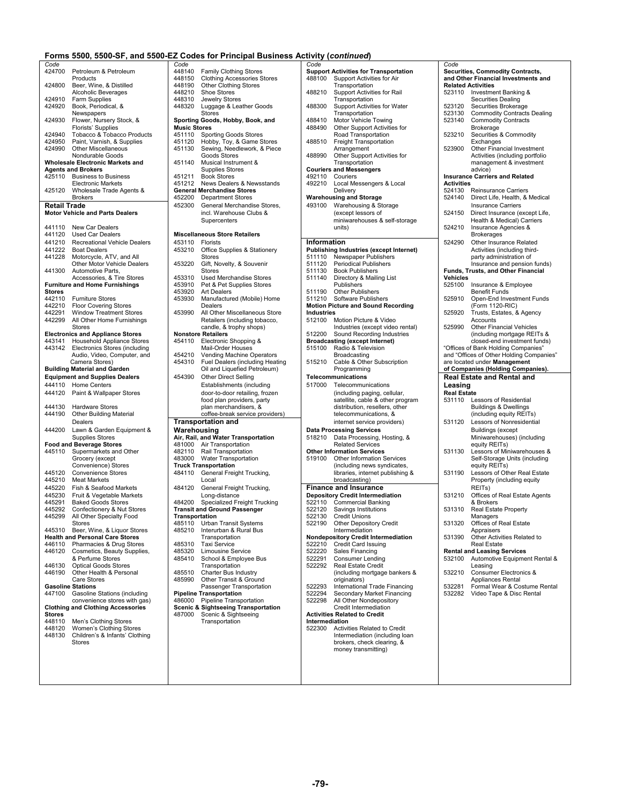| Code                |                                                   |
|---------------------|---------------------------------------------------|
| 424700              | Petroleum & Petroleum                             |
|                     | Products                                          |
| 424800              | Beer, Wine, & Distilled                           |
|                     | Alcoholic Beverages                               |
| 424910              | Farm Supplies                                     |
| 424920              | Book, Periodical, &                               |
|                     | Newspapers                                        |
| 424930              | Flower, Nursery Stock, &                          |
|                     | Florists' Supplies                                |
| 424940              | Tobacco & Tobacco Products                        |
| 424950              | Paint, Varnish, & Supplies<br>Other Miscellaneous |
| 424990              |                                                   |
|                     | Nondurable Goods                                  |
|                     | <b>Wholesale Electronic Markets and</b>           |
|                     | <b>Agents and Brokers</b>                         |
| 425110              | <b>Business to Business</b>                       |
| 425120              | <b>Electronic Markets</b>                         |
|                     | Wholesale Trade Agents &                          |
|                     | Brokers                                           |
| <b>Retail Trade</b> |                                                   |
|                     | <b>Motor Vehicle and Parts Dealers</b>            |
|                     |                                                   |
| 441110              | New Car Dealers                                   |
| 441120              | <b>Used Car Dealers</b>                           |
| 441210              | Recreational Vehicle Dealers                      |
| 441222              | <b>Boat Dealers</b>                               |
| 441228              | Motorcycle, ATV, and All                          |
|                     | Other Motor Vehicle Dealers                       |
| 441300              | Automotive Parts,                                 |
|                     | Accessories, & Tire Stores                        |
|                     | <b>Furniture and Home Furnishings</b>             |
| Stores              |                                                   |
| 442110              | <b>Furniture Stores</b>                           |
| 442210              | <b>Floor Covering Stores</b>                      |
| 442291              | Window Treatment Stores                           |
| 442299              | All Other Home Furnishings                        |
|                     | <b>Stores</b>                                     |
|                     | <b>Electronics and Appliance Stores</b>           |
| 443141              | <b>Household Appliance Stores</b>                 |
| 443142              | <b>Electronics Stores (including</b>              |
|                     | Audio, Video, Computer, and                       |
|                     | Camera Stores)                                    |
|                     | <b>Building Material and Garden</b>               |
|                     |                                                   |
|                     | <b>Equipment and Supplies Dealers</b>             |
| 444110              | Home Centers                                      |
| 444120              | Paint & Wallpaper Stores                          |
|                     |                                                   |
| 444130              | <b>Hardware Stores</b>                            |
| 444190              | <b>Other Building Material</b>                    |
|                     | Dealers                                           |
| 444200              | Lawn & Garden Equipment &                         |
|                     | <b>Supplies Stores</b>                            |
|                     | <b>Food and Beverage Stores</b>                   |
| 445110              | Supermarkets and Other                            |
|                     | Grocery (except                                   |
|                     | Convenience) Stores                               |
| 445120              | <b>Convenience Stores</b>                         |
| 445210              | Meat Markets                                      |
| 445220              | Fish & Seafood Markets                            |
| 445230              | Fruit & Vegetable Markets                         |
| 445291              | <b>Baked Goods Stores</b>                         |
| 445292              | Confectionery & Nut Stores                        |
| 445299              | All Other Specialty F                             |
|                     | Stores                                            |
| 445310              | Beer, Wine, & Liquor Stores                       |
|                     | <b>Health and Personal Care Stores</b>            |
| 446110              | Pharmacies & Drug Stores                          |
| 446120              | Cosmetics, Beauty Supplies,                       |
|                     | & Perfume Stores                                  |
| 446130              | Optical Goods Stores                              |
| 446190              | Other Health & Personal                           |
|                     | Care Stores                                       |
|                     | <b>Gasoline Stations</b>                          |
| 447100              | Gasoline Stations (including                      |
|                     | convenience stores with gas)                      |
|                     | <b>Clothing and Clothing Accessories</b>          |
| Stores              |                                                   |
| 448110<br>448120    | Men's Clothing Stores                             |
| 448130              | Women's Clothing Stores                           |
|                     | Children's & Infants' Clothing                    |
|                     | Stores                                            |
|                     |                                                   |
|                     |                                                   |
|                     |                                                   |

|                     | Forms 5500, 5500-SF, and 5500-EZ Codes for Principal Business Activity (continued) |                                       |                                                                        |                   |                                                                               |                    |                                                            |
|---------------------|------------------------------------------------------------------------------------|---------------------------------------|------------------------------------------------------------------------|-------------------|-------------------------------------------------------------------------------|--------------------|------------------------------------------------------------|
| Code                |                                                                                    | Code                                  |                                                                        | Code              |                                                                               | Code               |                                                            |
|                     | 424700 Petroleum & Petroleum                                                       | 448140 Family Clothing Stores         |                                                                        |                   | <b>Support Activities for Transportation</b>                                  |                    | Securities, Commodity Contracts,                           |
|                     | Products                                                                           | 448150                                | <b>Clothing Accessories Stores</b>                                     |                   | 488100 Support Activities for Air                                             |                    | and Other Financial Investments and                        |
| 424800              | Beer, Wine, & Distilled                                                            | 448190<br>448210<br>Shoe Stores       | <b>Other Clothing Stores</b>                                           |                   | Transportation                                                                |                    | <b>Related Activities</b>                                  |
| 424910              | Alcoholic Beverages<br>Farm Supplies                                               | 448310                                | Jewelry Stores                                                         | 488210            | Support Activities for Rail<br>Transportation                                 |                    | 523110 Investment Banking &<br>Securities Dealing          |
| 424920              | Book, Periodical, &                                                                | 448320                                | Luggage & Leather Goods                                                | 488300            | <b>Support Activities for Water</b>                                           | 523120             | Securities Brokerage                                       |
|                     | Newspapers                                                                         | <b>Stores</b>                         |                                                                        |                   | Transportation                                                                | 523130             | <b>Commodity Contracts Dealing</b>                         |
|                     | 424930 Flower, Nursery Stock, &                                                    |                                       | Sporting Goods, Hobby, Book, and                                       | 488410            | Motor Vehicle Towing                                                          | 523140             | <b>Commodity Contracts</b>                                 |
|                     | Florists' Supplies                                                                 | <b>Music Stores</b>                   |                                                                        | 488490            | Other Support Activities for                                                  |                    | Brokerage                                                  |
| 424940              | Tobacco & Tobacco Products                                                         | 451110                                | <b>Sporting Goods Stores</b>                                           |                   | Road Transportation                                                           | 523210             | Securities & Commodity                                     |
| 424950              | Paint, Varnish, & Supplies                                                         | 451120                                | Hobby, Toy, & Game Stores                                              | 488510            | <b>Freight Transportation</b>                                                 |                    | Exchanges                                                  |
| 424990              | <b>Other Miscellaneous</b>                                                         | 451130                                | Sewing, Needlework, & Piece<br>Goods Stores                            | 488990            | Arrangement<br>Other Support Activities for                                   | 523900             | Other Financial Investment                                 |
|                     | Nondurable Goods<br><b>Wholesale Electronic Markets and</b>                        | 451140                                | Musical Instrument &                                                   |                   | Transportation                                                                |                    | Activities (including portfolio<br>management & investment |
|                     | <b>Agents and Brokers</b>                                                          |                                       | Supplies Stores                                                        |                   | <b>Couriers and Messengers</b>                                                |                    | advice)                                                    |
|                     | 425110 Business to Business                                                        | 451211<br><b>Book Stores</b>          |                                                                        | 492110 Couriers   |                                                                               |                    | <b>Insurance Carriers and Related</b>                      |
|                     | <b>Electronic Markets</b>                                                          | 451212                                | News Dealers & Newsstands                                              | 492210            | Local Messengers & Local                                                      | <b>Activities</b>  |                                                            |
|                     | 425120 Wholesale Trade Agents &                                                    | <b>General Merchandise Stores</b>     |                                                                        |                   | Delivery                                                                      | 524130             | <b>Reinsurance Carriers</b>                                |
|                     | <b>Brokers</b>                                                                     | 452200                                | <b>Department Stores</b>                                               |                   | <b>Warehousing and Storage</b>                                                | 524140             | Direct Life, Health, & Medical                             |
| <b>Retail Trade</b> |                                                                                    | 452300                                | General Merchandise Stores,                                            |                   | 493100 Warehousing & Storage                                                  |                    | <b>Insurance Carriers</b>                                  |
|                     | <b>Motor Vehicle and Parts Dealers</b>                                             |                                       | incl. Warehouse Clubs &                                                |                   | (except lessors of                                                            | 524150             | Direct Insurance (except Life,                             |
|                     |                                                                                    |                                       | Supercenters                                                           |                   | miniwarehouses & self-storage                                                 |                    | Health & Medical) Carriers                                 |
|                     | 441110 New Car Dealers                                                             |                                       |                                                                        |                   | units)                                                                        | 524210             | Insurance Agencies &                                       |
| 441120              | Used Car Dealers                                                                   | <b>Miscellaneous Store Retailers</b>  |                                                                        |                   |                                                                               |                    | <b>Brokerages</b>                                          |
|                     | 441210 Recreational Vehicle Dealers                                                | 453110<br>Florists                    |                                                                        | Information       |                                                                               | 524290             | Other Insurance Related                                    |
| 441228              | 441222 Boat Dealers                                                                | 453210<br><b>Stores</b>               | Office Supplies & Stationery                                           |                   | <b>Publishing Industries (except Internet)</b><br>511110 Newspaper Publishers |                    | Activities (including third-                               |
|                     | Motorcycle, ATV, and All<br>Other Motor Vehicle Dealers                            | 453220                                | Gift, Novelty, & Souvenir                                              | 511120            | <b>Periodical Publishers</b>                                                  |                    | party administration of<br>Insurance and pension funds)    |
| 441300              | Automotive Parts.                                                                  | Stores                                |                                                                        | 511130            | <b>Book Publishers</b>                                                        |                    | Funds, Trusts, and Other Financial                         |
|                     | Accessories, & Tire Stores                                                         | 453310                                | Used Merchandise Stores                                                | 511140            | Directory & Mailing List                                                      | Vehicles           |                                                            |
|                     | <b>Furniture and Home Furnishings</b>                                              | 453910                                | Pet & Pet Supplies Stores                                              |                   | Publishers                                                                    |                    | 525100 Insurance & Employee                                |
| <b>Stores</b>       |                                                                                    | 453920<br><b>Art Dealers</b>          |                                                                        | 511190            | <b>Other Publishers</b>                                                       |                    | <b>Benefit Funds</b>                                       |
|                     | 442110 Furniture Stores                                                            | 453930                                | Manufactured (Mobile) Home                                             |                   | 511210 Software Publishers                                                    | 525910             | Open-End Investment Funds                                  |
| 442210              | <b>Floor Covering Stores</b>                                                       | Dealers                               |                                                                        |                   | <b>Motion Picture and Sound Recording</b>                                     |                    | (Form 1120-RIC)                                            |
| 442291              | <b>Window Treatment Stores</b><br>All Other Home Furnishings                       | 453990                                | All Other Miscellaneous Store                                          | <b>Industries</b> | 512100 Motion Picture & Video                                                 | 525920             | Trusts, Estates, & Agency<br>Accounts                      |
| 442299              | Stores                                                                             |                                       | Retailers (including tobacco,<br>candle, & trophy shops)               |                   | Industries (except video rental)                                              | 525990             | Other Financial Vehicles                                   |
|                     | <b>Electronics and Appliance Stores</b>                                            | <b>Nonstore Retailers</b>             |                                                                        | 512200            | Sound Recording Industries                                                    |                    | (including mortgage REITs &                                |
|                     | 443141 Household Appliance Stores                                                  | 454110                                | Electronic Shopping &                                                  |                   | <b>Broadcasting (except Internet)</b>                                         |                    | closed-end investment funds)                               |
|                     | 443142 Electronics Stores (including                                               |                                       | Mail-Order Houses                                                      |                   | 515100 Radio & Television                                                     |                    | "Offices of Bank Holding Companies"                        |
|                     | Audio, Video, Computer, and                                                        | 454210                                | Vending Machine Operators                                              |                   | Broadcasting                                                                  |                    | and "Offices of Other Holding Companies"                   |
|                     | Camera Stores)                                                                     | 454310                                | Fuel Dealers (including Heating                                        |                   | 515210 Cable & Other Subscription                                             |                    | are located under Management                               |
|                     | <b>Building Material and Garden</b>                                                |                                       | Oil and Liquefied Petroleum)                                           |                   | Programming                                                                   |                    | of Companies (Holding Companies).                          |
|                     | <b>Equipment and Supplies Dealers</b>                                              | 454390                                | <b>Other Direct Selling</b>                                            |                   | Telecommunications                                                            |                    | <b>Real Estate and Rental and</b>                          |
|                     | 444110 Home Centers                                                                |                                       | Establishments (including                                              | 517000            | Telecommunications                                                            | Leasing            |                                                            |
| 444120              |                                                                                    |                                       | door-to-door retailing, frozen                                         |                   |                                                                               |                    |                                                            |
|                     | Paint & Wallpaper Stores                                                           |                                       |                                                                        |                   | (including paging, cellular,                                                  | <b>Real Estate</b> |                                                            |
|                     |                                                                                    |                                       | food plan providers, party                                             |                   | satellite, cable & other program                                              |                    | 531110 Lessors of Residential                              |
| 444130              | <b>Hardware Stores</b>                                                             |                                       | plan merchandisers, &                                                  |                   | distribution, resellers, other                                                |                    | <b>Buildings &amp; Dwellings</b>                           |
| 444190              | <b>Other Building Material</b>                                                     |                                       | coffee-break service providers)                                        |                   | telecommunications, &                                                         |                    | (including equity REITs)                                   |
|                     | Dealers                                                                            | <b>Transportation and</b>             |                                                                        |                   | internet service providers)                                                   | 531120             | Lessors of Nonresidential                                  |
|                     | 444200 Lawn & Garden Equipment &                                                   | Warehousing                           |                                                                        |                   | <b>Data Processing Services</b>                                               |                    | <b>Buildings (except</b>                                   |
|                     | <b>Supplies Stores</b>                                                             |                                       | Air, Rail, and Water Transportation                                    |                   | 518210 Data Processing, Hosting, &                                            |                    | Miniwarehouses) (including                                 |
|                     | <b>Food and Beverage Stores</b>                                                    | 481000 Air Transportation             |                                                                        |                   | <b>Related Services</b>                                                       |                    | equity REITs)                                              |
|                     | 445110 Supermarkets and Other                                                      | 482110                                | Rail Transportation                                                    |                   | <b>Other Information Services</b>                                             | 531130             | Lessors of Miniwarehouses &                                |
|                     | Grocery (except<br>Convenience) Stores                                             | 483000<br><b>Truck Transportation</b> | <b>Water Transportation</b>                                            | 519100            | <b>Other Information Services</b><br>(including news syndicates,              |                    | Self-Storage Units (including<br>equity REITs)             |
| 445120              | <b>Convenience Stores</b>                                                          | 484110                                | General Freight Trucking,                                              |                   | libraries, internet publishing &                                              | 531190             | Lessors of Other Real Estate                               |
| 445210              | Meat Markets                                                                       | Local                                 |                                                                        |                   | broadcasting)                                                                 |                    | Property (including equity                                 |
| 445220              | Fish & Seafood Markets                                                             | 484120                                | General Freight Trucking,                                              |                   | <b>Finance and Insurance</b>                                                  |                    | REIT <sub>s</sub> )                                        |
| 445230              | Fruit & Vegetable Markets                                                          |                                       | Long-distance                                                          |                   | <b>Depository Credit Intermediation</b>                                       | 531210             | Offices of Real Estate Agents                              |
| 445291              | <b>Baked Goods Stores</b>                                                          | 484200                                | Specialized Freight Trucking                                           |                   | 522110 Commercial Banking                                                     |                    | & Brokers                                                  |
| 445292              | Confectionery & Nut Stores                                                         |                                       | <b>Transit and Ground Passenger</b>                                    | 522120            | Savings Institutions                                                          | 531310             | Real Estate Property                                       |
| 445299              | All Other Specialty Food                                                           | Transportation                        |                                                                        | 522130            | <b>Credit Unions</b>                                                          |                    | Managers                                                   |
|                     | Stores                                                                             | 485110                                | Urban Transit Systems                                                  | 522190            | Other Depository Credit                                                       | 531320             | Offices of Real Estate                                     |
| 445310              | Beer, Wine, & Liquor Stores                                                        | 485210                                | Interurban & Rural Bus                                                 |                   | Intermediation                                                                |                    | Appraisers                                                 |
| 446110              | <b>Health and Personal Care Stores</b><br>Pharmacies & Drug Stores                 | 485310<br><b>Taxi Service</b>         | Transportation                                                         | 522210            | <b>Nondepository Credit Intermediation</b>                                    | 531390             | Other Activities Related to<br>Real Estate                 |
| 446120              | Cosmetics, Beauty Supplies,                                                        | 485320                                | <b>Limousine Service</b>                                               | 522220            | Credit Card Issuing<br>Sales Financing                                        |                    | <b>Rental and Leasing Services</b>                         |
|                     | & Perfume Stores                                                                   | 485410                                | School & Employee Bus                                                  | 522291            | <b>Consumer Lending</b>                                                       | 532100             | Automotive Equipment Rental &                              |
| 446130              | <b>Optical Goods Stores</b>                                                        |                                       | Transportation                                                         | 522292            | <b>Real Estate Credit</b>                                                     |                    | Leasing                                                    |
| 446190              | Other Health & Personal                                                            | 485510                                | Charter Bus Industry                                                   |                   | (including mortgage bankers &                                                 | 532210             | Consumer Electronics &                                     |
|                     | <b>Care Stores</b>                                                                 | 485990                                | Other Transit & Ground                                                 |                   | originators)                                                                  |                    | Appliances Rental                                          |
|                     | <b>Gasoline Stations</b>                                                           |                                       | Passenger Transportation                                               | 522293            | International Trade Financing                                                 | 532281             | Formal Wear & Costume Rental                               |
|                     | 447100 Gasoline Stations (including                                                | <b>Pipeline Transportation</b>        |                                                                        | 522294            | Secondary Market Financing                                                    | 532282             | Video Tape & Disc Rental                                   |
|                     | convenience stores with gas)                                                       |                                       | 486000 Pipeline Transportation                                         | 522298            | All Other Nondepository                                                       |                    |                                                            |
| <b>Stores</b>       | <b>Clothing and Clothing Accessories</b>                                           | 487000                                | <b>Scenic &amp; Sightseeing Transportation</b><br>Scenic & Sightseeing |                   | Credit Intermediation<br><b>Activities Related to Credit</b>                  |                    |                                                            |
| 448110              | Men's Clothing Stores                                                              |                                       | Transportation                                                         | Intermediation    |                                                                               |                    |                                                            |
| 448120              | Women's Clothing Stores                                                            |                                       |                                                                        | 522300            | Activities Related to Credit                                                  |                    |                                                            |
| 448130              | Children's & Infants' Clothing                                                     |                                       |                                                                        |                   | Intermediation (including loan                                                |                    |                                                            |
|                     | Stores                                                                             |                                       |                                                                        |                   | brokers, check clearing, &<br>money transmitting)                             |                    |                                                            |

| sportation                  | Code                         | <b>Securities, Commodity Contracts,</b>                                  |
|-----------------------------|------------------------------|--------------------------------------------------------------------------|
| for Air                     |                              | and Other Financial Investments and<br><b>Related Activities</b>         |
| for Rail                    | 523110                       | Investment Banking &<br><b>Securities Dealing</b>                        |
| for Water                   | 523120                       | Securities Brokerage                                                     |
| ing                         | 523130<br>523140             | <b>Commodity Contracts Dealing</b><br><b>Commodity Contracts</b>         |
| ivities for<br>on           | 523210                       | Brokerage<br>Securities & Commodity                                      |
| ıtion                       |                              | Exchanges                                                                |
| ivities for                 | 523900                       | Other Financial Investment<br>Activities (including portfolio            |
|                             |                              | management & investment<br>advice)                                       |
| & Local                     | Activities                   | <b>Insurance Carriers and Related</b>                                    |
|                             | 524130                       | <b>Reinsurance Carriers</b>                                              |
| orage                       | 524140                       | Direct Life, Health, & Medical<br><b>Insurance Carriers</b>              |
| self-storage                | 524150                       | Direct Insurance (except Life,<br>Health & Medical) Carriers             |
|                             | 524210                       | Insurance Agencies &                                                     |
|                             | 524290                       | <b>Brokerages</b><br>Other Insurance Related                             |
| ept Internet)               |                              | Activities (including third-                                             |
| hers<br>ers                 |                              | party administration of<br>Insurance and pension funds)                  |
| ] List                      | Vehicles                     | <b>Funds, Trusts, and Other Financial</b>                                |
|                             | 525100                       | Insurance & Employee<br><b>Benefit Funds</b>                             |
| rs                          | 525910                       | Open-End Investment Funds                                                |
| Recording                   | 525920                       | (Form 1120-RIC)<br>Trusts, Estates, & Agency                             |
| 'ideo<br>video rental)      | 525990                       | Accounts<br><b>Other Financial Vehicles</b>                              |
| Industries<br>net)          |                              | (including mortgage REITs &<br>closed-end investment funds)              |
| ١                           |                              | "Offices of Bank Holding Companies"                                      |
| oscription                  |                              | and "Offices of Other Holding Companies"<br>are located under Management |
|                             |                              | of Companies (Holding Companies).<br><b>Real Estate and Rental and</b>   |
| ns                          | Leasing                      |                                                                          |
| cellular,<br>ther program   | <b>Real Estate</b><br>531110 | Lessors of Residential                                                   |
| ers, other<br>າຣ, &         |                              | <b>Buildings &amp; Dwellings</b><br>(including equity REITs)             |
| pviders)                    | 531120                       | Lessors of Nonresidential                                                |
| Hosting, &                  |                              | Buildings (except<br>Miniwarehouses) (including                          |
|                             |                              | equity REITs)                                                            |
| Services                    | 531130                       | Lessors of Miniwarehouses &<br>Self-Storage Units (including             |
| ndicates,<br>ublishing &    | 531190                       | equity REITs)<br>Lessors of Other Real Estate                            |
|                             |                              | Property (including equity<br>REIT <sub>s</sub> )                        |
| liation                     | 531210                       | Offices of Real Estate Agents                                            |
|                             |                              |                                                                          |
| ng<br>s                     | 531310                       | & Brokers<br><b>Real Estate Property</b>                                 |
|                             |                              | Managers                                                                 |
| Credit<br>mediation         | 531320<br>531390             | Offices of Real Estate<br>Appraisers<br>Other Activities Related to      |
| g                           |                              | Real Estate                                                              |
| J                           | 532100                       | <b>Rental and Leasing Services</b><br>Automotive Equipment Rental &      |
| <sub>l</sub> e bankers &    | 532210                       | Leasing<br>Consumer Electronics &                                        |
| e Financing                 | 532281                       | Appliances Rental<br>Formal Wear & Costume Rental                        |
| Financing<br>ısitory<br>ion | 532282                       | Video Tape & Disc Rental                                                 |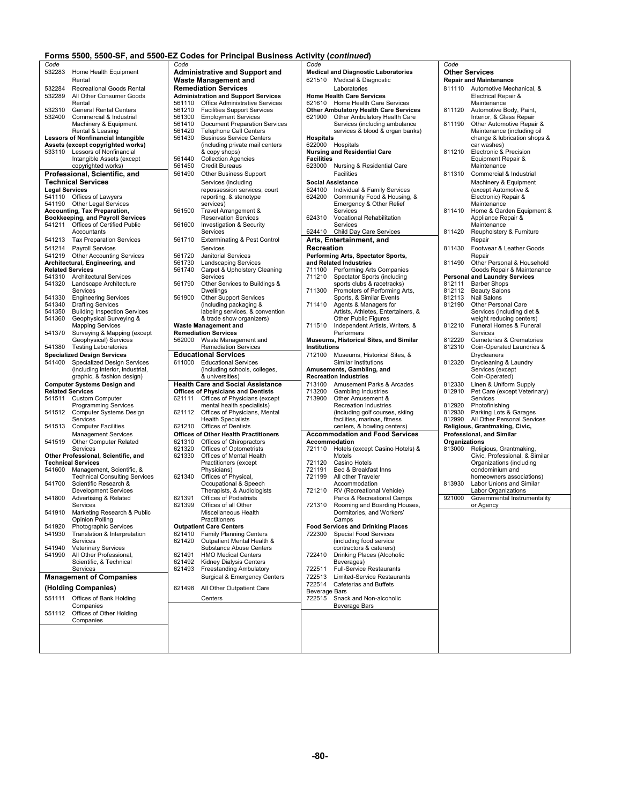| Code                  |                                                                         |
|-----------------------|-------------------------------------------------------------------------|
| 532283                | Home Health Equipment                                                   |
|                       | Rental                                                                  |
| 532284<br>532289      | Recreational Goods Rental<br>All Other Consumer Goods                   |
|                       | Rental                                                                  |
| 532310                | <b>General Rental Centers</b>                                           |
| 532400                | Commercial & Industrial                                                 |
|                       | Machinery & Equipment                                                   |
|                       | Rental & Leasing<br><b>Lessors of Nonfinancial Intangible</b>           |
|                       | Assets (except copyrighted works)                                       |
| 533110                | Lessors of Nonfinancial                                                 |
|                       | Intangible Assets (except                                               |
|                       | copyrighted works)                                                      |
|                       | Professional, Scientific, and<br><b>Technical Services</b>              |
| <b>Legal Services</b> |                                                                         |
| 541110                | Offices of Lawyers                                                      |
| 541190                | Other Legal Services                                                    |
|                       | Accounting, Tax Preparation,                                            |
| 541211                | <b>Bookkeeping, and Payroll Services</b><br>Offices of Certified Public |
|                       | Accountants                                                             |
| 541213                | <b>Tax Preparation Services</b>                                         |
| 541214                | <b>Payroll Services</b>                                                 |
| 541219                | <b>Other Accounting Services</b>                                        |
|                       | Architectural, Engineering, and                                         |
|                       | <b>Related Services</b>                                                 |
| 541310<br>541320      | <b>Architectural Services</b><br>Landscape Architecture                 |
|                       | Services                                                                |
| 541330                | <b>Engineering Services</b>                                             |
| 541340                | <b>Drafting Services</b>                                                |
| 541350<br>541360      | <b>Building Inspection Services</b><br>Geophysical Surveying &          |
|                       | <b>Mapping Services</b>                                                 |
| 541370                | Surveying & Mapping (except                                             |
| 541380                | Geophysical) Services<br><b>Testing Laboratories</b>                    |
|                       | <b>Specialized Design Services</b>                                      |
| 541400                | <b>Specialized Design Services</b>                                      |
|                       | (including interior, industrial,                                        |
|                       | graphic, & fashion design)<br><b>Computer Systems Design and</b>        |
|                       | <b>Related Services</b>                                                 |
| 541511                | <b>Custom Computer</b>                                                  |
|                       | Programming Services                                                    |
| 541512                | Computer Systems Design<br>Services                                     |
| 541513                | <b>Computer Facilities</b>                                              |
|                       | <b>Management Services</b>                                              |
| 541519                | <b>Other Computer Related</b><br>Services                               |
|                       | Other Professional, Scientific, and                                     |
|                       | <b>Technical Services</b>                                               |
| 541600                | Management, Scientific, &                                               |
| 541700                | <b>Technical Consulting Services</b><br>Scientific Research &           |
|                       | <b>Development Services</b>                                             |
| 541800                | <b>Advertising &amp; Related</b>                                        |
|                       | Services                                                                |
| 541910                | Marketing Research & Public                                             |
| 541920                | Opinion Polling<br>Photographic Services                                |
| 541930                | Translation & Interpretation                                            |
|                       | Services                                                                |
| 541940<br>541990      | <b>Veterinary Services</b><br>All Other Professional,                   |
|                       | Scientific, & Technical                                                 |
|                       | Services                                                                |
|                       |                                                                         |
|                       | <b>Management of Companies</b>                                          |
|                       |                                                                         |
| 551111                | (Holding Companies)<br>Offices of Bank Holding                          |
|                       | Companies                                                               |
| 551112                | Offices of Other Holding                                                |
|                       | Companies                                                               |
|                       |                                                                         |
|                       |                                                                         |

|                         |                                                                        |                  | Forms 5500, 5500-SF, and 5500-EZ Codes for Principal Business Activity (continued) |                      |                                                                      |
|-------------------------|------------------------------------------------------------------------|------------------|------------------------------------------------------------------------------------|----------------------|----------------------------------------------------------------------|
| Code                    |                                                                        | Code             |                                                                                    | Code                 |                                                                      |
| 532283                  | Home Health Equipment                                                  |                  | <b>Administrative and Support and</b>                                              |                      | <b>Medical and Diagnostic Laboratories</b>                           |
|                         | Rental                                                                 |                  | <b>Waste Management and</b>                                                        |                      | 621510 Medical & Diagnostic                                          |
| 532284                  | Recreational Goods Rental                                              |                  | <b>Remediation Services</b>                                                        |                      | Laboratories                                                         |
| 532289                  | All Other Consumer Goods<br>Rental                                     | 561110           | <b>Administration and Support Services</b><br>Office Administrative Services       |                      | <b>Home Health Care Services</b><br>621610 Home Health Care Services |
| 532310                  | General Rental Centers                                                 | 561210           | <b>Facilities Support Services</b>                                                 |                      | <b>Other Ambulatory Health Care Servic</b>                           |
| 532400                  | Commercial & Industrial                                                | 561300           | <b>Employment Services</b>                                                         | 621900               | Other Ambulatory Health Car                                          |
|                         | Machinery & Equipment                                                  | 561410           | <b>Document Preparation Services</b>                                               |                      | Services (including ambuland                                         |
|                         | Rental & Leasing                                                       | 561420           | <b>Telephone Call Centers</b>                                                      |                      | services & blood & organ bar                                         |
|                         | <b>Lessors of Nonfinancial Intangible</b>                              | 561430           | <b>Business Service Centers</b>                                                    | <b>Hospitals</b>     |                                                                      |
|                         | Assets (except copyrighted works)<br>533110 Lessors of Nonfinancial    |                  | (including private mail centers<br>& copy shops)                                   |                      | 622000 Hospitals<br><b>Nursing and Residential Care</b>              |
|                         | Intangible Assets (except                                              | 561440           | <b>Collection Agencies</b>                                                         | <b>Facilities</b>    |                                                                      |
|                         | copyrighted works)                                                     | 561450           | <b>Credit Bureaus</b>                                                              |                      | 623000 Nursing & Residential Care                                    |
|                         | Professional, Scientific, and                                          | 561490           | <b>Other Business Support</b>                                                      |                      | Facilities                                                           |
|                         | <b>Technical Services</b>                                              |                  | Services (including                                                                |                      | <b>Social Assistance</b>                                             |
| <b>Legal Services</b>   |                                                                        |                  | repossession services, court                                                       |                      | 624100 Individual & Family Services                                  |
|                         | 541110 Offices of Lawyers                                              |                  | reporting, & stenotype                                                             | 624200               | Community Food & Housing,                                            |
|                         | 541190 Other Legal Services<br>Accounting, Tax Preparation,            | 561500           | services)<br>Travel Arrangement &                                                  |                      | Emergency & Other Relief<br>Services                                 |
|                         | <b>Bookkeeping, and Payroll Services</b>                               |                  | <b>Reservation Services</b>                                                        | 624310               | Vocational Rehabilitation                                            |
| 541211                  | Offices of Certified Public                                            | 561600           | Investigation & Security                                                           |                      | Services                                                             |
|                         | Accountants                                                            |                  | Services                                                                           | 624410               | Child Day Care Services                                              |
| 541213                  | <b>Tax Preparation Services</b>                                        | 561710           | <b>Exterminating &amp; Pest Control</b>                                            |                      | Arts, Entertainment, and                                             |
| 541214                  | <b>Payroll Services</b>                                                |                  | Services                                                                           | Recreation           |                                                                      |
| 541219                  | <b>Other Accounting Services</b>                                       | 561720           | <b>Janitorial Services</b>                                                         |                      | Performing Arts, Spectator Sports,                                   |
| <b>Related Services</b> | Architectural, Engineering, and                                        | 561730<br>561740 | <b>Landscaping Services</b>                                                        | 711100               | and Related Industries                                               |
| 541310                  | <b>Architectural Services</b>                                          |                  | Carpet & Upholstery Cleaning<br>Services                                           | 711210               | Performing Arts Companies<br><b>Spectator Sports (including</b>      |
| 541320                  | Landscape Architecture                                                 | 561790           | Other Services to Buildings &                                                      |                      | sports clubs & racetracks)                                           |
|                         | Services                                                               |                  | <b>Dwellings</b>                                                                   | 711300               | Promoters of Performing Arts                                         |
| 541330                  | <b>Engineering Services</b>                                            | 561900           | <b>Other Support Services</b>                                                      |                      | Sports, & Similar Events                                             |
| 541340                  | <b>Drafting Services</b>                                               |                  | (including packaging &                                                             | 711410               | Agents & Managers for                                                |
| 541350<br>541360        | <b>Building Inspection Services</b><br>Geophysical Surveying &         |                  | labeling services, & convention<br>& trade show organizers)                        |                      | Artists, Athletes, Entertainers<br>Other Public Figures              |
|                         | <b>Mapping Services</b>                                                |                  | <b>Waste Management and</b>                                                        | 711510               | Independent Artists, Writers,                                        |
| 541370                  | Surveying & Mapping (except                                            |                  | <b>Remediation Services</b>                                                        |                      | Performers                                                           |
|                         | Geophysical) Services                                                  | 562000           | Waste Management and                                                               |                      | Museums, Historical Sites, and Simil                                 |
| 541380                  | <b>Testing Laboratories</b>                                            |                  | <b>Remediation Services</b>                                                        | <b>Institutions</b>  |                                                                      |
|                         | <b>Specialized Design Services</b>                                     |                  | <b>Educational Services</b>                                                        | 712100               | Museums, Historical Sites, &                                         |
| 541400                  | <b>Specialized Design Services</b><br>(including interior, industrial, | 611000           | <b>Educational Services</b><br>(including schools, colleges,                       |                      | Similar Institutions<br>Amusements, Gambling, and                    |
|                         | graphic, & fashion design)                                             |                  | & universities)                                                                    |                      | <b>Recreation Industries</b>                                         |
|                         | <b>Computer Systems Design and</b>                                     |                  | <b>Health Care and Social Assistance</b>                                           | 713100               | Amusement Parks & Arcades                                            |
| <b>Related Services</b> |                                                                        |                  | <b>Offices of Physicians and Dentists</b>                                          | 713200               | <b>Gambling Industries</b>                                           |
|                         | 541511 Custom Computer                                                 | 621111           | Offices of Physicians (except                                                      | 713900               | Other Amusement &                                                    |
|                         | <b>Programming Services</b>                                            |                  | mental health specialists)                                                         |                      | Recreation Industries                                                |
| 541512                  | <b>Computer Systems Design</b><br>Services                             | 621112           | Offices of Physicians, Mental<br><b>Health Specialists</b>                         |                      | (including golf courses, skiing<br>facilities, marinas, fitness      |
| 541513                  | <b>Computer Facilities</b>                                             |                  | 621210 Offices of Dentists                                                         |                      | centers, & bowling centers)                                          |
|                         | <b>Management Services</b>                                             |                  | <b>Offices of Other Health Practitioners</b>                                       |                      | <b>Accommodation and Food Servic</b>                                 |
| 541519                  | Other Computer Related                                                 | 621310           | Offices of Chiropractors                                                           | <b>Accommodation</b> |                                                                      |
|                         | Services                                                               | 621320           | Offices of Optometrists                                                            | 721110               | Hotels (except Casino Hotels                                         |
|                         | Other Professional, Scientific, and<br><b>Technical Services</b>       | 621330           | Offices of Mental Health                                                           | 721120               | Motels<br>Casino Hotels                                              |
| 541600                  | Management, Scientific, &                                              |                  | Practitioners (except<br>Physicians)                                               | 721191               | Bed & Breakfast Inns                                                 |
|                         | <b>Technical Consulting Services</b>                                   | 621340           | Offices of Physical,                                                               | 721199               | All other Traveler                                                   |
| 541700                  | Scientific Research &                                                  |                  | Occupational & Speech                                                              |                      | Accommodation                                                        |
|                         | <b>Development Services</b>                                            |                  | Therapists, & Audiologists                                                         |                      | 721210 RV (Recreational Vehicle)                                     |
| 541800                  | Advertising & Related                                                  | 621391           | <b>Offices of Podiatrists</b>                                                      |                      | Parks & Recreational Camps                                           |
|                         | Services                                                               | 621399           | Offices of all Other                                                               | 721310               | Rooming and Boarding Hous                                            |
| 541910                  | Marketing Research & Public<br><b>Opinion Polling</b>                  |                  | Miscellaneous Health<br>Practitioners                                              |                      | Dormitories, and Workers'<br>Camps                                   |
| 541920                  | Photographic Services                                                  |                  | <b>Outpatient Care Centers</b>                                                     |                      | <b>Food Services and Drinking Places</b>                             |
| 541930                  | Translation & Interpretation                                           | 621410           | <b>Family Planning Centers</b>                                                     | 722300               | <b>Special Food Services</b>                                         |
|                         | Services                                                               | 621420           | Outpatient Mental Health &                                                         |                      | (including food service                                              |
| 541940                  | <b>Veterinary Services</b>                                             |                  | Substance Abuse Centers                                                            |                      | contractors & caterers)                                              |
| 541990                  | All Other Professional,<br>Scientific, & Technical                     | 621491<br>621492 | <b>HMO Medical Centers</b><br><b>Kidney Dialysis Centers</b>                       | 722410               | Drinking Places (Alcoholic<br>Beverages)                             |
|                         | Services                                                               | 621493           | <b>Freestanding Ambulatory</b>                                                     | 722511               | <b>Full-Service Restaurants</b>                                      |
|                         | <b>Management of Companies</b>                                         |                  | Surgical & Emergency Centers                                                       | 722513               | Limited-Service Restaurants                                          |
|                         |                                                                        |                  |                                                                                    | 722514               | Cafeterias and Buffets                                               |
|                         | (Holding Companies)                                                    | 621498           | All Other Outpatient Care                                                          | Beverage Bars        |                                                                      |
| 551111                  | Offices of Bank Holding<br>Companies                                   |                  | Centers                                                                            |                      | 722515 Snack and Non-alcoholic<br><b>Beverage Bars</b>               |
| 551112                  | Offices of Other Holding                                               |                  |                                                                                    |                      |                                                                      |
|                         | Companies                                                              |                  |                                                                                    |                      |                                                                      |
|                         |                                                                        |                  |                                                                                    |                      |                                                                      |

| Code                    |                                          | Code   |                                              | Code                 |                                              | Code          |                                      |
|-------------------------|------------------------------------------|--------|----------------------------------------------|----------------------|----------------------------------------------|---------------|--------------------------------------|
|                         |                                          |        |                                              |                      |                                              |               |                                      |
|                         | 532283 Home Health Equipment             |        | <b>Administrative and Support and</b>        |                      | <b>Medical and Diagnostic Laboratories</b>   |               | <b>Other Services</b>                |
|                         | Rental                                   |        | <b>Waste Management and</b>                  |                      | 621510 Medical & Diagnostic                  |               | <b>Repair and Maintenance</b>        |
| 532284                  | Recreational Goods Rental                |        | <b>Remediation Services</b>                  |                      | Laboratories                                 | 811110        | Automotive Mechanical, &             |
| 532289                  | All Other Consumer Goods                 |        | <b>Administration and Support Services</b>   |                      | <b>Home Health Care Services</b>             |               | Electrical Repair &                  |
|                         | Rental                                   | 561110 | Office Administrative Services               |                      | 621610 Home Health Care Services             |               | Maintenance                          |
| 532310                  | <b>General Rental Centers</b>            | 561210 | <b>Facilities Support Services</b>           |                      | <b>Other Ambulatory Health Care Services</b> | 811120        | Automotive Body, Paint,              |
| 532400                  | Commercial & Industrial                  | 561300 | <b>Employment Services</b>                   |                      | 621900 Other Ambulatory Health Care          |               | Interior, & Glass Repair             |
|                         |                                          | 561410 |                                              |                      |                                              |               |                                      |
|                         | Machinery & Equipment                    |        | Document Preparation Services                |                      | Services (including ambulance                | 811190        | Other Automotive Repair &            |
|                         | Rental & Leasing                         | 561420 | <b>Telephone Call Centers</b>                |                      | services & blood & organ banks)              |               | Maintenance (including oil           |
|                         | Lessors of Nonfinancial Intangible       | 561430 | <b>Business Service Centers</b>              | <b>Hospitals</b>     |                                              |               | change & lubrication shops &         |
|                         | Assets (except copyrighted works)        |        | (including private mail centers              |                      | 622000 Hospitals                             |               | car washes)                          |
|                         | 533110 Lessors of Nonfinancial           |        | & copy shops)                                |                      | <b>Nursing and Residential Care</b>          | 811210        | Electronic & Precision               |
|                         | Intangible Assets (except                | 561440 | <b>Collection Agencies</b>                   | <b>Facilities</b>    |                                              |               | Equipment Repair &                   |
|                         | copyrighted works)                       | 561450 | <b>Credit Bureaus</b>                        |                      | 623000 Nursing & Residential Care            |               | Maintenance                          |
|                         | Professional, Scientific, and            | 561490 | <b>Other Business Support</b>                |                      | Facilities                                   | 811310        | Commercial & Industrial              |
|                         |                                          |        |                                              |                      |                                              |               |                                      |
|                         | Technical Services                       |        | Services (including                          |                      | <b>Social Assistance</b>                     |               | Machinery & Equipment                |
| <b>Legal Services</b>   |                                          |        | repossession services, court                 |                      | 624100 Individual & Family Services          |               | (except Automotive &                 |
|                         | 541110 Offices of Lawyers                |        | reporting, & stenotype                       | 624200               | Community Food & Housing, &                  |               | Electronic) Repair &                 |
|                         | 541190 Other Legal Services              |        | services)                                    |                      | Emergency & Other Relief                     |               | Maintenance                          |
|                         | Accounting, Tax Preparation,             | 561500 | Travel Arrangement &                         |                      | Services                                     | 811410        | Home & Garden Equipment &            |
|                         | <b>Bookkeeping, and Payroll Services</b> |        | <b>Reservation Services</b>                  | 624310               | Vocational Rehabilitation                    |               | Appliance Repair &                   |
|                         | 541211 Offices of Certified Public       | 561600 | Investigation & Security                     |                      | Services                                     |               | Maintenance                          |
|                         | Accountants                              |        | Services                                     |                      | 624410 Child Day Care Services               | 811420        | Reupholstery & Furniture             |
|                         |                                          |        |                                              |                      |                                              |               |                                      |
| 541213                  | <b>Tax Preparation Services</b>          | 561710 | <b>Exterminating &amp; Pest Control</b>      |                      | Arts, Entertainment, and                     |               | Repair                               |
| 541214                  | <b>Payroll Services</b>                  |        | Services                                     | Recreation           |                                              | 811430        | Footwear & Leather Goods             |
| 541219                  | <b>Other Accounting Services</b>         | 561720 | Janitorial Services                          |                      | Performing Arts, Spectator Sports,           |               | Repair                               |
|                         | Architectural, Engineering, and          | 561730 | <b>Landscaping Services</b>                  |                      | and Related Industries                       | 811490        | Other Personal & Household           |
| <b>Related Services</b> |                                          | 561740 | Carpet & Upholstery Cleaning                 | 711100               | Performing Arts Companies                    |               | Goods Repair & Maintenance           |
|                         | 541310 Architectural Services            |        | Services                                     | 711210               | Spectator Sports (including                  |               | <b>Personal and Laundry Services</b> |
| 541320                  | Landscape Architecture                   | 561790 | Other Services to Buildings &                |                      | sports clubs & racetracks)                   | 812111        | <b>Barber Shops</b>                  |
|                         |                                          |        |                                              |                      |                                              |               |                                      |
|                         | Services                                 |        | <b>Dwellings</b>                             | 711300               | Promoters of Performing Arts,                | 812112        | <b>Beauty Salons</b>                 |
| 541330                  | <b>Engineering Services</b>              | 561900 | <b>Other Support Services</b>                |                      | Sports, & Similar Events                     | 812113        | Nail Salons                          |
| 541340                  | <b>Drafting Services</b>                 |        | (including packaging &                       | 711410               | Agents & Managers for                        | 812190        | Other Personal Care                  |
| 541350                  | <b>Building Inspection Services</b>      |        | labeling services, & convention              |                      | Artists, Athletes, Entertainers, &           |               | Services (including diet &           |
| 541360                  | Geophysical Surveying &                  |        | & trade show organizers)                     |                      | Other Public Figures                         |               | weight reducing centers)             |
|                         | <b>Mapping Services</b>                  |        | <b>Waste Management and</b>                  | 711510               | Independent Artists, Writers, &              | 812210        | Funeral Homes & Funeral              |
| 541370                  | Surveying & Mapping (except              |        | <b>Remediation Services</b>                  |                      | Performers                                   |               | Services                             |
|                         | Geophysical) Services                    | 562000 | Waste Management and                         |                      | Museums, Historical Sites, and Similar       | 812220        | Cemeteries & Crematories             |
| 541380                  | <b>Testing Laboratories</b>              |        | <b>Remediation Services</b>                  | Institutions         |                                              | 812310        | Coin-Operated Laundries &            |
|                         |                                          |        |                                              |                      |                                              |               |                                      |
|                         | <b>Specialized Design Services</b>       |        | <b>Educational Services</b>                  | 712100               | Museums, Historical Sites, &                 |               | Drycleaners                          |
|                         | 541400 Specialized Design Services       | 611000 | <b>Educational Services</b>                  |                      | Similar Institutions                         | 812320        | Drycleaning & Laundry                |
|                         | (including interior, industrial,         |        | (including schools, colleges,                |                      | Amusements, Gambling, and                    |               | Services (except                     |
|                         | graphic, & fashion design)               |        | & universities)                              |                      | <b>Recreation Industries</b>                 |               | Coin-Operated)                       |
|                         | <b>Computer Systems Design and</b>       |        | <b>Health Care and Social Assistance</b>     | 713100               | Amusement Parks & Arcades                    | 812330        | Linen & Uniform Supply               |
| <b>Related Services</b> |                                          |        | <b>Offices of Physicians and Dentists</b>    | 713200               | <b>Gambling Industries</b>                   | 812910        | Pet Care (except Veterinary)         |
|                         | 541511 Custom Computer                   | 621111 | Offices of Physicians (except                | 713900               | Other Amusement &                            |               | Services                             |
|                         |                                          |        |                                              |                      |                                              | 812920        |                                      |
|                         | <b>Programming Services</b>              |        | mental health specialists)                   |                      | <b>Recreation Industries</b>                 |               | Photofinishing                       |
|                         | 541512 Computer Systems Design           | 621112 | Offices of Physicians, Mental                |                      | (including golf courses, skiing              | 812930        | Parking Lots & Garages               |
|                         | Services                                 |        | <b>Health Specialists</b>                    |                      | facilities, marinas, fitness                 |               | 812990 All Other Personal Services   |
|                         | 541513 Computer Facilities               |        | 621210 Offices of Dentists                   |                      | centers, & bowling centers)                  |               | Religious, Grantmaking, Civic,       |
|                         | <b>Management Services</b>               |        | <b>Offices of Other Health Practitioners</b> |                      | <b>Accommodation and Food Services</b>       |               | <b>Professional, and Similar</b>     |
| 541519                  | Other Computer Related                   | 621310 | Offices of Chiropractors                     |                      | Accommodation                                | Organizations |                                      |
|                         | Services                                 | 621320 | Offices of Optometrists                      | 721110               | Hotels (except Casino Hotels) &              | 813000        | Religious, Grantmaking,              |
|                         | Other Professional, Scientific, and      | 621330 | Offices of Mental Health                     |                      | Motels                                       |               | Civic, Professional, & Similar       |
|                         | Technical Services                       |        | Practitioners (except                        | 721120               | Casino Hotels                                |               | Organizations (including             |
| 541600                  | Management, Scientific, &                |        | Physicians)                                  | 721191               | Bed & Breakfast Inns                         |               | condominium and                      |
|                         | <b>Technical Consulting Services</b>     | 621340 | Offices of Physical,                         | 721199               | All other Traveler                           |               | homeowners associations)             |
| 541700                  | Scientific Research &                    |        | Occupational & Speech                        |                      | Accommodation                                | 813930        | Labor Unions and Similar             |
|                         |                                          |        |                                              |                      |                                              |               |                                      |
|                         | <b>Development Services</b>              |        | Therapists, & Audiologists                   | 721210               | RV (Recreational Vehicle)                    |               | Labor Organizations                  |
| 541800                  | <b>Advertising &amp; Related</b>         | 621391 | Offices of Podiatrists                       |                      | Parks & Recreational Camps                   | 921000        | Governmental Instrumentality         |
|                         | Services                                 | 621399 | Offices of all Other                         | 721310               | Rooming and Boarding Houses,                 |               | or Agency                            |
|                         | 541910 Marketing Research & Public       |        | Miscellaneous Health                         |                      | Dormitories, and Workers'                    |               |                                      |
|                         | <b>Opinion Polling</b>                   |        | Practitioners                                |                      | Camps                                        |               |                                      |
| 541920                  | Photographic Services                    |        | <b>Outpatient Care Centers</b>               |                      | <b>Food Services and Drinking Places</b>     |               |                                      |
| 541930                  | Translation & Interpretation             | 621410 | <b>Family Planning Centers</b>               | 722300               | <b>Special Food Services</b>                 |               |                                      |
|                         | Services                                 | 621420 | Outpatient Mental Health &                   |                      | (including food service                      |               |                                      |
| 541940                  | <b>Veterinary Services</b>               |        | Substance Abuse Centers                      |                      | contractors & caterers)                      |               |                                      |
| 541990                  |                                          | 621491 | <b>HMO Medical Centers</b>                   | 722410               |                                              |               |                                      |
|                         | All Other Professional,                  |        |                                              |                      | Drinking Places (Alcoholic                   |               |                                      |
|                         | Scientific, & Technical                  | 621492 | <b>Kidney Dialysis Centers</b>               |                      | Beverages)                                   |               |                                      |
|                         | Services                                 | 621493 | <b>Freestanding Ambulatory</b>               | 722511               | <b>Full-Service Restaurants</b>              |               |                                      |
|                         | <b>Management of Companies</b>           |        | <b>Surgical &amp; Emergency Centers</b>      | 722513               | Limited-Service Restaurants                  |               |                                      |
|                         |                                          |        |                                              | 722514               | <b>Cafeterias and Buffets</b>                |               |                                      |
|                         | (Holding Companies)                      | 621498 | All Other Outpatient Care                    | <b>Beverage Bars</b> |                                              |               |                                      |
|                         | 551111 Offices of Bank Holding           |        | Centers                                      |                      | 722515 Snack and Non-alcoholic               |               |                                      |
|                         |                                          |        |                                              |                      |                                              |               |                                      |
|                         | Companies                                |        |                                              |                      | Beverage Bars                                |               |                                      |
|                         | 551112 Offices of Other Holding          |        |                                              |                      |                                              |               |                                      |
|                         | Companies                                |        |                                              |                      |                                              |               |                                      |
|                         |                                          |        |                                              |                      |                                              |               |                                      |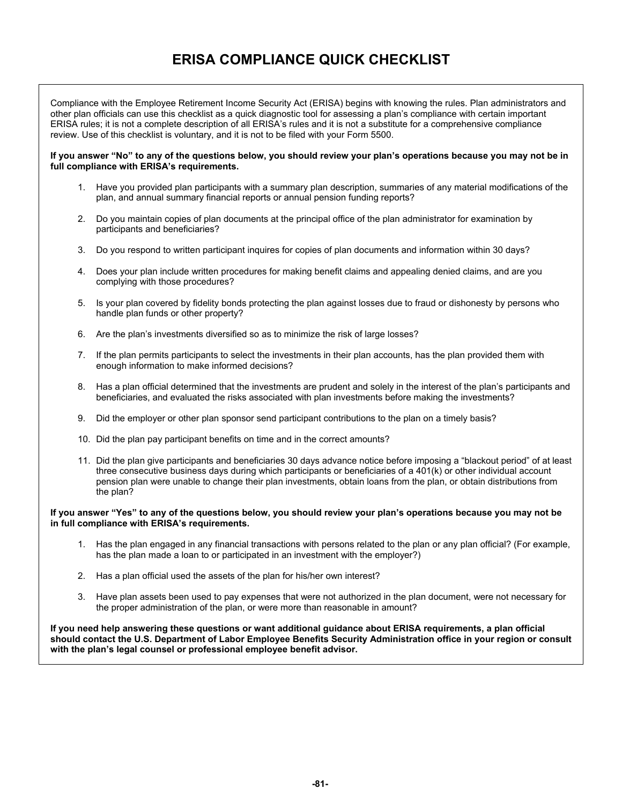# **ERISA COMPLIANCE QUICK CHECKLIST**

Compliance with the Employee Retirement Income Security Act (ERISA) begins with knowing the rules. Plan administrators and other plan officials can use this checklist as a quick diagnostic tool for assessing a plan's compliance with certain important ERISA rules; it is not a complete description of all ERISA's rules and it is not a substitute for a comprehensive compliance review. Use of this checklist is voluntary, and it is not to be filed with your Form 5500.

#### **If you answer "No" to any of the questions below, you should review your plan's operations because you may not be in full compliance with ERISA's requirements.**

- 1. Have you provided plan participants with a summary plan description, summaries of any material modifications of the plan, and annual summary financial reports or annual pension funding reports?
- 2. Do you maintain copies of plan documents at the principal office of the plan administrator for examination by participants and beneficiaries?
- 3. Do you respond to written participant inquires for copies of plan documents and information within 30 days?
- 4. Does your plan include written procedures for making benefit claims and appealing denied claims, and are you complying with those procedures?
- 5. Is your plan covered by fidelity bonds protecting the plan against losses due to fraud or dishonesty by persons who handle plan funds or other property?
- 6. Are the plan's investments diversified so as to minimize the risk of large losses?
- 7. If the plan permits participants to select the investments in their plan accounts, has the plan provided them with enough information to make informed decisions?
- 8. Has a plan official determined that the investments are prudent and solely in the interest of the plan's participants and beneficiaries, and evaluated the risks associated with plan investments before making the investments?
- 9. Did the employer or other plan sponsor send participant contributions to the plan on a timely basis?
- 10. Did the plan pay participant benefits on time and in the correct amounts?
- 11. Did the plan give participants and beneficiaries 30 days advance notice before imposing a "blackout period" of at least three consecutive business days during which participants or beneficiaries of a 401(k) or other individual account pension plan were unable to change their plan investments, obtain loans from the plan, or obtain distributions from the plan?

# **If you answer "Yes" to any of the questions below, you should review your plan's operations because you may not be in full compliance with ERISA's requirements.**

- 1. Has the plan engaged in any financial transactions with persons related to the plan or any plan official? (For example, has the plan made a loan to or participated in an investment with the employer?)
- 2. Has a plan official used the assets of the plan for his/her own interest?
- 3. Have plan assets been used to pay expenses that were not authorized in the plan document, were not necessary for the proper administration of the plan, or were more than reasonable in amount?

**If you need help answering these questions or want additional guidance about ERISA requirements, a plan official should contact the U.S. Department of Labor Employee Benefits Security Administration office in your region or consult with the plan's legal counsel or professional employee benefit advisor.**